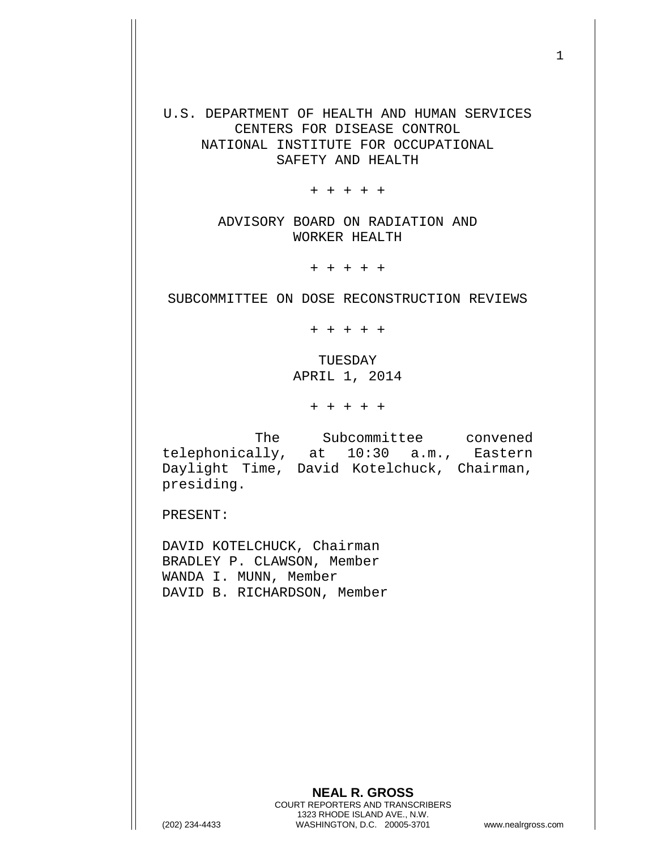U.S. DEPARTMENT OF HEALTH AND HUMAN SERVICES CENTERS FOR DISEASE CONTROL NATIONAL INSTITUTE FOR OCCUPATIONAL SAFETY AND HEALTH

+ + + + +

ADVISORY BOARD ON RADIATION AND WORKER HEALTH

+ + + + +

SUBCOMMITTEE ON DOSE RECONSTRUCTION REVIEWS

+ + + + +

TUESDAY APRIL 1, 2014

+ + + + +

The Subcommittee convened telephonically, at 10:30 a.m., Eastern Daylight Time, David Kotelchuck, Chairman, presiding.

PRESENT:

DAVID KOTELCHUCK, Chairman BRADLEY P. CLAWSON, Member WANDA I. MUNN, Member DAVID B. RICHARDSON, Member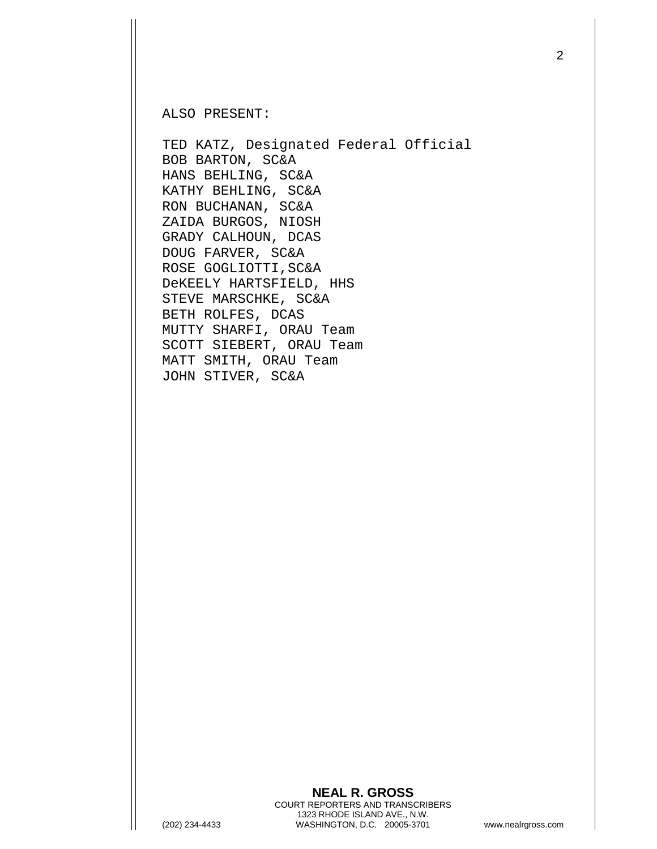ALSO PRESENT:

TED KATZ, Designated Federal Official BOB BARTON, SC&A HANS BEHLING, SC&A KATHY BEHLING, SC&A RON BUCHANAN, SC&A ZAIDA BURGOS, NIOSH GRADY CALHOUN, DCAS DOUG FARVER, SC&A ROSE GOGLIOTTI,SC&A DeKEELY HARTSFIELD, HHS STEVE MARSCHKE, SC&A BETH ROLFES, DCAS MUTTY SHARFI, ORAU Team SCOTT SIEBERT, ORAU Team MATT SMITH, ORAU Team JOHN STIVER, SC&A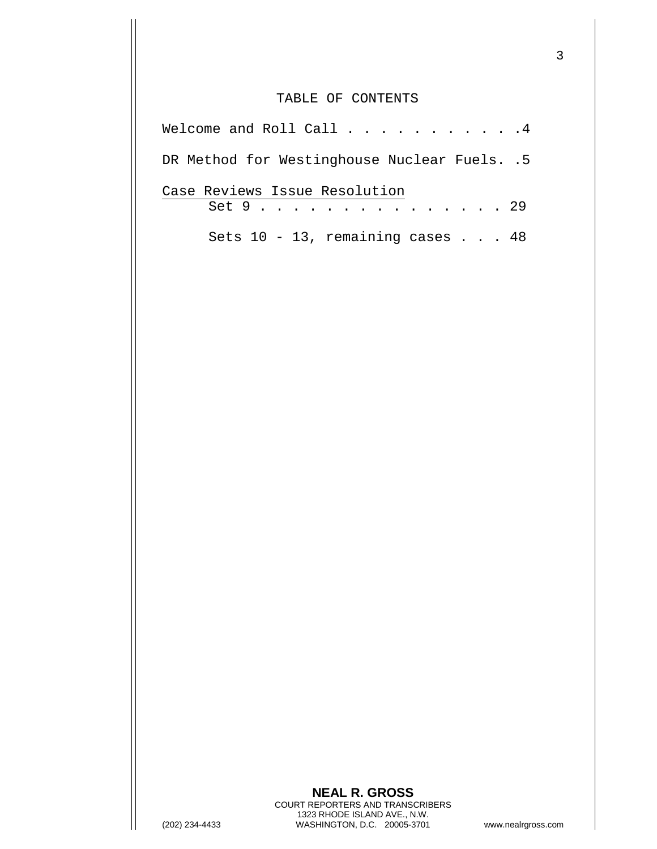## TABLE OF CONTENTS

| Welcome and Roll Call 4                      |
|----------------------------------------------|
| DR Method for Westinghouse Nuclear Fuels. .5 |
| Case Reviews Issue Resolution<br>Set 9 29    |
| Sets $10 - 13$ , remaining cases 48          |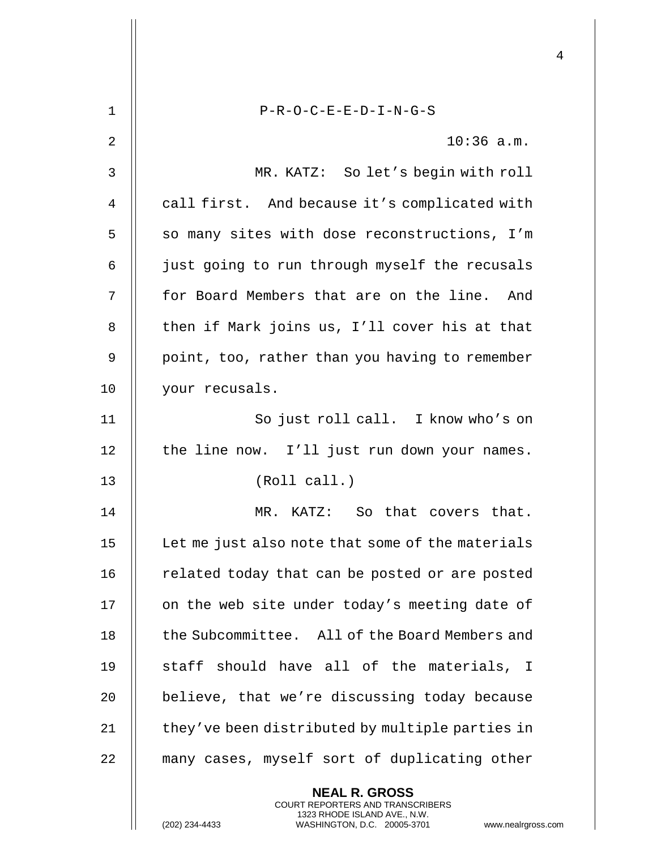| $\mathbf 1$ | $P-R-O-C-E-E-D-I-N-G-S$                                                                                                                                             |
|-------------|---------------------------------------------------------------------------------------------------------------------------------------------------------------------|
| 2           | $10:36$ a.m.                                                                                                                                                        |
| 3           | MR. KATZ: So let's begin with roll                                                                                                                                  |
| 4           | call first. And because it's complicated with                                                                                                                       |
| 5           | so many sites with dose reconstructions, I'm                                                                                                                        |
| 6           | just going to run through myself the recusals                                                                                                                       |
| 7           | for Board Members that are on the line. And                                                                                                                         |
| 8           | then if Mark joins us, I'll cover his at that                                                                                                                       |
| 9           | point, too, rather than you having to remember                                                                                                                      |
| 10          | your recusals.                                                                                                                                                      |
| 11          | So just roll call. I know who's on                                                                                                                                  |
| 12          | the line now. I'll just run down your names.                                                                                                                        |
| 13          | (Roll call.)                                                                                                                                                        |
| 14          | KATZ: So that covers that.<br>MR.                                                                                                                                   |
| 15          | Let me just also note that some of the materials                                                                                                                    |
| 16          | related today that can be posted or are posted                                                                                                                      |
| 17          | on the web site under today's meeting date of                                                                                                                       |
| 18          | the Subcommittee. All of the Board Members and                                                                                                                      |
| 19          | staff should have all of the materials, I                                                                                                                           |
| 20          | believe, that we're discussing today because                                                                                                                        |
| 21          | they've been distributed by multiple parties in                                                                                                                     |
| 22          | many cases, myself sort of duplicating other                                                                                                                        |
|             | <b>NEAL R. GROSS</b><br><b>COURT REPORTERS AND TRANSCRIBERS</b><br>1323 RHODE ISLAND AVE., N.W.<br>WASHINGTON, D.C. 20005-3701<br>(202) 234-4433<br>www.nealrgross. |

 $\mathbf{I}$  $\mathsf{l}$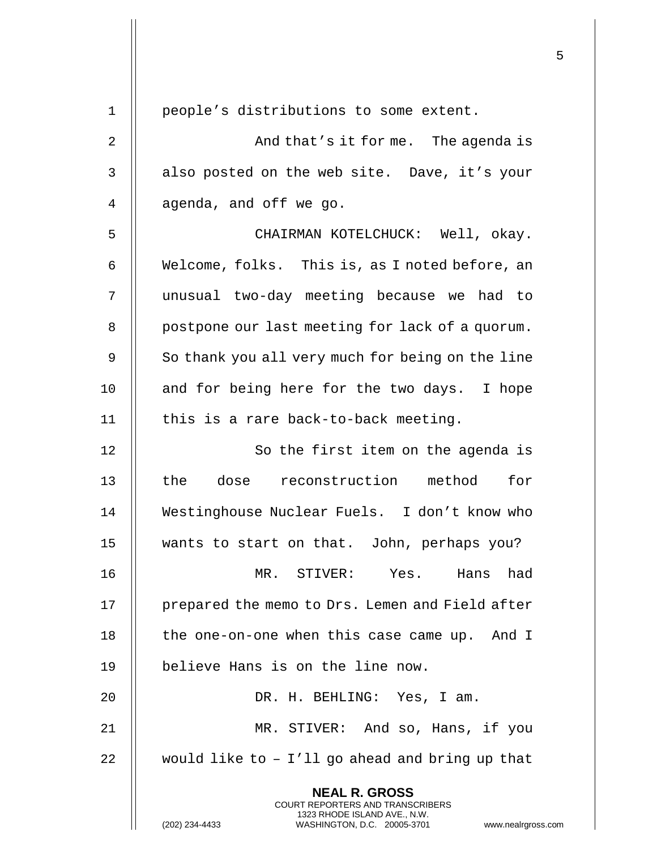| 1              | people's distributions to some extent.                                                                                                                       |
|----------------|--------------------------------------------------------------------------------------------------------------------------------------------------------------|
| $\overline{2}$ | And that's it forme. The agenda is                                                                                                                           |
| 3              | also posted on the web site. Dave, it's your                                                                                                                 |
| 4              | agenda, and off we go.                                                                                                                                       |
| 5              | CHAIRMAN KOTELCHUCK: Well, okay.                                                                                                                             |
| 6              | Welcome, folks. This is, as I noted before, an                                                                                                               |
| 7              | unusual two-day meeting because we had to                                                                                                                    |
| 8              | postpone our last meeting for lack of a quorum.                                                                                                              |
| 9              | So thank you all very much for being on the line                                                                                                             |
| 10             | and for being here for the two days. I hope                                                                                                                  |
| 11             | this is a rare back-to-back meeting.                                                                                                                         |
| 12             | So the first item on the agenda is                                                                                                                           |
| 13             | the dose reconstruction method<br>for                                                                                                                        |
| 14             | Westinghouse Nuclear Fuels. I don't know who                                                                                                                 |
| 15             | wants to start on that. John, perhaps you?                                                                                                                   |
| 16             | MR. STIVER: Yes.<br>Hans<br>had                                                                                                                              |
| 17             | prepared the memo to Drs. Lemen and Field after                                                                                                              |
| 18             | the one-on-one when this case came up. And I                                                                                                                 |
| 19             | believe Hans is on the line now.                                                                                                                             |
| 20             | DR. H. BEHLING: Yes, I am.                                                                                                                                   |
| 21             | MR. STIVER: And so, Hans, if you                                                                                                                             |
| 22             | would like to $-$ I'll go ahead and bring up that                                                                                                            |
|                | <b>NEAL R. GROSS</b><br>COURT REPORTERS AND TRANSCRIBERS<br>1323 RHODE ISLAND AVE., N.W.<br>(202) 234-4433<br>WASHINGTON, D.C. 20005-3701<br>www.nealrgross. |

 $\mathop{||}$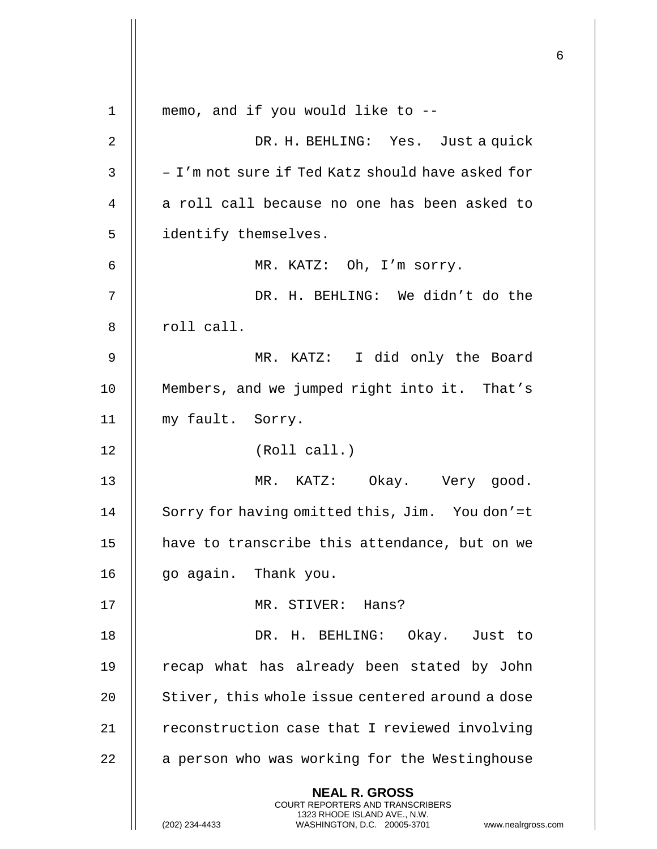|             |                                                                                                                                                              | 6 |
|-------------|--------------------------------------------------------------------------------------------------------------------------------------------------------------|---|
| $\mathbf 1$ | memo, and if you would like to --                                                                                                                            |   |
| 2           | DR. H. BEHLING: Yes. Just a quick                                                                                                                            |   |
| 3           | - I'm not sure if Ted Katz should have asked for                                                                                                             |   |
| 4           | a roll call because no one has been asked to                                                                                                                 |   |
| 5           | identify themselves.                                                                                                                                         |   |
| 6           | MR. KATZ: Oh, I'm sorry.                                                                                                                                     |   |
| 7           | DR. H. BEHLING: We didn't do the                                                                                                                             |   |
| 8           | roll call.                                                                                                                                                   |   |
| 9           | MR. KATZ: I did only the Board                                                                                                                               |   |
| 10          | Members, and we jumped right into it. That's                                                                                                                 |   |
| 11          | my fault. Sorry.                                                                                                                                             |   |
| 12          | (Roll call.)                                                                                                                                                 |   |
| 13          | MR. KATZ: Okay. Very good.                                                                                                                                   |   |
| 14          | Sorry for having omitted this, Jim. You don'=t                                                                                                               |   |
| 15          | have to transcribe this attendance, but on we                                                                                                                |   |
| 16          | go again. Thank you.                                                                                                                                         |   |
| 17          | MR. STIVER: Hans?                                                                                                                                            |   |
| 18          | DR. H. BEHLING: Okay. Just to                                                                                                                                |   |
| 19          | recap what has already been stated by John                                                                                                                   |   |
| 20          | Stiver, this whole issue centered around a dose                                                                                                              |   |
| 21          | reconstruction case that I reviewed involving                                                                                                                |   |
| 22          | a person who was working for the Westinghouse                                                                                                                |   |
|             | <b>NEAL R. GROSS</b><br>COURT REPORTERS AND TRANSCRIBERS<br>1323 RHODE ISLAND AVE., N.W.<br>WASHINGTON, D.C. 20005-3701 www.nealrgross.com<br>(202) 234-4433 |   |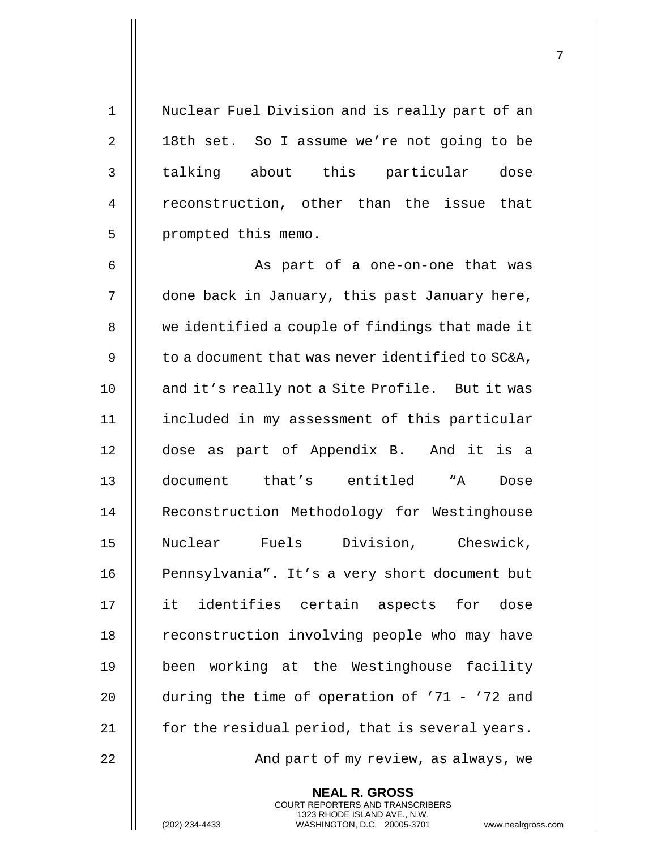1 || Nuclear Fuel Division and is really part of an 2 | 18th set. So I assume we're not going to be 3 || talking about this particular dose 4 || reconstruction, other than the issue that 5 | prompted this memo.

6 || As part of a one-on-one that was done back in January, this past January here, 8 | we identified a couple of findings that made it  $\parallel$  to a document that was never identified to SC&A, 10 || and it's really not a Site Profile. But it was included in my assessment of this particular dose as part of Appendix B. And it is a document that's entitled "A Dose 14 | Reconstruction Methodology for Westinghouse Nuclear Fuels Division, Cheswick, 16 || Pennsylvania". It's a very short document but it identifies certain aspects for dose 18 || reconstruction involving people who may have been working at the Westinghouse facility  $\parallel$  during the time of operation of '71 - '72 and  $\parallel$  for the residual period, that is several years. And part of my review, as always, we

> **NEAL R. GROSS** COURT REPORTERS AND TRANSCRIBERS 1323 RHODE ISLAND AVE., N.W.

(202) 234-4433 WASHINGTON, D.C. 20005-3701 www.nealrgross.com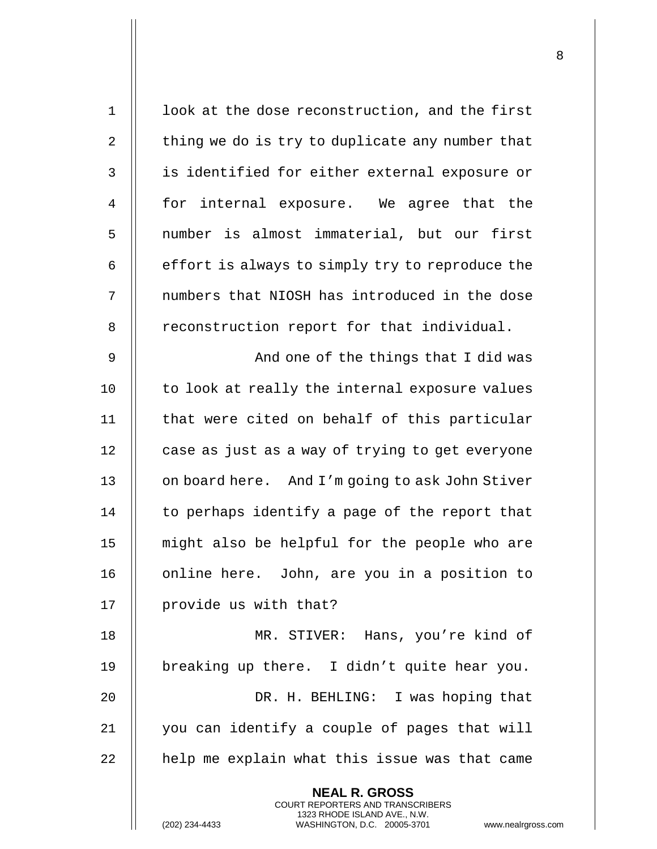| $\mathbf 1$    | look at the dose reconstruction, and the first                                                  |
|----------------|-------------------------------------------------------------------------------------------------|
| 2              | thing we do is try to duplicate any number that                                                 |
| $\mathbf{3}$   | is identified for either external exposure or                                                   |
| $\overline{4}$ | for internal exposure. We agree that the                                                        |
| 5              | number is almost immaterial, but our first                                                      |
| 6              | effort is always to simply try to reproduce the                                                 |
| 7              | numbers that NIOSH has introduced in the dose                                                   |
| 8              | reconstruction report for that individual.                                                      |
| 9              | And one of the things that I did was                                                            |
| 10             | to look at really the internal exposure values                                                  |
| 11             | that were cited on behalf of this particular                                                    |
| 12             | case as just as a way of trying to get everyone                                                 |
| 13             | on board here. And I'm going to ask John Stiver                                                 |
| 14             | to perhaps identify a page of the report that                                                   |
| 15             | might also be helpful for the people who are                                                    |
| 16             | online here. John, are you in a position to                                                     |
| 17             | provide us with that?                                                                           |
| 18             | MR. STIVER: Hans, you're kind of                                                                |
| 19             | breaking up there. I didn't quite hear you.                                                     |
| 20             | DR. H. BEHLING: I was hoping that                                                               |
| 21             | you can identify a couple of pages that will                                                    |
| 22             | help me explain what this issue was that came                                                   |
|                | <b>NEAL R. GROSS</b><br><b>COURT REPORTERS AND TRANSCRIBERS</b><br>1323 RHODE ISLAND AVE., N.W. |
|                | WASHINGTON, D.C. 20005-3701<br>(202) 234-4433<br>www.nealrgross                                 |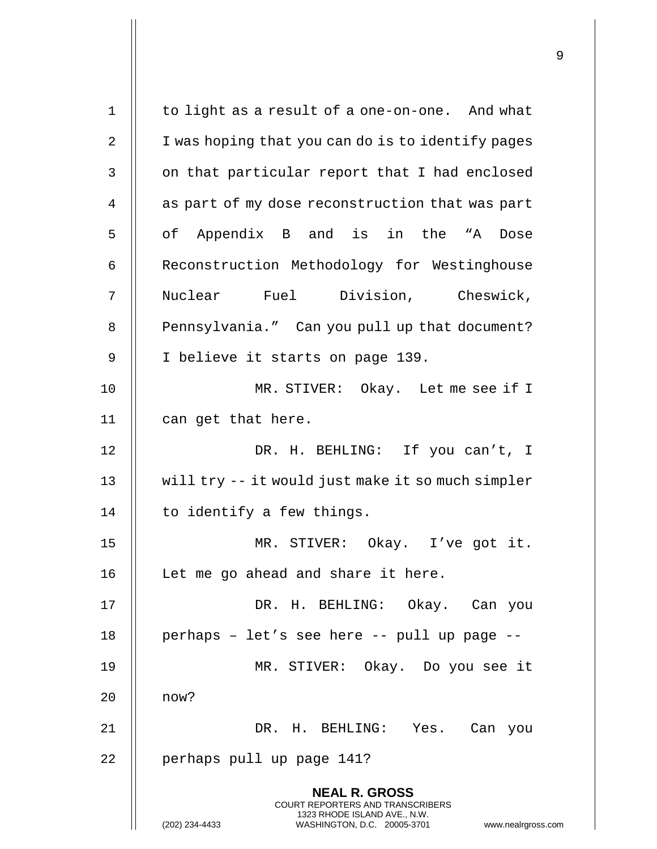| $\mathbf 1$ | to light as a result of a one-on-one. And what                                                                                                                  |
|-------------|-----------------------------------------------------------------------------------------------------------------------------------------------------------------|
| 2           | I was hoping that you can do is to identify pages                                                                                                               |
| 3           | on that particular report that I had enclosed                                                                                                                   |
| 4           | as part of my dose reconstruction that was part                                                                                                                 |
| 5           | of Appendix B and is in the "A Dose                                                                                                                             |
| 6           | Reconstruction Methodology for Westinghouse                                                                                                                     |
| 7           | Nuclear Fuel Division, Cheswick,                                                                                                                                |
| 8           | Pennsylvania." Can you pull up that document?                                                                                                                   |
| 9           | I believe it starts on page 139.                                                                                                                                |
| 10          | MR. STIVER: Okay. Let me see if I                                                                                                                               |
| 11          | can get that here.                                                                                                                                              |
| 12          | DR. H. BEHLING: If you can't, I                                                                                                                                 |
| 13          | will try -- it would just make it so much simpler                                                                                                               |
| 14          | to identify a few things.                                                                                                                                       |
| 15          | MR. STIVER: Okay. I've got it.                                                                                                                                  |
| 16          | Let me go ahead and share it here.                                                                                                                              |
| 17          | DR. H. BEHLING: Okay. Can you                                                                                                                                   |
| 18          | perhaps - let's see here -- pull up page --                                                                                                                     |
| 19          | MR. STIVER: Okay. Do you see it                                                                                                                                 |
| 20          | now?                                                                                                                                                            |
| 21          | DR. H. BEHLING: Yes. Can you                                                                                                                                    |
| 22          | perhaps pull up page 141?                                                                                                                                       |
|             | <b>NEAL R. GROSS</b><br>COURT REPORTERS AND TRANSCRIBERS<br>1323 RHODE ISLAND AVE., N.W.<br>(202) 234-4433<br>WASHINGTON, D.C. 20005-3701<br>www.nealrgross.com |

 $\overline{1}$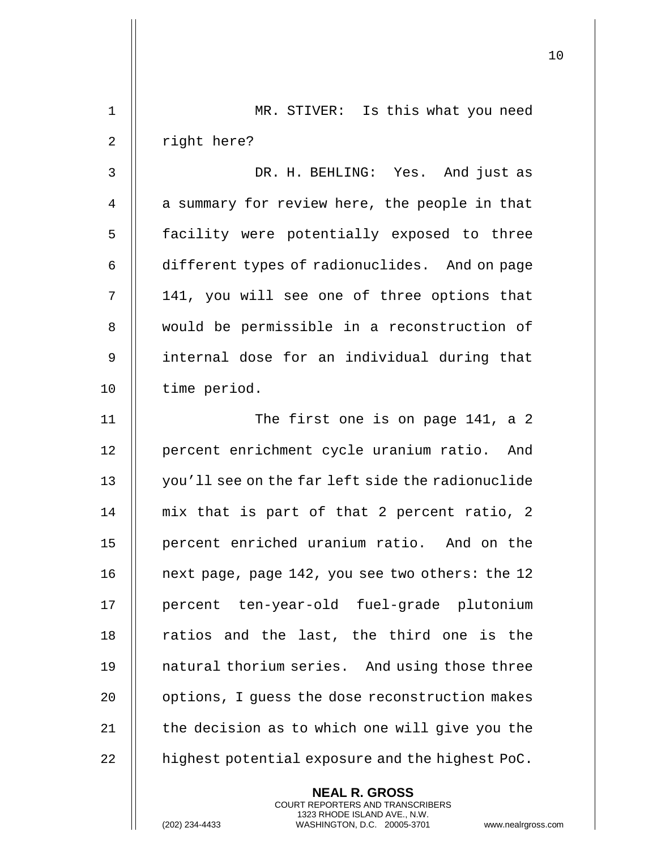|             |                                                                                                                                                                 | 10 |
|-------------|-----------------------------------------------------------------------------------------------------------------------------------------------------------------|----|
| $\mathbf 1$ | MR. STIVER: Is this what you need                                                                                                                               |    |
|             |                                                                                                                                                                 |    |
| 2           | right here?                                                                                                                                                     |    |
| 3           | DR. H. BEHLING: Yes. And just as                                                                                                                                |    |
| 4           | a summary for review here, the people in that                                                                                                                   |    |
| 5           | facility were potentially exposed to three                                                                                                                      |    |
| 6           | different types of radionuclides. And on page                                                                                                                   |    |
| 7           | 141, you will see one of three options that                                                                                                                     |    |
| 8           | would be permissible in a reconstruction of                                                                                                                     |    |
| 9           | internal dose for an individual during that                                                                                                                     |    |
| 10          | time period.                                                                                                                                                    |    |
| 11          | The first one is on page 141, a 2                                                                                                                               |    |
| 12          | percent enrichment cycle uranium ratio. And                                                                                                                     |    |
| 13          | you'll see on the far left side the radionuclide                                                                                                                |    |
| 14          | mix that is part of that 2 percent ratio, 2                                                                                                                     |    |
| 15          | percent enriched uranium ratio. And on the                                                                                                                      |    |
| 16          | next page, page 142, you see two others: the 12                                                                                                                 |    |
| 17          | percent ten-year-old fuel-grade plutonium                                                                                                                       |    |
| 18          | ratios and the last, the third one is the                                                                                                                       |    |
| 19          | natural thorium series. And using those three                                                                                                                   |    |
| 20          | options, I guess the dose reconstruction makes                                                                                                                  |    |
| 21          | the decision as to which one will give you the                                                                                                                  |    |
| 22          | highest potential exposure and the highest PoC.                                                                                                                 |    |
|             | <b>NEAL R. GROSS</b><br>COURT REPORTERS AND TRANSCRIBERS<br>1323 RHODE ISLAND AVE., N.W.<br>(202) 234-4433<br>WASHINGTON, D.C. 20005-3701<br>www.nealrgross.com |    |

 $\mathbf{I}$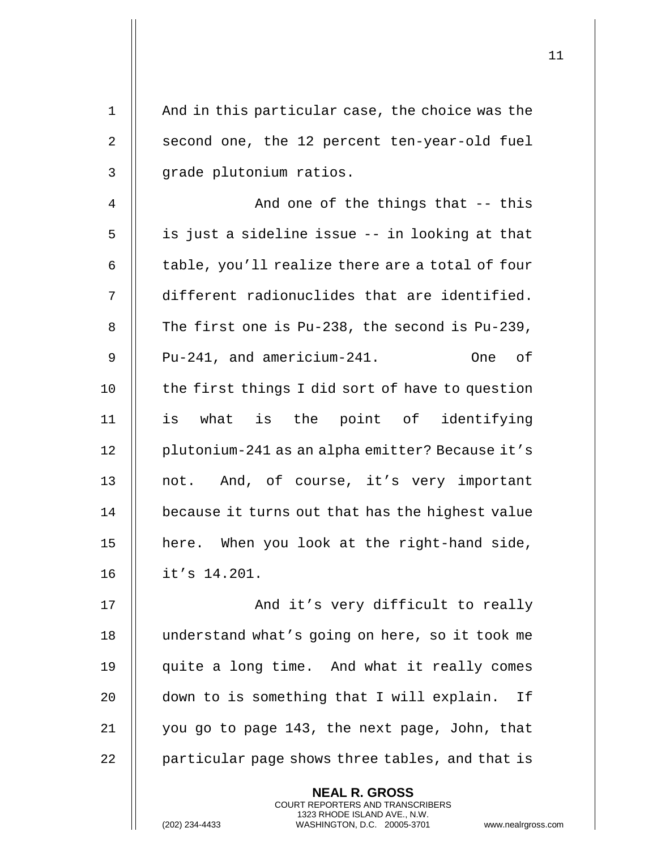| $\mathbf 1$ | And in this particular case, the choice was the                                                 |
|-------------|-------------------------------------------------------------------------------------------------|
| 2           | second one, the 12 percent ten-year-old fuel                                                    |
| 3           | grade plutonium ratios.                                                                         |
| 4           | And one of the things that -- this                                                              |
| 5           | is just a sideline issue -- in looking at that                                                  |
| 6           | table, you'll realize there are a total of four                                                 |
| 7           | different radionuclides that are identified.                                                    |
| 8           | The first one is $Pu-238$ , the second is $Pu-239$ ,                                            |
| 9           | Pu-241, and americium-241.<br>of<br><b>One</b>                                                  |
| 10          | the first things I did sort of have to question                                                 |
| 11          | is what is the point of identifying                                                             |
| 12          | plutonium-241 as an alpha emitter? Because it's                                                 |
| 13          | not. And, of course, it's very important                                                        |
| 14          | because it turns out that has the highest value                                                 |
| 15          | here. When you look at the right-hand side,                                                     |
| 16          | it's 14.201.                                                                                    |
| 17          | And it's very difficult to really                                                               |
| 18          | understand what's going on here, so it took me                                                  |
| 19          | quite a long time. And what it really comes                                                     |
| 20          | down to is something that I will explain. If                                                    |
| 21          | you go to page 143, the next page, John, that                                                   |
| 22          | particular page shows three tables, and that is                                                 |
|             | <b>NEAL R. GROSS</b><br><b>COURT REPORTERS AND TRANSCRIBERS</b><br>1323 RHODE ISLAND AVE., N.W. |
|             | (202) 234-4433<br>WASHINGTON, D.C. 20005-3701<br>www.nealrgross                                 |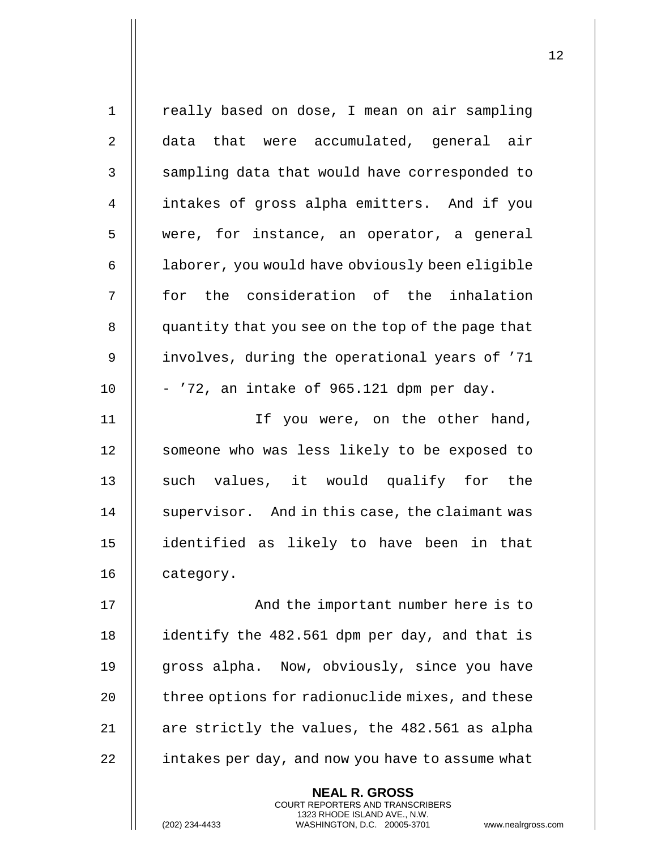| $\mathbf 1$ | really based on dose, I mean on air sampling                                                                                                                       |
|-------------|--------------------------------------------------------------------------------------------------------------------------------------------------------------------|
| 2           | data that were accumulated, general air                                                                                                                            |
| 3           | sampling data that would have corresponded to                                                                                                                      |
| 4           | intakes of gross alpha emitters. And if you                                                                                                                        |
| 5           | were, for instance, an operator, a general                                                                                                                         |
| 6           | laborer, you would have obviously been eligible                                                                                                                    |
| 7           | for the consideration of the inhalation                                                                                                                            |
| 8           | quantity that you see on the top of the page that                                                                                                                  |
| 9           | involves, during the operational years of '71                                                                                                                      |
| 10          | - '72, an intake of 965.121 dpm per day.                                                                                                                           |
| 11          | If you were, on the other hand,                                                                                                                                    |
| 12          | someone who was less likely to be exposed to                                                                                                                       |
| 13          | such values, it would qualify for the                                                                                                                              |
| 14          | supervisor. And in this case, the claimant was                                                                                                                     |
| 15          | identified as likely to have been in that                                                                                                                          |
| 16          | category.                                                                                                                                                          |
| 17          | And the important number here is to                                                                                                                                |
| 18          | identify the 482.561 dpm per day, and that is                                                                                                                      |
| 19          | gross alpha. Now, obviously, since you have                                                                                                                        |
| 20          | three options for radionuclide mixes, and these                                                                                                                    |
| 21          | are strictly the values, the 482.561 as alpha                                                                                                                      |
| 22          | intakes per day, and now you have to assume what                                                                                                                   |
|             | <b>NEAL R. GROSS</b><br><b>COURT REPORTERS AND TRANSCRIBERS</b><br>1323 RHODE ISLAND AVE., N.W.<br>WASHINGTON, D.C. 20005-3701<br>(202) 234-4433<br>www.nealrgross |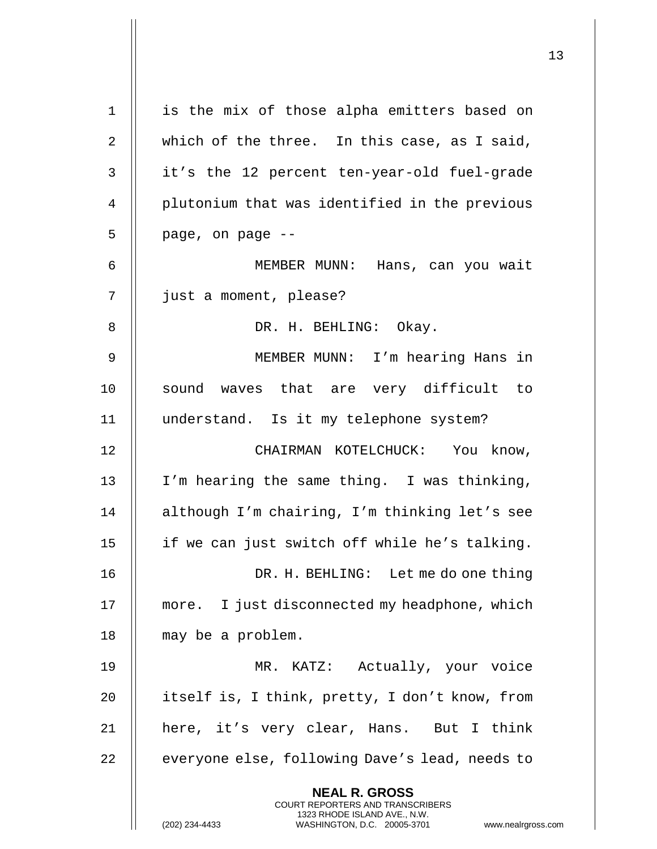| $\mathbf 1$ | is the mix of those alpha emitters based on                                                                                                                            |
|-------------|------------------------------------------------------------------------------------------------------------------------------------------------------------------------|
| 2           | which of the three. In this case, as I said,                                                                                                                           |
| 3           | it's the 12 percent ten-year-old fuel-grade                                                                                                                            |
| 4           | plutonium that was identified in the previous                                                                                                                          |
| 5           | page, on page --                                                                                                                                                       |
| 6           | MEMBER MUNN: Hans, can you wait                                                                                                                                        |
| 7           | just a moment, please?                                                                                                                                                 |
| 8           | DR. H. BEHLING: Okay.                                                                                                                                                  |
| 9           | MEMBER MUNN: I'm hearing Hans in                                                                                                                                       |
| 10          | sound waves that are very difficult to                                                                                                                                 |
| 11          | understand. Is it my telephone system?                                                                                                                                 |
| 12          | CHAIRMAN KOTELCHUCK: You know,                                                                                                                                         |
| 13          | I'm hearing the same thing. I was thinking,                                                                                                                            |
| 14          | although I'm chairing, I'm thinking let's see                                                                                                                          |
| 15          | if we can just switch off while he's talking.                                                                                                                          |
| 16          | DR. H. BEHLING: Let me do one thing                                                                                                                                    |
| 17          | more. I just disconnected my headphone, which                                                                                                                          |
| 18          | may be a problem.                                                                                                                                                      |
| 19          | MR. KATZ: Actually, your voice                                                                                                                                         |
| 20          | itself is, I think, pretty, I don't know, from                                                                                                                         |
| 21          | here, it's very clear, Hans. But I think                                                                                                                               |
| 22          | everyone else, following Dave's lead, needs to                                                                                                                         |
|             | <b>NEAL R. GROSS</b><br><b>COURT REPORTERS AND TRANSCRIBERS</b><br>1323 RHODE ISLAND AVE., N.W.<br>(202) 234-4433<br>WASHINGTON, D.C. 20005-3701<br>www.nealrgross.com |

 $\overline{1}$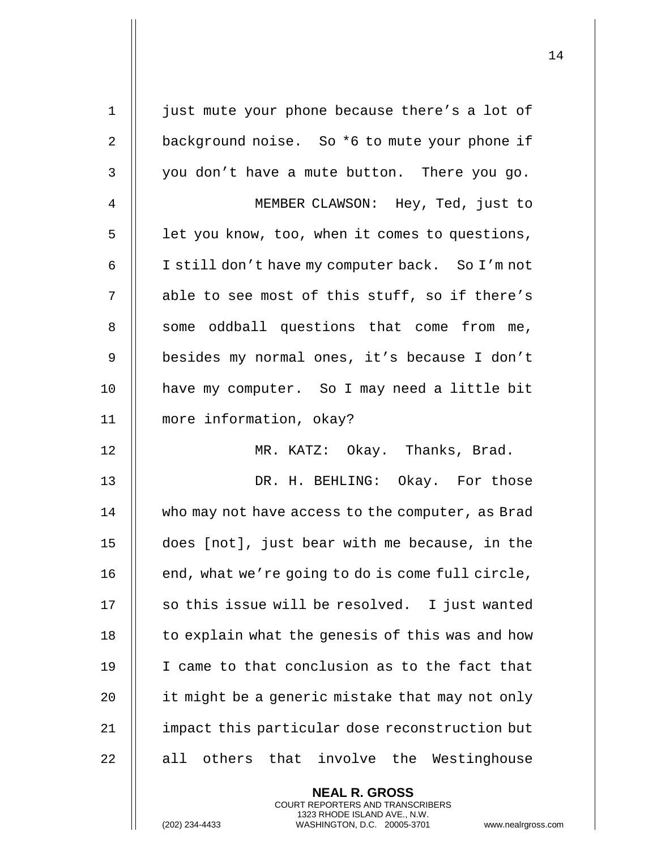| $\mathbf 1$    | just mute your phone because there's a lot of    |
|----------------|--------------------------------------------------|
| $\overline{2}$ | background noise. So *6 to mute your phone if    |
| 3              | you don't have a mute button. There you go.      |
| 4              | MEMBER CLAWSON: Hey, Ted, just to                |
| 5              | let you know, too, when it comes to questions,   |
| 6              | I still don't have my computer back. So I'm not  |
| 7              | able to see most of this stuff, so if there's    |
| 8              | some oddball questions that come from me,        |
| $\mathsf 9$    | besides my normal ones, it's because I don't     |
| 10             | have my computer. So I may need a little bit     |
| 11             | more information, okay?                          |
| 12             | MR. KATZ: Okay. Thanks, Brad.                    |
| 13             | DR. H. BEHLING: Okay. For those                  |
| 14             | who may not have access to the computer, as Brad |
| 15             | does [not], just bear with me because, in the    |
| 16             | end, what we're going to do is come full circle, |
| 17             | so this issue will be resolved. I just wanted    |
| 18             | to explain what the genesis of this was and how  |
| 19             | I came to that conclusion as to the fact that    |
| 20             | it might be a generic mistake that may not only  |
| 21             | impact this particular dose reconstruction but   |
| 22             | others that involve the Westinghouse<br>all      |
|                | <b>NEAL R. GROSS</b>                             |

COURT REPORTERS AND TRANSCRIBERS 1323 RHODE ISLAND AVE., N.W.

(202) 234-4433 WASHINGTON, D.C. 20005-3701 www.nealrgross.com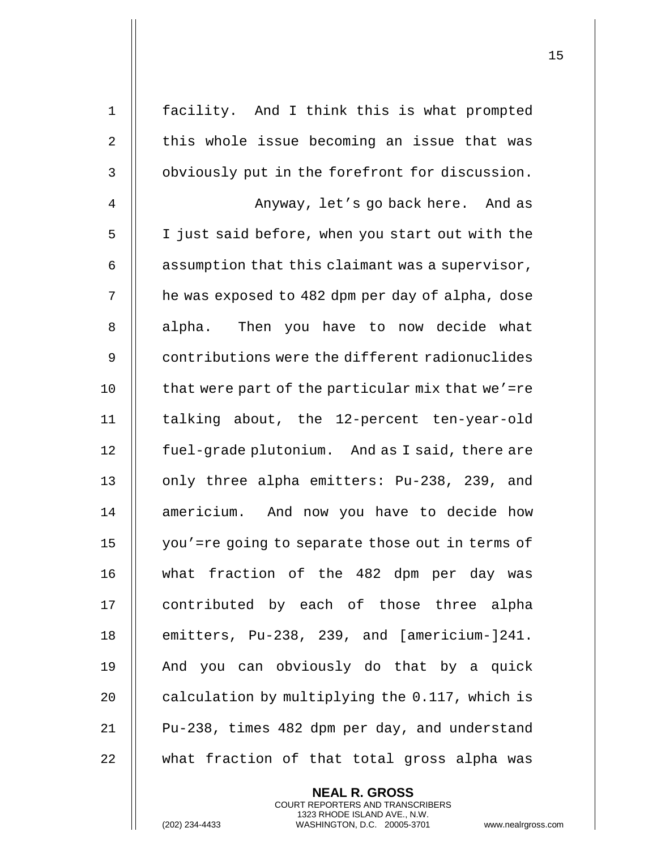| $\mathbf 1$ | facility. And I think this is what prompted      |
|-------------|--------------------------------------------------|
| 2           | this whole issue becoming an issue that was      |
| 3           | obviously put in the forefront for discussion.   |
| 4           | Anyway, let's go back here. And as               |
| 5           | I just said before, when you start out with the  |
| 6           | assumption that this claimant was a supervisor,  |
| 7           | he was exposed to 482 dpm per day of alpha, dose |
| 8           | alpha. Then you have to now decide what          |
| 9           | contributions were the different radionuclides   |
| 10          | that were part of the particular mix that we'=re |
| 11          | talking about, the 12-percent ten-year-old       |
| 12          | fuel-grade plutonium. And as I said, there are   |
| 13          | only three alpha emitters: Pu-238, 239, and      |
| 14          | americium. And now you have to decide how        |
| 15          | you'=re going to separate those out in terms of  |
| 16          | what fraction of the 482 dpm per day was         |
| 17          | contributed by each of those three alpha         |
| 18          | emitters, Pu-238, 239, and [americium-]241.      |
| 19          | And you can obviously do that by a quick         |
| 20          | calculation by multiplying the 0.117, which is   |
| 21          | Pu-238, times 482 dpm per day, and understand    |
| 22          | what fraction of that total gross alpha was      |

**NEAL R. GROSS** COURT REPORTERS AND TRANSCRIBERS 1323 RHODE ISLAND AVE., N.W.

(202) 234-4433 WASHINGTON, D.C. 20005-3701 www.nealrgross.com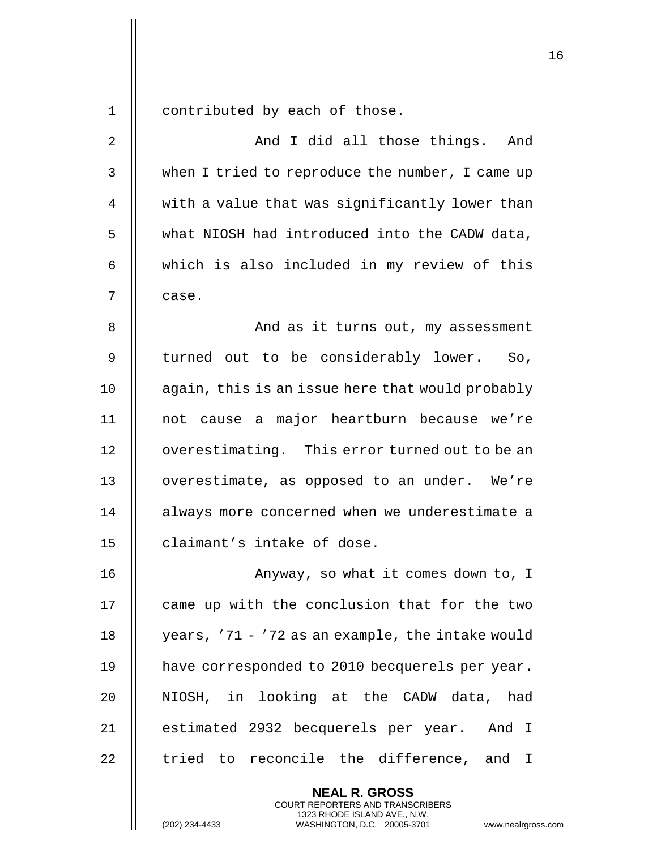1 | contributed by each of those.

| $\overline{2}$ | And I did all those things. And                       |
|----------------|-------------------------------------------------------|
| 3              | when I tried to reproduce the number, I came up       |
| 4              | with a value that was significantly lower than        |
| 5              | what NIOSH had introduced into the CADW data,         |
| 6              | which is also included in my review of this           |
| 7              | case.                                                 |
| 8              | And as it turns out, my assessment                    |
| 9              | turned out to be considerably lower. So,              |
| 10             | again, this is an issue here that would probably      |
| 11             | not cause a major heartburn because we're             |
| 12             | overestimating. This error turned out to be an        |
| 13             | overestimate, as opposed to an under. We're           |
| 14             | always more concerned when we underestimate a         |
| 15             | claimant's intake of dose.                            |
| 16             | Anyway, so what it comes down to, I                   |
| 17             | came up with the conclusion that for the two          |
| 18             | years, '71 - '72 as an example, the intake would      |
| 19             | have corresponded to 2010 becquerels per year.        |
| 20             | NIOSH, in looking at the CADW data, had               |
| 21             | estimated 2932 becquerels per year. And I             |
| 22             | tried to reconcile the difference, and<br>$\mathbf I$ |
|                | <b>NEAL R. GROSS</b>                                  |

COURT REPORTERS AND TRANSCRIBERS 1323 RHODE ISLAND AVE., N.W.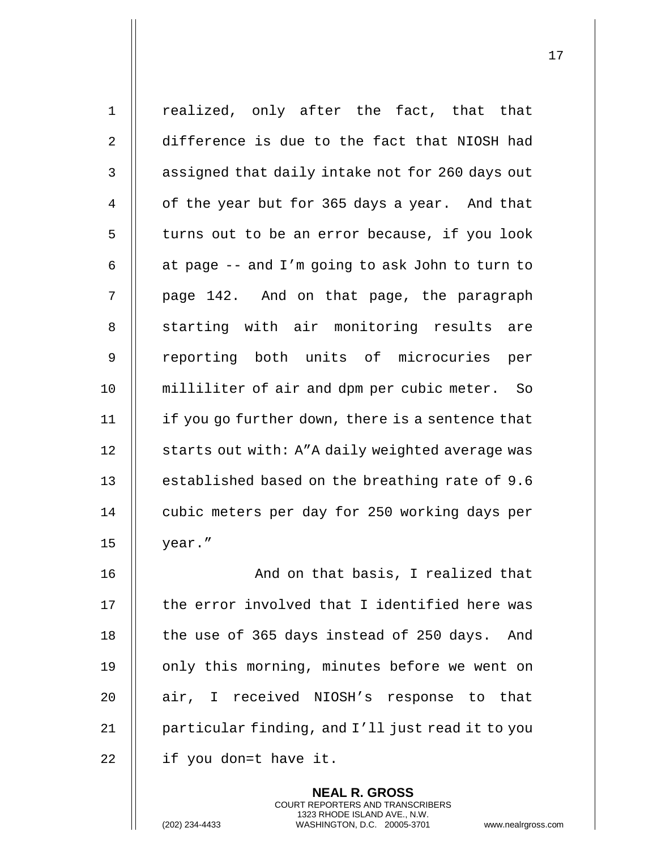1 || realized, only after the fact, that that 2 difference is due to the fact that NIOSH had  $3$  | assigned that daily intake not for 260 days out 4 | of the year but for 365 days a year. And that  $5$  | turns out to be an error because, if you look 6  $\parallel$  at page -- and I'm going to ask John to turn to  $7 \parallel$  page 142. And on that page, the paragraph 8 || starting with air monitoring results are 9 || reporting both units of microcuries per 10 milliliter of air and dpm per cubic meter. So 11 if you go further down, there is a sentence that 12 | starts out with: A"A daily weighted average was 13 | established based on the breathing rate of 9.6 14 | cubic meters per day for 250 working days per 15 |  $year.$ " 16 || The Mond on that basis, I realized that 17 || the error involved that I identified here was 18 || the use of 365 days instead of 250 days. And

19 || only this morning, minutes before we went on 20 || air, I received NIOSH's response to that 21 | particular finding, and I'll just read it to you 22  $\parallel$  if you don=t have it.

> **NEAL R. GROSS** COURT REPORTERS AND TRANSCRIBERS 1323 RHODE ISLAND AVE., N.W.

(202) 234-4433 WASHINGTON, D.C. 20005-3701 www.nealrgross.com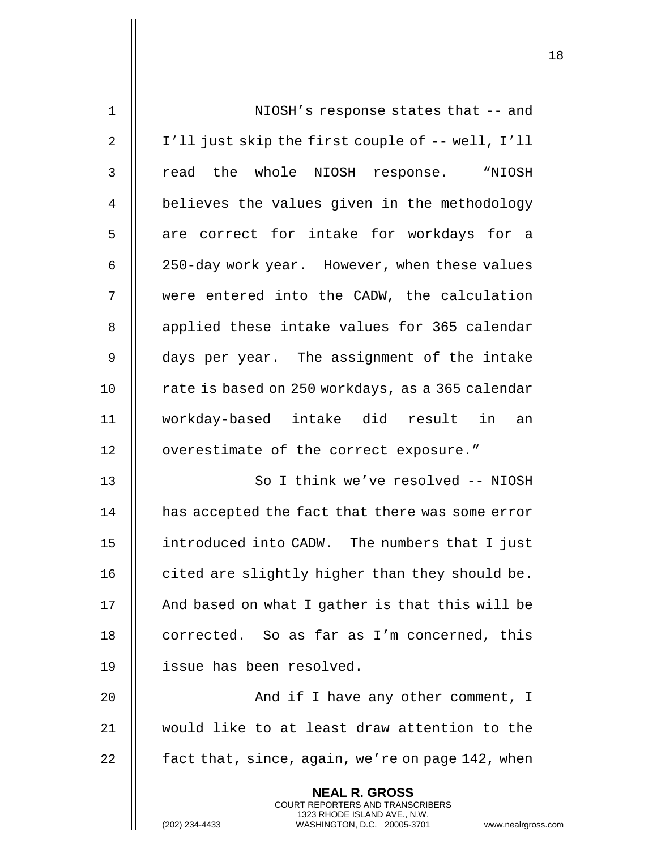| $\mathbf 1$    | NIOSH's response states that -- and                                                                                                 |
|----------------|-------------------------------------------------------------------------------------------------------------------------------------|
| $\overline{2}$ | I'll just skip the first couple of -- well, I'll                                                                                    |
| 3              | read the whole NIOSH response. "NIOSH                                                                                               |
| 4              | believes the values given in the methodology                                                                                        |
| 5              | are correct for intake for workdays for a                                                                                           |
| 6              | 250-day work year. However, when these values                                                                                       |
| 7              | were entered into the CADW, the calculation                                                                                         |
| 8              | applied these intake values for 365 calendar                                                                                        |
| 9              | days per year. The assignment of the intake                                                                                         |
| 10             | rate is based on 250 workdays, as a 365 calendar                                                                                    |
| 11             | workday-based intake did result in an                                                                                               |
| 12             | overestimate of the correct exposure."                                                                                              |
| 13             | So I think we've resolved -- NIOSH                                                                                                  |
| 14             | has accepted the fact that there was some error                                                                                     |
| 15             | introduced into CADW. The numbers that I just                                                                                       |
| 16             | cited are slightly higher than they should be.                                                                                      |
| 17             | And based on what I gather is that this will be                                                                                     |
| 18             | corrected. So as far as I'm concerned, this                                                                                         |
| 19             | issue has been resolved.                                                                                                            |
| 20             | And if I have any other comment, I                                                                                                  |
| 21             | would like to at least draw attention to the                                                                                        |
| 22             | fact that, since, again, we're on page 142, when                                                                                    |
|                | <b>NEAL R. GROSS</b>                                                                                                                |
|                | COURT REPORTERS AND TRANSCRIBERS<br>1323 RHODE ISLAND AVE., N.W.<br>(202) 234-4433<br>WASHINGTON, D.C. 20005-3701<br>www.nealrgross |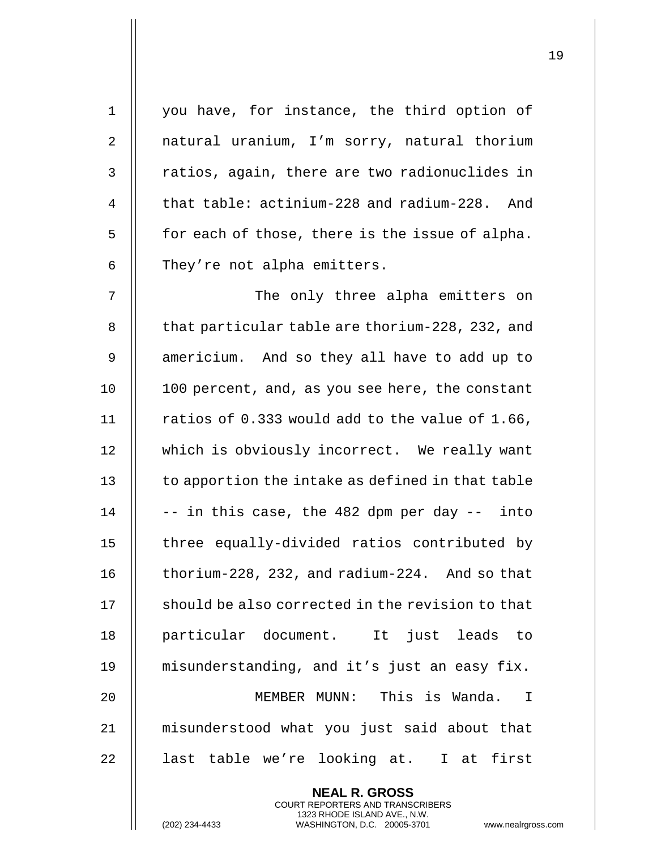| 1           | you have, for instance, the third option of      |
|-------------|--------------------------------------------------|
| 2           | natural uranium, I'm sorry, natural thorium      |
| 3           | ratios, again, there are two radionuclides in    |
| 4           | that table: actinium-228 and radium-228. And     |
| 5           | for each of those, there is the issue of alpha.  |
| 6           | They're not alpha emitters.                      |
| 7           | The only three alpha emitters on                 |
| 8           | that particular table are thorium-228, 232, and  |
| $\mathsf 9$ | americium. And so they all have to add up to     |
| 10          | 100 percent, and, as you see here, the constant  |
| 11          | ratios of 0.333 would add to the value of 1.66,  |
| 12          | which is obviously incorrect. We really want     |
| 13          | to apportion the intake as defined in that table |
| 14          | -- in this case, the 482 dpm per day -- into     |
| 15          | three equally-divided ratios contributed by      |
| 16          | thorium-228, 232, and radium-224. And so that    |
| 17          | should be also corrected in the revision to that |
| 18          | particular document. It just leads to            |
| 19          | misunderstanding, and it's just an easy fix.     |
| 20          | MEMBER MUNN: This is Wanda.<br>$\mathbb{I}$      |
| 21          | misunderstood what you just said about that      |
| 22          | last table we're looking at. I at first          |
|             | <b>NEAL R. GROSS</b>                             |

COURT REPORTERS AND TRANSCRIBERS 1323 RHODE ISLAND AVE., N.W.

 $\prod$ 

(202) 234-4433 WASHINGTON, D.C. 20005-3701 www.nealrgross.com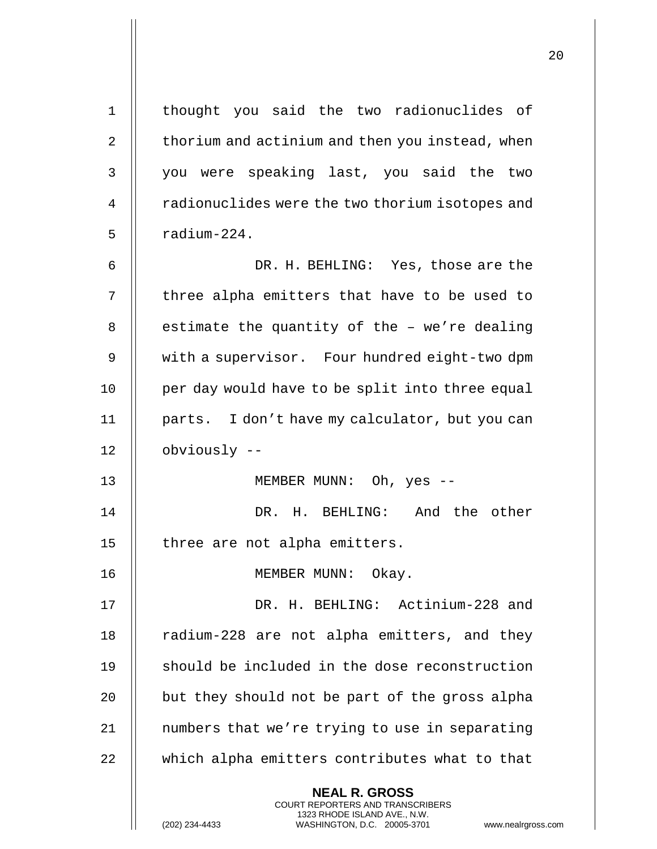| $\mathbf 1$ | thought you said the two radionuclides of                                                                                                                              |
|-------------|------------------------------------------------------------------------------------------------------------------------------------------------------------------------|
| 2           | thorium and actinium and then you instead, when                                                                                                                        |
| 3           | you were speaking last, you said the two                                                                                                                               |
| 4           | radionuclides were the two thorium isotopes and                                                                                                                        |
| 5           | radium-224.                                                                                                                                                            |
| 6           | DR. H. BEHLING: Yes, those are the                                                                                                                                     |
| 7           | three alpha emitters that have to be used to                                                                                                                           |
| 8           | estimate the quantity of the - we're dealing                                                                                                                           |
| 9           | with a supervisor. Four hundred eight-two dpm                                                                                                                          |
| 10          | per day would have to be split into three equal                                                                                                                        |
| 11          | parts. I don't have my calculator, but you can                                                                                                                         |
| 12          | obviously --                                                                                                                                                           |
| 13          | MEMBER MUNN: Oh, yes --                                                                                                                                                |
| 14          | DR. H. BEHLING: And the other                                                                                                                                          |
| 15          | three are not alpha emitters.                                                                                                                                          |
| 16          | MEMBER MUNN: Okay.                                                                                                                                                     |
| 17          | DR. H. BEHLING: Actinium-228 and                                                                                                                                       |
| 18          | radium-228 are not alpha emitters, and they                                                                                                                            |
| 19          | should be included in the dose reconstruction                                                                                                                          |
| 20          | but they should not be part of the gross alpha                                                                                                                         |
| 21          | numbers that we're trying to use in separating                                                                                                                         |
| 22          | which alpha emitters contributes what to that                                                                                                                          |
|             | <b>NEAL R. GROSS</b><br><b>COURT REPORTERS AND TRANSCRIBERS</b><br>1323 RHODE ISLAND AVE., N.W.<br>(202) 234-4433<br>WASHINGTON, D.C. 20005-3701<br>www.nealrgross.com |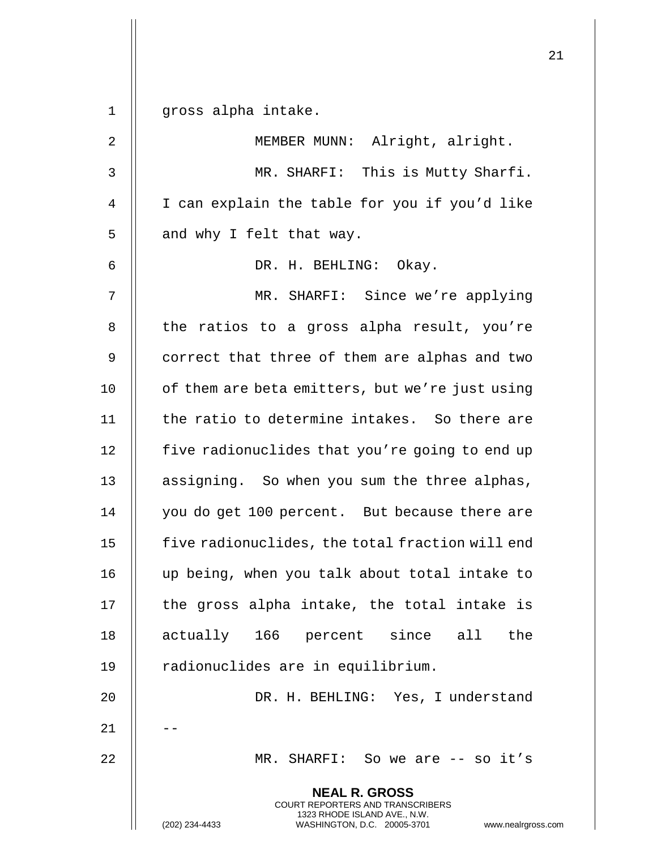**NEAL R. GROSS** COURT REPORTERS AND TRANSCRIBERS 1323 RHODE ISLAND AVE., N.W. (202) 234-4433 WASHINGTON, D.C. 20005-3701 www.nealrgross.com 1 gross alpha intake. 2 || MEMBER MUNN: Alright, alright. 3 MR. SHARFI: This is Mutty Sharfi. 4 || I can explain the table for you if you'd like  $5$  || and why I felt that way. 6 DR. H. BEHLING: Okay. 7 MR. SHARFI: Since we're applying 8 || the ratios to a gross alpha result, you're 9 | correct that three of them are alphas and two 10 | of them are beta emitters, but we're just using 11 | the ratio to determine intakes. So there are 12 | five radionuclides that you're going to end up 13 || assigning. So when you sum the three alphas, 14 || you do get 100 percent. But because there are 15 | five radionuclides, the total fraction will end 16 up being, when you talk about total intake to  $17$   $\parallel$  the gross alpha intake, the total intake is 18 || actually 166 percent since all the 19 | radionuclides are in equilibrium. 20 DR. H. BEHLING: Yes, I understand  $21$ 22 MR. SHARFI: So we are -- so it's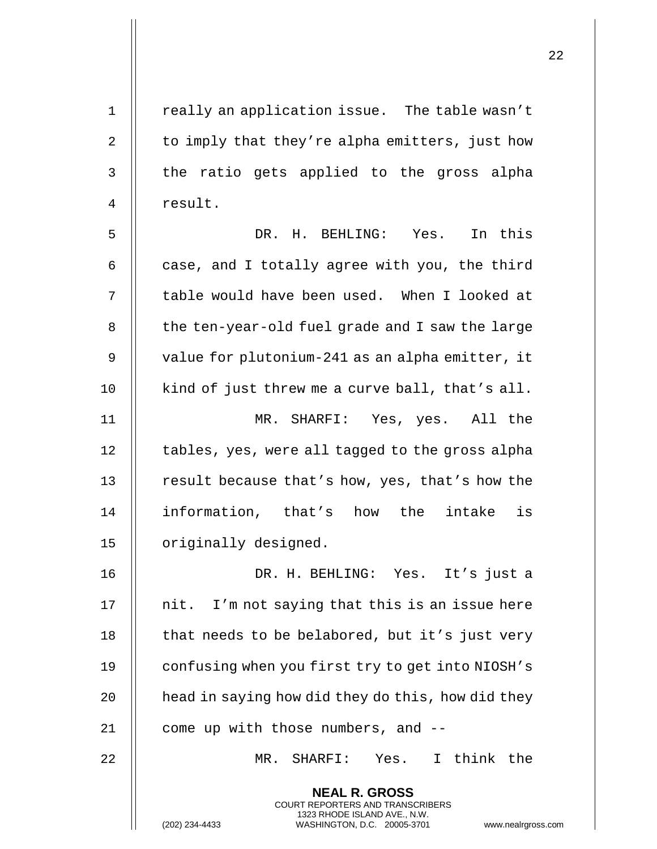| $\mathbf 1$ | really an application issue. The table wasn't                                                                                                                          |
|-------------|------------------------------------------------------------------------------------------------------------------------------------------------------------------------|
| 2           | to imply that they're alpha emitters, just how                                                                                                                         |
| 3           | the ratio gets applied to the gross alpha                                                                                                                              |
| 4           | result.                                                                                                                                                                |
| 5           | DR. H. BEHLING: Yes. In this                                                                                                                                           |
| 6           | case, and I totally agree with you, the third                                                                                                                          |
| 7           | table would have been used. When I looked at                                                                                                                           |
| 8           | the ten-year-old fuel grade and I saw the large                                                                                                                        |
| 9           | value for plutonium-241 as an alpha emitter, it                                                                                                                        |
| 10          | kind of just threw me a curve ball, that's all.                                                                                                                        |
| 11          | MR. SHARFI: Yes, yes. All the                                                                                                                                          |
| 12          | tables, yes, were all tagged to the gross alpha                                                                                                                        |
| 13          | result because that's how, yes, that's how the                                                                                                                         |
| 14          | is<br>information, that's how the<br>intake                                                                                                                            |
| 15          | originally designed.                                                                                                                                                   |
| 16          | DR. H. BEHLING: Yes. It's just a                                                                                                                                       |
| 17          | nit. I'm not saying that this is an issue here                                                                                                                         |
| 18          | that needs to be belabored, but it's just very                                                                                                                         |
| 19          | confusing when you first try to get into NIOSH's                                                                                                                       |
| 20          | head in saying how did they do this, how did they                                                                                                                      |
| 21          | come up with those numbers, and --                                                                                                                                     |
| 22          | I think the<br>SHARFI: Yes.<br>MR.                                                                                                                                     |
|             | <b>NEAL R. GROSS</b><br><b>COURT REPORTERS AND TRANSCRIBERS</b><br>1323 RHODE ISLAND AVE., N.W.<br>(202) 234-4433<br>WASHINGTON, D.C. 20005-3701<br>www.nealrgross.com |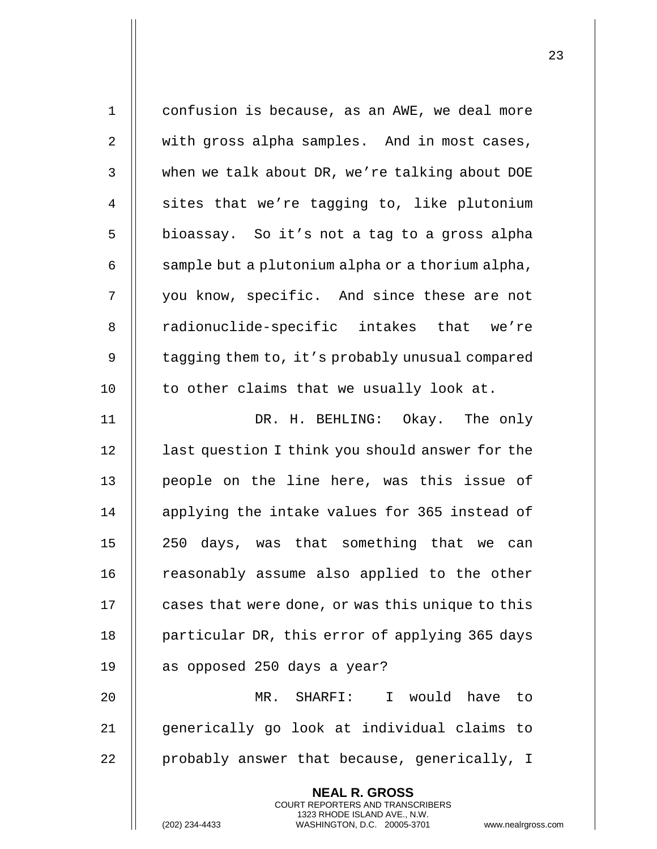| $\mathbf 1$    | confusion is because, as an AWE, we deal more                                                                                              |
|----------------|--------------------------------------------------------------------------------------------------------------------------------------------|
| $\overline{2}$ | with gross alpha samples. And in most cases,                                                                                               |
| 3              | when we talk about DR, we're talking about DOE                                                                                             |
| 4              | sites that we're tagging to, like plutonium                                                                                                |
| 5              | bioassay. So it's not a tag to a gross alpha                                                                                               |
| 6              | sample but a plutonium alpha or a thorium alpha,                                                                                           |
| 7              | you know, specific. And since these are not                                                                                                |
| 8              | radionuclide-specific intakes that we're                                                                                                   |
| 9              | tagging them to, it's probably unusual compared                                                                                            |
| 10             | to other claims that we usually look at.                                                                                                   |
| 11             | DR. H. BEHLING: Okay. The only                                                                                                             |
| 12             | last question I think you should answer for the                                                                                            |
| 13             | people on the line here, was this issue of                                                                                                 |
| 14             | applying the intake values for 365 instead of                                                                                              |
| 15             | 250 days, was that something that we can                                                                                                   |
| 16             | reasonably assume also applied to the other                                                                                                |
| 17             | cases that were done, or was this unique to this                                                                                           |
| 18             | particular DR, this error of applying 365 days                                                                                             |
| 19             | as opposed 250 days a year?                                                                                                                |
| 20             | I would have to<br>MR. SHARFI:                                                                                                             |
| 21             | generically go look at individual claims to                                                                                                |
| 22             | probably answer that because, generically, I                                                                                               |
|                | <b>NEAL R. GROSS</b>                                                                                                                       |
|                | <b>COURT REPORTERS AND TRANSCRIBERS</b><br>1323 RHODE ISLAND AVE., N.W.<br>(202) 234-4433<br>WASHINGTON, D.C. 20005-3701<br>www.nealrgross |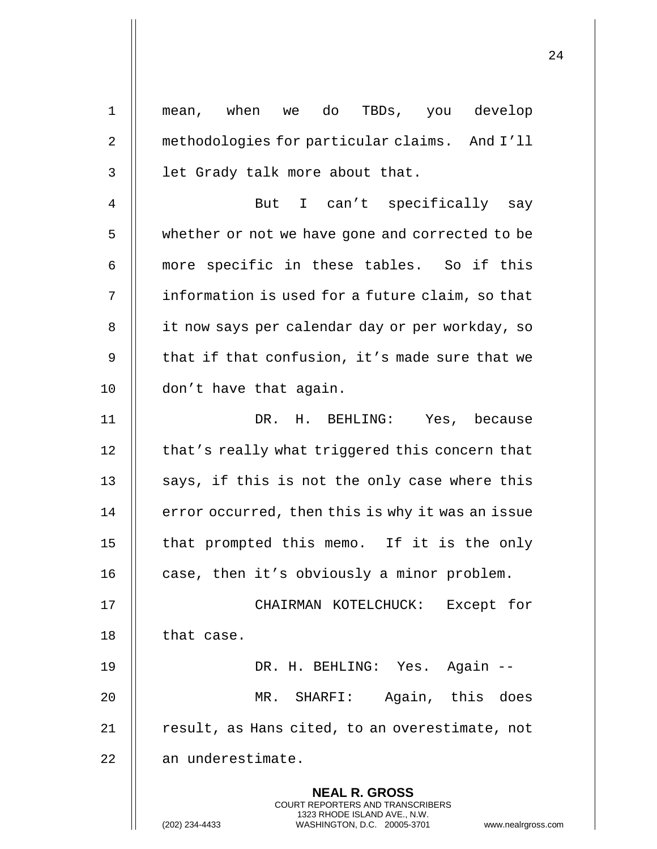| $\mathbf 1$    | mean, when we do TBDs, you develop                                                                                                                                 |
|----------------|--------------------------------------------------------------------------------------------------------------------------------------------------------------------|
| $\overline{2}$ | methodologies for particular claims. And I'll                                                                                                                      |
| 3              | let Grady talk more about that.                                                                                                                                    |
| 4              | I can't specifically say<br>But                                                                                                                                    |
| 5              | whether or not we have gone and corrected to be                                                                                                                    |
| 6              | more specific in these tables. So if this                                                                                                                          |
| 7              | information is used for a future claim, so that                                                                                                                    |
| 8              | it now says per calendar day or per workday, so                                                                                                                    |
| 9              | that if that confusion, it's made sure that we                                                                                                                     |
| 10             | don't have that again.                                                                                                                                             |
| 11             | DR. H. BEHLING: Yes, because                                                                                                                                       |
| 12             | that's really what triggered this concern that                                                                                                                     |
| 13             | says, if this is not the only case where this                                                                                                                      |
| 14             | error occurred, then this is why it was an issue                                                                                                                   |
| 15             | that prompted this memo. If it is the only                                                                                                                         |
| 16             | case, then it's obviously a minor problem.                                                                                                                         |
| 17             | CHAIRMAN KOTELCHUCK:<br>Except for                                                                                                                                 |
| 18             | that case.                                                                                                                                                         |
| 19             | DR. H. BEHLING: Yes. Again --                                                                                                                                      |
| 20             | MR. SHARFI: Again, this does                                                                                                                                       |
| 21             | result, as Hans cited, to an overestimate, not                                                                                                                     |
| 22             | an underestimate.                                                                                                                                                  |
|                | <b>NEAL R. GROSS</b><br><b>COURT REPORTERS AND TRANSCRIBERS</b><br>1323 RHODE ISLAND AVE., N.W.<br>(202) 234-4433<br>WASHINGTON, D.C. 20005-3701<br>www.nealrgross |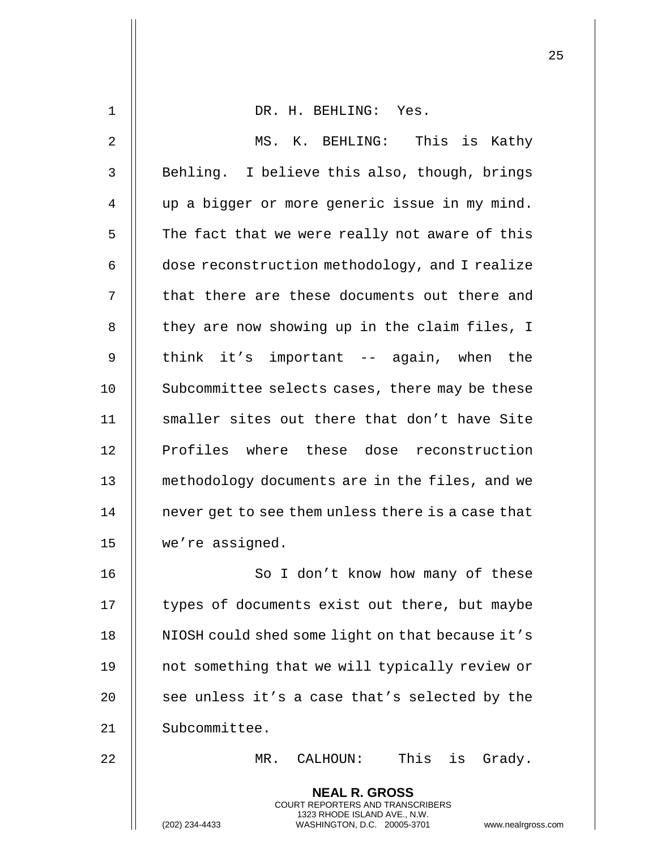| 1  | DR. H. BEHLING: Yes.                                                                                                                                                   |
|----|------------------------------------------------------------------------------------------------------------------------------------------------------------------------|
| 2  | MS. K. BEHLING: This is Kathy                                                                                                                                          |
| 3  | Behling. I believe this also, though, brings                                                                                                                           |
| 4  | up a bigger or more generic issue in my mind.                                                                                                                          |
| 5  | The fact that we were really not aware of this                                                                                                                         |
| 6  | dose reconstruction methodology, and I realize                                                                                                                         |
| 7  | that there are these documents out there and                                                                                                                           |
| 8  | they are now showing up in the claim files, I                                                                                                                          |
| 9  | think it's important -- again, when the                                                                                                                                |
| 10 | Subcommittee selects cases, there may be these                                                                                                                         |
| 11 | smaller sites out there that don't have Site                                                                                                                           |
| 12 | Profiles where these dose reconstruction                                                                                                                               |
| 13 | methodology documents are in the files, and we                                                                                                                         |
| 14 | never get to see them unless there is a case that                                                                                                                      |
| 15 | we're assigned                                                                                                                                                         |
| 16 | So I don't know how many of these                                                                                                                                      |
| 17 | types of documents exist out there, but maybe                                                                                                                          |
| 18 | NIOSH could shed some light on that because it's                                                                                                                       |
| 19 | not something that we will typically review or                                                                                                                         |
| 20 | see unless it's a case that's selected by the                                                                                                                          |
| 21 | Subcommittee.                                                                                                                                                          |
| 22 | This is Grady.<br>MR. CALHOUN:                                                                                                                                         |
|    | <b>NEAL R. GROSS</b><br><b>COURT REPORTERS AND TRANSCRIBERS</b><br>1323 RHODE ISLAND AVE., N.W.<br>(202) 234-4433<br>WASHINGTON, D.C. 20005-3701<br>www.nealrgross.com |
|    |                                                                                                                                                                        |

 $\mathbf{I}$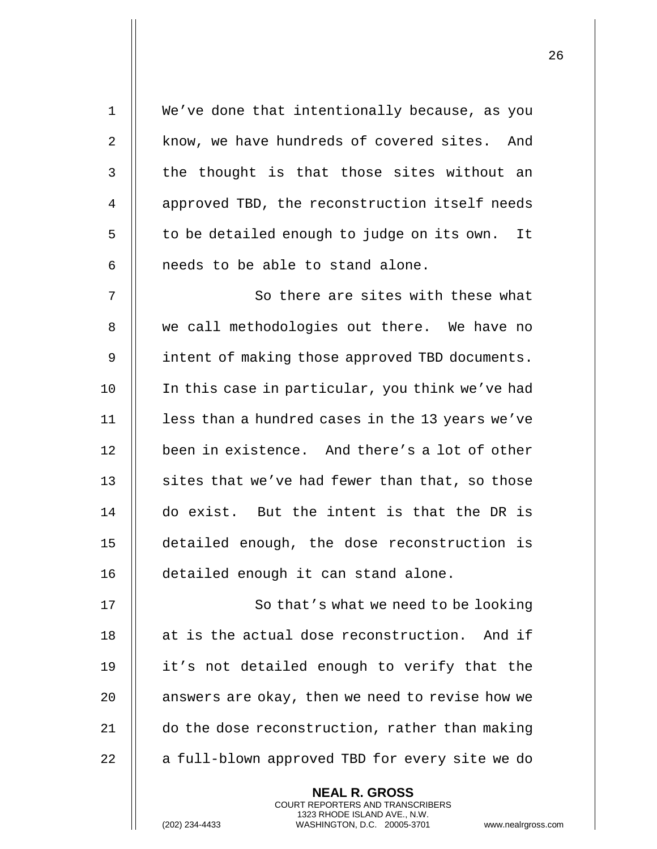| $\mathbf 1$ | We've done that intentionally because, as you                                            |
|-------------|------------------------------------------------------------------------------------------|
| 2           | know, we have hundreds of covered sites. And                                             |
| 3           | the thought is that those sites without an                                               |
| 4           | approved TBD, the reconstruction itself needs                                            |
| 5           | to be detailed enough to judge on its own. It                                            |
| 6           | needs to be able to stand alone.                                                         |
| 7           | So there are sites with these what                                                       |
| 8           | we call methodologies out there. We have no                                              |
| $\mathsf 9$ | intent of making those approved TBD documents.                                           |
| 10          | In this case in particular, you think we've had                                          |
| 11          | less than a hundred cases in the 13 years we've                                          |
| 12          | been in existence. And there's a lot of other                                            |
| 13          | sites that we've had fewer than that, so those                                           |
| 14          | do exist. But the intent is that the DR is                                               |
| 15          | detailed enough, the dose reconstruction is                                              |
| 16          | detailed enough it can stand alone.                                                      |
| 17          | So that's what we need to be looking                                                     |
| 18          | at is the actual dose reconstruction. And if                                             |
| 19          | it's not detailed enough to verify that the                                              |
| 20          | answers are okay, then we need to revise how we                                          |
| 21          | do the dose reconstruction, rather than making                                           |
| 22          | a full-blown approved TBD for every site we do                                           |
|             | <b>NEAL R. GROSS</b><br>COURT REPORTERS AND TRANSCRIBERS<br>1323 RHODE ISLAND AVE., N.W. |
|             | (202) 234-4433<br>WASHINGTON, D.C. 20005-3701<br>www.nealrgros                           |

(202) 234-4433 WASHINGTON, D.C. 20005-3701 www.nealrgross.com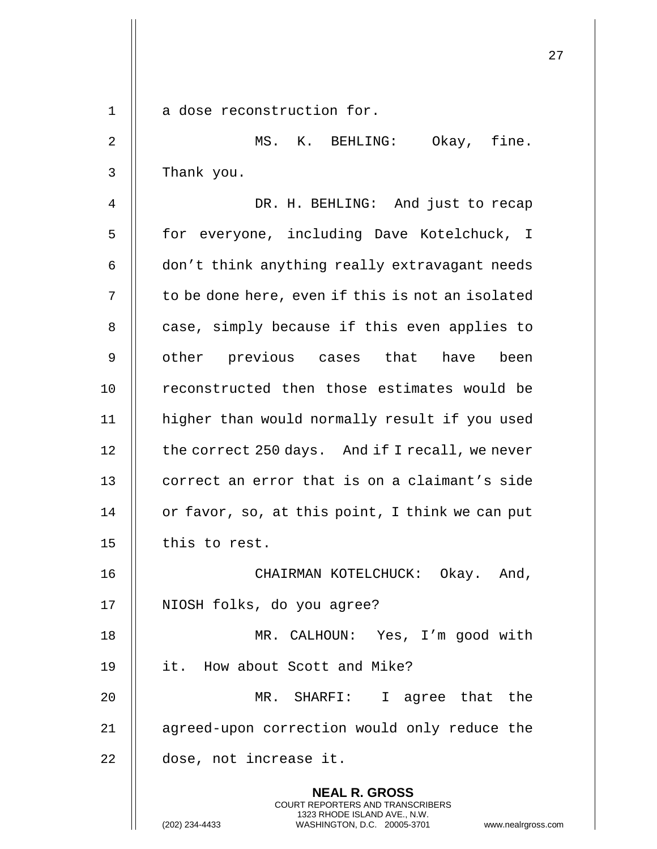|             |                                                                                                                                                                        | 27 |
|-------------|------------------------------------------------------------------------------------------------------------------------------------------------------------------------|----|
|             |                                                                                                                                                                        |    |
| $\mathbf 1$ | a dose reconstruction for.                                                                                                                                             |    |
| 2           | MS. K. BEHLING: Okay, fine.                                                                                                                                            |    |
| 3           | Thank you.                                                                                                                                                             |    |
| 4           | DR. H. BEHLING: And just to recap                                                                                                                                      |    |
| 5           | for everyone, including Dave Kotelchuck, I                                                                                                                             |    |
| 6           | don't think anything really extravagant needs                                                                                                                          |    |
| 7           | to be done here, even if this is not an isolated                                                                                                                       |    |
| 8           | case, simply because if this even applies to                                                                                                                           |    |
| 9           | other previous cases that have<br>been                                                                                                                                 |    |
| 10          | reconstructed then those estimates would be                                                                                                                            |    |
| 11          | higher than would normally result if you used                                                                                                                          |    |
| 12          | the correct 250 days. And if I recall, we never                                                                                                                        |    |
| 13          | correct an error that is on a claimant's side                                                                                                                          |    |
| 14          | or favor, so, at this point, I think we can put                                                                                                                        |    |
| 15          | this to rest.                                                                                                                                                          |    |
| 16          | CHAIRMAN KOTELCHUCK: Okay. And,                                                                                                                                        |    |
| 17          | NIOSH folks, do you agree?                                                                                                                                             |    |
| 18          | MR. CALHOUN: Yes, I'm good with                                                                                                                                        |    |
| 19          | it. How about Scott and Mike?                                                                                                                                          |    |
| 20          | MR. SHARFI: I agree that the                                                                                                                                           |    |
| 21          | agreed-upon correction would only reduce the                                                                                                                           |    |
| 22          | dose, not increase it.                                                                                                                                                 |    |
|             | <b>NEAL R. GROSS</b><br><b>COURT REPORTERS AND TRANSCRIBERS</b><br>1323 RHODE ISLAND AVE., N.W.<br>WASHINGTON, D.C. 20005-3701<br>(202) 234-4433<br>www.nealrgross.com |    |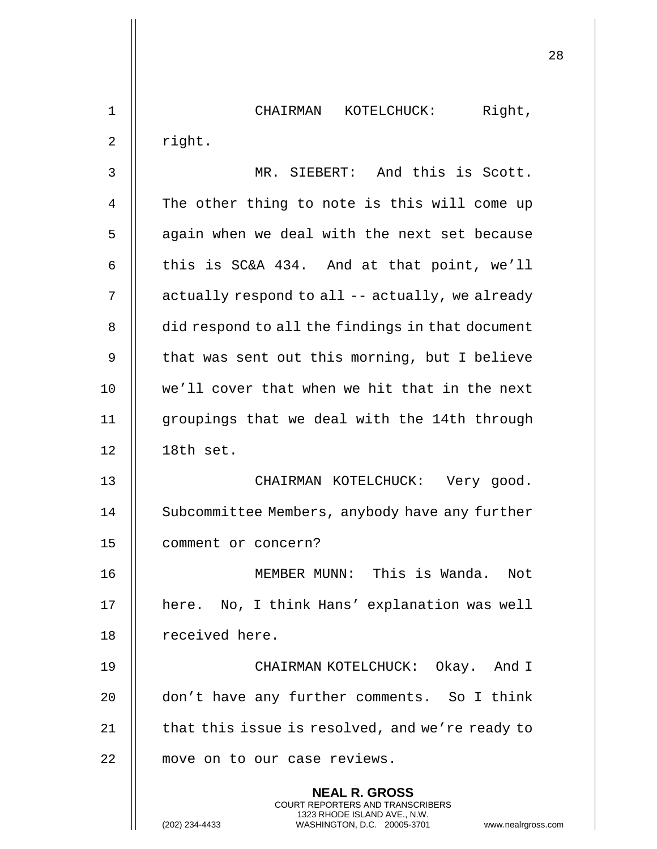1 || CHAIRMAN KOTELCHUCK: Right,  $2 \parallel$  right.

3 MR. SIEBERT: And this is Scott. 4 | The other thing to note is this will come up 5 || again when we deal with the next set because 6  $\parallel$  this is SC&A 434. And at that point, we'll 7 | actually respond to all -- actually, we already 8 | did respond to all the findings in that document 9  $\parallel$  that was sent out this morning, but I believe 10 || we'll cover that when we hit that in the next 11 groupings that we deal with the 14th through 12 18th set.

13 CHAIRMAN KOTELCHUCK: Very good. 14 | Subcommittee Members, anybody have any further 15 comment or concern?

16 MEMBER MUNN: This is Wanda. Not 17 || here. No, I think Hans' explanation was well 18 | received here.

19 CHAIRMAN KOTELCHUCK: Okay. And I 20 don't have any further comments. So I think 21  $\parallel$  that this issue is resolved, and we're ready to 22 | move on to our case reviews.

> **NEAL R. GROSS** COURT REPORTERS AND TRANSCRIBERS 1323 RHODE ISLAND AVE., N.W.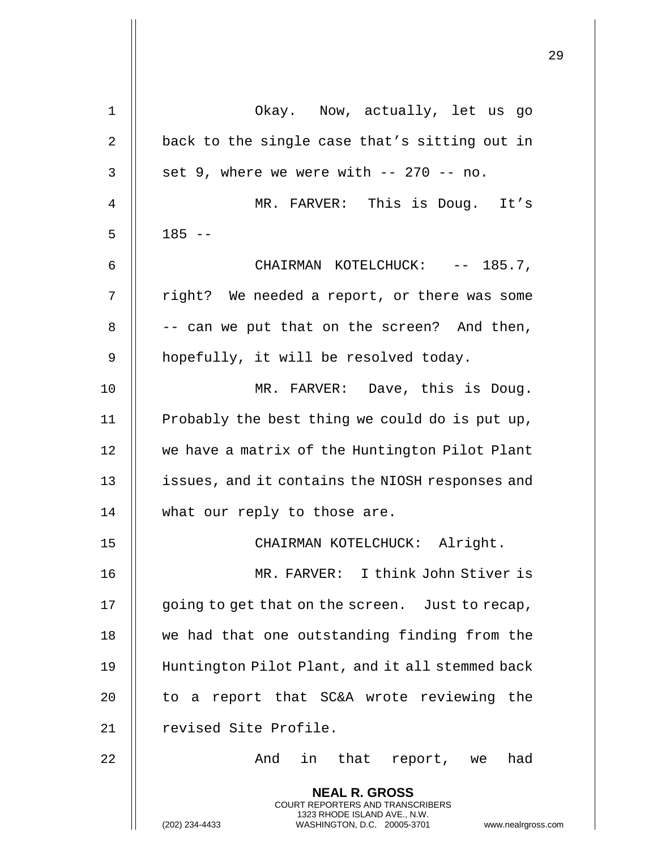|    |                                                                                                                                                                 | 29 |
|----|-----------------------------------------------------------------------------------------------------------------------------------------------------------------|----|
| 1  | Okay. Now, actually, let us go                                                                                                                                  |    |
| 2  | back to the single case that's sitting out in                                                                                                                   |    |
| 3  | set 9, where we were with -- 270 -- no.                                                                                                                         |    |
| 4  | MR. FARVER: This is Doug. It's                                                                                                                                  |    |
| 5  | $185 - -$                                                                                                                                                       |    |
| 6  | CHAIRMAN KOTELCHUCK: -- 185.7,                                                                                                                                  |    |
| 7  | right? We needed a report, or there was some                                                                                                                    |    |
| 8  | -- can we put that on the screen? And then,                                                                                                                     |    |
| 9  | hopefully, it will be resolved today.                                                                                                                           |    |
| 10 | MR. FARVER: Dave, this is Doug.                                                                                                                                 |    |
| 11 | Probably the best thing we could do is put up,                                                                                                                  |    |
| 12 | we have a matrix of the Huntington Pilot Plant                                                                                                                  |    |
| 13 | issues, and it contains the NIOSH responses and                                                                                                                 |    |
| 14 | what our reply to those are.                                                                                                                                    |    |
| 15 | CHAIRMAN KOTELCHUCK: Alright.                                                                                                                                   |    |
| 16 | MR. FARVER: I think John Stiver is                                                                                                                              |    |
| 17 | going to get that on the screen. Just to recap,                                                                                                                 |    |
| 18 | we had that one outstanding finding from the                                                                                                                    |    |
| 19 | Huntington Pilot Plant, and it all stemmed back                                                                                                                 |    |
| 20 | to a report that SC&A wrote reviewing the                                                                                                                       |    |
| 21 | revised Site Profile.                                                                                                                                           |    |
| 22 | in that report, we<br>And<br>had                                                                                                                                |    |
|    | <b>NEAL R. GROSS</b><br>COURT REPORTERS AND TRANSCRIBERS<br>1323 RHODE ISLAND AVE., N.W.<br>WASHINGTON, D.C. 20005-3701<br>(202) 234-4433<br>www.nealrgross.com |    |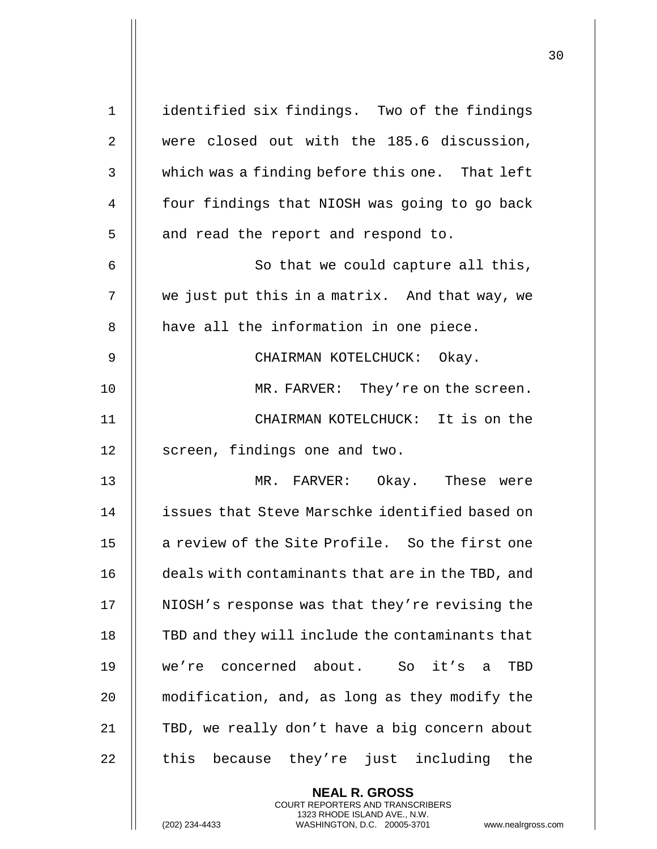| $\mathbf 1$  | identified six findings. Two of the findings                                                                                                                        |
|--------------|---------------------------------------------------------------------------------------------------------------------------------------------------------------------|
| 2            | were closed out with the 185.6 discussion,                                                                                                                          |
| $\mathbf{3}$ | which was a finding before this one. That left                                                                                                                      |
| 4            | four findings that NIOSH was going to go back                                                                                                                       |
| 5            | and read the report and respond to.                                                                                                                                 |
| 6            | So that we could capture all this,                                                                                                                                  |
| 7            | we just put this in a matrix. And that way, we                                                                                                                      |
| 8            | have all the information in one piece.                                                                                                                              |
| 9            | CHAIRMAN KOTELCHUCK: Okay.                                                                                                                                          |
| 10           | MR. FARVER: They're on the screen.                                                                                                                                  |
| 11           | CHAIRMAN KOTELCHUCK: It is on the                                                                                                                                   |
| 12           | screen, findings one and two.                                                                                                                                       |
| 13           | MR. FARVER: Okay. These were                                                                                                                                        |
| 14           | issues that Steve Marschke identified based on                                                                                                                      |
| 15           | a review of the Site Profile. So the first one                                                                                                                      |
| 16           | deals with contaminants that are in the TBD, and                                                                                                                    |
| 17           | NIOSH's response was that they're revising the                                                                                                                      |
| 18           | TBD and they will include the contaminants that                                                                                                                     |
| 19           | we're concerned about. So it's a<br>TBD                                                                                                                             |
| 20           | modification, and, as long as they modify the                                                                                                                       |
| 21           | TBD, we really don't have a big concern about                                                                                                                       |
| 22           | because they're just including the<br>this                                                                                                                          |
|              | <b>NEAL R. GROSS</b><br><b>COURT REPORTERS AND TRANSCRIBERS</b><br>1323 RHODE ISLAND AVE., N.W.<br>(202) 234-4433<br>WASHINGTON, D.C. 20005-3701<br>www.nealrgross. |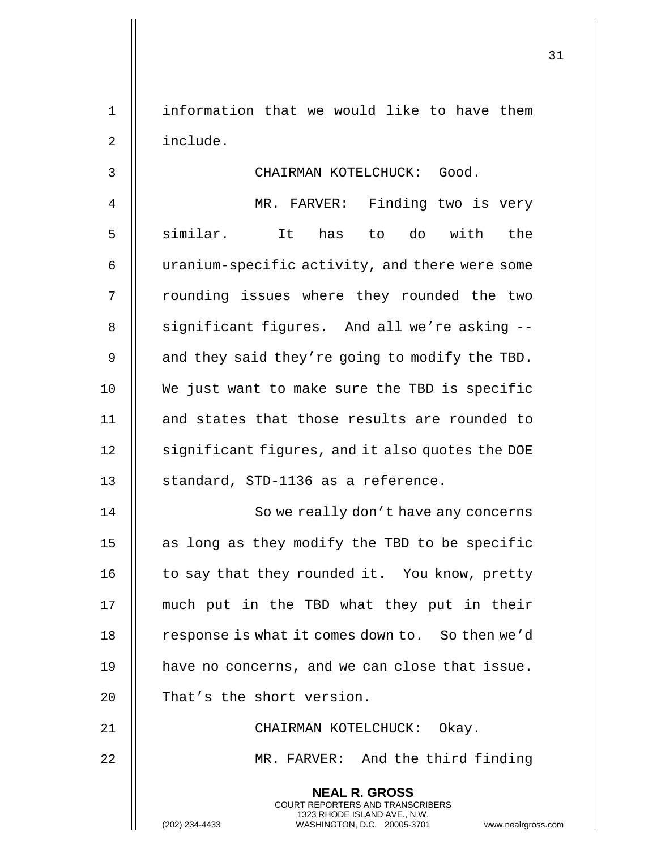1 || information that we would like to have them 2 include.

3 CHAIRMAN KOTELCHUCK: Good. 4 MR. FARVER: Finding two is very 5 || similar. It has to do with the 6 | uranium-specific activity, and there were some 7 || rounding issues where they rounded the two 8 || significant figures. And all we're asking --9  $\parallel$  and they said they're going to modify the TBD. 10 We just want to make sure the TBD is specific 11 || and states that those results are rounded to 12 | significant figures, and it also quotes the DOE 13 || standard, STD-1136 as a reference.

14 || So we really don't have any concerns 15  $\parallel$  as long as they modify the TBD to be specific 16  $\parallel$  to say that they rounded it. You know, pretty 17 much put in the TBD what they put in their 18 | response is what it comes down to. So then we'd 19 || have no concerns, and we can close that issue. 20 || That's the short version.

21 CHAIRMAN KOTELCHUCK: Okay.

**NEAL R. GROSS** COURT REPORTERS AND TRANSCRIBERS 1323 RHODE ISLAND AVE., N.W.

22 || MR. FARVER: And the third finding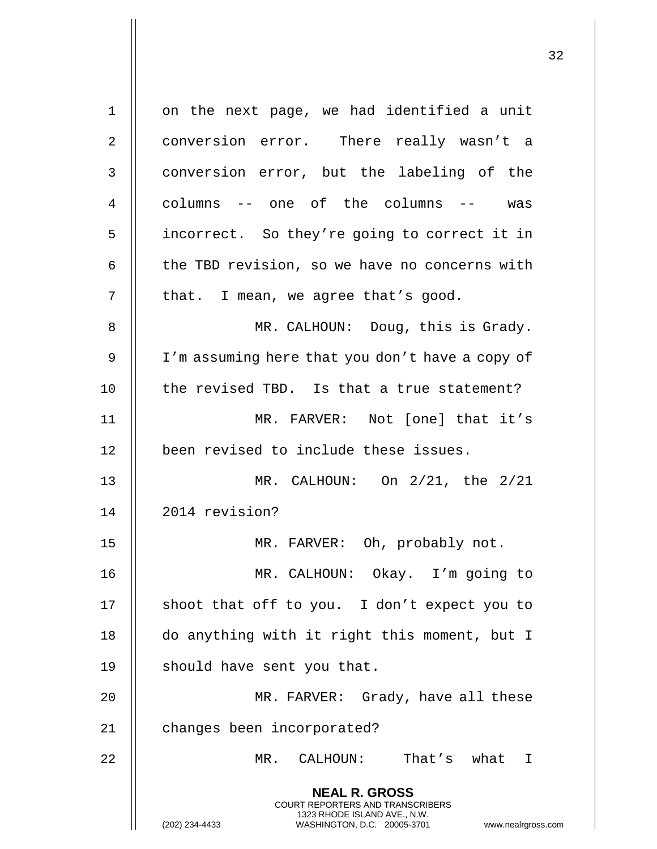| 1  | on the next page, we had identified a unit                                                                                                                             |
|----|------------------------------------------------------------------------------------------------------------------------------------------------------------------------|
| 2  | conversion error. There really wasn't a                                                                                                                                |
| 3  | conversion error, but the labeling of the                                                                                                                              |
| 4  | columns -- one of the columns -- was                                                                                                                                   |
| 5  | incorrect. So they're going to correct it in                                                                                                                           |
| 6  | the TBD revision, so we have no concerns with                                                                                                                          |
| 7  | that. I mean, we agree that's good.                                                                                                                                    |
| 8  | MR. CALHOUN: Doug, this is Grady.                                                                                                                                      |
| 9  | I'm assuming here that you don't have a copy of                                                                                                                        |
| 10 | the revised TBD. Is that a true statement?                                                                                                                             |
| 11 | MR. FARVER: Not [one] that it's                                                                                                                                        |
| 12 | been revised to include these issues.                                                                                                                                  |
| 13 | MR. CALHOUN: On 2/21, the 2/21                                                                                                                                         |
| 14 | 2014 revision?                                                                                                                                                         |
| 15 | MR. FARVER: Oh, probably not.                                                                                                                                          |
| 16 | MR. CALHOUN: Okay. I'm going to                                                                                                                                        |
| 17 | shoot that off to you. I don't expect you to                                                                                                                           |
| 18 | do anything with it right this moment, but I                                                                                                                           |
| 19 | should have sent you that.                                                                                                                                             |
| 20 | MR. FARVER: Grady, have all these                                                                                                                                      |
| 21 | changes been incorporated?                                                                                                                                             |
| 22 | MR. CALHOUN: That's what I                                                                                                                                             |
|    | <b>NEAL R. GROSS</b><br><b>COURT REPORTERS AND TRANSCRIBERS</b><br>1323 RHODE ISLAND AVE., N.W.<br>www.nealrgross.com<br>WASHINGTON, D.C. 20005-3701<br>(202) 234-4433 |

 $\mathbf{L}$ 

Π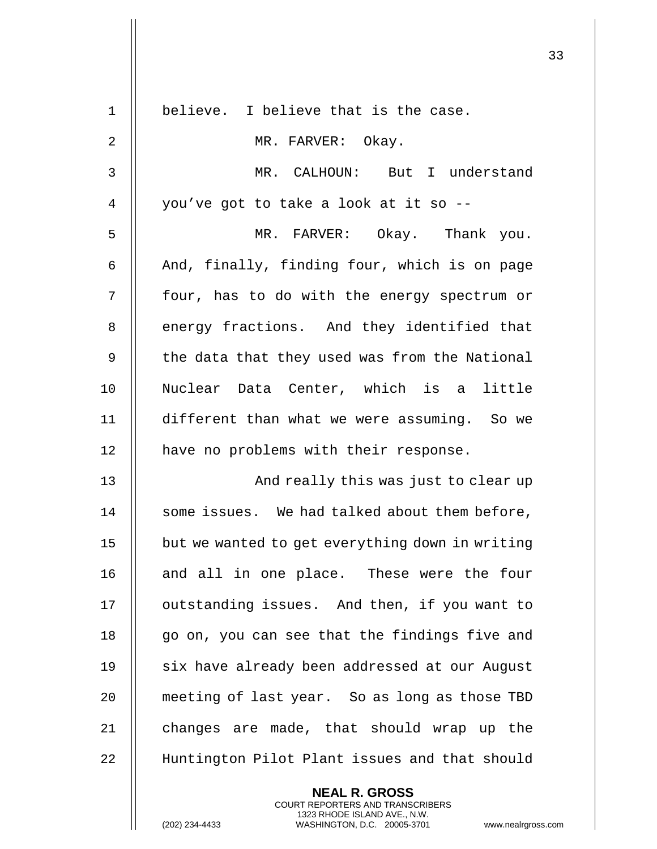|              |                                                                                                 | 33 |
|--------------|-------------------------------------------------------------------------------------------------|----|
| $\mathbf{1}$ | believe. I believe that is the case.                                                            |    |
| 2            | MR. FARVER: Okay.                                                                               |    |
| 3            | MR. CALHOUN: But I understand                                                                   |    |
| 4            | you've got to take a look at it so --                                                           |    |
|              |                                                                                                 |    |
| 5            | MR. FARVER: Okay. Thank you.                                                                    |    |
| 6            | And, finally, finding four, which is on page                                                    |    |
| 7            | four, has to do with the energy spectrum or                                                     |    |
| 8            | energy fractions. And they identified that                                                      |    |
| 9            | the data that they used was from the National                                                   |    |
| 10           | Nuclear Data Center, which is a little                                                          |    |
| 11           | different than what we were assuming. So we                                                     |    |
| 12           | have no problems with their response.                                                           |    |
| 13           | And really this was just to clear up                                                            |    |
| 14           | some issues. We had talked about them before,                                                   |    |
| 15           | but we wanted to get everything down in writing                                                 |    |
| 16           | and all in one place. These were the four                                                       |    |
| 17           | outstanding issues. And then, if you want to                                                    |    |
| 18           | go on, you can see that the findings five and                                                   |    |
| 19           | six have already been addressed at our August                                                   |    |
| 20           | meeting of last year. So as long as those TBD                                                   |    |
| 21           | changes are made, that should wrap up the                                                       |    |
| 22           | Huntington Pilot Plant issues and that should                                                   |    |
|              | <b>NEAL R. GROSS</b><br><b>COURT REPORTERS AND TRANSCRIBERS</b><br>1323 RHODE ISLAND AVE., N.W. |    |
|              | (202) 234-4433<br>WASHINGTON, D.C. 20005-3701<br>www.nealrgross.com                             |    |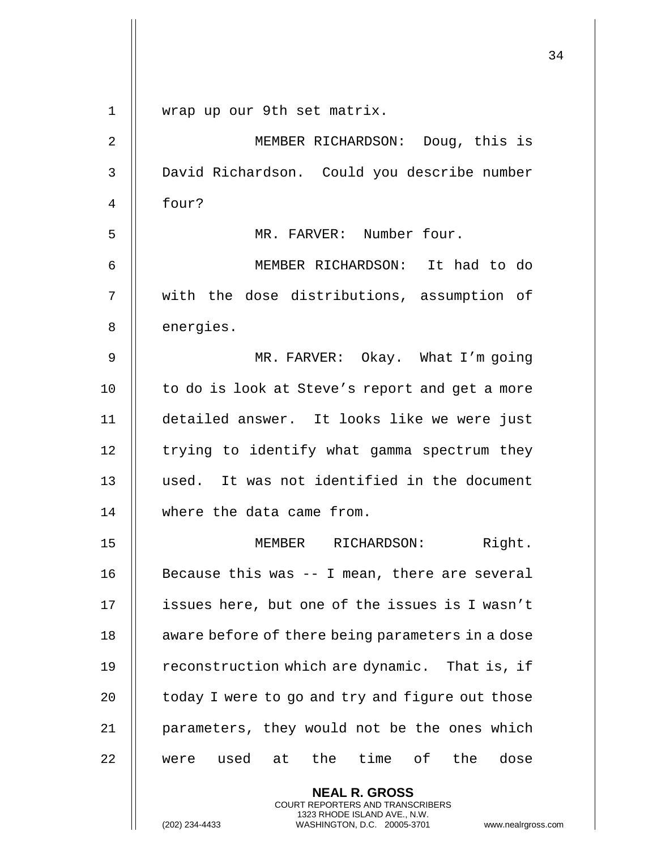|             |                                                                                                                                                                        | 34 |
|-------------|------------------------------------------------------------------------------------------------------------------------------------------------------------------------|----|
| $\mathbf 1$ | wrap up our 9th set matrix.                                                                                                                                            |    |
| 2           | MEMBER RICHARDSON: Doug, this is                                                                                                                                       |    |
| 3           | David Richardson. Could you describe number                                                                                                                            |    |
| 4           | four?                                                                                                                                                                  |    |
| 5           | MR. FARVER: Number four.                                                                                                                                               |    |
| 6           | MEMBER RICHARDSON: It had to do                                                                                                                                        |    |
| 7           | with the dose distributions, assumption of                                                                                                                             |    |
| 8           | energies.                                                                                                                                                              |    |
| 9           | MR. FARVER: Okay. What I'm going                                                                                                                                       |    |
| 10          | to do is look at Steve's report and get a more                                                                                                                         |    |
| 11          | detailed answer. It looks like we were just                                                                                                                            |    |
| 12          | trying to identify what gamma spectrum they                                                                                                                            |    |
| 13          | used. It was not identified in the document                                                                                                                            |    |
| 14          | where the data came from.                                                                                                                                              |    |
| 15          | Right.<br>MEMBER RICHARDSON:                                                                                                                                           |    |
| 16          | Because this was -- I mean, there are several                                                                                                                          |    |
| 17          | issues here, but one of the issues is I wasn't                                                                                                                         |    |
| 18          | aware before of there being parameters in a dose                                                                                                                       |    |
| 19          | reconstruction which are dynamic. That is, if                                                                                                                          |    |
| 20          | today I were to go and try and figure out those                                                                                                                        |    |
| 21          | parameters, they would not be the ones which                                                                                                                           |    |
| 22          | the time of the<br>dose<br>were used<br>at                                                                                                                             |    |
|             | <b>NEAL R. GROSS</b><br><b>COURT REPORTERS AND TRANSCRIBERS</b><br>1323 RHODE ISLAND AVE., N.W.<br>(202) 234-4433<br>WASHINGTON, D.C. 20005-3701<br>www.nealrgross.com |    |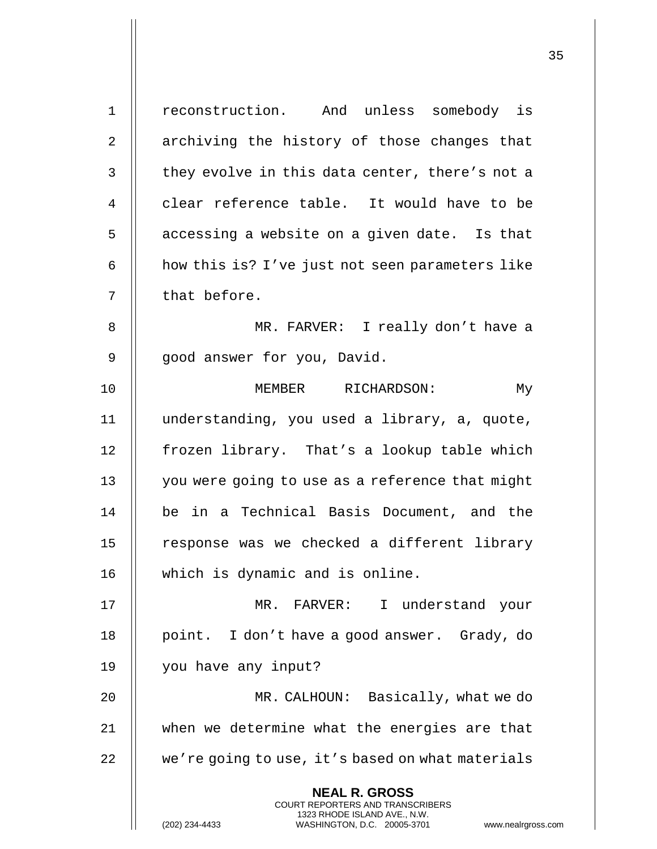**NEAL R. GROSS** COURT REPORTERS AND TRANSCRIBERS 1323 RHODE ISLAND AVE., N.W. (202) 234-4433 WASHINGTON, D.C. 20005-3701 www.nealrgross.com 1 | reconstruction. And unless somebody is 2 || archiving the history of those changes that  $3$   $\parallel$  they evolve in this data center, there's not a 4 decription of the reference table. It would have to be  $5$   $\parallel$  accessing a website on a given date. Is that 6  $\parallel$  how this is? I've just not seen parameters like  $7$  | that before. 8 || MR. FARVER: I really don't have a 9 || good answer for you, David. 10 || MEMBER RICHARDSON: My 11 understanding, you used a library, a, quote, 12 | frozen library. That's a lookup table which 13 | you were going to use as a reference that might 14 be in a Technical Basis Document, and the  $15$   $\parallel$  response was we checked a different library 16 which is dynamic and is online. 17 MR. FARVER: I understand your 18 || point. I don't have a good answer. Grady, do 19 you have any input? 20 MR. CALHOUN: Basically, what we do 21 when we determine what the energies are that 22 | we're going to use, it's based on what materials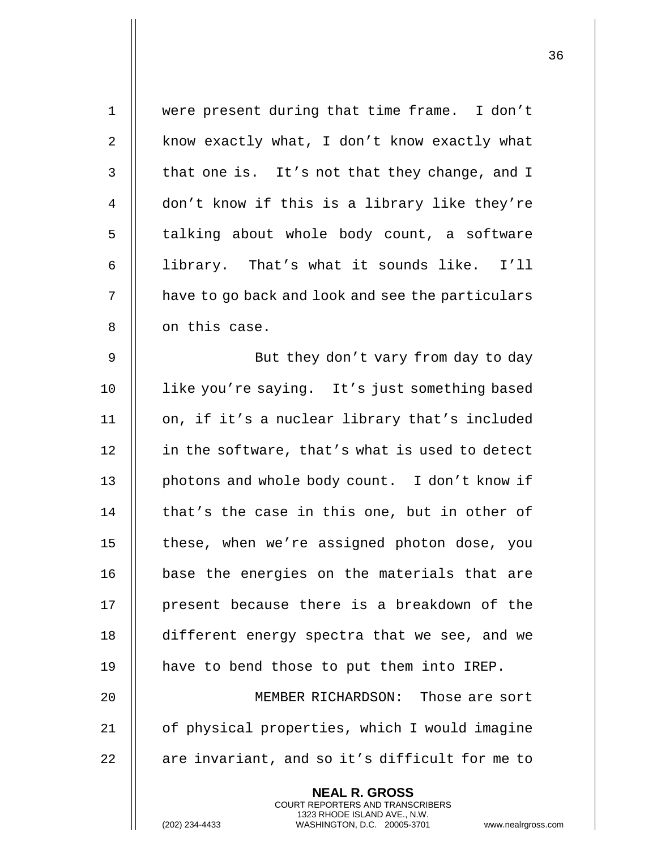| $\mathbf 1$    | were present during that time frame. I don't                                                    |
|----------------|-------------------------------------------------------------------------------------------------|
| 2              | know exactly what, I don't know exactly what                                                    |
| 3              | that one is. It's not that they change, and I                                                   |
| $\overline{4}$ | don't know if this is a library like they're                                                    |
| 5              | talking about whole body count, a software                                                      |
| 6              | library. That's what it sounds like. I'll                                                       |
| 7              | have to go back and look and see the particulars                                                |
| $\,8\,$        | on this case.                                                                                   |
| 9              | But they don't vary from day to day                                                             |
| 10             | like you're saying. It's just something based                                                   |
| 11             | on, if it's a nuclear library that's included                                                   |
| 12             | in the software, that's what is used to detect                                                  |
| 13             | photons and whole body count. I don't know if                                                   |
| 14             | that's the case in this one, but in other of                                                    |
| 15             | these, when we're assigned photon dose, you                                                     |
| 16             | base the energies on the materials that are                                                     |
| 17             | present because there is a breakdown of the                                                     |
| 18             | different energy spectra that we see, and we                                                    |
| 19             | have to bend those to put them into IREP.                                                       |
| 20             | MEMBER RICHARDSON: Those are sort                                                               |
| 21             | of physical properties, which I would imagine                                                   |
| 22             | are invariant, and so it's difficult for me to                                                  |
|                | <b>NEAL R. GROSS</b><br><b>COURT REPORTERS AND TRANSCRIBERS</b>                                 |
|                | 1323 RHODE ISLAND AVE., N.W.<br>(202) 234-4433<br>WASHINGTON, D.C. 20005-3701<br>www.nealrgross |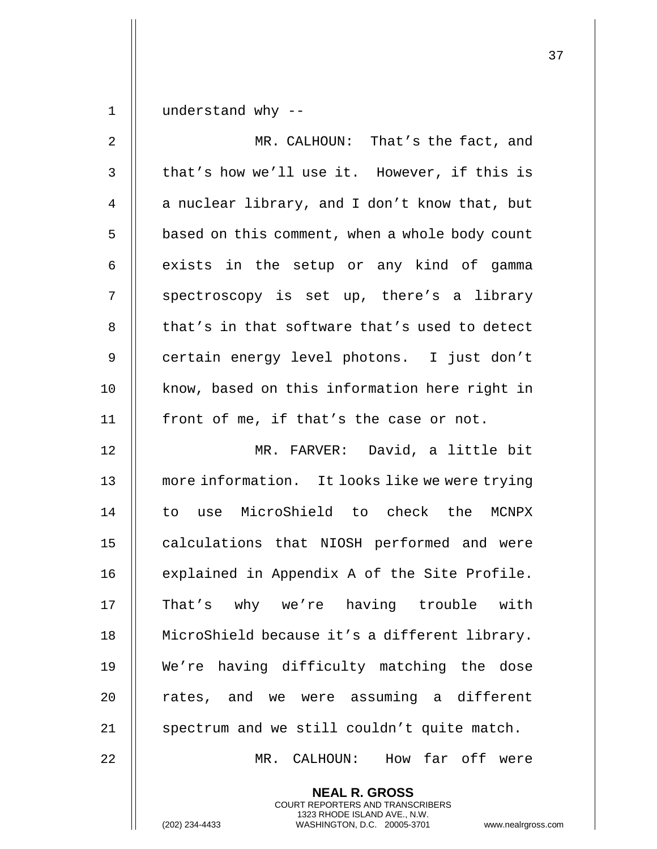1 | understand why  $-$ 

| $\overline{a}$ | MR. CALHOUN: That's the fact, and              |
|----------------|------------------------------------------------|
| $\mathfrak{Z}$ | that's how we'll use it. However, if this is   |
| 4              | a nuclear library, and I don't know that, but  |
| 5              | based on this comment, when a whole body count |
| 6              | exists in the setup or any kind of gamma       |
| 7              | spectroscopy is set up, there's a library      |
| 8              | that's in that software that's used to detect  |
| $\overline{9}$ | certain energy level photons. I just don't     |
| 10             | know, based on this information here right in  |
| 11             | front of me, if that's the case or not.        |
| 12             | MR. FARVER: David, a little bit                |
| 13             | more information. It looks like we were trying |
| 14             | to use MicroShield to check the MCNPX          |
| 15             | calculations that NIOSH performed and were     |
| 16             | explained in Appendix A of the Site Profile.   |
| 17             | That's why we're having trouble with           |
| 18             | MicroShield because it's a different library.  |
| 19             | We're having difficulty matching the dose      |
| 20             | rates, and we were assuming a different        |
| 21             | spectrum and we still couldn't quite match.    |
| 22             | How far off were<br>MR. CALHOUN:               |

**NEAL R. GROSS** COURT REPORTERS AND TRANSCRIBERS 1323 RHODE ISLAND AVE., N.W.

(202) 234-4433 WASHINGTON, D.C. 20005-3701 www.nealrgross.com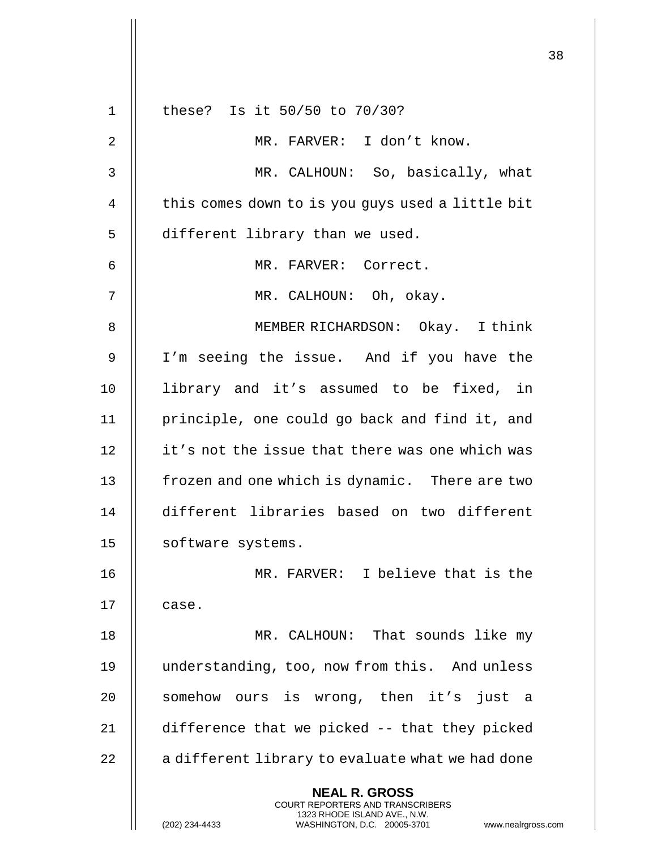|             |                                                                                                                                                                        | 38 |
|-------------|------------------------------------------------------------------------------------------------------------------------------------------------------------------------|----|
| $\mathbf 1$ | these? Is it 50/50 to 70/30?                                                                                                                                           |    |
| 2           | MR. FARVER: I don't know.                                                                                                                                              |    |
| 3           | MR. CALHOUN: So, basically, what                                                                                                                                       |    |
| 4           | this comes down to is you guys used a little bit                                                                                                                       |    |
| 5           | different library than we used.                                                                                                                                        |    |
| 6           | MR. FARVER: Correct.                                                                                                                                                   |    |
| 7           | MR. CALHOUN: Oh, okay.                                                                                                                                                 |    |
| 8           | MEMBER RICHARDSON: Okay. I think                                                                                                                                       |    |
| 9           | I'm seeing the issue. And if you have the                                                                                                                              |    |
| 10          | library and it's assumed to be fixed, in                                                                                                                               |    |
| 11          | principle, one could go back and find it, and                                                                                                                          |    |
| 12          | it's not the issue that there was one which was                                                                                                                        |    |
| 13          | frozen and one which is dynamic. There are two                                                                                                                         |    |
| 14          | different libraries based on two different                                                                                                                             |    |
| 15          | software systems.                                                                                                                                                      |    |
| 16          | MR. FARVER: I believe that is the                                                                                                                                      |    |
| 17          | case.                                                                                                                                                                  |    |
| 18          | MR. CALHOUN: That sounds like my                                                                                                                                       |    |
| 19          | understanding, too, now from this. And unless                                                                                                                          |    |
| 20          | somehow ours is wrong, then it's just a                                                                                                                                |    |
| 21          | difference that we picked -- that they picked                                                                                                                          |    |
| 22          | a different library to evaluate what we had done                                                                                                                       |    |
|             | <b>NEAL R. GROSS</b><br><b>COURT REPORTERS AND TRANSCRIBERS</b><br>1323 RHODE ISLAND AVE., N.W.<br>(202) 234-4433<br>WASHINGTON, D.C. 20005-3701<br>www.nealrgross.com |    |

 $\mathbf{1}$  $\parallel$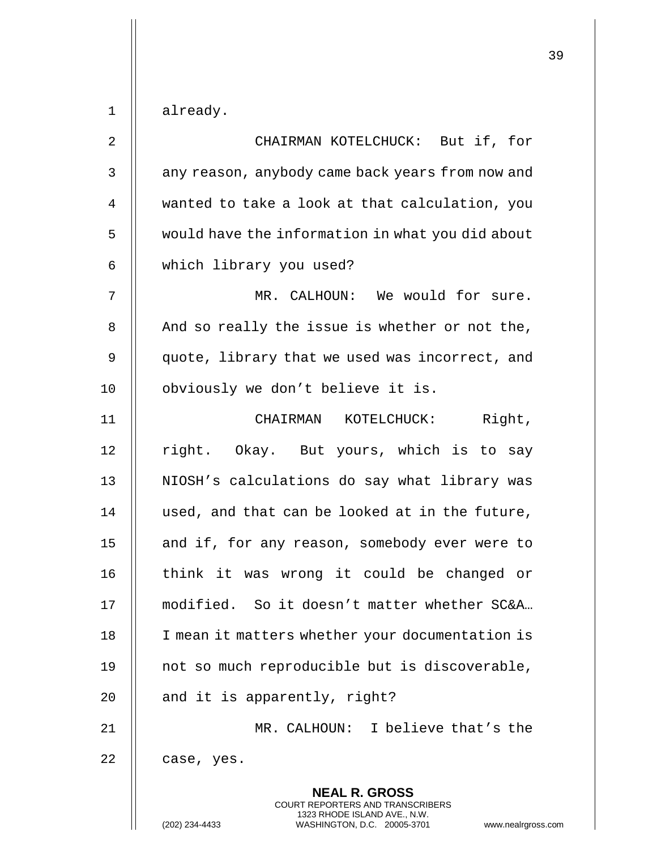$1 \parallel$  already.

| $\overline{2}$ | CHAIRMAN KOTELCHUCK: But if, for                                                                |
|----------------|-------------------------------------------------------------------------------------------------|
| 3              | any reason, anybody came back years from now and                                                |
| $\overline{4}$ | wanted to take a look at that calculation, you                                                  |
| 5              | would have the information in what you did about                                                |
| 6              | which library you used?                                                                         |
| 7              | MR. CALHOUN: We would for sure.                                                                 |
| 8              | And so really the issue is whether or not the,                                                  |
| 9              | quote, library that we used was incorrect, and                                                  |
| 10             | obviously we don't believe it is.                                                               |
| 11             | CHAIRMAN KOTELCHUCK: Right,                                                                     |
| 12             | right. Okay. But yours, which is to say                                                         |
| 13             | NIOSH's calculations do say what library was                                                    |
| 14             | used, and that can be looked at in the future,                                                  |
| 15             | and if, for any reason, somebody ever were to                                                   |
| 16             | think it was wrong it could be changed or                                                       |
| 17             | modified. So it doesn't matter whether SC&A                                                     |
| 18             | I mean it matters whether your documentation is                                                 |
| 19             | not so much reproducible but is discoverable,                                                   |
| 20             | and it is apparently, right?                                                                    |
| 21             | MR. CALHOUN: I believe that's the                                                               |
| 22             | case, yes.                                                                                      |
|                | <b>NEAL R. GROSS</b><br><b>COURT REPORTERS AND TRANSCRIBERS</b><br>1323 RHODE ISLAND AVE., N.W. |
|                | (202) 234-4433<br>WASHINGTON, D.C. 20005-3701<br>www.nealrgross.com                             |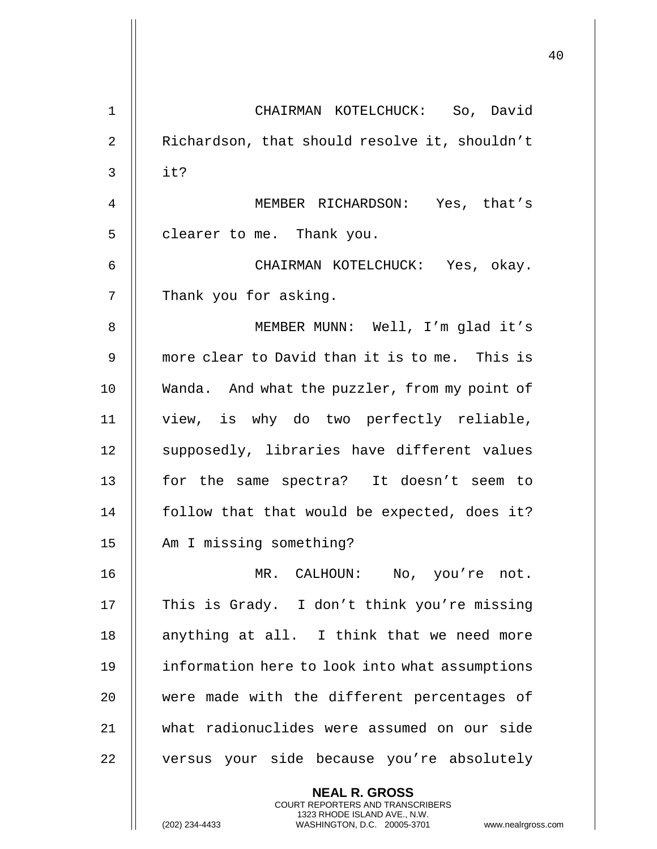|    |                                                                                                                                                                        | 40 |
|----|------------------------------------------------------------------------------------------------------------------------------------------------------------------------|----|
| 1  | CHAIRMAN KOTELCHUCK: So, David                                                                                                                                         |    |
| 2  | Richardson, that should resolve it, shouldn't                                                                                                                          |    |
| 3  | it?                                                                                                                                                                    |    |
|    |                                                                                                                                                                        |    |
| 4  | MEMBER RICHARDSON: Yes, that's                                                                                                                                         |    |
| 5  | clearer to me. Thank you.                                                                                                                                              |    |
| 6  | CHAIRMAN KOTELCHUCK: Yes, okay.                                                                                                                                        |    |
| 7  | Thank you for asking.                                                                                                                                                  |    |
| 8  | MEMBER MUNN: Well, I'm glad it's                                                                                                                                       |    |
| 9  | more clear to David than it is to me. This is                                                                                                                          |    |
| 10 | Wanda. And what the puzzler, from my point of                                                                                                                          |    |
| 11 | view, is why do two perfectly reliable,                                                                                                                                |    |
| 12 | supposedly, libraries have different values                                                                                                                            |    |
| 13 | for the same spectra? It doesn't seem to                                                                                                                               |    |
| 14 | follow that that would be expected, does it?                                                                                                                           |    |
| 15 | Am I missing something?                                                                                                                                                |    |
| 16 | MR. CALHOUN:<br>No, you're not.                                                                                                                                        |    |
| 17 | This is Grady. I don't think you're missing                                                                                                                            |    |
| 18 | anything at all. I think that we need more                                                                                                                             |    |
| 19 | information here to look into what assumptions                                                                                                                         |    |
| 20 | were made with the different percentages of                                                                                                                            |    |
| 21 | what radionuclides were assumed on our side                                                                                                                            |    |
| 22 | versus your side because you're absolutely                                                                                                                             |    |
|    | <b>NEAL R. GROSS</b><br><b>COURT REPORTERS AND TRANSCRIBERS</b><br>1323 RHODE ISLAND AVE., N.W.<br>(202) 234-4433<br>WASHINGTON, D.C. 20005-3701<br>www.nealrgross.com |    |

 $\overline{\mathsf{I}}$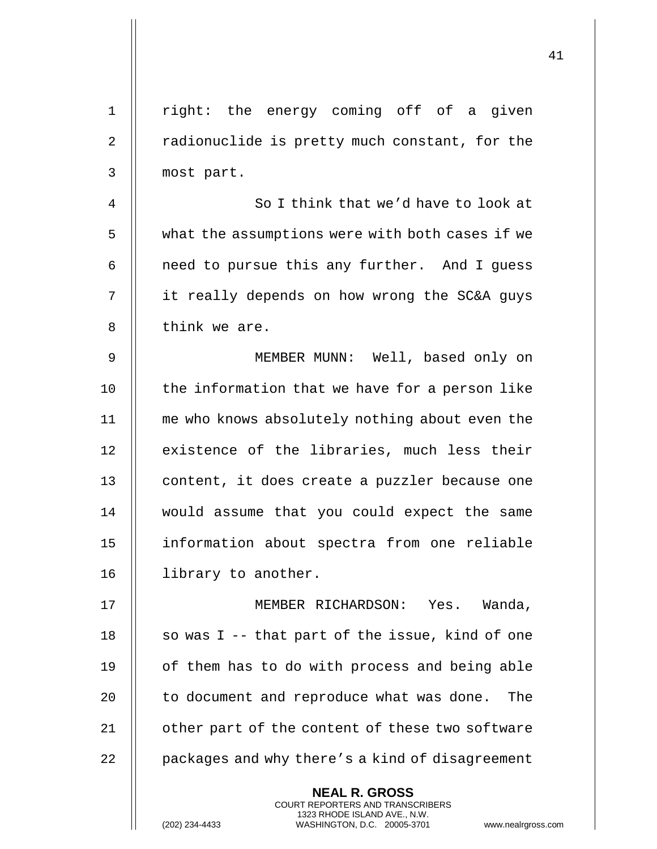| $\mathbf 1$    | right: the energy coming off of a given                                                                                                                            |
|----------------|--------------------------------------------------------------------------------------------------------------------------------------------------------------------|
| 2              | radionuclide is pretty much constant, for the                                                                                                                      |
| 3              | most part.                                                                                                                                                         |
| $\overline{4}$ | So I think that we'd have to look at                                                                                                                               |
| 5              | what the assumptions were with both cases if we                                                                                                                    |
| 6              | need to pursue this any further. And I guess                                                                                                                       |
| 7              | it really depends on how wrong the SC&A guys                                                                                                                       |
| 8              | think we are.                                                                                                                                                      |
| 9              | MEMBER MUNN: Well, based only on                                                                                                                                   |
| 10             | the information that we have for a person like                                                                                                                     |
| 11             | me who knows absolutely nothing about even the                                                                                                                     |
| 12             | existence of the libraries, much less their                                                                                                                        |
| 13             | content, it does create a puzzler because one                                                                                                                      |
| 14             | would assume that you could expect the same                                                                                                                        |
| 15             | information about spectra from one reliable                                                                                                                        |
| 16             | library to another.                                                                                                                                                |
| 17             | MEMBER RICHARDSON: Yes. Wanda,                                                                                                                                     |
| 18             | so was $I - -$ that part of the issue, kind of one                                                                                                                 |
| 19             | of them has to do with process and being able                                                                                                                      |
| 20             | to document and reproduce what was done.<br>The                                                                                                                    |
| 21             | other part of the content of these two software                                                                                                                    |
| 22             | packages and why there's a kind of disagreement                                                                                                                    |
|                | <b>NEAL R. GROSS</b><br><b>COURT REPORTERS AND TRANSCRIBERS</b><br>1323 RHODE ISLAND AVE., N.W.<br>(202) 234-4433<br>WASHINGTON, D.C. 20005-3701<br>www.nealrgross |

(202) 234-4433 WASHINGTON, D.C. 20005-3701 www.nealrgross.com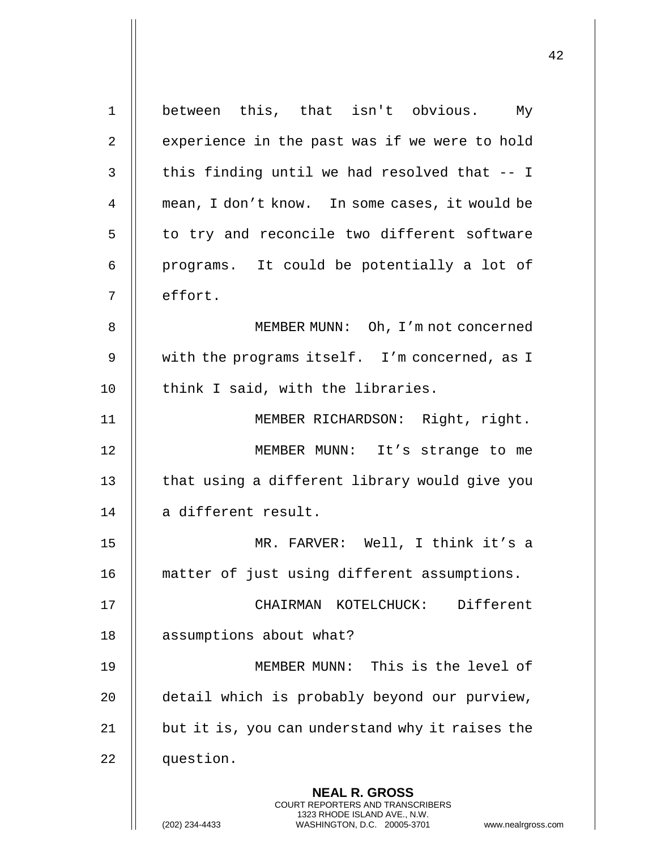| $\mathbf 1$ | between this, that isn't obvious. My                                                                                                                        |
|-------------|-------------------------------------------------------------------------------------------------------------------------------------------------------------|
| 2           | experience in the past was if we were to hold                                                                                                               |
| 3           | this finding until we had resolved that -- I                                                                                                                |
| 4           | mean, I don't know. In some cases, it would be                                                                                                              |
| 5           | to try and reconcile two different software                                                                                                                 |
| 6           | programs. It could be potentially a lot of                                                                                                                  |
| 7           | effort.                                                                                                                                                     |
| 8           | MEMBER MUNN: Oh, I'm not concerned                                                                                                                          |
| 9           | with the programs itself. I'm concerned, as I                                                                                                               |
| 10          | think I said, with the libraries.                                                                                                                           |
| 11          | MEMBER RICHARDSON: Right, right.                                                                                                                            |
| 12          | MEMBER MUNN: It's strange to me                                                                                                                             |
| 13          | that using a different library would give you                                                                                                               |
| 14          | a different result.                                                                                                                                         |
| 15          | MR. FARVER: Well, I think it's a                                                                                                                            |
| 16          | matter of just using different assumptions.                                                                                                                 |
| 17          | Different<br>CHAIRMAN KOTELCHUCK:                                                                                                                           |
| 18          | assumptions about what?                                                                                                                                     |
| 19          | MEMBER MUNN: This is the level of                                                                                                                           |
| 20          | detail which is probably beyond our purview,                                                                                                                |
| 21          | but it is, you can understand why it raises the                                                                                                             |
| 22          | question.                                                                                                                                                   |
|             | <b>NEAL R. GROSS</b><br>COURT REPORTERS AND TRANSCRIBERS<br>1323 RHODE ISLAND AVE., N.W.<br>(202) 234-4433<br>WASHINGTON, D.C. 20005-3701<br>www.nealrgross |

 $\mathop{||}$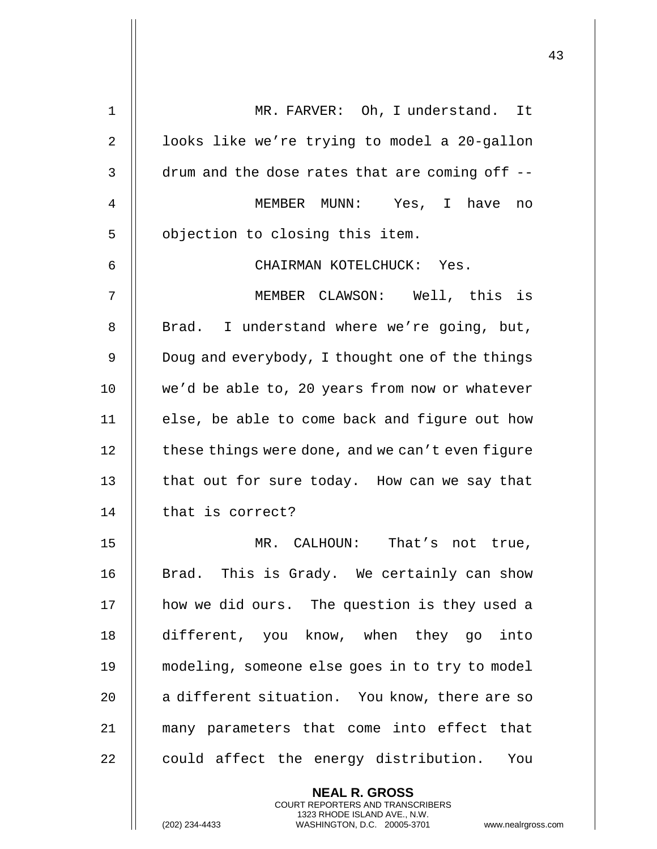| 1            | MR. FARVER: Oh, I understand. It                                                                 |
|--------------|--------------------------------------------------------------------------------------------------|
| $\mathbf{2}$ | looks like we're trying to model a 20-gallon                                                     |
| 3            | drum and the dose rates that are coming off --                                                   |
| 4            | MEMBER MUNN: Yes, I have<br>no                                                                   |
| 5            | objection to closing this item.                                                                  |
| 6            | CHAIRMAN KOTELCHUCK: Yes.                                                                        |
| 7            | MEMBER CLAWSON: Well, this is                                                                    |
| 8            | Brad. I understand where we're going, but,                                                       |
| $\mathsf 9$  | Doug and everybody, I thought one of the things                                                  |
| 10           | we'd be able to, 20 years from now or whatever                                                   |
| 11           | else, be able to come back and figure out how                                                    |
| 12           | these things were done, and we can't even figure                                                 |
| 13           | that out for sure today. How can we say that                                                     |
| 14           | that is correct?                                                                                 |
| 15           | MR. CALHOUN: That's not true                                                                     |
| 16           | Brad. This is Grady. We certainly can show                                                       |
| 17           | how we did ours. The question is they used a                                                     |
| 18           | different, you know, when they go into                                                           |
| 19           | modeling, someone else goes in to try to model                                                   |
| 20           | a different situation. You know, there are so                                                    |
| 21           | many parameters that come into effect that                                                       |
| 22           | could affect the energy distribution. You                                                        |
|              | <b>NEAL R. GROSS</b><br><b>COURT REPORTERS AND TRANSCRIBERS</b>                                  |
|              | 1323 RHODE ISLAND AVE., N.W.<br>(202) 234-4433<br>WASHINGTON, D.C. 20005-3701<br>www.nealrgross. |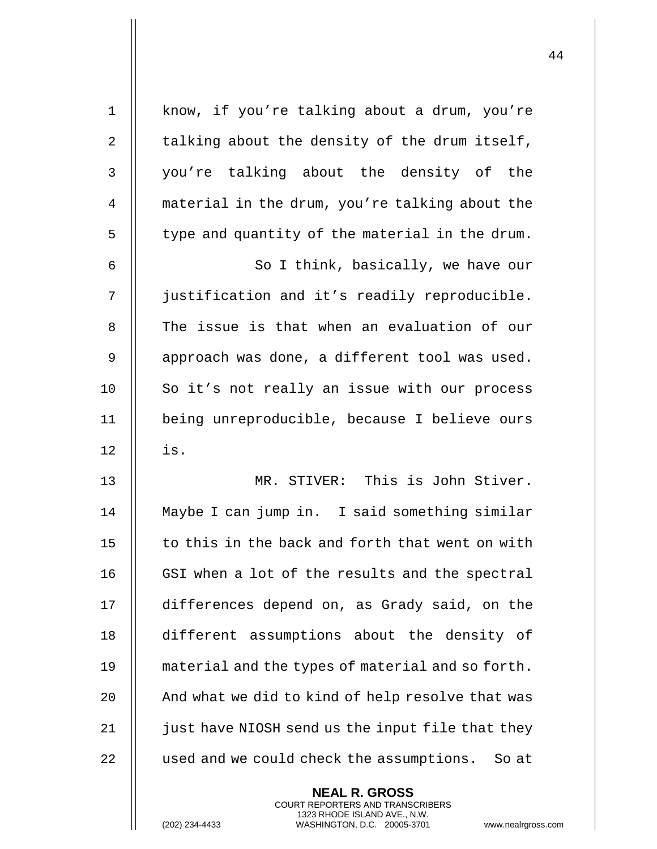| $\mathbf 1$ | know, if you're talking about a drum, you're      |
|-------------|---------------------------------------------------|
| 2           | talking about the density of the drum itself,     |
| 3           | you're talking about the density of the           |
| 4           | material in the drum, you're talking about the    |
| 5           | type and quantity of the material in the drum.    |
| 6           | So I think, basically, we have our                |
| 7           | justification and it's readily reproducible.      |
| 8           | The issue is that when an evaluation of our       |
| 9           | approach was done, a different tool was used.     |
| 10          | So it's not really an issue with our process      |
| 11          | being unreproducible, because I believe ours      |
| 12          | is.                                               |
| 13          | MR. STIVER: This is John Stiver.                  |
| 14          | Maybe I can jump in. I said something similar     |
| 15          | to this in the back and forth that went on with   |
| 16          | GSI when a lot of the results and the spectral    |
| 17          | differences depend on, as Grady said, on the      |
| 18          | different assumptions about the density of        |
| 19          | material and the types of material and so forth.  |
| 20          | And what we did to kind of help resolve that was  |
| 21          | just have NIOSH send us the input file that they  |
| 22          | used and we could check the assumptions.<br>So at |
|             | <b>NEAL R. GROSS</b>                              |

COURT REPORTERS AND TRANSCRIBERS 1323 RHODE ISLAND AVE., N.W.

(202) 234-4433 WASHINGTON, D.C. 20005-3701 www.nealrgross.com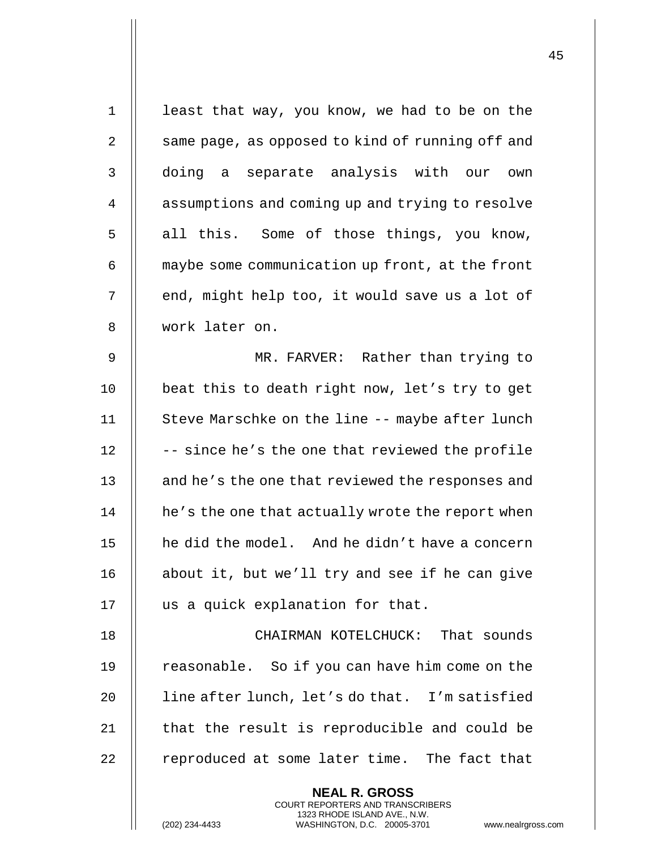| $\mathbf{1}$ | least that way, you know, we had to be on the                                                                                                                      |
|--------------|--------------------------------------------------------------------------------------------------------------------------------------------------------------------|
| 2            | same page, as opposed to kind of running off and                                                                                                                   |
| 3            | doing a separate analysis with our own                                                                                                                             |
| 4            | assumptions and coming up and trying to resolve                                                                                                                    |
| 5            | all this. Some of those things, you know,                                                                                                                          |
| 6            | maybe some communication up front, at the front                                                                                                                    |
| 7            | end, might help too, it would save us a lot of                                                                                                                     |
| 8            | work later on.                                                                                                                                                     |
| 9            | MR. FARVER: Rather than trying to                                                                                                                                  |
| 10           | beat this to death right now, let's try to get                                                                                                                     |
| 11           | Steve Marschke on the line -- maybe after lunch                                                                                                                    |
| 12           | -- since he's the one that reviewed the profile                                                                                                                    |
| 13           | and he's the one that reviewed the responses and                                                                                                                   |
| 14           | he's the one that actually wrote the report when                                                                                                                   |
| 15           | he did the model. And he didn't have a concern                                                                                                                     |
| 16           | about it, but we'll try and see if he can give                                                                                                                     |
| 17           | us a quick explanation for that.                                                                                                                                   |
| 18           | CHAIRMAN KOTELCHUCK: That sounds                                                                                                                                   |
| 19           | reasonable. So if you can have him come on the                                                                                                                     |
| 20           | line after lunch, let's do that. I'm satisfied                                                                                                                     |
| 21           | that the result is reproducible and could be                                                                                                                       |
| 22           | reproduced at some later time. The fact that                                                                                                                       |
|              | <b>NEAL R. GROSS</b><br><b>COURT REPORTERS AND TRANSCRIBERS</b><br>1323 RHODE ISLAND AVE., N.W.<br>(202) 234-4433<br>WASHINGTON, D.C. 20005-3701<br>www.nealrgross |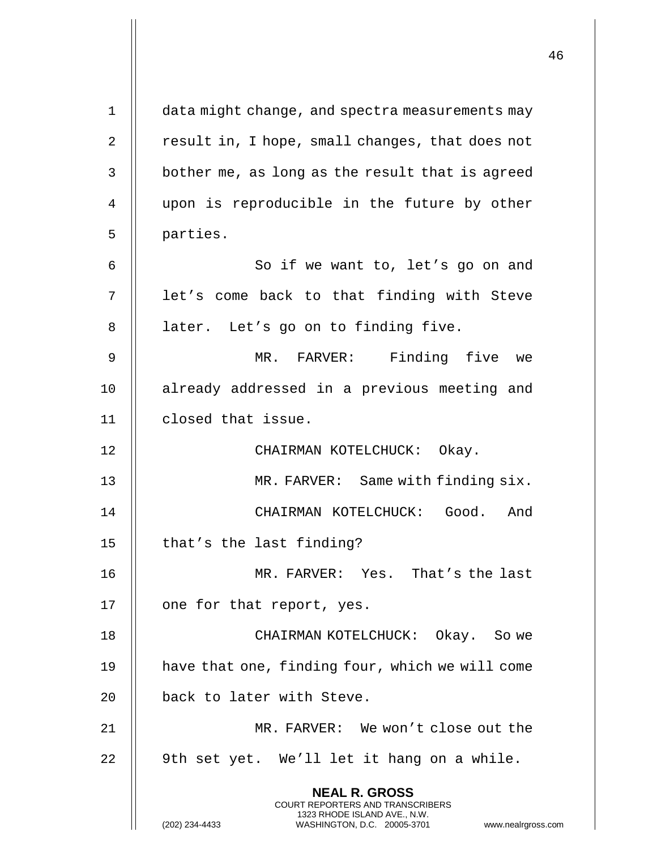**NEAL R. GROSS** COURT REPORTERS AND TRANSCRIBERS 1323 RHODE ISLAND AVE., N.W. (202) 234-4433 WASHINGTON, D.C. 20005-3701 www.nealrgross.com 1 data might change, and spectra measurements may 2 | result in, I hope, small changes, that does not  $3 \parallel$  bother me, as long as the result that is agreed 4 upon is reproducible in the future by other 5 || parties. 6 || So if we want to, let's go on and 7 || let's come back to that finding with Steve 8 | later. Let's go on to finding five. 9 MR. FARVER: Finding five we 10 || already addressed in a previous meeting and 11 closed that issue. 12 || CHAIRMAN KOTELCHUCK: Okay. 13 MR. FARVER: Same with finding six. 14 CHAIRMAN KOTELCHUCK: Good. And 15  $\parallel$  that's the last finding? 16 MR. FARVER: Yes. That's the last 17 | one for that report, yes. 18 CHAIRMAN KOTELCHUCK: Okay. So we 19 have that one, finding four, which we will come 20 || back to later with Steve. 21 MR. FARVER: We won't close out the  $22 \parallel$  9th set yet. We'll let it hang on a while.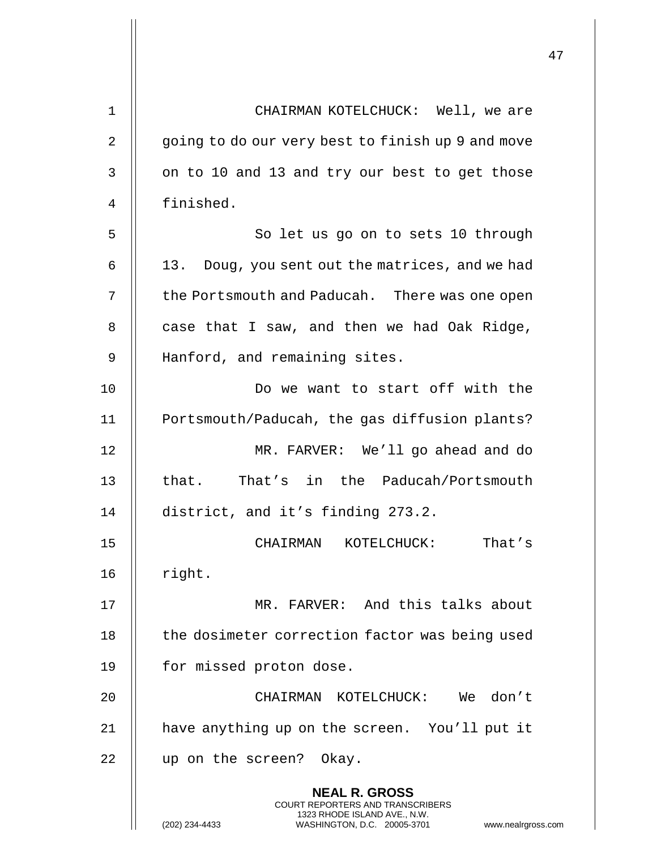| 1  | CHAIRMAN KOTELCHUCK: Well, we are                                                                                                                                  |
|----|--------------------------------------------------------------------------------------------------------------------------------------------------------------------|
| 2  | going to do our very best to finish up 9 and move                                                                                                                  |
| 3  | on to 10 and 13 and try our best to get those                                                                                                                      |
| 4  | finished.                                                                                                                                                          |
| 5  | So let us go on to sets 10 through                                                                                                                                 |
| 6  | Doug, you sent out the matrices, and we had<br>13.                                                                                                                 |
| 7  | the Portsmouth and Paducah. There was one open                                                                                                                     |
| 8  | case that I saw, and then we had Oak Ridge,                                                                                                                        |
| 9  | Hanford, and remaining sites.                                                                                                                                      |
| 10 | Do we want to start off with the                                                                                                                                   |
| 11 | Portsmouth/Paducah, the gas diffusion plants?                                                                                                                      |
| 12 | MR. FARVER: We'll go ahead and do                                                                                                                                  |
| 13 | that. That's in the Paducah/Portsmouth                                                                                                                             |
| 14 | district, and it's finding 273.2.                                                                                                                                  |
| 15 | CHAIRMAN KOTELCHUCK:<br>That's                                                                                                                                     |
| 16 | right.                                                                                                                                                             |
| 17 | MR. FARVER: And this talks about                                                                                                                                   |
| 18 | the dosimeter correction factor was being used                                                                                                                     |
| 19 | for missed proton dose.                                                                                                                                            |
| 20 | CHAIRMAN KOTELCHUCK: We<br>don't                                                                                                                                   |
| 21 | have anything up on the screen. You'll put it                                                                                                                      |
| 22 | up on the screen? Okay.                                                                                                                                            |
|    | <b>NEAL R. GROSS</b><br><b>COURT REPORTERS AND TRANSCRIBERS</b><br>1323 RHODE ISLAND AVE., N.W.<br>(202) 234-4433<br>WASHINGTON, D.C. 20005-3701<br>www.nealrgross |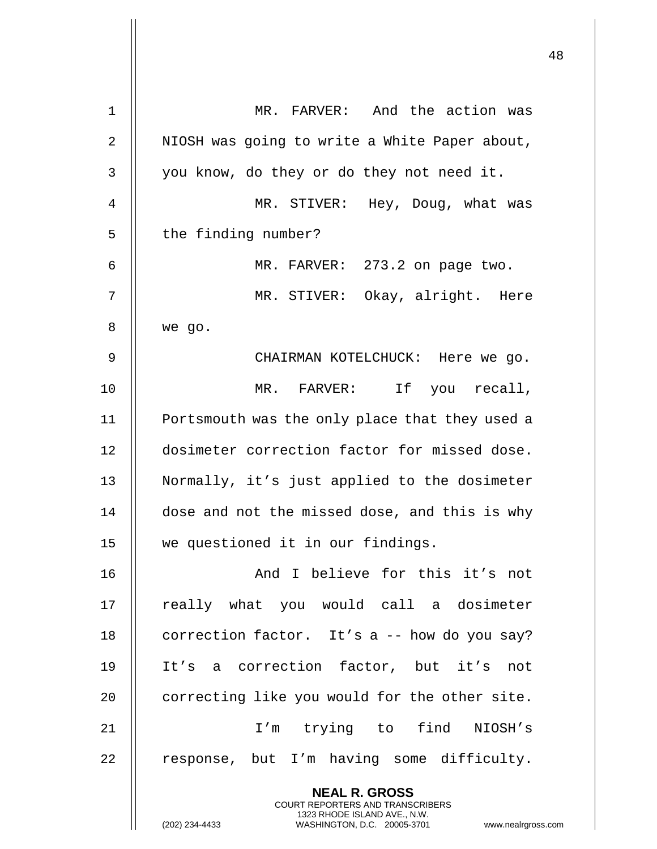|    |                                                                                                     | 48 |
|----|-----------------------------------------------------------------------------------------------------|----|
| 1  | MR. FARVER: And the action was                                                                      |    |
| 2  | NIOSH was going to write a White Paper about,                                                       |    |
| 3  | you know, do they or do they not need it.                                                           |    |
| 4  | MR. STIVER: Hey, Doug, what was                                                                     |    |
| 5  | the finding number?                                                                                 |    |
| 6  | MR. FARVER: 273.2 on page two.                                                                      |    |
| 7  | MR. STIVER: Okay, alright. Here                                                                     |    |
| 8  | we go.                                                                                              |    |
| 9  | CHAIRMAN KOTELCHUCK: Here we go.                                                                    |    |
| 10 | MR. FARVER: If you recall,                                                                          |    |
| 11 | Portsmouth was the only place that they used a                                                      |    |
| 12 | dosimeter correction factor for missed dose.                                                        |    |
| 13 | Normally, it's just applied to the dosimeter                                                        |    |
| 14 | dose and not the missed dose, and this is why                                                       |    |
| 15 | we questioned it in our findings.                                                                   |    |
| 16 | And I believe for this it's not                                                                     |    |
| 17 | really what you would call a dosimeter                                                              |    |
| 18 | correction factor. It's a -- how do you say?                                                        |    |
| 19 | It's a correction factor, but it's not                                                              |    |
| 20 | correcting like you would for the other site.                                                       |    |
| 21 | I'm trying to find NIOSH's                                                                          |    |
| 22 | response, but I'm having some difficulty.                                                           |    |
|    | <b>NEAL R. GROSS</b><br><b>COURT REPORTERS AND TRANSCRIBERS</b>                                     |    |
|    | 1323 RHODE ISLAND AVE., N.W.<br>(202) 234-4433<br>WASHINGTON, D.C. 20005-3701<br>www.nealrgross.com |    |

 $\mathsf{l}$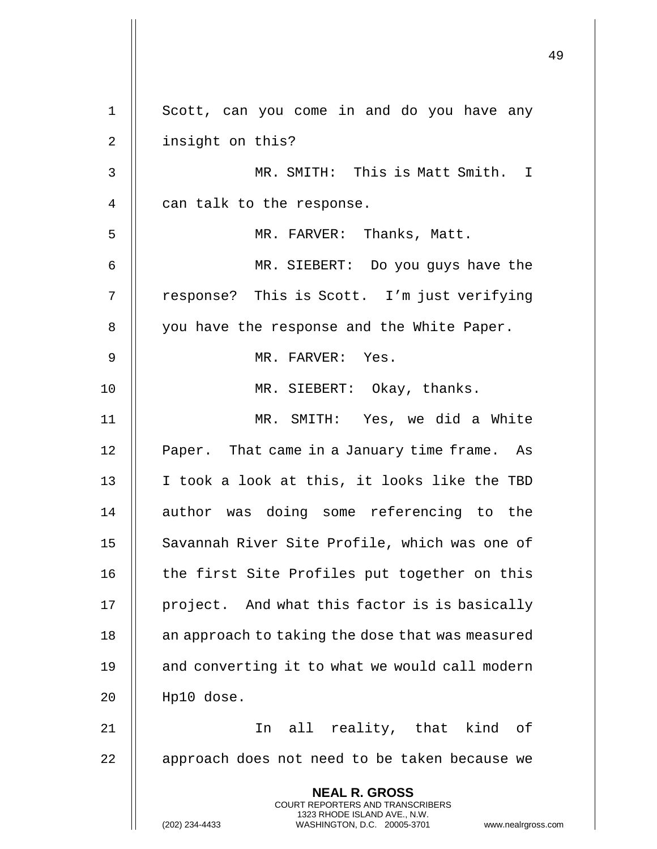**NEAL R. GROSS** COURT REPORTERS AND TRANSCRIBERS 1323 RHODE ISLAND AVE., N.W. (202) 234-4433 WASHINGTON, D.C. 20005-3701 www.nealrgross.com 1 || Scott, can you come in and do you have any 2 || insight on this? 3 MR. SMITH: This is Matt Smith. I 4 | can talk to the response. 5 MR. FARVER: Thanks, Matt. 6 MR. SIEBERT: Do you guys have the 7 | response? This is Scott. I'm just verifying 8 | you have the response and the White Paper. 9 || MR. FARVER: Yes. 10 || MR. SIEBERT: Okay, thanks. 11 MR. SMITH: Yes, we did a White 12 | Paper. That came in a January time frame. As 13 || I took a look at this, it looks like the TBD 14 || author was doing some referencing to the 15 || Savannah River Site Profile, which was one of 16 || the first Site Profiles put together on this 17 || project. And what this factor is is basically 18 || an approach to taking the dose that was measured 19 || and converting it to what we would call modern 20 Hp10 dose. 21 In all reality, that kind of 22 || approach does not need to be taken because we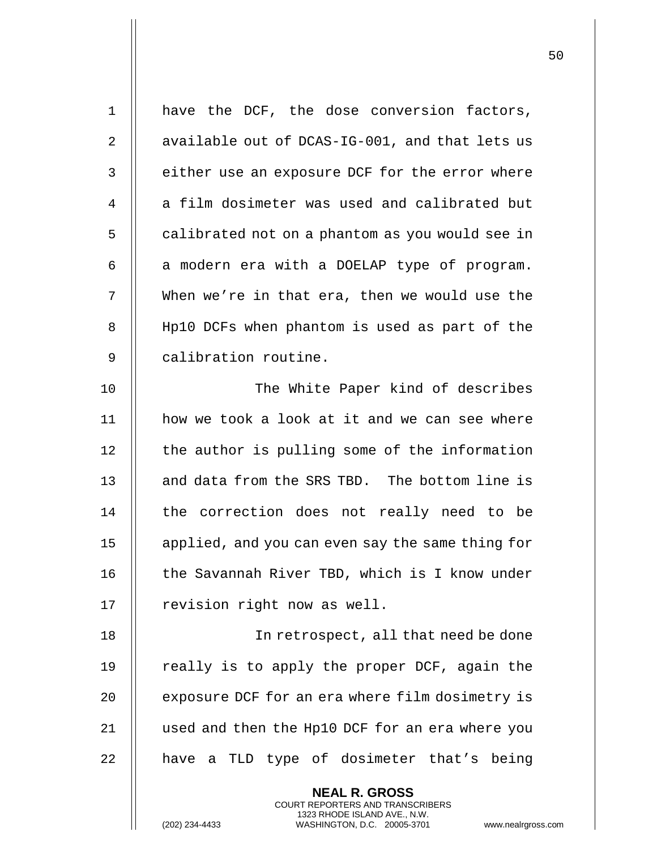| $\mathbf 1$ | have the DCF, the dose conversion factors,       |
|-------------|--------------------------------------------------|
| 2           | available out of DCAS-IG-001, and that lets us   |
| 3           | either use an exposure DCF for the error where   |
| 4           | a film dosimeter was used and calibrated but     |
| 5           | calibrated not on a phantom as you would see in  |
| 6           | a modern era with a DOELAP type of program.      |
| 7           | When we're in that era, then we would use the    |
| 8           | Hp10 DCFs when phantom is used as part of the    |
| 9           | calibration routine.                             |
| 10          | The White Paper kind of describes                |
| 11          | how we took a look at it and we can see where    |
| 12          | the author is pulling some of the information    |
| 13          | and data from the SRS TBD. The bottom line is    |
| 14          | the correction does not really need to be        |
| 15          | applied, and you can even say the same thing for |
| 16          | the Savannah River TBD, which is I know under    |
| 17          | revision right now as well.                      |
| 18          | In retrospect, all that need be done             |
| 19          | really is to apply the proper DCF, again the     |
| 20          | exposure DCF for an era where film dosimetry is  |
| 21          | used and then the Hp10 DCF for an era where you  |
| 22          | have a TLD type of dosimeter that's being        |
|             |                                                  |

**NEAL R. GROSS** COURT REPORTERS AND TRANSCRIBERS 1323 RHODE ISLAND AVE., N.W.

(202) 234-4433 WASHINGTON, D.C. 20005-3701 www.nealrgross.com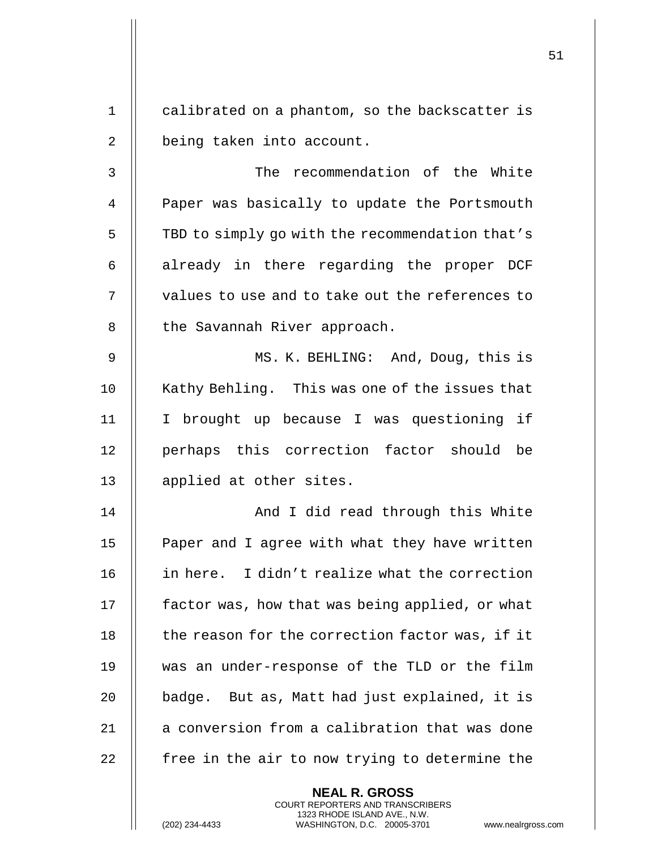1 calibrated on a phantom, so the backscatter is 2 | being taken into account. 3 The recommendation of the White 4 | Paper was basically to update the Portsmouth 5 | TBD to simply go with the recommendation that's  $6$  || already in there regarding the proper DCF  $7$   $\parallel$  values to use and to take out the references to 8 || the Savannah River approach. 9 MS. K. BEHLING: And, Doug, this is 10 || Kathy Behling. This was one of the issues that 11 I brought up because I was questioning if 12 || perhaps this correction factor should be 13 || applied at other sites. 14 And I did read through this White 15 || Paper and I agree with what they have written 16 || in here. I didn't realize what the correction 17 | factor was, how that was being applied, or what

> **NEAL R. GROSS** COURT REPORTERS AND TRANSCRIBERS 1323 RHODE ISLAND AVE., N.W. (202) 234-4433 WASHINGTON, D.C. 20005-3701 www.nealrgross.com

18 | the reason for the correction factor was, if it

19 was an under-response of the TLD or the film

20  $\parallel$  badge. But as, Matt had just explained, it is

21 | a conversion from a calibration that was done

 $22$   $\parallel$  free in the air to now trying to determine the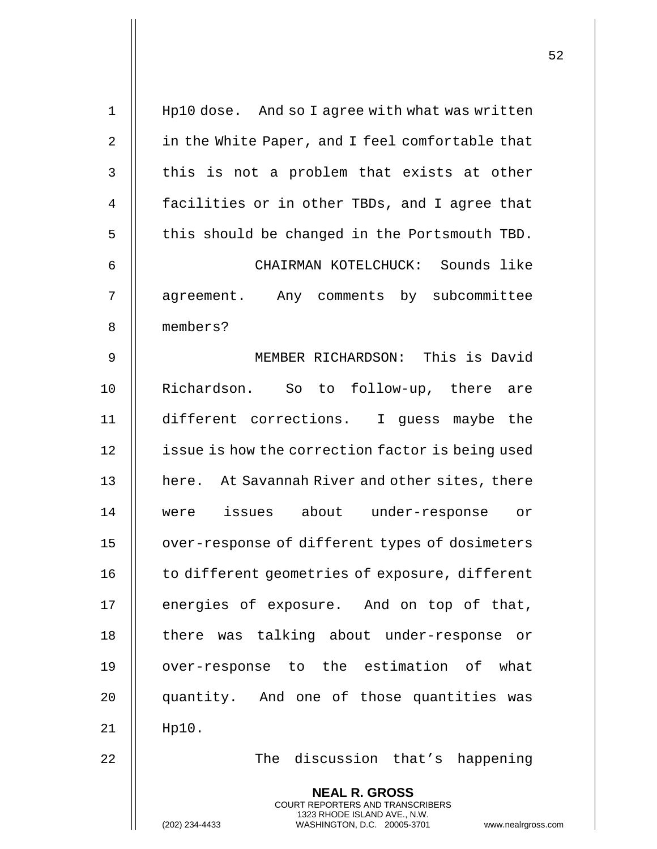| $1\,$          | Hp10 dose. And so I agree with what was written                         |
|----------------|-------------------------------------------------------------------------|
| 2              | in the White Paper, and I feel comfortable that                         |
| 3              | this is not a problem that exists at other                              |
| $\overline{4}$ | facilities or in other TBDs, and I agree that                           |
| 5              | this should be changed in the Portsmouth TBD.                           |
| 6              | CHAIRMAN KOTELCHUCK: Sounds like                                        |
| 7              | agreement. Any comments by subcommittee                                 |
| 8              | members?                                                                |
| 9              | MEMBER RICHARDSON: This is David                                        |
| 10             | Richardson. So to follow-up, there are                                  |
| 11             | different corrections. I guess maybe the                                |
| 12             | issue is how the correction factor is being used                        |
| 13             | here. At Savannah River and other sites, there                          |
| 14             | issues about<br>under-response<br>0r<br>were                            |
| 15             | over-response of different types of dosimeters                          |
| 16             | to different geometries of exposure, different                          |
| 17             | energies of exposure. And on top of that,                               |
| 18             | there was talking about under-response or                               |
| 19             | over-response to the estimation of what                                 |
| 20             | quantity. And one of those quantities was                               |
| 21             | $Hp10$ .                                                                |
| 22             | The discussion that's happening                                         |
|                | <b>NEAL R. GROSS</b>                                                    |
|                | <b>COURT REPORTERS AND TRANSCRIBERS</b><br>1323 RHODE ISLAND AVE., N.W. |
|                | WASHINGTON, D.C. 20005-3701<br>(202) 234-4433<br>www.nealrgross.com     |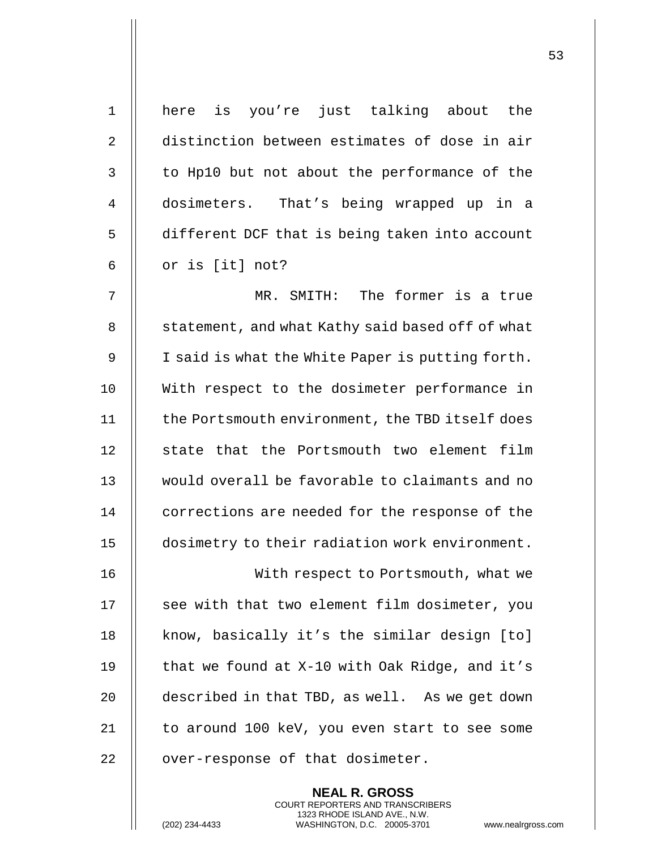| $\mathbf 1$    | here is you're just talking about the            |
|----------------|--------------------------------------------------|
| $\overline{2}$ | distinction between estimates of dose in air     |
| 3              | to Hp10 but not about the performance of the     |
| 4              | dosimeters. That's being wrapped up in a         |
| 5              | different DCF that is being taken into account   |
| 6              | or is [it] not?                                  |
| 7              | The former is a true<br>MR. SMITH:               |
| 8              | statement, and what Kathy said based off of what |
| 9              | I said is what the White Paper is putting forth. |
| 10             | With respect to the dosimeter performance in     |
| 11             | the Portsmouth environment, the TBD itself does  |
| 12             | state that the Portsmouth two element film       |
| 13             | would overall be favorable to claimants and no   |
| 14             | corrections are needed for the response of the   |
| 15             | dosimetry to their radiation work environment.   |
| 16             | With respect to Portsmouth, what we              |
| 17             | see with that two element film dosimeter, you    |
| 18             | know, basically it's the similar design [to]     |
| 19             | that we found at X-10 with Oak Ridge, and it's   |
| 20             | described in that TBD, as well. As we get down   |
| 21             | to around 100 keV, you even start to see some    |
| 22             | over-response of that dosimeter.                 |
|                | <b>NEAL R. GROSS</b>                             |

COURT REPORTERS AND TRANSCRIBERS 1323 RHODE ISLAND AVE., N.W.

(202) 234-4433 WASHINGTON, D.C. 20005-3701 www.nealrgross.com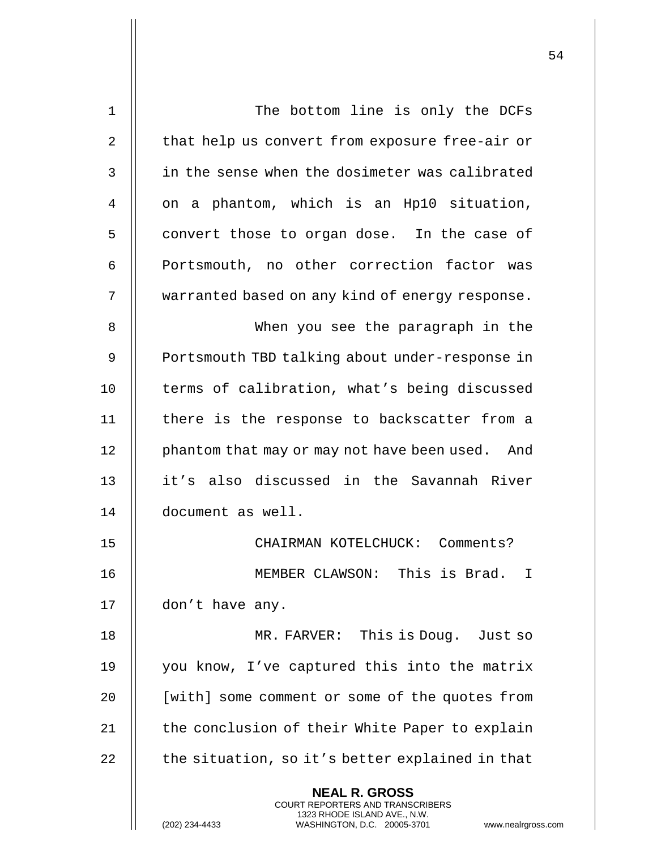| 1              | The bottom line is only the DCFs                                                                                                                                   |
|----------------|--------------------------------------------------------------------------------------------------------------------------------------------------------------------|
| $\overline{2}$ | that help us convert from exposure free-air or                                                                                                                     |
| 3              | in the sense when the dosimeter was calibrated                                                                                                                     |
| 4              | on a phantom, which is an Hp10 situation,                                                                                                                          |
| 5              | convert those to organ dose. In the case of                                                                                                                        |
| 6              | Portsmouth, no other correction factor was                                                                                                                         |
| 7              | warranted based on any kind of energy response.                                                                                                                    |
| 8              | When you see the paragraph in the                                                                                                                                  |
| 9              | Portsmouth TBD talking about under-response in                                                                                                                     |
| 10             | terms of calibration, what's being discussed                                                                                                                       |
| 11             | there is the response to backscatter from a                                                                                                                        |
| 12             | phantom that may or may not have been used. And                                                                                                                    |
| 13             | it's also discussed in the Savannah River                                                                                                                          |
| 14             | document as well.                                                                                                                                                  |
| 15             | CHAIRMAN KOTELCHUCK: Comments?                                                                                                                                     |
| 16             | MEMBER CLAWSON: This is Brad.<br>$\mathbf I$                                                                                                                       |
| 17             | don't have any.                                                                                                                                                    |
| 18             | MR. FARVER: This is Doug. Just so                                                                                                                                  |
| 19             | you know, I've captured this into the matrix                                                                                                                       |
| 20             | [with] some comment or some of the quotes from                                                                                                                     |
| 21             | the conclusion of their White Paper to explain                                                                                                                     |
| 22             | the situation, so it's better explained in that                                                                                                                    |
|                | <b>NEAL R. GROSS</b><br><b>COURT REPORTERS AND TRANSCRIBERS</b><br>1323 RHODE ISLAND AVE., N.W.<br>WASHINGTON, D.C. 20005-3701<br>(202) 234-4433<br>www.nealrgross |

(202) 234-4433 WASHINGTON, D.C. 20005-3701 www.nealrgross.com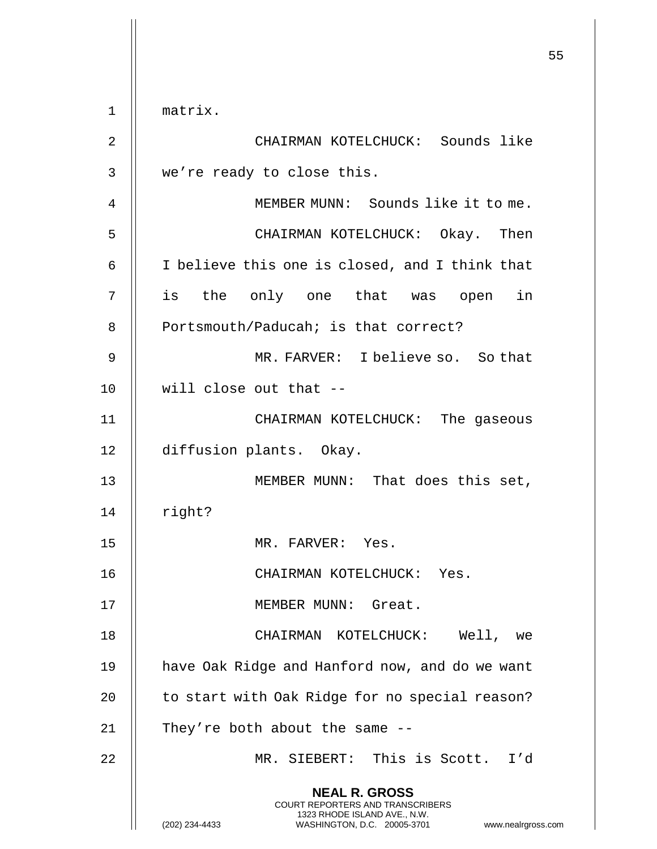|    |                                                                                                                                                                        | 55 |
|----|------------------------------------------------------------------------------------------------------------------------------------------------------------------------|----|
| 1  | matrix.                                                                                                                                                                |    |
| 2  | CHAIRMAN KOTELCHUCK: Sounds like                                                                                                                                       |    |
| 3  | we're ready to close this.                                                                                                                                             |    |
| 4  | MEMBER MUNN: Sounds like it to me.                                                                                                                                     |    |
| 5  | CHAIRMAN KOTELCHUCK: Okay. Then                                                                                                                                        |    |
| 6  | I believe this one is closed, and I think that                                                                                                                         |    |
| 7  | is the only one that was open in                                                                                                                                       |    |
| 8  | Portsmouth/Paducah; is that correct?                                                                                                                                   |    |
| 9  | MR. FARVER: I believe so. So that                                                                                                                                      |    |
| 10 | will close out that --                                                                                                                                                 |    |
| 11 | CHAIRMAN KOTELCHUCK: The gaseous                                                                                                                                       |    |
| 12 | diffusion plants. Okay.                                                                                                                                                |    |
| 13 | MEMBER MUNN: That does this set,                                                                                                                                       |    |
| 14 | right?                                                                                                                                                                 |    |
| 15 | MR. FARVER: Yes.                                                                                                                                                       |    |
| 16 | CHAIRMAN KOTELCHUCK: Yes.                                                                                                                                              |    |
| 17 | MEMBER MUNN: Great.                                                                                                                                                    |    |
| 18 | CHAIRMAN KOTELCHUCK: Well, we                                                                                                                                          |    |
| 19 | have Oak Ridge and Hanford now, and do we want                                                                                                                         |    |
| 20 | to start with Oak Ridge for no special reason?                                                                                                                         |    |
| 21 | They're both about the same --                                                                                                                                         |    |
| 22 | MR. SIEBERT: This is Scott. I'd                                                                                                                                        |    |
|    | <b>NEAL R. GROSS</b><br><b>COURT REPORTERS AND TRANSCRIBERS</b><br>1323 RHODE ISLAND AVE., N.W.<br>WASHINGTON, D.C. 20005-3701<br>(202) 234-4433<br>www.nealrgross.com |    |

 $\overline{1}$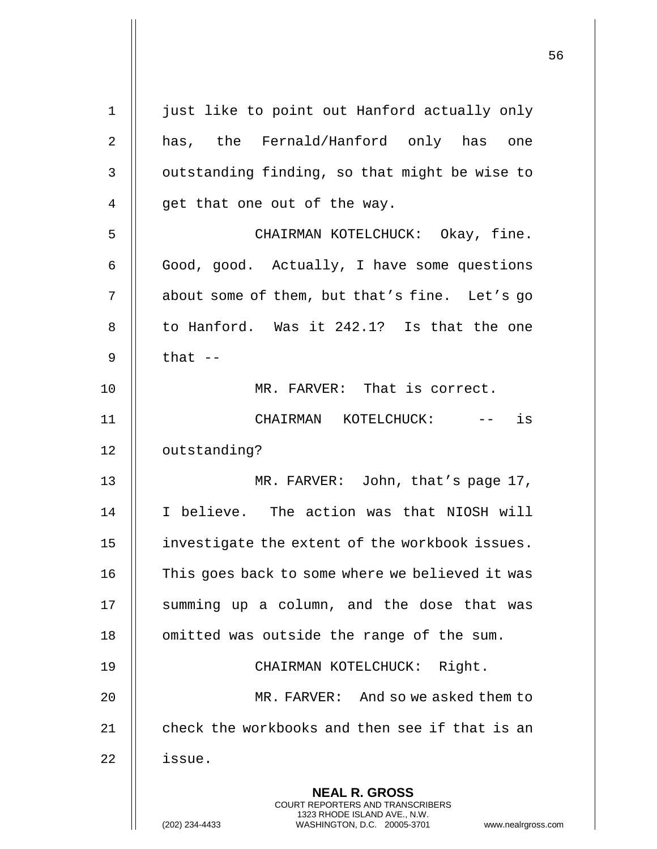| $\mathbf 1$    | just like to point out Hanford actually only                                                                                                                |
|----------------|-------------------------------------------------------------------------------------------------------------------------------------------------------------|
| 2              | has, the Fernald/Hanford only has one                                                                                                                       |
| 3              | outstanding finding, so that might be wise to                                                                                                               |
| $\overline{4}$ | get that one out of the way.                                                                                                                                |
| 5              | CHAIRMAN KOTELCHUCK: Okay, fine.                                                                                                                            |
| 6              | Good, good. Actually, I have some questions                                                                                                                 |
| 7              | about some of them, but that's fine. Let's go                                                                                                               |
| 8              | to Hanford. Was it 242.1? Is that the one                                                                                                                   |
| 9              | that $--$                                                                                                                                                   |
| 10             | MR. FARVER: That is correct.                                                                                                                                |
| 11             | CHAIRMAN KOTELCHUCK:<br>is                                                                                                                                  |
| 12             | outstanding?                                                                                                                                                |
| 13             | MR. FARVER: John, that's page 17,                                                                                                                           |
| 14             | I believe. The action was that NIOSH will                                                                                                                   |
| 15             | investigate the extent of the workbook issues.                                                                                                              |
| 16             | This goes back to some where we believed it was                                                                                                             |
| 17             | summing up a column, and the dose that was                                                                                                                  |
| 18             | omitted was outside the range of the sum.                                                                                                                   |
| 19             | CHAIRMAN KOTELCHUCK: Right.                                                                                                                                 |
| 20             | MR. FARVER: And so we asked them to                                                                                                                         |
| 21             | check the workbooks and then see if that is an                                                                                                              |
| 22             | issue.                                                                                                                                                      |
|                | <b>NEAL R. GROSS</b><br>COURT REPORTERS AND TRANSCRIBERS<br>1323 RHODE ISLAND AVE., N.W.<br>WASHINGTON, D.C. 20005-3701<br>(202) 234-4433<br>www.nealrgross |

 $\mathsf{l}\mathsf{l}$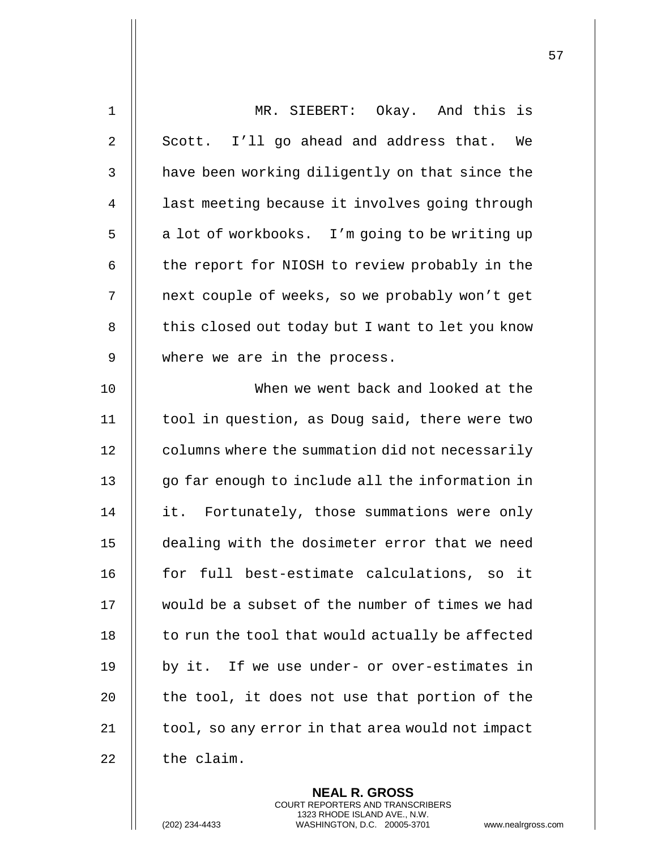| $\mathbf 1$  | MR. SIEBERT: Okay. And this is                   |
|--------------|--------------------------------------------------|
| 2            | Scott. I'll go ahead and address that.<br>We     |
| $\mathbf{3}$ | have been working diligently on that since the   |
| 4            | last meeting because it involves going through   |
| 5            | a lot of workbooks. I'm going to be writing up   |
| 6            | the report for NIOSH to review probably in the   |
| 7            | next couple of weeks, so we probably won't get   |
| 8            | this closed out today but I want to let you know |
| 9            | where we are in the process.                     |
| 10           | When we went back and looked at the              |
| 11           | tool in question, as Doug said, there were two   |
| 12           | columns where the summation did not necessarily  |
| 13           | go far enough to include all the information in  |
| 14           | it. Fortunately, those summations were only      |
| 15           | dealing with the dosimeter error that we need    |
| 16           | for full best-estimate calculations, so it       |
| 17           | would be a subset of the number of times we had  |
| 18           | to run the tool that would actually be affected  |
| 19           | by it. If we use under- or over-estimates in     |
| 20           | the tool, it does not use that portion of the    |
| 21           | tool, so any error in that area would not impact |
| 22           | the claim.                                       |
|              |                                                  |

**NEAL R. GROSS** COURT REPORTERS AND TRANSCRIBERS 1323 RHODE ISLAND AVE., N.W.

(202) 234-4433 WASHINGTON, D.C. 20005-3701 www.nealrgross.com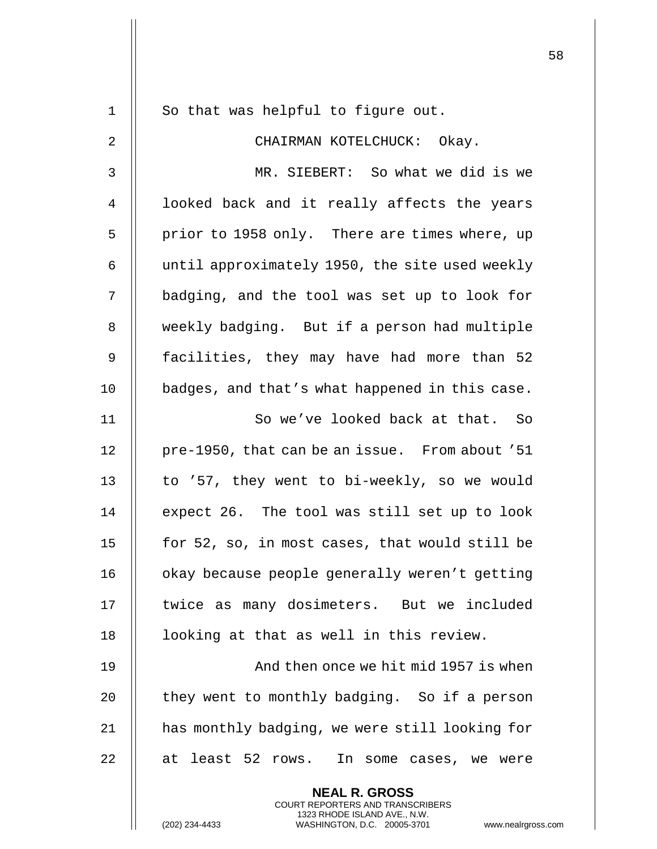|    |                                                                                                 | 58 |
|----|-------------------------------------------------------------------------------------------------|----|
| 1  | So that was helpful to figure out.                                                              |    |
| 2  | CHAIRMAN KOTELCHUCK: Okay.                                                                      |    |
| 3  | MR. SIEBERT: So what we did is we                                                               |    |
| 4  | looked back and it really affects the years                                                     |    |
| 5  | prior to 1958 only. There are times where, up                                                   |    |
| 6  | until approximately 1950, the site used weekly                                                  |    |
| 7  | badging, and the tool was set up to look for                                                    |    |
| 8  | weekly badging. But if a person had multiple                                                    |    |
| 9  | facilities, they may have had more than 52                                                      |    |
| 10 |                                                                                                 |    |
|    | badges, and that's what happened in this case.                                                  |    |
| 11 | So we've looked back at that. So                                                                |    |
| 12 | pre-1950, that can be an issue. From about '51                                                  |    |
| 13 | to '57, they went to bi-weekly, so we would                                                     |    |
| 14 | expect 26. The tool was still set up to look                                                    |    |
| 15 | for 52, so, in most cases, that would still be                                                  |    |
| 16 | okay because people generally weren't getting                                                   |    |
| 17 | twice as many dosimeters. But we included                                                       |    |
| 18 | looking at that as well in this review.                                                         |    |
| 19 | And then once we hit mid 1957 is when                                                           |    |
| 20 | they went to monthly badging. So if a person                                                    |    |
| 21 | has monthly badging, we were still looking for                                                  |    |
| 22 | at least 52 rows. In some cases, we were                                                        |    |
|    | <b>NEAL R. GROSS</b><br><b>COURT REPORTERS AND TRANSCRIBERS</b><br>1323 RHODE ISLAND AVE., N.W. |    |
|    | (202) 234-4433<br>WASHINGTON, D.C. 20005-3701<br>www.nealrgross.com                             |    |

 $\mathsf{I}$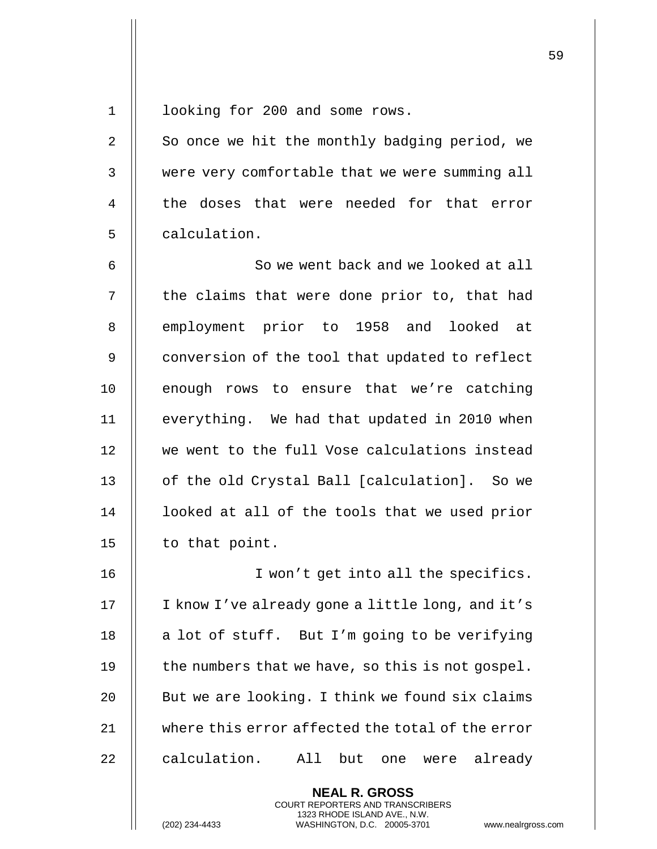1 || looking for 200 and some rows.

2 | So once we hit the monthly badging period, we 3 || were very comfortable that we were summing all 4 II the doses that were needed for that error 5 || calculation.

6 || So we went back and we looked at all 7 | the claims that were done prior to, that had 8 || employment prior to 1958 and looked at 9 | conversion of the tool that updated to reflect  $10$  || enough rows to ensure that we're catching 11 || everything. We had that updated in 2010 when 12 || we went to the full Vose calculations instead 13 || of the old Crystal Ball [calculation]. So we 14 || looked at all of the tools that we used prior 15  $\parallel$  to that point.

16 || Twon't get into all the specifics. 17 || I know I've already gone a little long, and it's 18  $\parallel$  a lot of stuff. But I'm going to be verifying 19  $\parallel$  the numbers that we have, so this is not gospel. 20  $\parallel$  But we are looking. I think we found six claims 21 where this error affected the total of the error 22 || calculation. All but one were already

> **NEAL R. GROSS** COURT REPORTERS AND TRANSCRIBERS 1323 RHODE ISLAND AVE., N.W.

(202) 234-4433 WASHINGTON, D.C. 20005-3701 www.nealrgross.com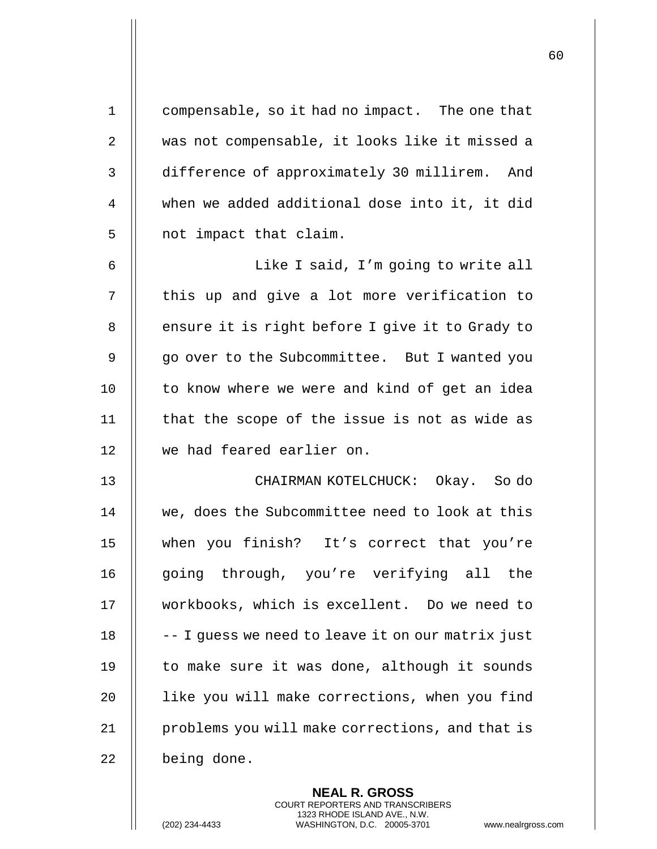| $\mathbf 1$ | compensable, so it had no impact. The one that    |
|-------------|---------------------------------------------------|
| 2           | was not compensable, it looks like it missed a    |
| 3           | difference of approximately 30 millirem. And      |
| 4           | when we added additional dose into it, it did     |
| 5           | not impact that claim.                            |
| 6           | Like I said, I'm going to write all               |
| 7           | this up and give a lot more verification to       |
| 8           | ensure it is right before I give it to Grady to   |
| 9           | go over to the Subcommittee. But I wanted you     |
| 10          | to know where we were and kind of get an idea     |
| 11          | that the scope of the issue is not as wide as     |
| 12          | we had feared earlier on.                         |
| 13          | CHAIRMAN KOTELCHUCK: Okay. So do                  |
| 14          | we, does the Subcommittee need to look at this    |
| 15          | when you finish? It's correct that you're         |
| 16          | going through, you're verifying all the           |
| 17          | workbooks, which is excellent. Do we need to      |
| 18          | -- I guess we need to leave it on our matrix just |
| 19          | to make sure it was done, although it sounds      |
| 20          | like you will make corrections, when you find     |
| 21          | problems you will make corrections, and that is   |
| 22          | being done.                                       |
|             |                                                   |

**NEAL R. GROSS** COURT REPORTERS AND TRANSCRIBERS 1323 RHODE ISLAND AVE., N.W.

(202) 234-4433 WASHINGTON, D.C. 20005-3701 www.nealrgross.com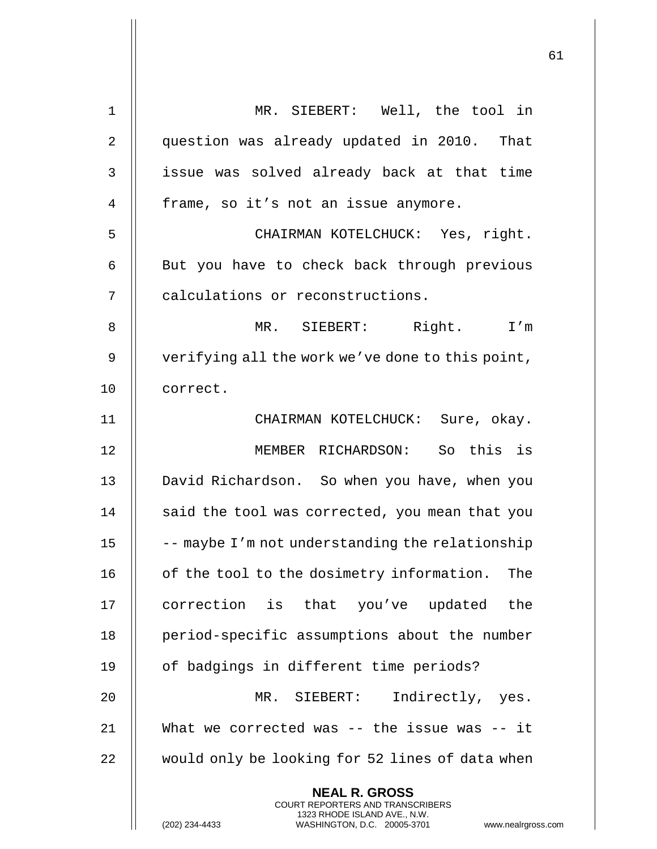| 1  | MR. SIEBERT: Well, the tool in                                                                                                                                  |
|----|-----------------------------------------------------------------------------------------------------------------------------------------------------------------|
| 2  | question was already updated in 2010. That                                                                                                                      |
| 3  | issue was solved already back at that time                                                                                                                      |
| 4  | frame, so it's not an issue anymore.                                                                                                                            |
| 5  | CHAIRMAN KOTELCHUCK: Yes, right.                                                                                                                                |
| 6  | But you have to check back through previous                                                                                                                     |
| 7  | calculations or reconstructions.                                                                                                                                |
| 8  | Right. I'm<br>MR. SIEBERT:                                                                                                                                      |
| 9  | verifying all the work we've done to this point,                                                                                                                |
| 10 | correct.                                                                                                                                                        |
| 11 | CHAIRMAN KOTELCHUCK: Sure, okay.                                                                                                                                |
| 12 | MEMBER RICHARDSON: So this is                                                                                                                                   |
| 13 | David Richardson. So when you have, when you                                                                                                                    |
| 14 | said the tool was corrected, you mean that you                                                                                                                  |
| 15 | -- maybe I'm not understanding the relationship                                                                                                                 |
| 16 | of the tool to the dosimetry information.<br>The                                                                                                                |
| 17 | correction is that you've updated the                                                                                                                           |
| 18 | period-specific assumptions about the number                                                                                                                    |
| 19 | of badgings in different time periods?                                                                                                                          |
| 20 | Indirectly, yes.<br>MR. SIEBERT:                                                                                                                                |
| 21 | What we corrected was $--$ the issue was $--$ it                                                                                                                |
| 22 | would only be looking for 52 lines of data when                                                                                                                 |
|    | <b>NEAL R. GROSS</b><br>COURT REPORTERS AND TRANSCRIBERS<br>1323 RHODE ISLAND AVE., N.W.<br>(202) 234-4433<br>WASHINGTON, D.C. 20005-3701<br>www.nealrgross.com |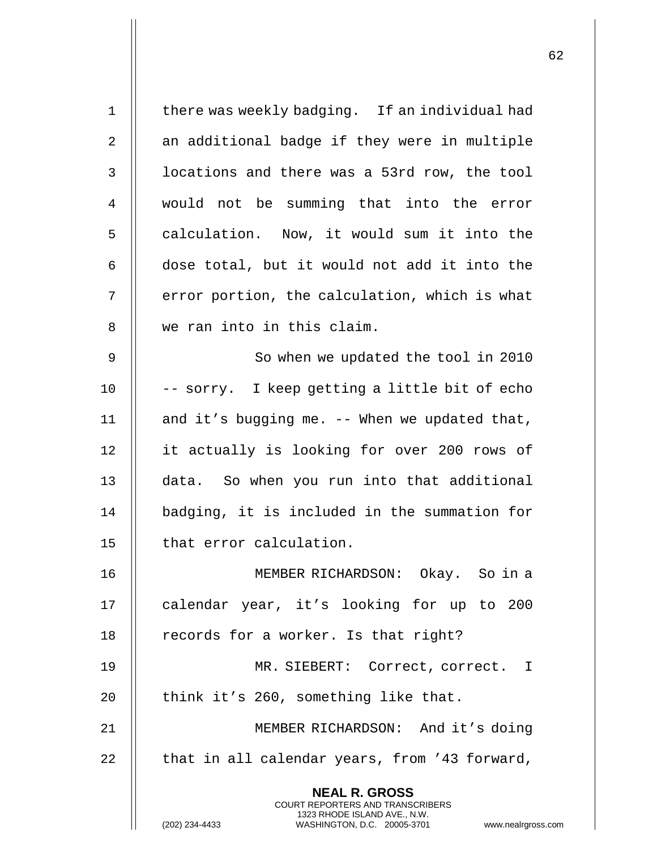**NEAL R. GROSS** COURT REPORTERS AND TRANSCRIBERS 1323 RHODE ISLAND AVE., N.W. (202) 234-4433 WASHINGTON, D.C. 20005-3701 www.nealrgross.com 1 || there was weekly badging. If an individual had 2 | an additional badge if they were in multiple 3 | locations and there was a 53rd row, the tool 4 || would not be summing that into the error 5 | calculation. Now, it would sum it into the  $6 \parallel$  dose total, but it would not add it into the 7 | error portion, the calculation, which is what 8 || we ran into in this claim. 9 || So when we updated the tool in 2010 10  $\parallel$  -- sorry. I keep getting a little bit of echo 11  $\parallel$  and it's bugging me. -- When we updated that, 12 it actually is looking for over 200 rows of 13 data. So when you run into that additional 14 || badging, it is included in the summation for 15 | that error calculation. 16 MEMBER RICHARDSON: Okay. So in a 17 || calendar year, it's looking for up to 200 18  $\parallel$  records for a worker. Is that right? 19 MR. SIEBERT: Correct, correct. I 20  $\parallel$  think it's 260, something like that. 21 MEMBER RICHARDSON: And it's doing  $22$  || that in all calendar years, from '43 forward,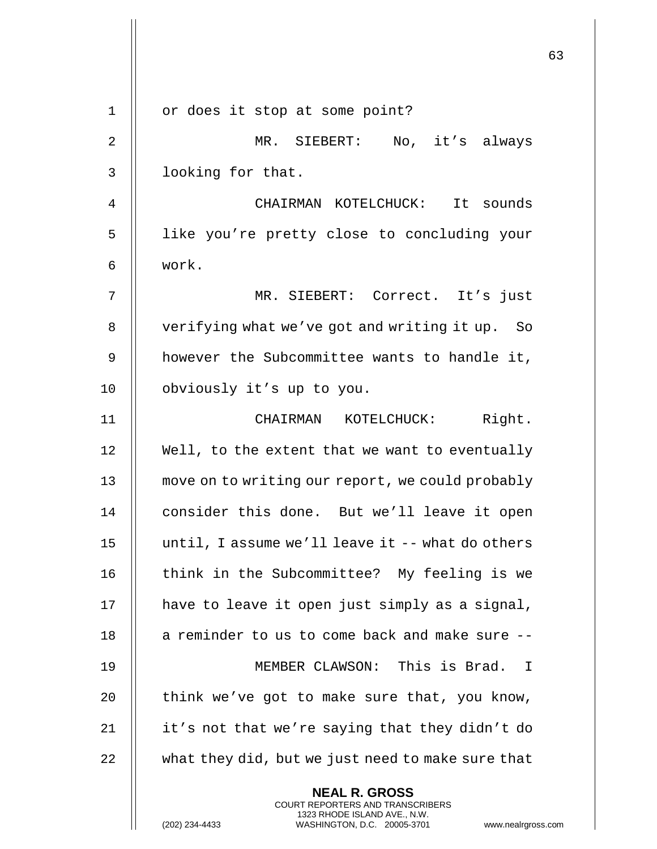|                |                                                                                                                                                                        | 63 |
|----------------|------------------------------------------------------------------------------------------------------------------------------------------------------------------------|----|
| $\mathbf 1$    | or does it stop at some point?                                                                                                                                         |    |
| $\overline{2}$ | MR. SIEBERT: No, it's always                                                                                                                                           |    |
| 3              | looking for that.                                                                                                                                                      |    |
| 4              | CHAIRMAN KOTELCHUCK: It sounds                                                                                                                                         |    |
| 5              | like you're pretty close to concluding your                                                                                                                            |    |
| 6              | work.                                                                                                                                                                  |    |
| 7              | MR. SIEBERT: Correct. It's just                                                                                                                                        |    |
| 8              | verifying what we've got and writing it up. So                                                                                                                         |    |
| 9              | however the Subcommittee wants to handle it,                                                                                                                           |    |
| 10             | obviously it's up to you.                                                                                                                                              |    |
| 11             | CHAIRMAN KOTELCHUCK: Right.                                                                                                                                            |    |
| 12             | Well, to the extent that we want to eventually                                                                                                                         |    |
| 13             | move on to writing our report, we could probably                                                                                                                       |    |
| 14             | consider this done. But we'll leave it open                                                                                                                            |    |
| 15             | until, I assume we'll leave it -- what do others                                                                                                                       |    |
| 16             | think in the Subcommittee? My feeling is we                                                                                                                            |    |
| 17             | have to leave it open just simply as a signal,                                                                                                                         |    |
| 18             | a reminder to us to come back and make sure --                                                                                                                         |    |
| 19             | MEMBER CLAWSON: This is Brad. I                                                                                                                                        |    |
| 20             | think we've got to make sure that, you know,                                                                                                                           |    |
| 21             | it's not that we're saying that they didn't do                                                                                                                         |    |
| 22             | what they did, but we just need to make sure that                                                                                                                      |    |
|                | <b>NEAL R. GROSS</b><br><b>COURT REPORTERS AND TRANSCRIBERS</b><br>1323 RHODE ISLAND AVE., N.W.<br>(202) 234-4433<br>WASHINGTON, D.C. 20005-3701<br>www.nealrgross.com |    |

 $\begin{array}{c} \hline \end{array}$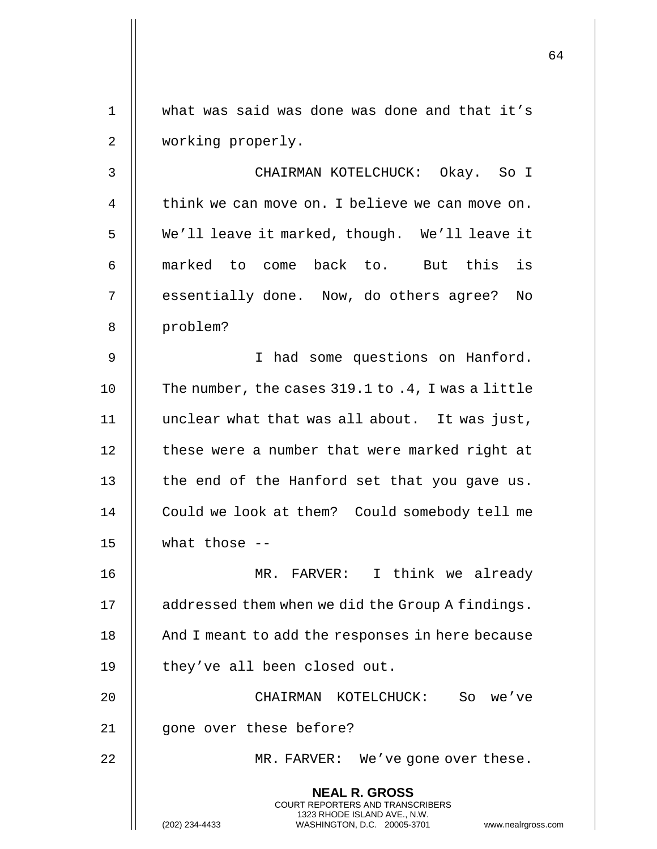1 what was said was done was done and that it's 2 | working properly.

 CHAIRMAN KOTELCHUCK: Okay. So I  $\parallel$  think we can move on. I believe we can move on. We'll leave it marked, though. We'll leave it marked to come back to. But this is 7 || essentially done. Now, do others agree? No problem?

9 || Thad some questions on Hanford. 10 | The number, the cases 319.1 to .4, I was a little 11 unclear what that was all about. It was just, 12 | these were a number that were marked right at 13  $\parallel$  the end of the Hanford set that you gave us. 14 | Could we look at them? Could somebody tell me 15  $\parallel$  what those --

16 MR. FARVER: I think we already 17 | addressed them when we did the Group A findings. 18 || And I meant to add the responses in here because 19 | they've all been closed out.

20 CHAIRMAN KOTELCHUCK: So we've 21 gone over these before?

22 || MR. FARVER: We've gone over these.

**NEAL R. GROSS** COURT REPORTERS AND TRANSCRIBERS 1323 RHODE ISLAND AVE., N.W.

(202) 234-4433 WASHINGTON, D.C. 20005-3701 www.nealrgross.com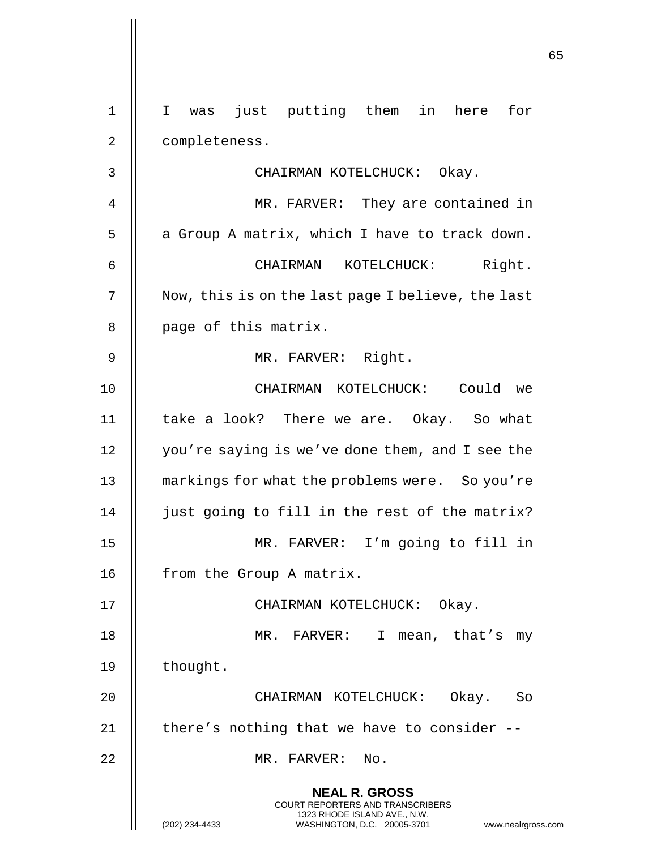|    |                                                                                                                                                                 | 65 |
|----|-----------------------------------------------------------------------------------------------------------------------------------------------------------------|----|
| 1  | just putting them in here<br>for<br>$\mathbf{I}$<br>was                                                                                                         |    |
| 2  | completeness.                                                                                                                                                   |    |
| 3  | CHAIRMAN KOTELCHUCK: Okay.                                                                                                                                      |    |
| 4  | MR. FARVER: They are contained in                                                                                                                               |    |
| 5  | a Group A matrix, which I have to track down.                                                                                                                   |    |
| 6  | Right.<br>CHAIRMAN<br>KOTELCHUCK:                                                                                                                               |    |
| 7  |                                                                                                                                                                 |    |
|    | Now, this is on the last page I believe, the last                                                                                                               |    |
| 8  | page of this matrix.                                                                                                                                            |    |
| 9  | MR. FARVER: Right.                                                                                                                                              |    |
| 10 | CHAIRMAN KOTELCHUCK: Could we                                                                                                                                   |    |
| 11 | take a look? There we are. Okay. So what                                                                                                                        |    |
| 12 | you're saying is we've done them, and I see the                                                                                                                 |    |
| 13 | markings for what the problems were. So you're                                                                                                                  |    |
| 14 | just going to fill in the rest of the matrix?                                                                                                                   |    |
| 15 | MR. FARVER: I'm going to fill in                                                                                                                                |    |
| 16 | from the Group A matrix.                                                                                                                                        |    |
| 17 | CHAIRMAN KOTELCHUCK: Okay.                                                                                                                                      |    |
| 18 | MR. FARVER: I mean, that's my                                                                                                                                   |    |
| 19 | thought.                                                                                                                                                        |    |
| 20 | CHAIRMAN KOTELCHUCK: Okay. So                                                                                                                                   |    |
| 21 | there's nothing that we have to consider --                                                                                                                     |    |
| 22 | MR. FARVER: No.                                                                                                                                                 |    |
|    |                                                                                                                                                                 |    |
|    | <b>NEAL R. GROSS</b><br>COURT REPORTERS AND TRANSCRIBERS<br>1323 RHODE ISLAND AVE., N.W.<br>(202) 234-4433<br>WASHINGTON, D.C. 20005-3701<br>www.nealrgross.com |    |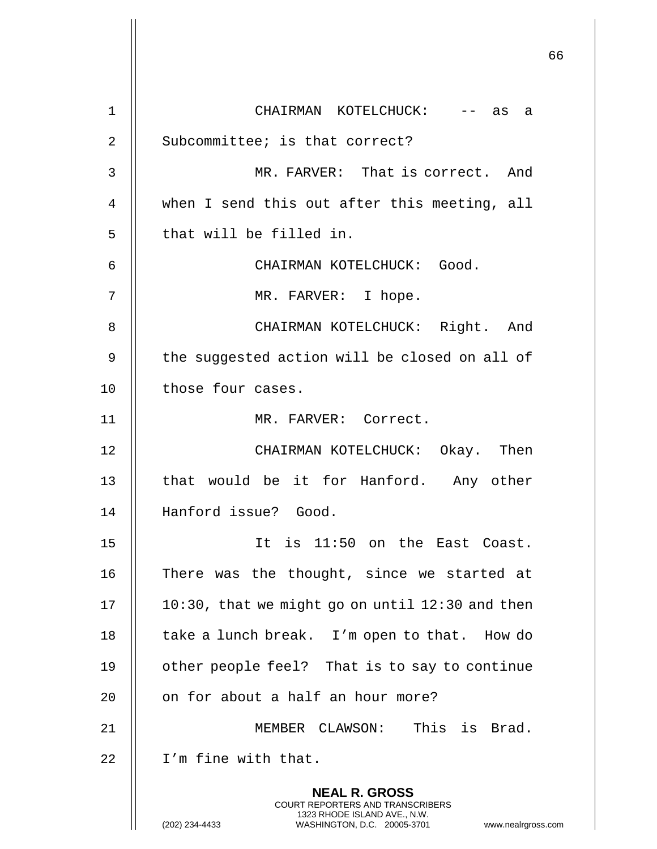|             |                                                                                                                                                                        | 66 |
|-------------|------------------------------------------------------------------------------------------------------------------------------------------------------------------------|----|
| $\mathbf 1$ | CHAIRMAN KOTELCHUCK: -- as a                                                                                                                                           |    |
| 2           | Subcommittee; is that correct?                                                                                                                                         |    |
| 3           | MR. FARVER: That is correct. And                                                                                                                                       |    |
| 4           | when I send this out after this meeting, all                                                                                                                           |    |
| 5           | that will be filled in.                                                                                                                                                |    |
| 6           | CHAIRMAN KOTELCHUCK: Good.                                                                                                                                             |    |
| 7           | MR. FARVER: I hope.                                                                                                                                                    |    |
| 8           | CHAIRMAN KOTELCHUCK: Right. And                                                                                                                                        |    |
| 9           | the suggested action will be closed on all of                                                                                                                          |    |
| 10          | those four cases.                                                                                                                                                      |    |
| 11          | MR. FARVER: Correct.                                                                                                                                                   |    |
| 12          | CHAIRMAN KOTELCHUCK: Okay. Then                                                                                                                                        |    |
| 13          | that would be it for Hanford. Any other                                                                                                                                |    |
| 14          | Hanford issue? Good.                                                                                                                                                   |    |
| 15          | It is 11:50 on the East Coast.                                                                                                                                         |    |
| 16          | There was the thought, since we started at                                                                                                                             |    |
| 17          | $10:30$ , that we might go on until $12:30$ and then                                                                                                                   |    |
| 18          | take a lunch break. I'm open to that. How do                                                                                                                           |    |
| 19          | other people feel? That is to say to continue                                                                                                                          |    |
| 20          | on for about a half an hour more?                                                                                                                                      |    |
| 21          | MEMBER CLAWSON: This is Brad.                                                                                                                                          |    |
| 22          | I'm fine with that.                                                                                                                                                    |    |
|             | <b>NEAL R. GROSS</b><br><b>COURT REPORTERS AND TRANSCRIBERS</b><br>1323 RHODE ISLAND AVE., N.W.<br>WASHINGTON, D.C. 20005-3701<br>(202) 234-4433<br>www.nealrgross.com |    |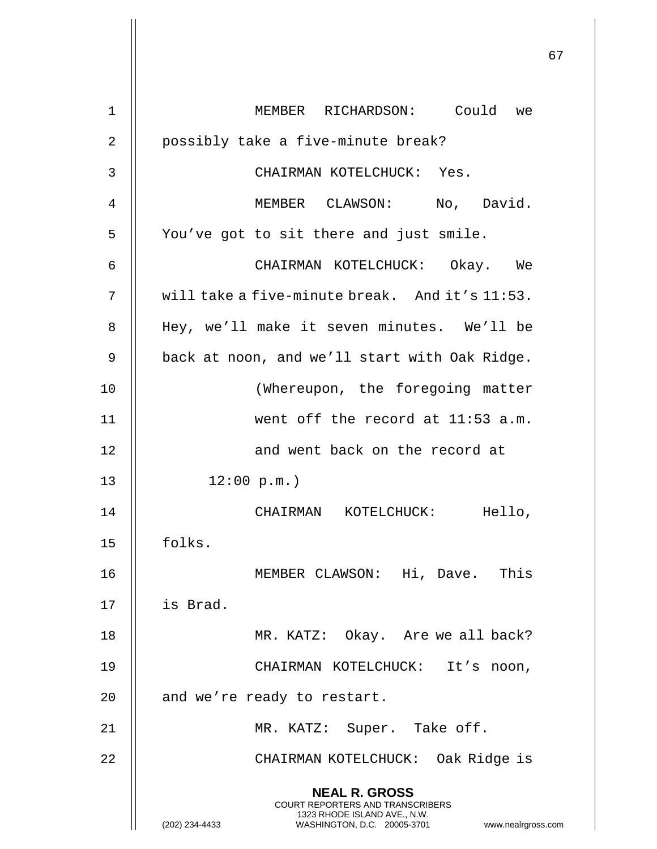|              |                                                                                                                                                                        | 67 |
|--------------|------------------------------------------------------------------------------------------------------------------------------------------------------------------------|----|
| 1            | MEMBER RICHARDSON: Could we                                                                                                                                            |    |
| 2            | possibly take a five-minute break?                                                                                                                                     |    |
| $\mathbf{3}$ | CHAIRMAN KOTELCHUCK: Yes.                                                                                                                                              |    |
| 4            | MEMBER CLAWSON: No, David.                                                                                                                                             |    |
| 5            | You've got to sit there and just smile.                                                                                                                                |    |
| 6            | CHAIRMAN KOTELCHUCK: Okay. We                                                                                                                                          |    |
| 7            | will take a five-minute break. And it's 11:53.                                                                                                                         |    |
| 8            | Hey, we'll make it seven minutes. We'll be                                                                                                                             |    |
| 9            | back at noon, and we'll start with Oak Ridge.                                                                                                                          |    |
| 10           | (Whereupon, the foregoing matter                                                                                                                                       |    |
| 11           | went off the record at 11:53 a.m.                                                                                                                                      |    |
| 12           | and went back on the record at                                                                                                                                         |    |
| 13           | 12:00 p.m.                                                                                                                                                             |    |
| 14           | CHAIRMAN KOTELCHUCK:<br>Hello,                                                                                                                                         |    |
| 15           | folks.                                                                                                                                                                 |    |
| 16           | MEMBER CLAWSON: Hi, Dave. This                                                                                                                                         |    |
| 17           | is Brad.                                                                                                                                                               |    |
| 18           | MR. KATZ: Okay. Are we all back?                                                                                                                                       |    |
| 19           | CHAIRMAN KOTELCHUCK: It's noon,                                                                                                                                        |    |
| 20           | and we're ready to restart.                                                                                                                                            |    |
| 21           | MR. KATZ: Super. Take off.                                                                                                                                             |    |
| 22           | CHAIRMAN KOTELCHUCK: Oak Ridge is                                                                                                                                      |    |
|              | <b>NEAL R. GROSS</b><br><b>COURT REPORTERS AND TRANSCRIBERS</b><br>1323 RHODE ISLAND AVE., N.W.<br>WASHINGTON, D.C. 20005-3701<br>(202) 234-4433<br>www.nealrgross.com |    |

 $\overline{\phantom{a}}$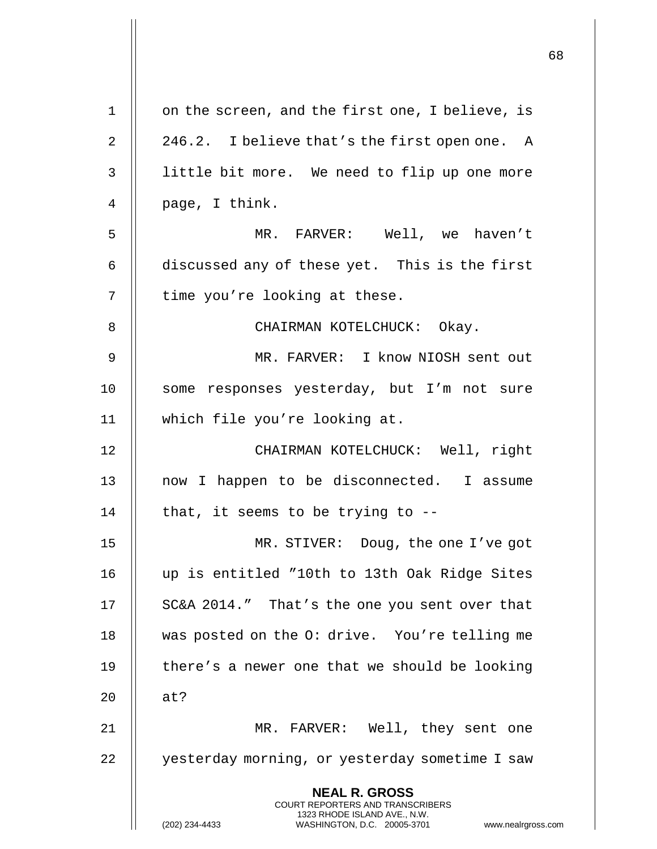|             |                                                                                                                                                                 | 68 |
|-------------|-----------------------------------------------------------------------------------------------------------------------------------------------------------------|----|
| $\mathbf 1$ | on the screen, and the first one, I believe, is                                                                                                                 |    |
| 2           | 246.2. I believe that's the first open one. A                                                                                                                   |    |
| 3           | little bit more. We need to flip up one more                                                                                                                    |    |
| 4           | page, I think.                                                                                                                                                  |    |
| 5           | MR. FARVER: Well, we haven't                                                                                                                                    |    |
| 6           | discussed any of these yet. This is the first                                                                                                                   |    |
| 7           | time you're looking at these.                                                                                                                                   |    |
| 8           | CHAIRMAN KOTELCHUCK: Okay.                                                                                                                                      |    |
| 9           | MR. FARVER: I know NIOSH sent out                                                                                                                               |    |
| 10          | some responses yesterday, but I'm not sure                                                                                                                      |    |
| 11          | which file you're looking at.                                                                                                                                   |    |
| 12          | CHAIRMAN KOTELCHUCK: Well, right                                                                                                                                |    |
| 13          | now I happen to be disconnected. I assume                                                                                                                       |    |
| 14          | that, it seems to be trying to $-$ -                                                                                                                            |    |
| 15          | MR. STIVER: Doug, the one I've got                                                                                                                              |    |
| 16          | up is entitled "10th to 13th Oak Ridge Sites                                                                                                                    |    |
| 17          | SC&A 2014." That's the one you sent over that                                                                                                                   |    |
| 18          | was posted on the O: drive. You're telling me                                                                                                                   |    |
| 19          | there's a newer one that we should be looking                                                                                                                   |    |
| 20          | at?                                                                                                                                                             |    |
| 21          | MR. FARVER: Well, they sent one                                                                                                                                 |    |
| 22          | yesterday morning, or yesterday sometime I saw                                                                                                                  |    |
|             | <b>NEAL R. GROSS</b><br>COURT REPORTERS AND TRANSCRIBERS<br>1323 RHODE ISLAND AVE., N.W.<br>WASHINGTON, D.C. 20005-3701<br>(202) 234-4433<br>www.nealrgross.com |    |

 $\overline{1}$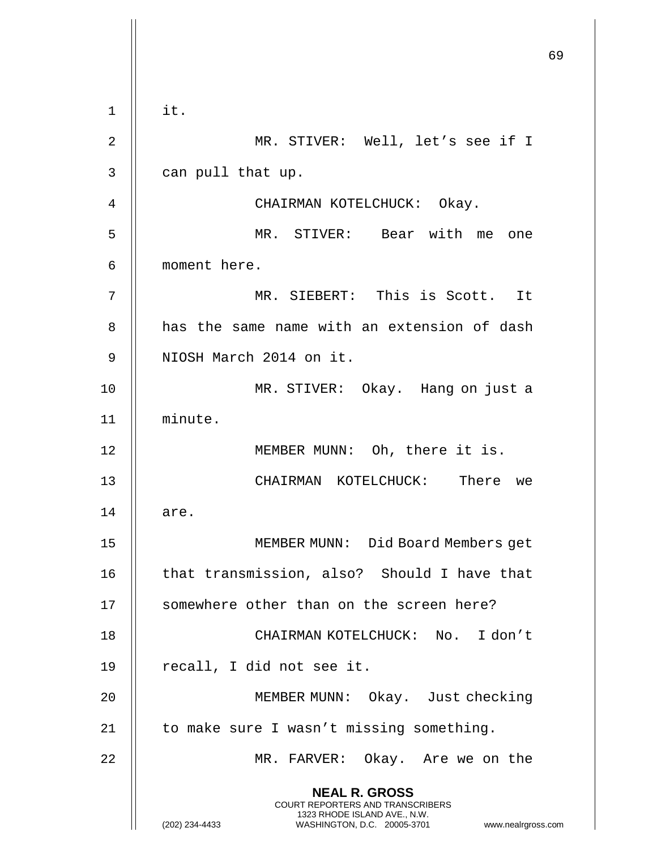69 **NEAL R. GROSS** COURT REPORTERS AND TRANSCRIBERS 1323 RHODE ISLAND AVE., N.W. (202) 234-4433 WASHINGTON, D.C. 20005-3701 www.nealrgross.com  $1 \parallel$  it. 2 || MR. STIVER: Well, let's see if I  $3 \parallel$  can pull that up. 4 CHAIRMAN KOTELCHUCK: Okay. 5 MR. STIVER: Bear with me one 6 moment here. 7 MR. SIEBERT: This is Scott. It 8 **d** has the same name with an extension of dash 9 || NIOSH March 2014 on it. 10 MR. STIVER: Okay. Hang on just a 11 minute. 12 || MEMBER MUNN: Oh, there it is. 13 CHAIRMAN KOTELCHUCK: There we  $14$   $\parallel$  are. 15 MEMBER MUNN: Did Board Members get 16 || that transmission, also? Should I have that 17 || somewhere other than on the screen here? 18 CHAIRMAN KOTELCHUCK: No. I don't  $19$  | recall, I did not see it. 20 MEMBER MUNN: Okay. Just checking 21 || to make sure I wasn't missing something. 22 MR. FARVER: Okay. Are we on the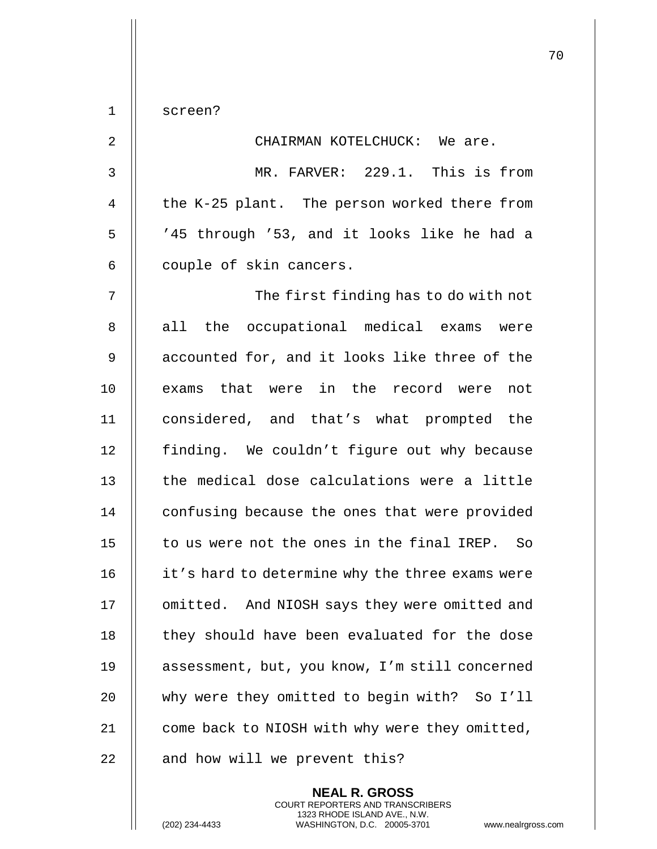1 screen? 2 CHAIRMAN KOTELCHUCK: We are. 3 MR. FARVER: 229.1. This is from 4  $\parallel$  the K-25 plant. The person worked there from 5 || '45 through '53, and it looks like he had a  $6 \parallel$  couple of skin cancers. 7 The first finding has to do with not 8 all the occupational medical exams were  $9$   $\parallel$  accounted for, and it looks like three of the 10 || exams that were in the record were not 11 considered, and that's what prompted the 12 | finding. We couldn't figure out why because  $13$   $\parallel$  the medical dose calculations were a little 14 | confusing because the ones that were provided 15 || to us were not the ones in the final IREP. So 16 | it's hard to determine why the three exams were 17 | omitted. And NIOSH says they were omitted and 18 || they should have been evaluated for the dose 19 || assessment, but, you know, I'm still concerned 20 why were they omitted to begin with? So I'll 21 | come back to NIOSH with why were they omitted,  $22$   $\parallel$  and how will we prevent this?

> **NEAL R. GROSS** COURT REPORTERS AND TRANSCRIBERS 1323 RHODE ISLAND AVE., N.W.

(202) 234-4433 WASHINGTON, D.C. 20005-3701 www.nealrgross.com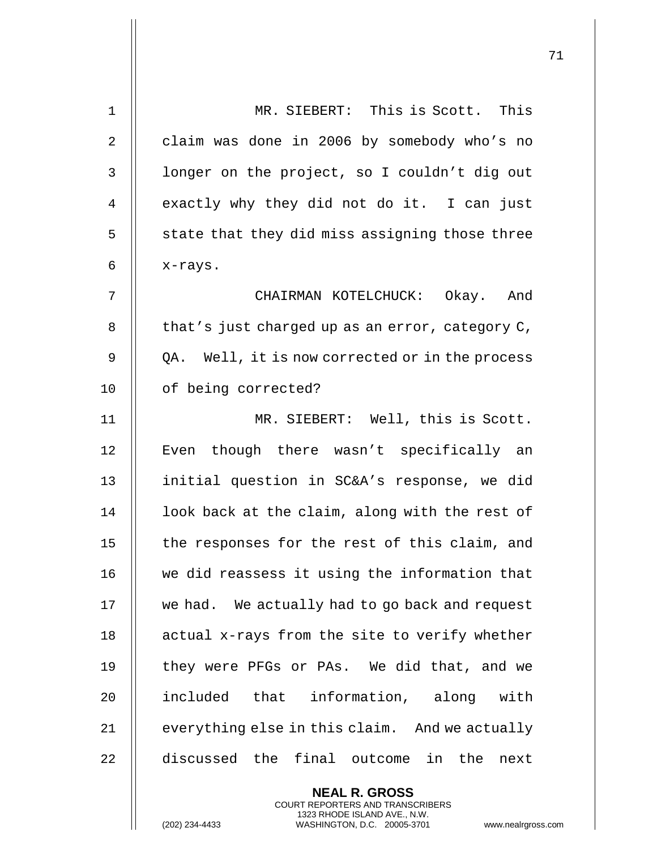| $\mathbf 1$ | MR. SIEBERT: This is Scott. This                |
|-------------|-------------------------------------------------|
| 2           | claim was done in 2006 by somebody who's no     |
| 3           | longer on the project, so I couldn't dig out    |
| 4           | exactly why they did not do it. I can just      |
| 5           | state that they did miss assigning those three  |
| 6           | x-rays.                                         |
| 7           | CHAIRMAN KOTELCHUCK: Okay. And                  |
| 8           | that's just charged up as an error, category C, |
| 9           | QA. Well, it is now corrected or in the process |
| 10          | of being corrected?                             |
| 11          | MR. SIEBERT: Well, this is Scott.               |
| 12          | Even though there wasn't specifically an        |
| 13          | initial question in SC&A's response, we did     |
| 14          | look back at the claim, along with the rest of  |
| 15          | the responses for the rest of this claim, and   |
| 16          | we did reassess it using the information that   |
| 17          | we had. We actually had to go back and request  |
| 18          | actual x-rays from the site to verify whether   |
| 19          | they were PFGs or PAs. We did that, and we      |
| 20          | included that information, along with           |
| 21          | everything else in this claim. And we actually  |
| 22          | discussed the final outcome in the<br>next      |
|             | <b>NEAL R. GROSS</b>                            |

COURT REPORTERS AND TRANSCRIBERS 1323 RHODE ISLAND AVE., N.W.

 $\mathsf{II}$ 

(202) 234-4433 WASHINGTON, D.C. 20005-3701 www.nealrgross.com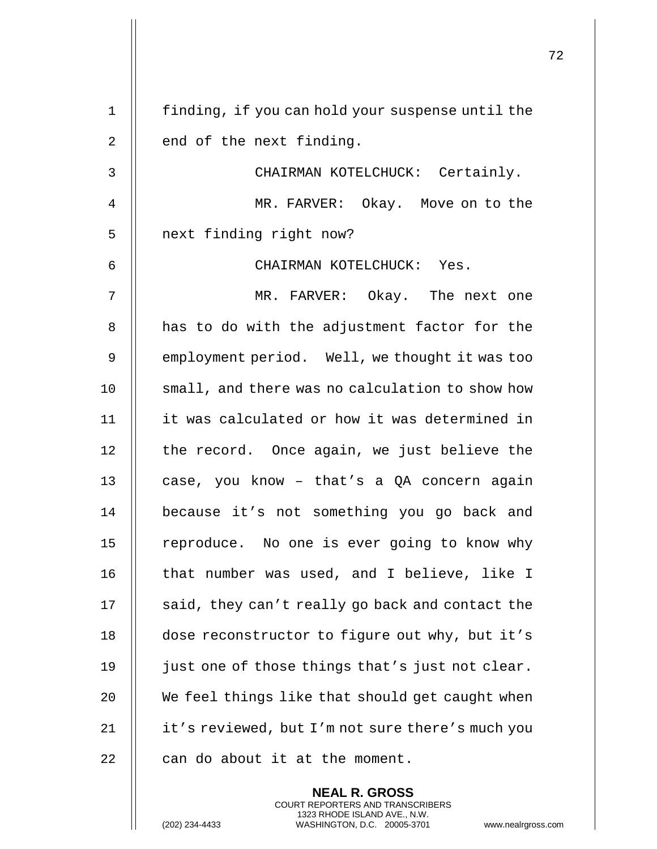|    |                                                  | 72 |
|----|--------------------------------------------------|----|
| 1  | finding, if you can hold your suspense until the |    |
| 2  | end of the next finding.                         |    |
| 3  | CHAIRMAN KOTELCHUCK: Certainly.                  |    |
| 4  | MR. FARVER: Okay. Move on to the                 |    |
| 5  | next finding right now?                          |    |
| 6  | CHAIRMAN KOTELCHUCK: Yes.                        |    |
| 7  | MR. FARVER: Okay. The next one                   |    |
| 8  | has to do with the adjustment factor for the     |    |
| 9  | employment period. Well, we thought it was too   |    |
| 10 | small, and there was no calculation to show how  |    |
| 11 | it was calculated or how it was determined in    |    |
| 12 | the record. Once again, we just believe the      |    |
| 13 | case, you know - that's a QA concern again       |    |
| 14 | because it's not something you go back and       |    |
| 15 | reproduce. No one is ever going to know why      |    |
| 16 | that number was used, and I believe, like I      |    |
| 17 | said, they can't really go back and contact the  |    |
| 18 | dose reconstructor to figure out why, but it's   |    |
| 19 | just one of those things that's just not clear.  |    |
| 20 | We feel things like that should get caught when  |    |
| 21 | it's reviewed, but I'm not sure there's much you |    |
| 22 | can do about it at the moment.                   |    |
|    |                                                  |    |

**NEAL R. GROSS** COURT REPORTERS AND TRANSCRIBERS 1323 RHODE ISLAND AVE., N.W.

(202) 234-4433 WASHINGTON, D.C. 20005-3701 www.nealrgross.com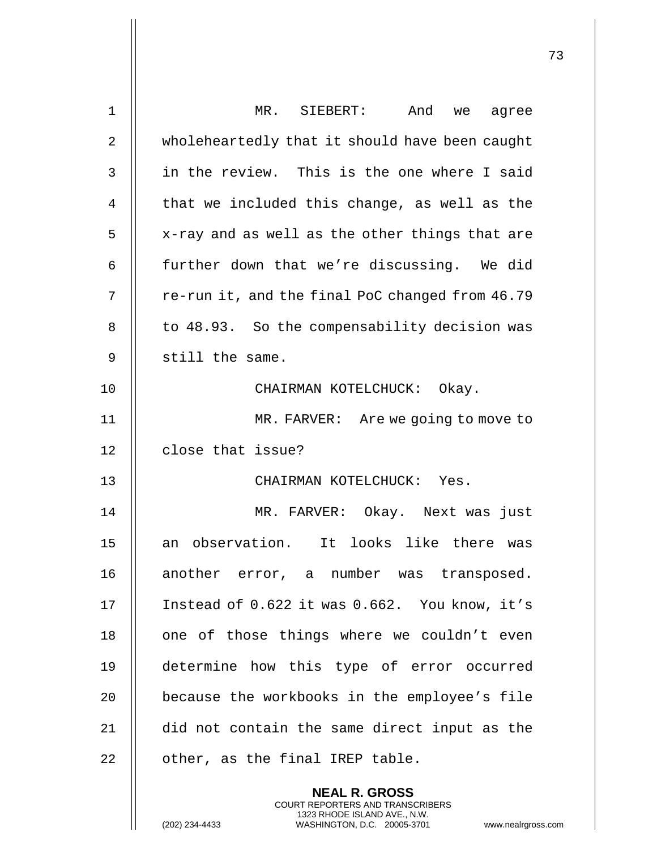| $\mathbf 1$    | MR. SIEBERT:<br>And<br>we agree                 |
|----------------|-------------------------------------------------|
| $\overline{2}$ | wholeheartedly that it should have been caught  |
| 3              | in the review. This is the one where I said     |
| 4              | that we included this change, as well as the    |
| 5              | x-ray and as well as the other things that are  |
| 6              | further down that we're discussing. We did      |
| 7              | re-run it, and the final PoC changed from 46.79 |
| 8              | to 48.93. So the compensability decision was    |
| 9              | still the same.                                 |
| 10             | CHAIRMAN KOTELCHUCK: Okay.                      |
| 11             | MR. FARVER: Are we going to move to             |
| 12             | close that issue?                               |
| 13             | CHAIRMAN KOTELCHUCK: Yes.                       |
| 14             | MR. FARVER: Okay. Next was just                 |
| 15             | an observation. It looks like there was         |
| 16             | another error, a number was transposed.         |
| 17             | Instead of 0.622 it was 0.662. You know, it's   |
| 18             | one of those things where we couldn't even      |
| 19             | determine how this type of error occurred       |
| 20             | because the workbooks in the employee's file    |
| 21             | did not contain the same direct input as the    |
| 22             | other, as the final IREP table.                 |
|                | <b>NEAL R. GROSS</b>                            |

COURT REPORTERS AND TRANSCRIBERS 1323 RHODE ISLAND AVE., N.W.

 $\mathsf{II}$ 

(202) 234-4433 WASHINGTON, D.C. 20005-3701 www.nealrgross.com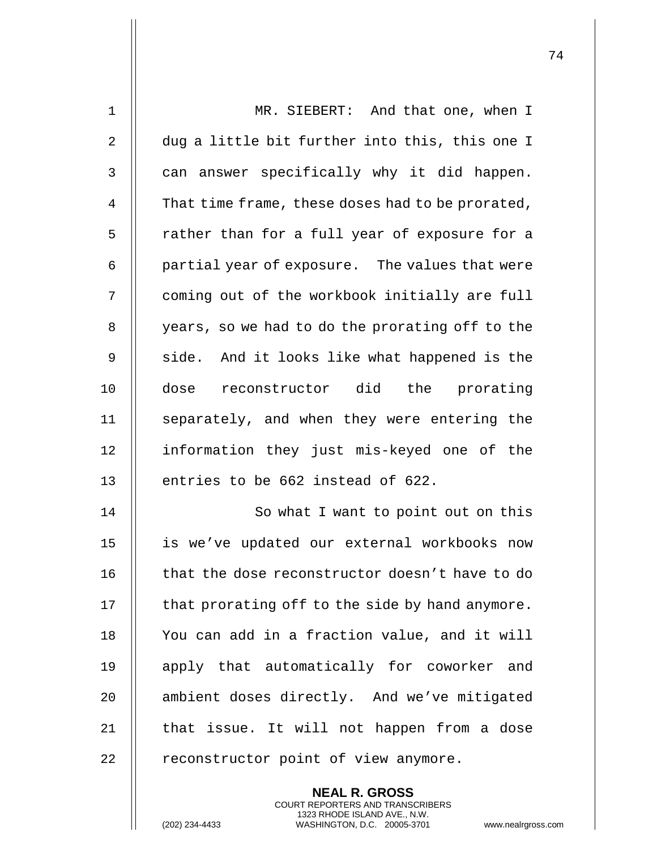| $\mathbf{1}$ | MR. SIEBERT: And that one, when I                |
|--------------|--------------------------------------------------|
| 2            | dug a little bit further into this, this one I   |
| 3            | can answer specifically why it did happen.       |
| 4            | That time frame, these doses had to be prorated, |
| 5            | rather than for a full year of exposure for a    |
| 6            | partial year of exposure. The values that were   |
| 7            | coming out of the workbook initially are full    |
| 8            | years, so we had to do the prorating off to the  |
| 9            | side. And it looks like what happened is the     |
| 10           | dose reconstructor did the prorating             |
| 11           | separately, and when they were entering the      |
| 12           | information they just mis-keyed one of the       |
| 13           | entries to be 662 instead of 622.                |
| 14           | So what I want to point out on this              |
| 15           | is we've updated our external workbooks now      |
| 16           | that the dose reconstructor doesn't have to do   |
| 17           | that prorating off to the side by hand anymore.  |
| 18           | You can add in a fraction value, and it will     |
| 19           | apply that automatically for coworker and        |
| 20           | ambient doses directly. And we've mitigated      |
| 21           | that issue. It will not happen from a dose       |
| 22           | reconstructor point of view anymore.             |
|              | <b>NEAL R. GROSS</b>                             |

COURT REPORTERS AND TRANSCRIBERS 1323 RHODE ISLAND AVE., N.W.

 $\mathsf{II}$ 

(202) 234-4433 WASHINGTON, D.C. 20005-3701 www.nealrgross.com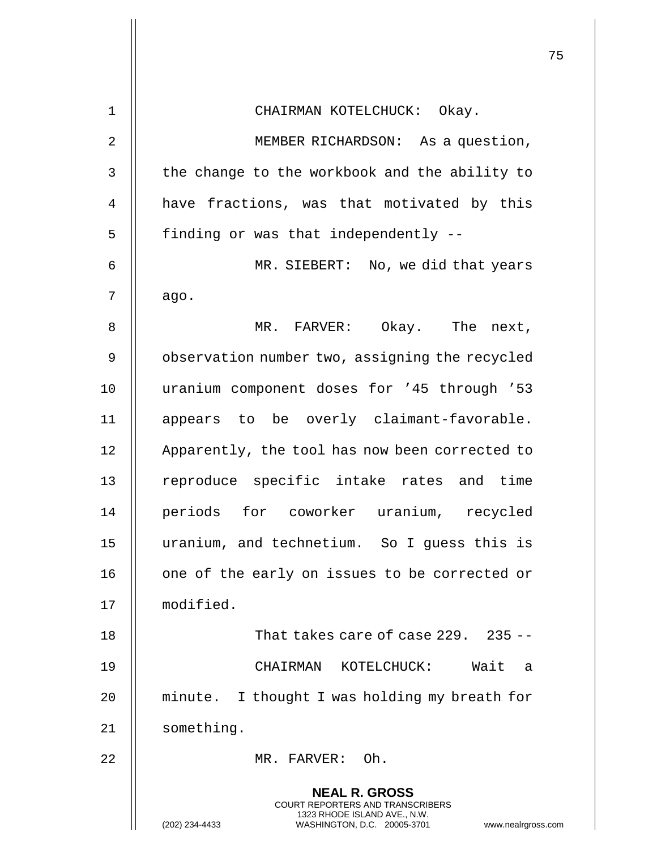|              |                                                                                                                                                                 | 75 |
|--------------|-----------------------------------------------------------------------------------------------------------------------------------------------------------------|----|
| 1            | CHAIRMAN KOTELCHUCK: Okay.                                                                                                                                      |    |
| 2            | MEMBER RICHARDSON: As a question,                                                                                                                               |    |
|              |                                                                                                                                                                 |    |
| $\mathsf{3}$ | the change to the workbook and the ability to                                                                                                                   |    |
| 4            | have fractions, was that motivated by this                                                                                                                      |    |
| 5            | finding or was that independently --                                                                                                                            |    |
| 6            | MR. SIEBERT: No, we did that years                                                                                                                              |    |
| 7            | ago.                                                                                                                                                            |    |
| $\,8\,$      | MR. FARVER: Okay. The next,                                                                                                                                     |    |
| 9            | observation number two, assigning the recycled                                                                                                                  |    |
| 10           | uranium component doses for '45 through '53                                                                                                                     |    |
| 11           | appears to be overly claimant-favorable.                                                                                                                        |    |
| 12           | Apparently, the tool has now been corrected to                                                                                                                  |    |
| 13           | reproduce specific intake rates and time                                                                                                                        |    |
| 14           | periods for coworker uranium, recycled                                                                                                                          |    |
| 15           | uranium, and technetium. So I guess this is                                                                                                                     |    |
| 16           | one of the early on issues to be corrected or                                                                                                                   |    |
| 17           | modified.                                                                                                                                                       |    |
| 18           | That takes care of case $229.$ 235 --                                                                                                                           |    |
| 19           | CHAIRMAN KOTELCHUCK: Wait a                                                                                                                                     |    |
| 20           | minute. I thought I was holding my breath for                                                                                                                   |    |
| 21           | something.                                                                                                                                                      |    |
| 22           | MR. FARVER: Oh.                                                                                                                                                 |    |
|              | <b>NEAL R. GROSS</b><br>COURT REPORTERS AND TRANSCRIBERS<br>1323 RHODE ISLAND AVE., N.W.<br>(202) 234-4433<br>WASHINGTON, D.C. 20005-3701<br>www.nealrgross.com |    |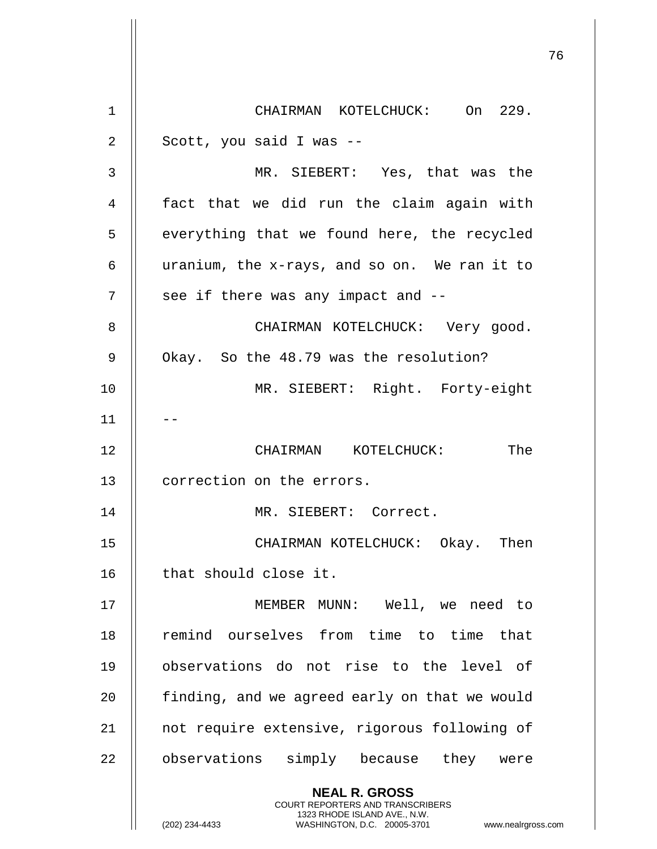|             |                                                                                                                                                                 | 76 |
|-------------|-----------------------------------------------------------------------------------------------------------------------------------------------------------------|----|
| $\mathbf 1$ | CHAIRMAN KOTELCHUCK: On 229.                                                                                                                                    |    |
| 2           | Scott, you said I was --                                                                                                                                        |    |
| 3           | MR. SIEBERT: Yes, that was the                                                                                                                                  |    |
| 4           | fact that we did run the claim again with                                                                                                                       |    |
| 5           | everything that we found here, the recycled                                                                                                                     |    |
| 6           | uranium, the x-rays, and so on. We ran it to                                                                                                                    |    |
| 7           | see if there was any impact and --                                                                                                                              |    |
| 8           | CHAIRMAN KOTELCHUCK: Very good.                                                                                                                                 |    |
| $\mathsf 9$ | Okay. So the 48.79 was the resolution?                                                                                                                          |    |
| 10          | MR. SIEBERT: Right. Forty-eight                                                                                                                                 |    |
| 11          |                                                                                                                                                                 |    |
| 12          | The<br>CHAIRMAN KOTELCHUCK:                                                                                                                                     |    |
| 13          | correction on the errors.                                                                                                                                       |    |
| 14          | MR. SIEBERT: Correct.                                                                                                                                           |    |
| 15          | CHAIRMAN KOTELCHUCK: Okay. Then                                                                                                                                 |    |
| 16          | that should close it.                                                                                                                                           |    |
| 17          | MEMBER MUNN: Well, we need to                                                                                                                                   |    |
| 18          | remind ourselves from time to time that                                                                                                                         |    |
| 19          | observations do not rise to the level of                                                                                                                        |    |
| 20          | finding, and we agreed early on that we would                                                                                                                   |    |
| 21          | not require extensive, rigorous following of                                                                                                                    |    |
| 22          | observations simply because they were                                                                                                                           |    |
|             | <b>NEAL R. GROSS</b><br>COURT REPORTERS AND TRANSCRIBERS<br>1323 RHODE ISLAND AVE., N.W.<br>(202) 234-4433<br>WASHINGTON, D.C. 20005-3701<br>www.nealrgross.com |    |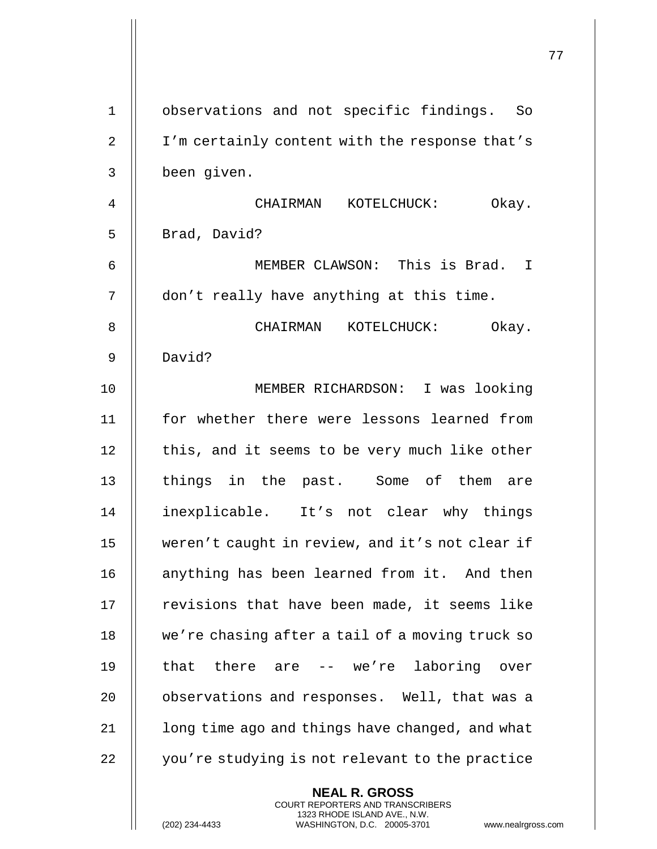|             |                                                                                                                                                                 | 77 |
|-------------|-----------------------------------------------------------------------------------------------------------------------------------------------------------------|----|
| $\mathbf 1$ | observations and not specific findings. So                                                                                                                      |    |
| 2           | I'm certainly content with the response that's                                                                                                                  |    |
| 3           | been given.                                                                                                                                                     |    |
| 4           | CHAIRMAN KOTELCHUCK:<br>Okay.                                                                                                                                   |    |
| 5           | Brad, David?                                                                                                                                                    |    |
| 6           | MEMBER CLAWSON: This is Brad. I                                                                                                                                 |    |
| 7           | don't really have anything at this time.                                                                                                                        |    |
| 8           | CHAIRMAN KOTELCHUCK: Okay.                                                                                                                                      |    |
| 9           | David?                                                                                                                                                          |    |
| 10          | MEMBER RICHARDSON: I was looking                                                                                                                                |    |
| 11          | for whether there were lessons learned from                                                                                                                     |    |
| 12          | this, and it seems to be very much like other                                                                                                                   |    |
| 13          | things in the past. Some of them are                                                                                                                            |    |
| 14          | inexplicable. It's not clear why things                                                                                                                         |    |
| 15          | weren't caught in review, and it's not clear if                                                                                                                 |    |
| 16          | anything has been learned from it. And then                                                                                                                     |    |
| 17          | revisions that have been made, it seems like                                                                                                                    |    |
| 18          | we're chasing after a tail of a moving truck so                                                                                                                 |    |
| 19          | that there are -- we're laboring over                                                                                                                           |    |
| 20          | observations and responses. Well, that was a                                                                                                                    |    |
| 21          | long time ago and things have changed, and what                                                                                                                 |    |
| 22          | you're studying is not relevant to the practice                                                                                                                 |    |
|             | <b>NEAL R. GROSS</b><br>COURT REPORTERS AND TRANSCRIBERS<br>1323 RHODE ISLAND AVE., N.W.<br>(202) 234-4433<br>WASHINGTON, D.C. 20005-3701<br>www.nealrgross.com |    |

 $\mathop{||}$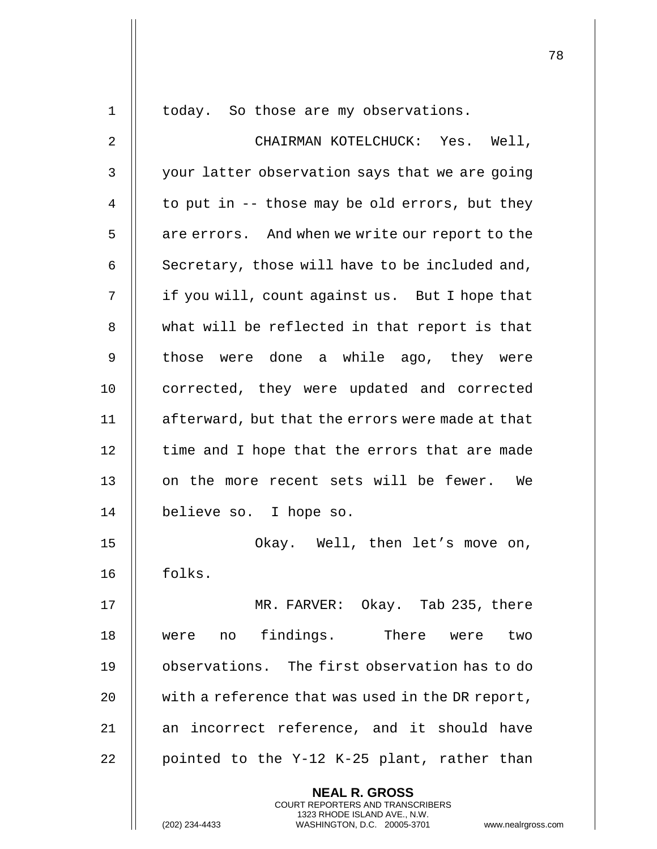| 1              | today. So those are my observations.                                                            |
|----------------|-------------------------------------------------------------------------------------------------|
| $\overline{2}$ | CHAIRMAN KOTELCHUCK: Yes. Well,                                                                 |
| $\mathsf{3}$   | your latter observation says that we are going                                                  |
| $\overline{4}$ | to put in $-$ those may be old errors, but they                                                 |
| 5              | are errors. And when we write our report to the                                                 |
| 6              | Secretary, those will have to be included and,                                                  |
| 7              | if you will, count against us. But I hope that                                                  |
| 8              | what will be reflected in that report is that                                                   |
| $\mathsf 9$    | those were done a while ago, they were                                                          |
| 10             | corrected, they were updated and corrected                                                      |
| 11             | afterward, but that the errors were made at that                                                |
| 12             | time and I hope that the errors that are made                                                   |
| 13             | on the more recent sets will be fewer. We                                                       |
| 14             | believe so. I hope so.                                                                          |
| 15             | Okay. Well, then let's move on,                                                                 |
| 16             | folks.                                                                                          |
| 17             | MR. FARVER: Okay. Tab 235, there                                                                |
| 18             | findings.<br>There were<br>were no<br>two                                                       |
| 19             | observations. The first observation has to do                                                   |
| 20             | with a reference that was used in the DR report,                                                |
| 21             | an incorrect reference, and it should have                                                      |
| 22             | pointed to the Y-12 K-25 plant, rather than                                                     |
|                | <b>NEAL R. GROSS</b><br>COURT REPORTERS AND TRANSCRIBERS                                        |
|                | 1323 RHODE ISLAND AVE., N.W.<br>WASHINGTON, D.C. 20005-3701<br>(202) 234-4433<br>www.nealrgross |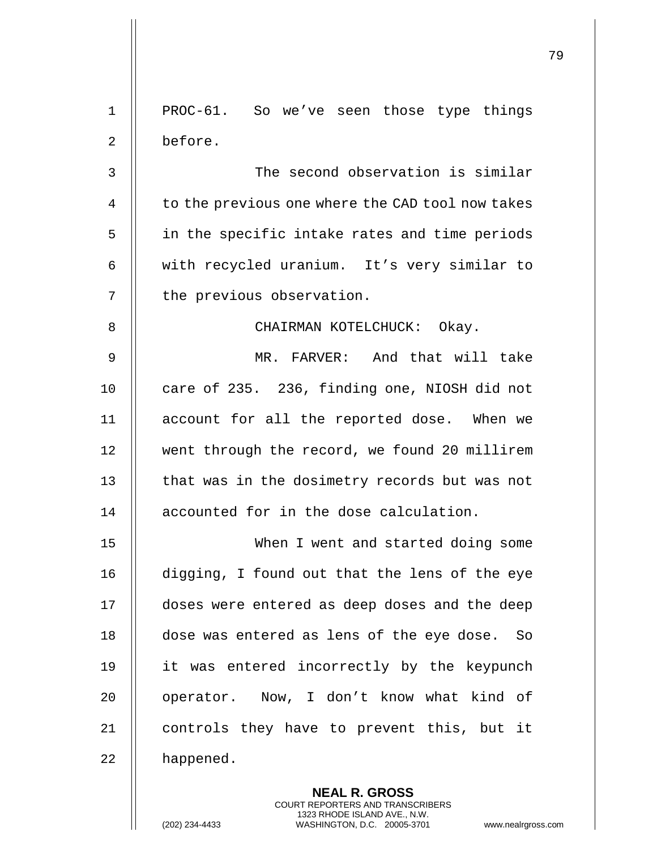|                |                                                                                                                                                                        | 79 |
|----------------|------------------------------------------------------------------------------------------------------------------------------------------------------------------------|----|
| $\mathbf 1$    | PROC-61. So we've seen those type things                                                                                                                               |    |
| $\overline{2}$ | before.                                                                                                                                                                |    |
| 3              | The second observation is similar                                                                                                                                      |    |
| 4              | to the previous one where the CAD tool now takes                                                                                                                       |    |
| 5              | in the specific intake rates and time periods                                                                                                                          |    |
| 6              | with recycled uranium. It's very similar to                                                                                                                            |    |
| 7              | the previous observation.                                                                                                                                              |    |
| 8              | CHAIRMAN KOTELCHUCK: Okay.                                                                                                                                             |    |
| 9              | MR. FARVER: And that will take                                                                                                                                         |    |
| 10             | care of 235. 236, finding one, NIOSH did not                                                                                                                           |    |
| 11             | account for all the reported dose. When we                                                                                                                             |    |
| 12             | went through the record, we found 20 millirem                                                                                                                          |    |
| 13             | that was in the dosimetry records but was not                                                                                                                          |    |
| 14             | accounted for in the dose calculation.                                                                                                                                 |    |
| 15             | When I went and started doing some                                                                                                                                     |    |
| 16             | digging, I found out that the lens of the eye                                                                                                                          |    |
| 17             | doses were entered as deep doses and the deep                                                                                                                          |    |
| 18             | dose was entered as lens of the eye dose. So                                                                                                                           |    |
| 19             | it was entered incorrectly by the keypunch                                                                                                                             |    |
| 20             | operator. Now, I don't know what kind of                                                                                                                               |    |
| 21             | controls they have to prevent this, but it                                                                                                                             |    |
| 22             | happened.                                                                                                                                                              |    |
|                | <b>NEAL R. GROSS</b><br><b>COURT REPORTERS AND TRANSCRIBERS</b><br>1323 RHODE ISLAND AVE., N.W.<br>(202) 234-4433<br>WASHINGTON, D.C. 20005-3701<br>www.nealrgross.com |    |

 $\mathsf I$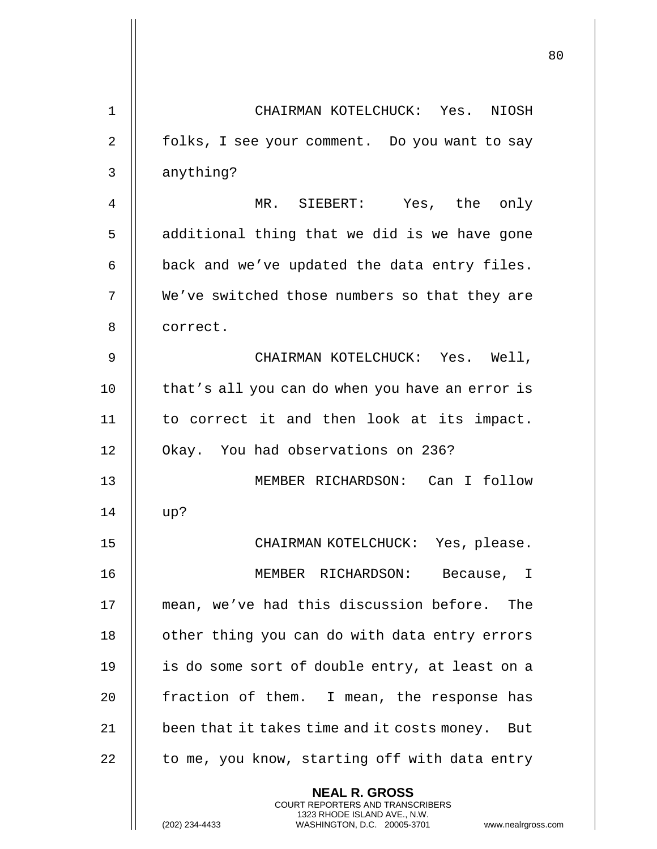|             |                                                                                                                                                                        | 80 |
|-------------|------------------------------------------------------------------------------------------------------------------------------------------------------------------------|----|
| $\mathbf 1$ | CHAIRMAN KOTELCHUCK: Yes. NIOSH                                                                                                                                        |    |
| 2           | folks, I see your comment. Do you want to say                                                                                                                          |    |
| 3           | anything?                                                                                                                                                              |    |
| 4           | MR. SIEBERT: Yes, the only                                                                                                                                             |    |
| 5           | additional thing that we did is we have gone                                                                                                                           |    |
| 6           | back and we've updated the data entry files.                                                                                                                           |    |
| 7           | We've switched those numbers so that they are                                                                                                                          |    |
| 8           | correct.                                                                                                                                                               |    |
| 9           | CHAIRMAN KOTELCHUCK: Yes. Well,                                                                                                                                        |    |
| 10          | that's all you can do when you have an error is                                                                                                                        |    |
| 11          | to correct it and then look at its impact.                                                                                                                             |    |
| 12          | Okay. You had observations on 236?                                                                                                                                     |    |
| 13          | MEMBER RICHARDSON: Can I follow                                                                                                                                        |    |
| 14          | up?                                                                                                                                                                    |    |
| 15          | CHAIRMAN KOTELCHUCK: Yes, please.                                                                                                                                      |    |
| 16          | MEMBER RICHARDSON:<br>Because, I                                                                                                                                       |    |
| 17          | mean, we've had this discussion before. The                                                                                                                            |    |
| 18          | other thing you can do with data entry errors                                                                                                                          |    |
| 19          | is do some sort of double entry, at least on a                                                                                                                         |    |
| 20          | fraction of them. I mean, the response has                                                                                                                             |    |
| 21          | been that it takes time and it costs money. But                                                                                                                        |    |
| 22          | to me, you know, starting off with data entry                                                                                                                          |    |
|             | <b>NEAL R. GROSS</b><br><b>COURT REPORTERS AND TRANSCRIBERS</b><br>1323 RHODE ISLAND AVE., N.W.<br>(202) 234-4433<br>WASHINGTON, D.C. 20005-3701<br>www.nealrgross.com |    |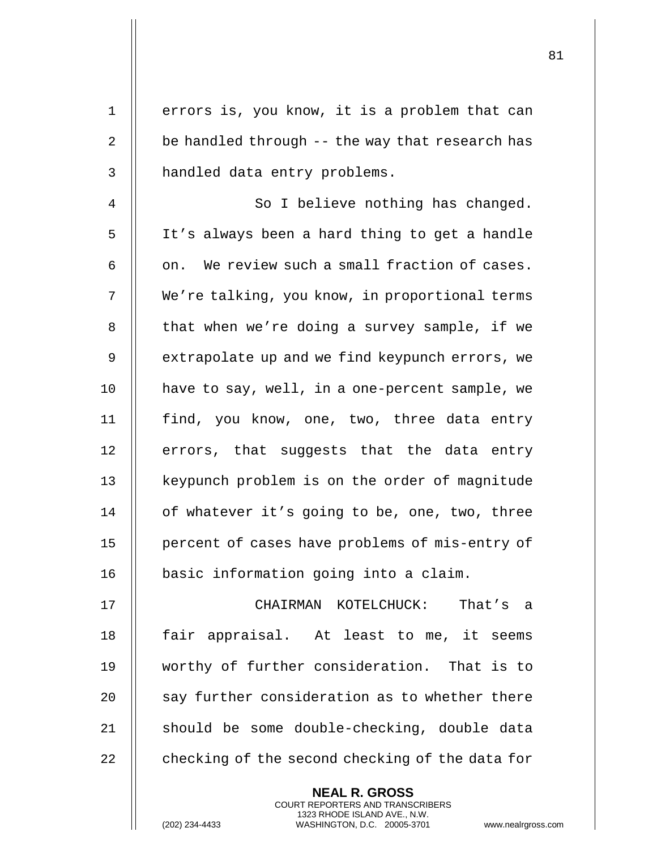| $\mathbf 1$ | errors is, you know, it is a problem that can                                                   |
|-------------|-------------------------------------------------------------------------------------------------|
| 2           | be handled through -- the way that research has                                                 |
| 3           | handled data entry problems.                                                                    |
| 4           | So I believe nothing has changed.                                                               |
| 5           | It's always been a hard thing to get a handle                                                   |
| 6           | on. We review such a small fraction of cases.                                                   |
| 7           | We're talking, you know, in proportional terms                                                  |
| 8           | that when we're doing a survey sample, if we                                                    |
| 9           | extrapolate up and we find keypunch errors, we                                                  |
| 10          | have to say, well, in a one-percent sample, we                                                  |
| 11          | find, you know, one, two, three data entry                                                      |
| 12          | errors, that suggests that the data entry                                                       |
| 13          | keypunch problem is on the order of magnitude                                                   |
| 14          | of whatever it's going to be, one, two, three                                                   |
| 15          | percent of cases have problems of mis-entry of                                                  |
| 16          | basic information going into a claim.                                                           |
| 17          | CHAIRMAN KOTELCHUCK: That's a                                                                   |
| 18          | fair appraisal. At least to me, it seems                                                        |
| 19          | worthy of further consideration. That is to                                                     |
| 20          | say further consideration as to whether there                                                   |
| 21          | should be some double-checking, double data                                                     |
| 22          | checking of the second checking of the data for                                                 |
|             | <b>NEAL R. GROSS</b><br><b>COURT REPORTERS AND TRANSCRIBERS</b>                                 |
|             | 1323 RHODE ISLAND AVE., N.W.<br>(202) 234-4433<br>WASHINGTON, D.C. 20005-3701<br>www.nealrgross |

(202) 234-4433 WASHINGTON, D.C. 20005-3701 www.nealrgross.com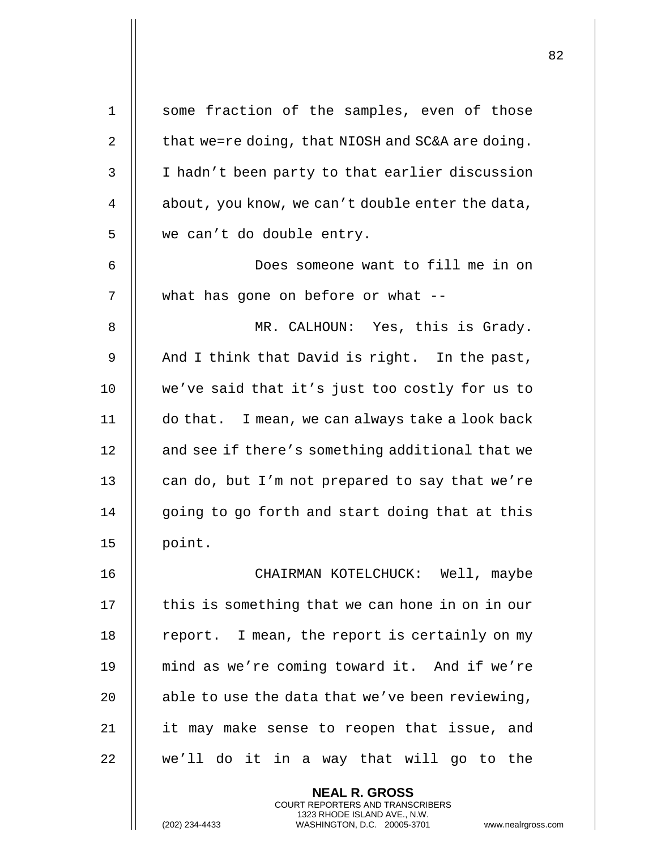| $\mathbf 1$ | some fraction of the samples, even of those                                                                                                                        |
|-------------|--------------------------------------------------------------------------------------------------------------------------------------------------------------------|
| 2           | that we=re doing, that NIOSH and SC&A are doing.                                                                                                                   |
| 3           | I hadn't been party to that earlier discussion                                                                                                                     |
| 4           | about, you know, we can't double enter the data,                                                                                                                   |
| 5           | we can't do double entry.                                                                                                                                          |
| 6           | Does someone want to fill me in on                                                                                                                                 |
| 7           | what has gone on before or what --                                                                                                                                 |
| 8           | MR. CALHOUN: Yes, this is Grady.                                                                                                                                   |
| 9           | And I think that David is right. In the past,                                                                                                                      |
| 10          | we've said that it's just too costly for us to                                                                                                                     |
| 11          | do that. I mean, we can always take a look back                                                                                                                    |
| 12          | and see if there's something additional that we                                                                                                                    |
| 13          | can do, but I'm not prepared to say that we're                                                                                                                     |
| 14          | going to go forth and start doing that at this                                                                                                                     |
| 15          | point.                                                                                                                                                             |
| 16          | CHAIRMAN KOTELCHUCK: Well, maybe                                                                                                                                   |
| 17          | this is something that we can hone in on in our                                                                                                                    |
| 18          | report. I mean, the report is certainly on my                                                                                                                      |
| 19          | mind as we're coming toward it. And if we're                                                                                                                       |
| 20          | able to use the data that we've been reviewing,                                                                                                                    |
| 21          | it may make sense to reopen that issue, and                                                                                                                        |
| 22          | we'll do it in a way that will go to the                                                                                                                           |
|             | <b>NEAL R. GROSS</b><br><b>COURT REPORTERS AND TRANSCRIBERS</b><br>1323 RHODE ISLAND AVE., N.W.<br>(202) 234-4433<br>WASHINGTON, D.C. 20005-3701<br>www.nealrgross |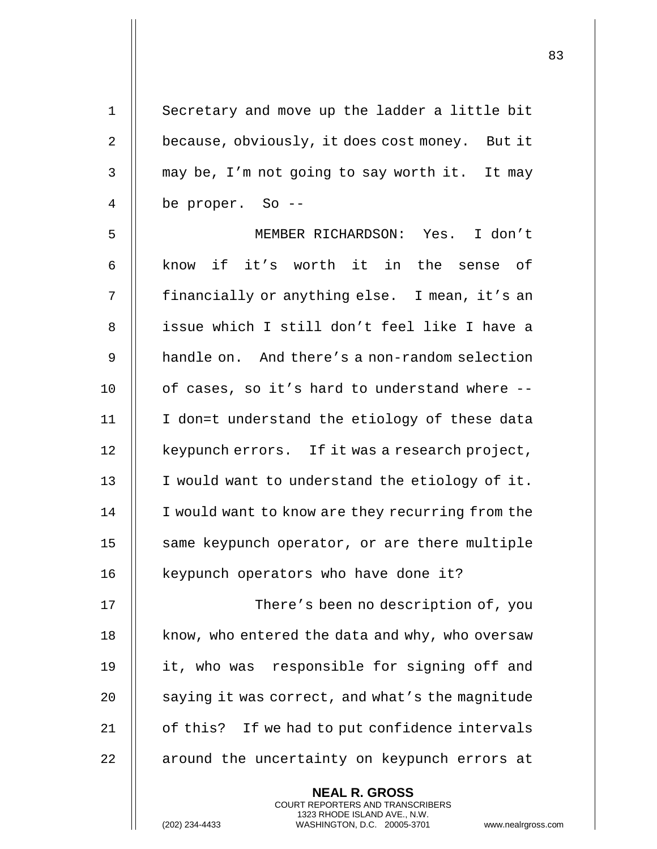**NEAL R. GROSS** 1 | Secretary and move up the ladder a little bit 2 | because, obviously, it does cost money. But it 3 | may be, I'm not going to say worth it. It may 4 be proper. So -- 5 MEMBER RICHARDSON: Yes. I don't 6  $\parallel$  know if it's worth it in the sense of 7 || financially or anything else. I mean, it's an 8 || issue which I still don't feel like I have a 9 **handle on.** And there's a non-random selection 10  $\parallel$  of cases, so it's hard to understand where --11 || I don=t understand the etiology of these data 12 | keypunch errors. If it was a research project, 13 || I would want to understand the etiology of it. 14 | I would want to know are they recurring from the 15 || same keypunch operator, or are there multiple 16 || keypunch operators who have done it? 17 There's been no description of, you 18 | know, who entered the data and why, who oversaw 19 || it, who was responsible for signing off and 20  $\parallel$  saying it was correct, and what's the magnitude 21 | of this? If we had to put confidence intervals 22 || around the uncertainty on keypunch errors at

COURT REPORTERS AND TRANSCRIBERS 1323 RHODE ISLAND AVE., N.W.

(202) 234-4433 WASHINGTON, D.C. 20005-3701 www.nealrgross.com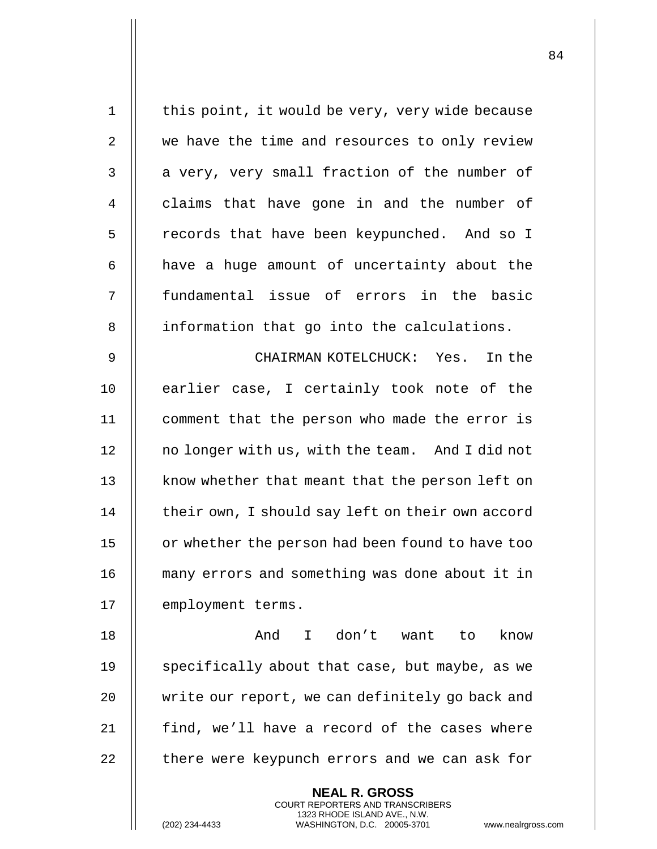| $\mathbf 1$ | this point, it would be very, very wide because                                                |
|-------------|------------------------------------------------------------------------------------------------|
| 2           | we have the time and resources to only review                                                  |
| 3           | a very, very small fraction of the number of                                                   |
| 4           | claims that have gone in and the number of                                                     |
| 5           | records that have been keypunched. And so I                                                    |
| 6           | have a huge amount of uncertainty about the                                                    |
| 7           | fundamental issue of errors in the basic                                                       |
| 8           | information that go into the calculations.                                                     |
| 9           | CHAIRMAN KOTELCHUCK: Yes. In the                                                               |
| 10          | earlier case, I certainly took note of the                                                     |
| 11          | comment that the person who made the error is                                                  |
| 12          | no longer with us, with the team. And I did not                                                |
| 13          | know whether that meant that the person left on                                                |
| 14          | their own, I should say left on their own accord                                               |
| 15          | or whether the person had been found to have too                                               |
| 16          | many errors and something was done about it in                                                 |
| 17          | employment terms.                                                                              |
| 18          | And<br>I don't want to<br>know                                                                 |
| 19          | specifically about that case, but maybe, as we                                                 |
| 20          | write our report, we can definitely go back and                                                |
| 21          | find, we'll have a record of the cases where                                                   |
| 22          | there were keypunch errors and we can ask for                                                  |
|             | <b>NEAL R. GROSS</b><br>COURT REPORTERS AND TRANSCRIBERS                                       |
|             | 1323 RHODE ISLAND AVE., N.W.<br>WASHINGTON, D.C. 20005-3701<br>(202) 234-4433<br>www.nealrgros |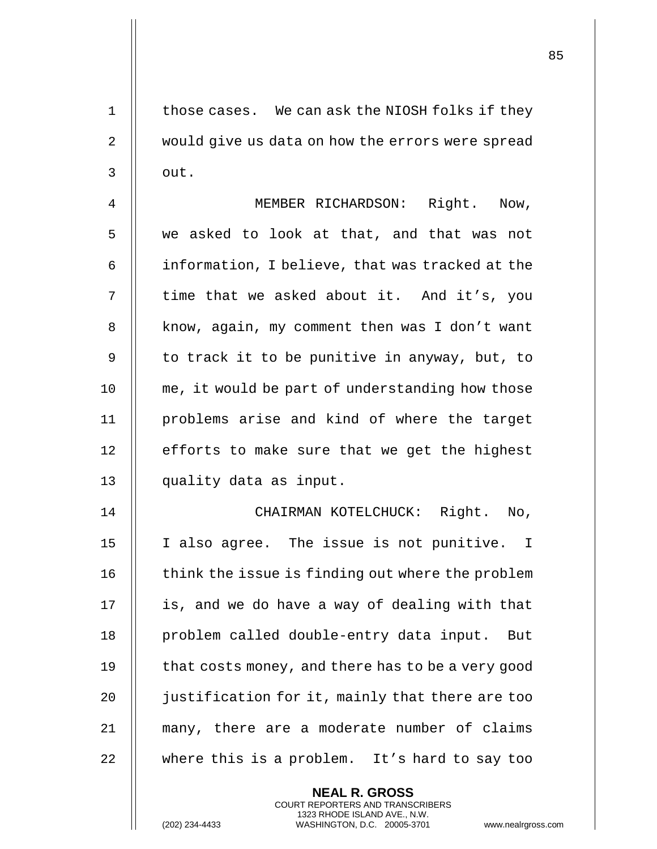1 || those cases. We can ask the NIOSH folks if they 2 | would give us data on how the errors were spread  $3 \parallel$  out.

4 || MEMBER RICHARDSON: Right. Now, 5 we asked to look at that, and that was not  $6$  | information, I believe, that was tracked at the 7 || time that we asked about it. And it's, you 8 | know, again, my comment then was I don't want  $9 \parallel$  to track it to be punitive in anyway, but, to 10 || me, it would be part of understanding how those 11 problems arise and kind of where the target  $12$  | efforts to make sure that we get the highest 13 quality data as input.

 CHAIRMAN KOTELCHUCK: Right. No, I also agree. The issue is not punitive. I  $\parallel$  think the issue is finding out where the problem 17 || is, and we do have a way of dealing with that 18 || problem called double-entry data input. But  $\parallel$  that costs money, and there has to be a very good **d** justification for it, mainly that there are too many, there are a moderate number of claims 22 || where this is a problem. It's hard to say too

> **NEAL R. GROSS** COURT REPORTERS AND TRANSCRIBERS 1323 RHODE ISLAND AVE., N.W.

(202) 234-4433 WASHINGTON, D.C. 20005-3701 www.nealrgross.com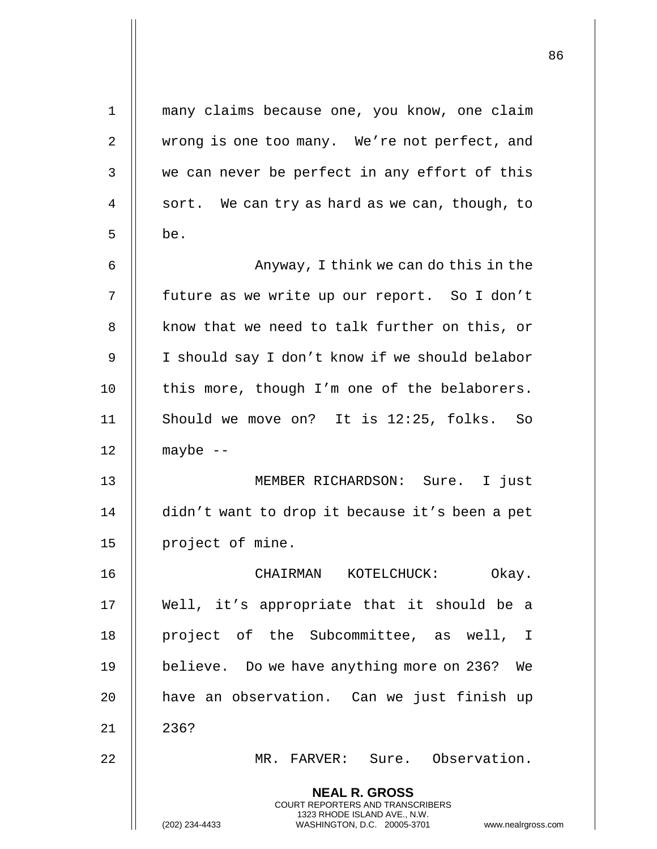| $\mathbf{1}$ | many claims because one, you know, one claim                                                                                                                        |
|--------------|---------------------------------------------------------------------------------------------------------------------------------------------------------------------|
| 2            | wrong is one too many. We're not perfect, and                                                                                                                       |
| 3            | we can never be perfect in any effort of this                                                                                                                       |
| 4            | sort. We can try as hard as we can, though, to                                                                                                                      |
| 5            | be.                                                                                                                                                                 |
| 6            | Anyway, I think we can do this in the                                                                                                                               |
| 7            | future as we write up our report. So I don't                                                                                                                        |
| 8            | know that we need to talk further on this, or                                                                                                                       |
| 9            | I should say I don't know if we should belabor                                                                                                                      |
| 10           | this more, though I'm one of the belaborers.                                                                                                                        |
| 11           | Should we move on? It is 12:25, folks. So                                                                                                                           |
| 12           | maybe $--$                                                                                                                                                          |
| 13           | MEMBER RICHARDSON: Sure. I just                                                                                                                                     |
| 14           | didn't want to drop it because it's been a pet                                                                                                                      |
| 15           | project of mine.                                                                                                                                                    |
| 16           | Okay.<br>CHAIRMAN KOTELCHUCK:                                                                                                                                       |
| 17           | Well, it's appropriate that it should be a                                                                                                                          |
| 18           | project of the Subcommittee, as well, I                                                                                                                             |
| 19           | believe. Do we have anything more on 236? We                                                                                                                        |
| 20           | have an observation. Can we just finish up                                                                                                                          |
| 21           | 236?                                                                                                                                                                |
| 22           | MR. FARVER: Sure. Observation.                                                                                                                                      |
|              | <b>NEAL R. GROSS</b><br><b>COURT REPORTERS AND TRANSCRIBERS</b><br>1323 RHODE ISLAND AVE., N.W.<br>(202) 234-4433<br>WASHINGTON, D.C. 20005-3701 www.nealrgross.com |

 $\overline{1}$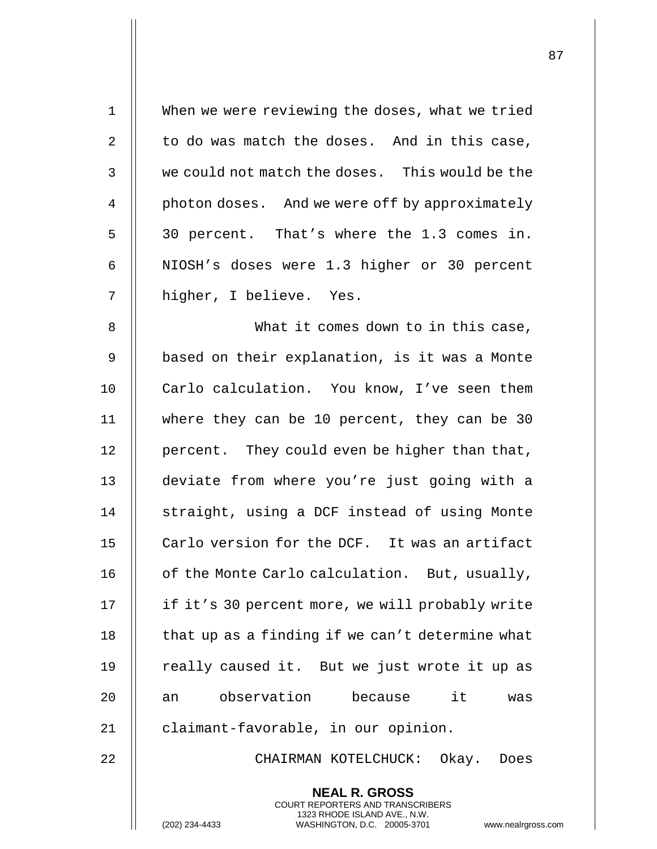| $\mathbf{1}$ | When we were reviewing the doses, what we tried                                                     |
|--------------|-----------------------------------------------------------------------------------------------------|
| 2            | to do was match the doses. And in this case,                                                        |
| 3            | we could not match the doses. This would be the                                                     |
| 4            | photon doses. And we were off by approximately                                                      |
| 5            | 30 percent. That's where the 1.3 comes in.                                                          |
| 6            | NIOSH's doses were 1.3 higher or 30 percent                                                         |
| 7            | higher, I believe. Yes.                                                                             |
| 8            | What it comes down to in this case,                                                                 |
| 9            | based on their explanation, is it was a Monte                                                       |
| 10           | Carlo calculation. You know, I've seen them                                                         |
| 11           | where they can be 10 percent, they can be 30                                                        |
| 12           | percent. They could even be higher than that,                                                       |
| 13           | deviate from where you're just going with a                                                         |
| 14           | straight, using a DCF instead of using Monte                                                        |
| 15           | Carlo version for the DCF. It was an artifact                                                       |
| 16           | of the Monte Carlo calculation. But, usually,                                                       |
| 17           | if it's 30 percent more, we will probably write                                                     |
| 18           | that up as a finding if we can't determine what                                                     |
| 19           | really caused it. But we just wrote it up as                                                        |
| 20           | observation because it<br>an<br>was                                                                 |
| 21           | claimant-favorable, in our opinion.                                                                 |
| 22           | CHAIRMAN KOTELCHUCK: Okay. Does                                                                     |
|              | <b>NEAL R. GROSS</b><br><b>COURT REPORTERS AND TRANSCRIBERS</b>                                     |
|              | 1323 RHODE ISLAND AVE., N.W.<br>(202) 234-4433<br>WASHINGTON, D.C. 20005-3701<br>www.nealrgross.com |

 $\mathbf{I}$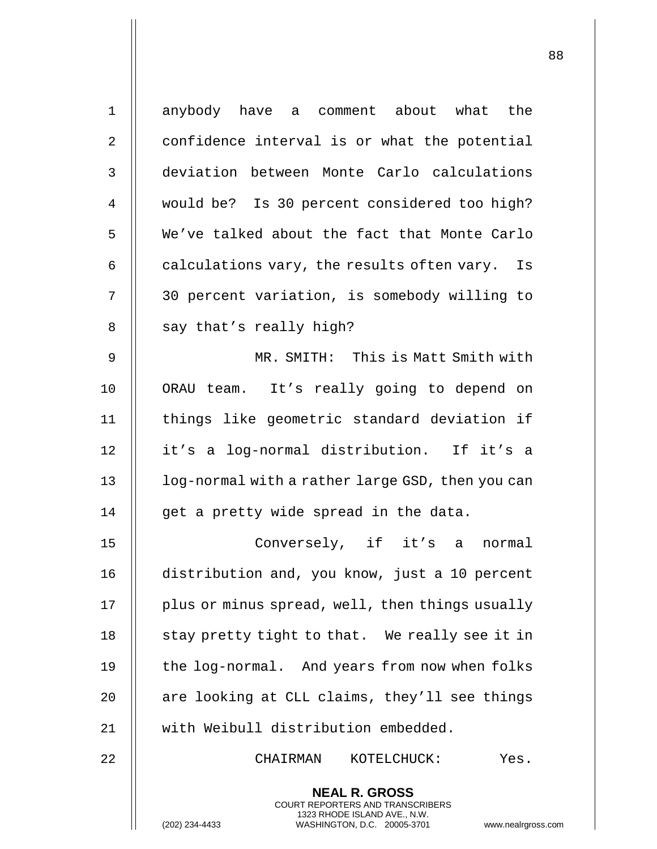| 1  | anybody have a comment about what the                                                                                                                              |
|----|--------------------------------------------------------------------------------------------------------------------------------------------------------------------|
| 2  | confidence interval is or what the potential                                                                                                                       |
| 3  | deviation between Monte Carlo calculations                                                                                                                         |
| 4  | would be? Is 30 percent considered too high?                                                                                                                       |
| 5  | We've talked about the fact that Monte Carlo                                                                                                                       |
| 6  | calculations vary, the results often vary. Is                                                                                                                      |
| 7  | 30 percent variation, is somebody willing to                                                                                                                       |
| 8  | say that's really high?                                                                                                                                            |
| 9  | MR. SMITH: This is Matt Smith with                                                                                                                                 |
| 10 | ORAU team. It's really going to depend on                                                                                                                          |
| 11 | things like geometric standard deviation if                                                                                                                        |
| 12 | it's a log-normal distribution. If it's a                                                                                                                          |
| 13 | log-normal with a rather large GSD, then you can                                                                                                                   |
| 14 | get a pretty wide spread in the data.                                                                                                                              |
| 15 | Conversely, if it's a normal                                                                                                                                       |
| 16 | distribution and, you know, just a 10 percent                                                                                                                      |
| 17 | plus or minus spread, well, then things usually                                                                                                                    |
| 18 | stay pretty tight to that. We really see it in                                                                                                                     |
| 19 | the log-normal. And years from now when folks                                                                                                                      |
| 20 | are looking at CLL claims, they'll see things                                                                                                                      |
| 21 | with Weibull distribution embedded.                                                                                                                                |
| 22 | CHAIRMAN<br>KOTELCHUCK:<br>Yes.                                                                                                                                    |
|    | <b>NEAL R. GROSS</b><br><b>COURT REPORTERS AND TRANSCRIBERS</b><br>1323 RHODE ISLAND AVE., N.W.<br>WASHINGTON, D.C. 20005-3701<br>(202) 234-4433<br>www.nealrgross |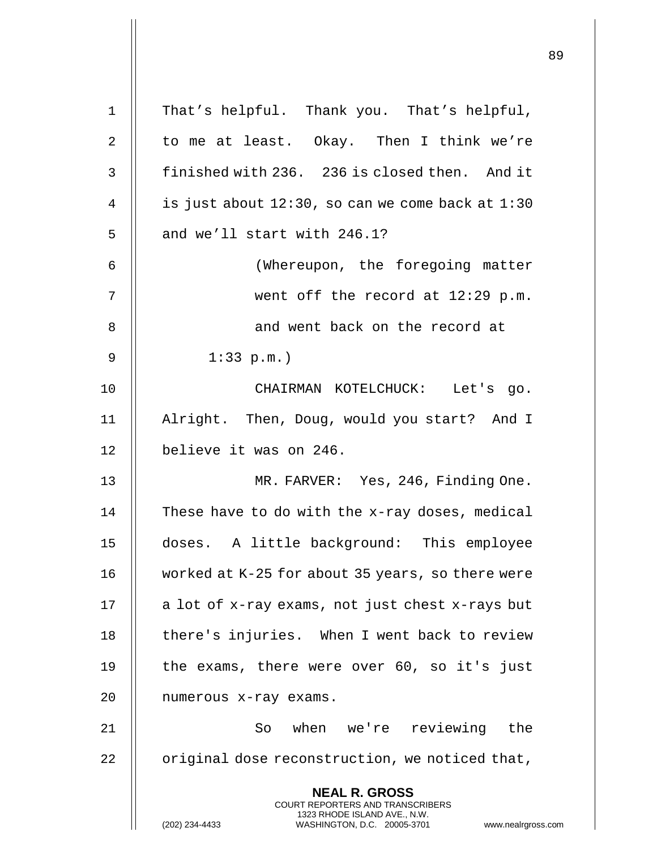|             |                                                                                                                                                                 | 89 |
|-------------|-----------------------------------------------------------------------------------------------------------------------------------------------------------------|----|
| $\mathbf 1$ | That's helpful. Thank you. That's helpful,                                                                                                                      |    |
| 2           | to me at least. Okay. Then I think we're                                                                                                                        |    |
| 3           | finished with 236. 236 is closed then. And it                                                                                                                   |    |
| 4           | is just about $12:30$ , so can we come back at $1:30$                                                                                                           |    |
| 5           | and we'll start with 246.1?                                                                                                                                     |    |
| 6           | (Whereupon, the foregoing matter                                                                                                                                |    |
| 7           | went off the record at $12:29$ p.m.                                                                                                                             |    |
| 8           | and went back on the record at                                                                                                                                  |    |
| 9           | $1:33$ p.m.)                                                                                                                                                    |    |
| 10          | CHAIRMAN KOTELCHUCK: Let's go.                                                                                                                                  |    |
| 11          | Alright. Then, Doug, would you start? And I                                                                                                                     |    |
| 12          | believe it was on 246.                                                                                                                                          |    |
| 13          | MR. FARVER: Yes, 246, Finding One.                                                                                                                              |    |
| 14          | These have to do with the x-ray doses, medical                                                                                                                  |    |
| 15          | doses. A little background: This employee                                                                                                                       |    |
| 16          | worked at K-25 for about 35 years, so there were                                                                                                                |    |
| 17          | a lot of x-ray exams, not just chest x-rays but                                                                                                                 |    |
| 18          | there's injuries. When I went back to review                                                                                                                    |    |
| 19          | the exams, there were over 60, so it's just                                                                                                                     |    |
| 20          | numerous x-ray exams.                                                                                                                                           |    |
| 21          | So when we're reviewing the                                                                                                                                     |    |
| 22          | original dose reconstruction, we noticed that,                                                                                                                  |    |
|             | <b>NEAL R. GROSS</b><br>COURT REPORTERS AND TRANSCRIBERS<br>1323 RHODE ISLAND AVE., N.W.<br>(202) 234-4433<br>WASHINGTON, D.C. 20005-3701<br>www.nealrgross.com |    |

 $\mathbf{I}$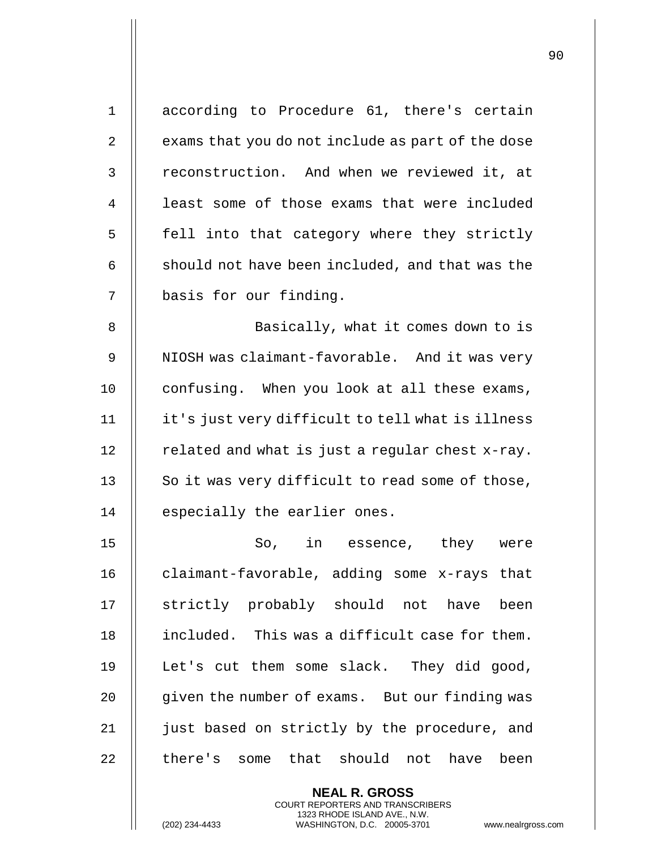| $\mathbf{1}$   | according to Procedure 61, there's certain        |
|----------------|---------------------------------------------------|
| $\overline{2}$ | exams that you do not include as part of the dose |
| 3              | reconstruction. And when we reviewed it, at       |
| 4              | least some of those exams that were included      |
| 5              | fell into that category where they strictly       |
| 6              | should not have been included, and that was the   |
| 7              | basis for our finding.                            |
| 8              | Basically, what it comes down to is               |
| 9              | NIOSH was claimant-favorable. And it was very     |
| 10             | confusing. When you look at all these exams,      |
| 11             | it's just very difficult to tell what is illness  |
| 12             | related and what is just a regular chest x-ray.   |
| 13             | So it was very difficult to read some of those,   |
| 14             | especially the earlier ones.                      |
| 15             | So, in essence, they were                         |
| 16             | claimant-favorable, adding some x-rays that       |
| 17             | strictly probably should not have been            |
| 18             | included. This was a difficult case for them.     |
| 19             | Let's cut them some slack. They did good,         |
| 20             | given the number of exams. But our finding was    |
| 21             | just based on strictly by the procedure, and      |
| 22             | there's some that should not have been            |
|                | <b>NEAL R. GROSS</b>                              |

COURT REPORTERS AND TRANSCRIBERS 1323 RHODE ISLAND AVE., N.W.

(202) 234-4433 WASHINGTON, D.C. 20005-3701 www.nealrgross.com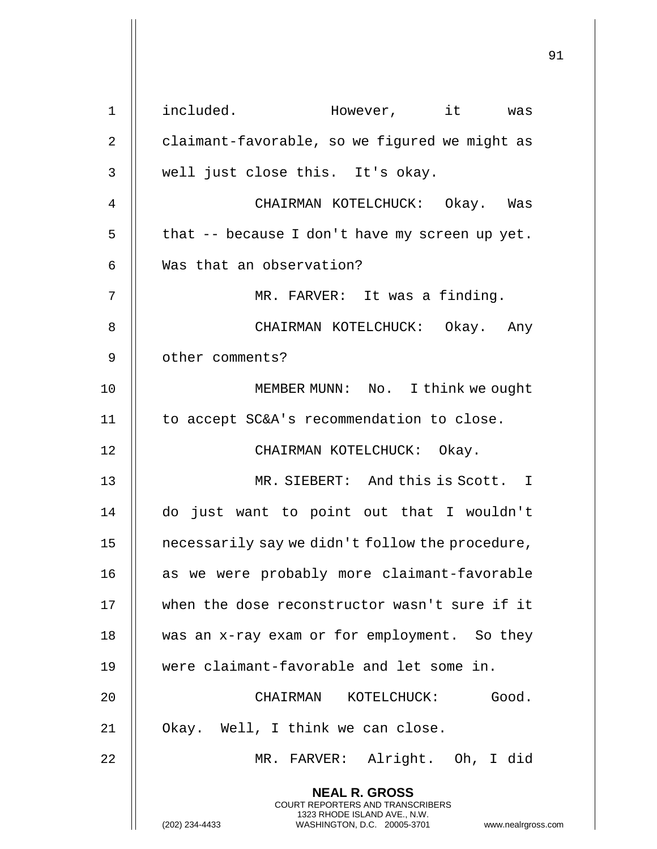| $\mathbf 1$ | included. However, it was                                                                        |
|-------------|--------------------------------------------------------------------------------------------------|
| 2           | claimant-favorable, so we figured we might as                                                    |
| 3           | well just close this. It's okay.                                                                 |
| 4           | CHAIRMAN KOTELCHUCK: Okay. Was                                                                   |
| 5           | that -- because I don't have my screen up yet.                                                   |
| 6           | Was that an observation?                                                                         |
| 7           | MR. FARVER: It was a finding.                                                                    |
| 8           | CHAIRMAN KOTELCHUCK: Okay. Any                                                                   |
| 9           | other comments?                                                                                  |
| 10          | MEMBER MUNN: No. I think we ought                                                                |
| 11          | to accept SC&A's recommendation to close.                                                        |
| 12          | CHAIRMAN KOTELCHUCK: Okay.                                                                       |
| 13          | MR. SIEBERT: And this is Scott. I                                                                |
| 14          | do just want to point out that I wouldn't                                                        |
| 15          | necessarily say we didn't follow the procedure,                                                  |
| 16          | as we were probably more claimant-favorable                                                      |
| 17          | when the dose reconstructor wasn't sure if it                                                    |
| 18          | was an x-ray exam or for employment. So they                                                     |
| 19          | were claimant-favorable and let some in.                                                         |
| 20          | CHAIRMAN KOTELCHUCK:<br>Good.                                                                    |
| 21          | Okay. Well, I think we can close.                                                                |
| 22          | MR. FARVER: Alright. Oh, I did                                                                   |
|             | <b>NEAL R. GROSS</b><br><b>COURT REPORTERS AND TRANSCRIBERS</b>                                  |
|             | 1323 RHODE ISLAND AVE., N.W.<br>(202) 234-4433<br>WASHINGTON, D.C. 20005-3701 www.nealrgross.com |

Η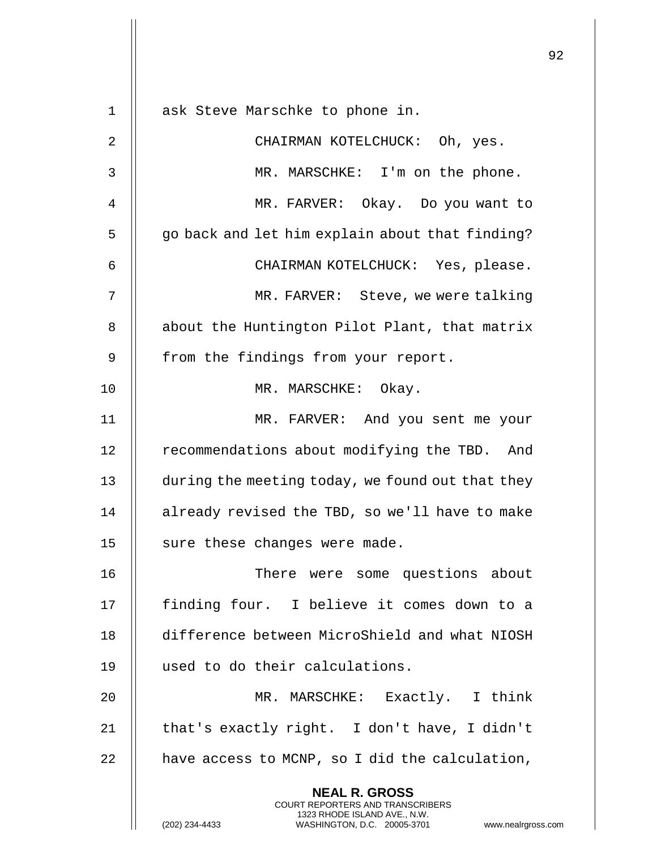**NEAL R. GROSS** COURT REPORTERS AND TRANSCRIBERS 1323 RHODE ISLAND AVE., N.W. 1 || ask Steve Marschke to phone in. 2 CHAIRMAN KOTELCHUCK: Oh, yes. 3 MR. MARSCHKE: I'm on the phone. 4 MR. FARVER: Okay. Do you want to 5 | go back and let him explain about that finding? 6 CHAIRMAN KOTELCHUCK: Yes, please. 7 MR. FARVER: Steve, we were talking 8 | about the Huntington Pilot Plant, that matrix 9 || from the findings from your report. 10 || MR. MARSCHKE: Okay. 11 MR. FARVER: And you sent me your 12 | recommendations about modifying the TBD. And 13 | during the meeting today, we found out that they 14 | already revised the TBD, so we'll have to make 15 || sure these changes were made. 16 There were some questions about 17 || finding four. I believe it comes down to a 18 difference between MicroShield and what NIOSH 19 || used to do their calculations. 20 MR. MARSCHKE: Exactly. I think 21  $\parallel$  that's exactly right. I don't have, I didn't  $22$  | have access to MCNP, so I did the calculation,

(202) 234-4433 WASHINGTON, D.C. 20005-3701 www.nealrgross.com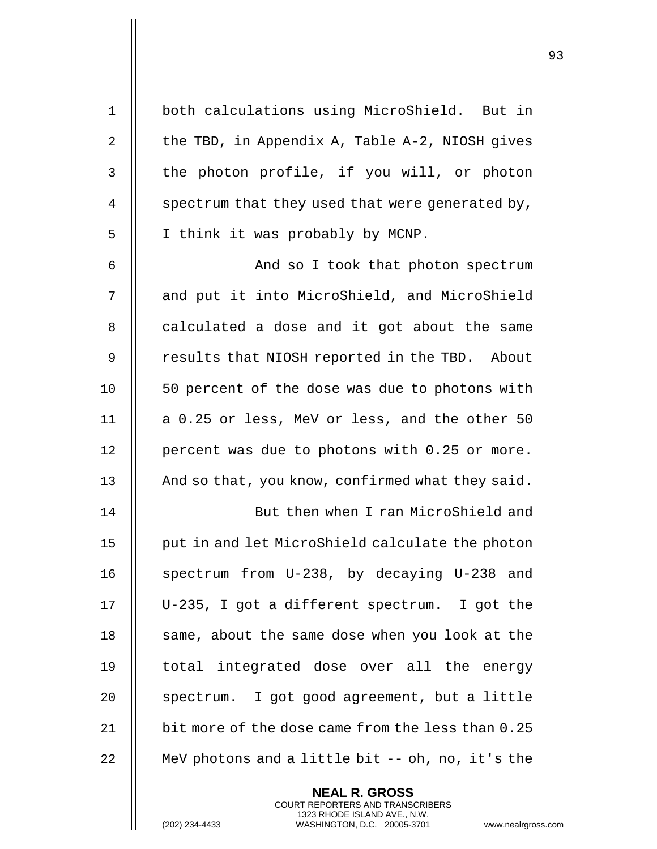| $\mathbf 1$    | both calculations using MicroShield. But in       |
|----------------|---------------------------------------------------|
| $\overline{2}$ | the TBD, in Appendix A, Table A-2, NIOSH gives    |
| 3              | the photon profile, if you will, or photon        |
| $\overline{4}$ | spectrum that they used that were generated by,   |
| 5              | I think it was probably by MCNP.                  |
| 6              | And so I took that photon spectrum                |
| 7              | and put it into MicroShield, and MicroShield      |
| 8              | calculated a dose and it got about the same       |
| 9              | results that NIOSH reported in the TBD. About     |
| 10             | 50 percent of the dose was due to photons with    |
| 11             | a 0.25 or less, MeV or less, and the other 50     |
| 12             | percent was due to photons with 0.25 or more.     |
| 13             | And so that, you know, confirmed what they said.  |
| 14             | But then when I ran MicroShield and               |
| 15             | put in and let MicroShield calculate the photon   |
| 16             | spectrum from U-238, by decaying U-238 and        |
| 17             | U-235, I got a different spectrum. I got the      |
| 18             | same, about the same dose when you look at the    |
| 19             | total integrated dose over all the energy         |
| 20             | spectrum. I got good agreement, but a little      |
| 21             | bit more of the dose came from the less than 0.25 |
| 22             | MeV photons and a little bit -- oh, no, it's the  |

**NEAL R. GROSS** COURT REPORTERS AND TRANSCRIBERS 1323 RHODE ISLAND AVE., N.W.

(202) 234-4433 WASHINGTON, D.C. 20005-3701 www.nealrgross.com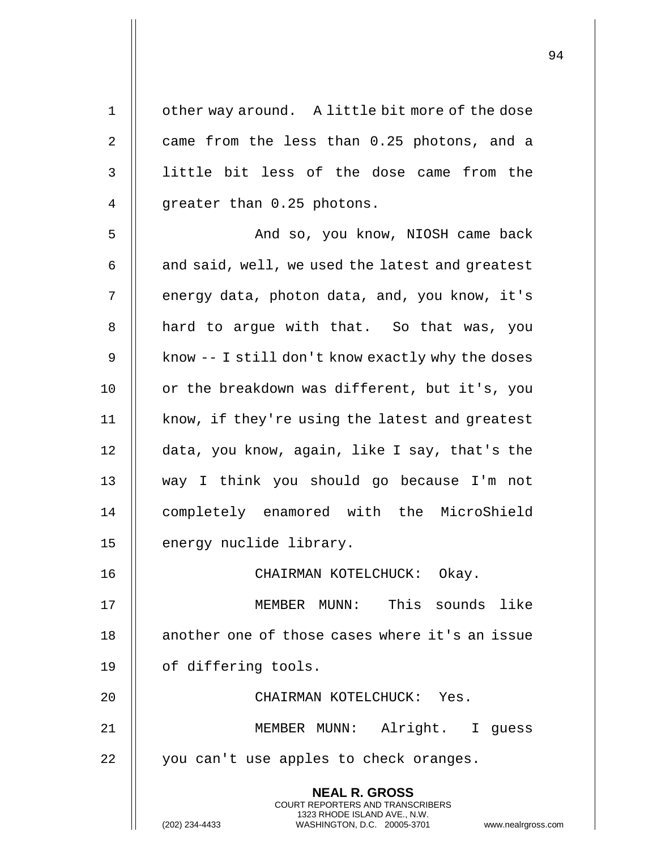| $\mathbf 1$ | other way around. A little bit more of the dose                                                                                                                    |
|-------------|--------------------------------------------------------------------------------------------------------------------------------------------------------------------|
| 2           | came from the less than 0.25 photons, and a                                                                                                                        |
| 3           | little bit less of the dose came from the                                                                                                                          |
| 4           | greater than 0.25 photons.                                                                                                                                         |
| 5           | And so, you know, NIOSH came back                                                                                                                                  |
| 6           | and said, well, we used the latest and greatest                                                                                                                    |
| 7           | energy data, photon data, and, you know, it's                                                                                                                      |
| 8           | hard to argue with that. So that was, you                                                                                                                          |
| 9           | know -- I still don't know exactly why the doses                                                                                                                   |
| 10          | or the breakdown was different, but it's, you                                                                                                                      |
| 11          | know, if they're using the latest and greatest                                                                                                                     |
| 12          | data, you know, again, like I say, that's the                                                                                                                      |
| 13          | way I think you should go because I'm not                                                                                                                          |
| 14          | completely enamored with the MicroShield                                                                                                                           |
| 15          | energy nuclide library.                                                                                                                                            |
| 16          | CHAIRMAN KOTELCHUCK: Okay.                                                                                                                                         |
| 17          | MEMBER MUNN: This sounds like                                                                                                                                      |
| 18          | another one of those cases where it's an issue                                                                                                                     |
| 19          | of differing tools.                                                                                                                                                |
| 20          | CHAIRMAN KOTELCHUCK: Yes.                                                                                                                                          |
| 21          | MEMBER MUNN: Alright. I guess                                                                                                                                      |
| 22          | you can't use apples to check oranges.                                                                                                                             |
|             | <b>NEAL R. GROSS</b><br><b>COURT REPORTERS AND TRANSCRIBERS</b><br>1323 RHODE ISLAND AVE., N.W.<br>(202) 234-4433<br>WASHINGTON, D.C. 20005-3701<br>www.nealrgross |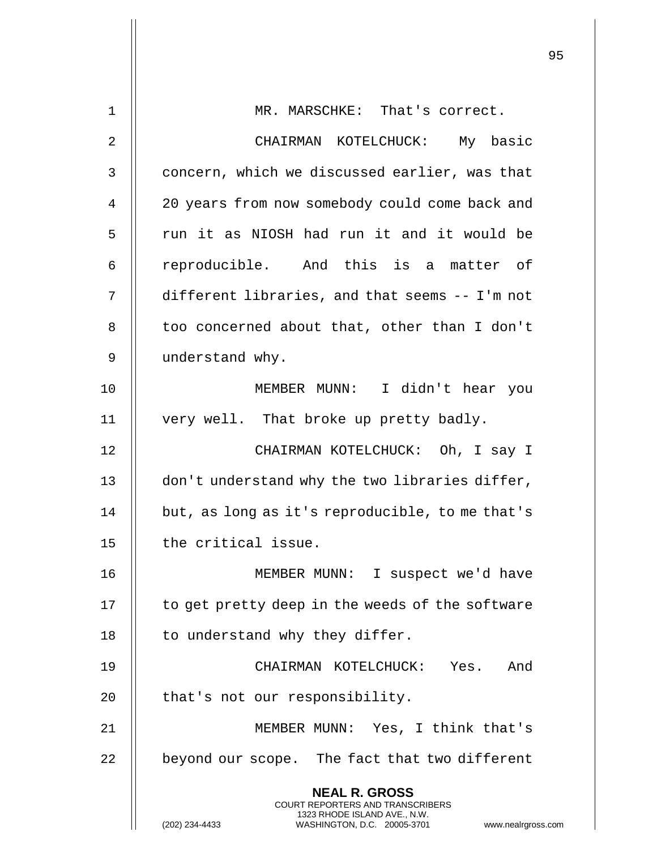|             |                                                                                                     | 95 |
|-------------|-----------------------------------------------------------------------------------------------------|----|
| $\mathbf 1$ | MR. MARSCHKE: That's correct.                                                                       |    |
|             |                                                                                                     |    |
| 2           | CHAIRMAN KOTELCHUCK: My basic                                                                       |    |
| 3           | concern, which we discussed earlier, was that                                                       |    |
| 4           | 20 years from now somebody could come back and                                                      |    |
| 5           | run it as NIOSH had run it and it would be                                                          |    |
| 6           | reproducible. And this is a matter of                                                               |    |
| 7           | different libraries, and that seems -- I'm not                                                      |    |
| 8           | too concerned about that, other than I don't                                                        |    |
| 9           | understand why.                                                                                     |    |
| 10          | MEMBER MUNN: I didn't hear you                                                                      |    |
| 11          | very well. That broke up pretty badly.                                                              |    |
| 12          | CHAIRMAN KOTELCHUCK: Oh, I say I                                                                    |    |
| 13          | don't understand why the two libraries differ,                                                      |    |
| 14          | but, as long as it's reproducible, to me that's                                                     |    |
| 15          | the critical issue.                                                                                 |    |
| 16          | MEMBER MUNN: I suspect we'd have                                                                    |    |
| 17          | to get pretty deep in the weeds of the software                                                     |    |
| 18          | to understand why they differ.                                                                      |    |
| 19          | CHAIRMAN KOTELCHUCK: Yes. And                                                                       |    |
| 20          | that's not our responsibility.                                                                      |    |
| 21          | MEMBER MUNN: Yes, I think that's                                                                    |    |
| 22          | beyond our scope. The fact that two different                                                       |    |
|             | <b>NEAL R. GROSS</b><br><b>COURT REPORTERS AND TRANSCRIBERS</b>                                     |    |
|             | 1323 RHODE ISLAND AVE., N.W.<br>WASHINGTON, D.C. 20005-3701<br>(202) 234-4433<br>www.nealrgross.com |    |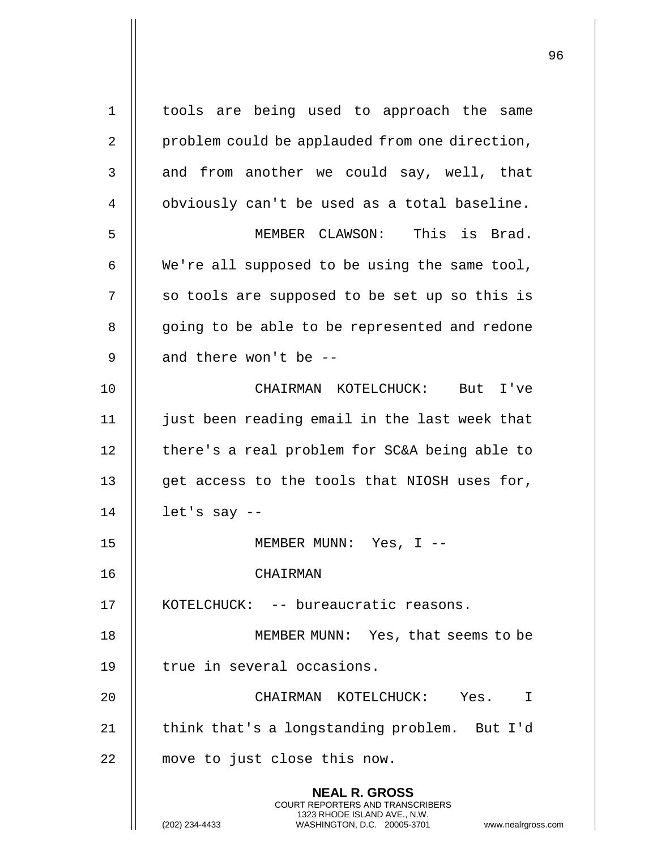**NEAL R. GROSS** COURT REPORTERS AND TRANSCRIBERS 1323 RHODE ISLAND AVE., N.W. 1 || tools are being used to approach the same 2 | problem could be applauded from one direction, 3 || and from another we could say, well, that 4 | obviously can't be used as a total baseline. 5 MEMBER CLAWSON: This is Brad. 6 We're all supposed to be using the same tool, 7 || so tools are supposed to be set up so this is 8 || going to be able to be represented and redone 9  $\parallel$  and there won't be --10 CHAIRMAN KOTELCHUCK: But I've 11 || just been reading email in the last week that 12 | there's a real problem for SC&A being able to 13 || get access to the tools that NIOSH uses for,  $14$  | let's say  $-$ 15 MEMBER MUNN: Yes, I -- 16 CHAIRMAN 17 KOTELCHUCK: -- bureaucratic reasons. 18 || MEMBER MUNN: Yes, that seems to be 19 || true in several occasions. 20 CHAIRMAN KOTELCHUCK: Yes. I 21 | think that's a longstanding problem. But I'd 22 || move to just close this now.

(202) 234-4433 WASHINGTON, D.C. 20005-3701 www.nealrgross.com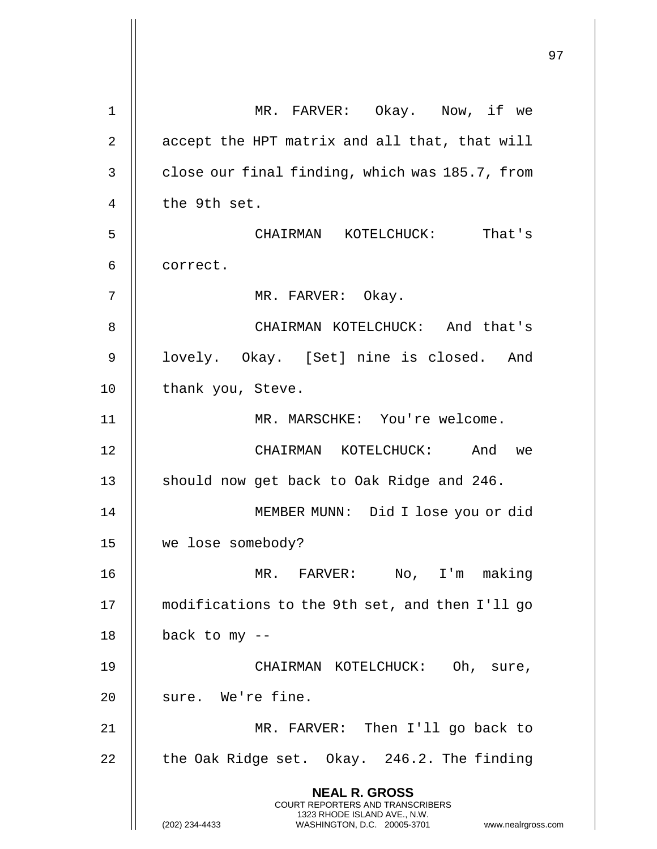|             |                                                                                          | 97 |
|-------------|------------------------------------------------------------------------------------------|----|
| $\mathbf 1$ | MR. FARVER: Okay. Now, if we                                                             |    |
| 2           | accept the HPT matrix and all that, that will                                            |    |
| 3           | close our final finding, which was 185.7, from                                           |    |
| 4           | the 9th set.                                                                             |    |
| 5           | CHAIRMAN KOTELCHUCK: That's                                                              |    |
| 6           | correct.                                                                                 |    |
| 7           | MR. FARVER: Okay.                                                                        |    |
| 8           | CHAIRMAN KOTELCHUCK: And that's                                                          |    |
| 9           | lovely. Okay. [Set] nine is closed. And                                                  |    |
| 10          | thank you, Steve.                                                                        |    |
| 11          | MR. MARSCHKE: You're welcome.                                                            |    |
| 12          | CHAIRMAN KOTELCHUCK: And we                                                              |    |
| 13          | should now get back to Oak Ridge and 246.                                                |    |
| 14          | MEMBER MUNN: Did I lose you or did                                                       |    |
| 15          | we lose somebody?                                                                        |    |
| 16          | MR. FARVER: No, I'm making                                                               |    |
| 17          | modifications to the 9th set, and then I'll go                                           |    |
| 18          | back to my --                                                                            |    |
| 19          | CHAIRMAN KOTELCHUCK: Oh, sure,                                                           |    |
| 20          | sure. We're fine.                                                                        |    |
| 21          | MR. FARVER: Then I'll go back to                                                         |    |
| 22          | the Oak Ridge set. Okay. 246.2. The finding                                              |    |
|             | <b>NEAL R. GROSS</b><br>COURT REPORTERS AND TRANSCRIBERS<br>1323 RHODE ISLAND AVE., N.W. |    |
|             | (202) 234-4433<br>WASHINGTON, D.C. 20005-3701<br>www.nealrgross.com                      |    |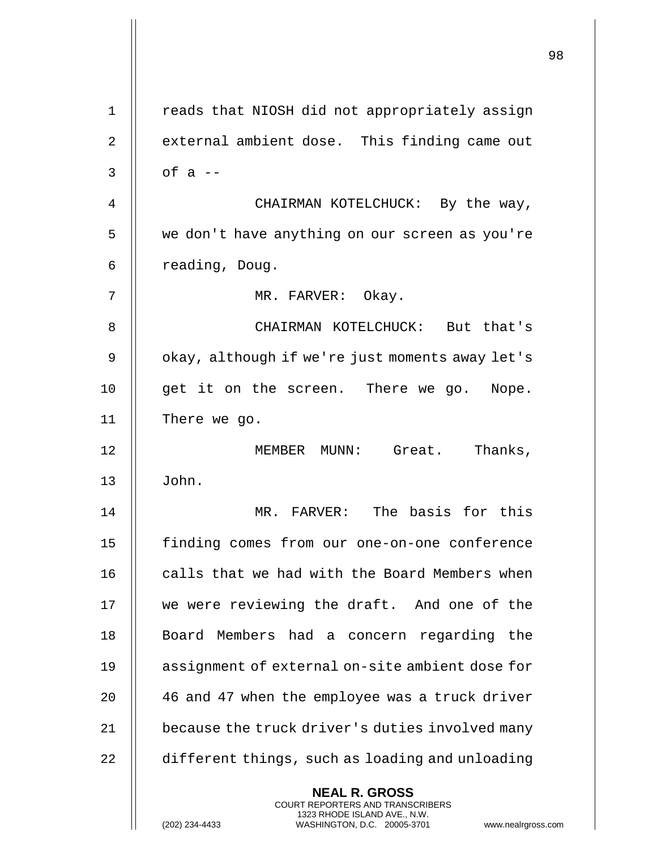|             |                                                                                                                                                                        | 98 |
|-------------|------------------------------------------------------------------------------------------------------------------------------------------------------------------------|----|
| $\mathbf 1$ | reads that NIOSH did not appropriately assign                                                                                                                          |    |
| 2           | external ambient dose. This finding came out                                                                                                                           |    |
| 3           | of $a$ --                                                                                                                                                              |    |
| 4           | CHAIRMAN KOTELCHUCK: By the way,                                                                                                                                       |    |
| 5           | we don't have anything on our screen as you're                                                                                                                         |    |
| 6           | reading, Doug.                                                                                                                                                         |    |
| 7           | MR. FARVER: Okay.                                                                                                                                                      |    |
| 8           | CHAIRMAN KOTELCHUCK: But that's                                                                                                                                        |    |
| 9           | okay, although if we're just moments away let's                                                                                                                        |    |
| 10          | get it on the screen. There we go. Nope.                                                                                                                               |    |
| 11          | There we go.                                                                                                                                                           |    |
| 12          | Thanks,<br>MEMBER MUNN: Great.                                                                                                                                         |    |
| 13          | John.                                                                                                                                                                  |    |
| 14          | MR. FARVER: The basis for this                                                                                                                                         |    |
| 15          | finding comes from our one-on-one conference                                                                                                                           |    |
| 16          | calls that we had with the Board Members when                                                                                                                          |    |
| 17          | we were reviewing the draft. And one of the                                                                                                                            |    |
| 18          | Board Members had a concern regarding the                                                                                                                              |    |
| 19          | assignment of external on-site ambient dose for                                                                                                                        |    |
| 20          | 46 and 47 when the employee was a truck driver                                                                                                                         |    |
| 21          | because the truck driver's duties involved many                                                                                                                        |    |
| 22          | different things, such as loading and unloading                                                                                                                        |    |
|             | <b>NEAL R. GROSS</b><br><b>COURT REPORTERS AND TRANSCRIBERS</b><br>1323 RHODE ISLAND AVE., N.W.<br>(202) 234-4433<br>WASHINGTON, D.C. 20005-3701<br>www.nealrgross.com |    |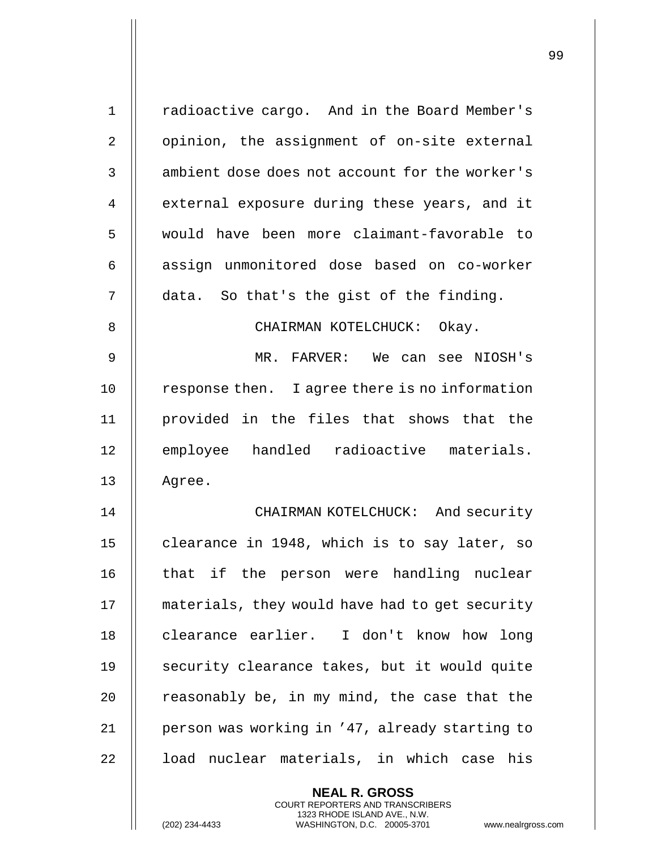| $\mathbf 1$    | radioactive cargo. And in the Board Member's                                             |
|----------------|------------------------------------------------------------------------------------------|
| $\overline{2}$ | opinion, the assignment of on-site external                                              |
| 3              | ambient dose does not account for the worker's                                           |
| 4              | external exposure during these years, and it                                             |
| 5              | would have been more claimant-favorable to                                               |
| 6              | assign unmonitored dose based on co-worker                                               |
| 7              | data. So that's the gist of the finding.                                                 |
| 8              | CHAIRMAN KOTELCHUCK: Okay.                                                               |
| 9              | MR. FARVER: We can see NIOSH's                                                           |
| 10             | response then. I agree there is no information                                           |
| 11             | provided in the files that shows that the                                                |
| 12             | employee handled radioactive materials.                                                  |
| 13             | Agree.                                                                                   |
| 14             | CHAIRMAN KOTELCHUCK: And security                                                        |
| 15             | clearance in 1948, which is to say later, so                                             |
| 16             | that if the person were handling nuclear                                                 |
| 17             | materials, they would have had to get security                                           |
| 18             | clearance earlier. I don't know how long                                                 |
| 19             | security clearance takes, but it would quite                                             |
| 20             | reasonably be, in my mind, the case that the                                             |
| 21             | person was working in '47, already starting to                                           |
| 22             | load nuclear materials, in which case his                                                |
|                | <b>NEAL R. GROSS</b><br>COURT REPORTERS AND TRANSCRIBERS<br>1323 RHODE ISLAND AVE., N.W. |
|                | (202) 234-4433<br>WASHINGTON, D.C. 20005-3701<br>www.nealrgross                          |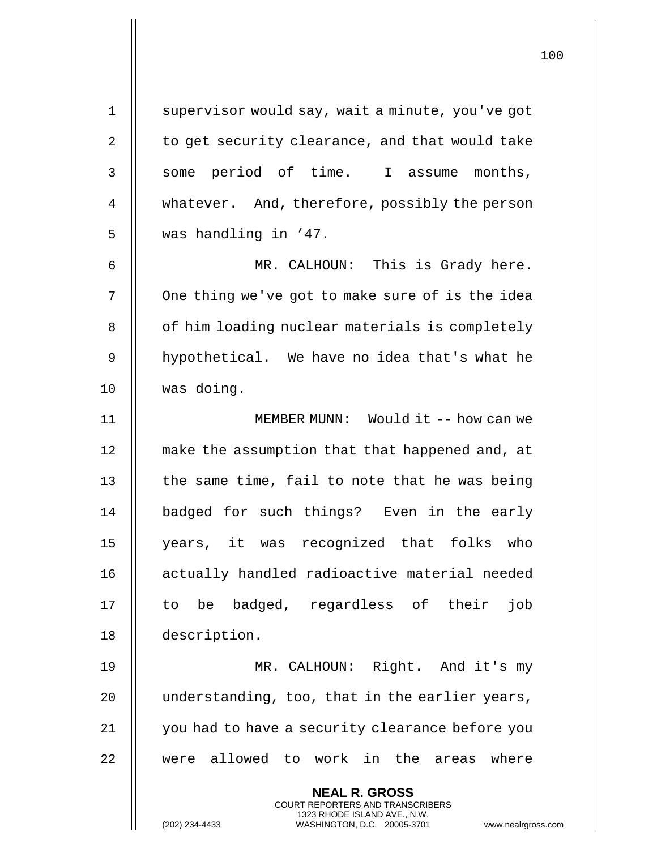| $\mathbf 1$ | supervisor would say, wait a minute, you've got                                                                                                             |
|-------------|-------------------------------------------------------------------------------------------------------------------------------------------------------------|
| 2           | to get security clearance, and that would take                                                                                                              |
| 3           | some period of time. I assume months,                                                                                                                       |
| 4           | whatever. And, therefore, possibly the person                                                                                                               |
| 5           | was handling in '47.                                                                                                                                        |
| 6           | MR. CALHOUN: This is Grady here.                                                                                                                            |
| 7           | One thing we've got to make sure of is the idea                                                                                                             |
| 8           | of him loading nuclear materials is completely                                                                                                              |
| 9           | hypothetical. We have no idea that's what he                                                                                                                |
| 10          | was doing.                                                                                                                                                  |
| 11          | MEMBER MUNN: Would it -- how can we                                                                                                                         |
| 12          | make the assumption that that happened and, at                                                                                                              |
| 13          | the same time, fail to note that he was being                                                                                                               |
| 14          | badged for such things? Even in the early                                                                                                                   |
| 15          | years, it was recognized that folks who                                                                                                                     |
| 16          | actually handled radioactive material needed                                                                                                                |
| 17          | badged, regardless of their<br>job<br>be<br>to.                                                                                                             |
| 18          | description.                                                                                                                                                |
| 19          | MR. CALHOUN: Right. And it's my                                                                                                                             |
| 20          | understanding, too, that in the earlier years,                                                                                                              |
| 21          | you had to have a security clearance before you                                                                                                             |
| 22          | were allowed to work in the areas<br>where                                                                                                                  |
|             | <b>NEAL R. GROSS</b><br>COURT REPORTERS AND TRANSCRIBERS<br>1323 RHODE ISLAND AVE., N.W.<br>(202) 234-4433<br>WASHINGTON, D.C. 20005-3701<br>www.nealrgross |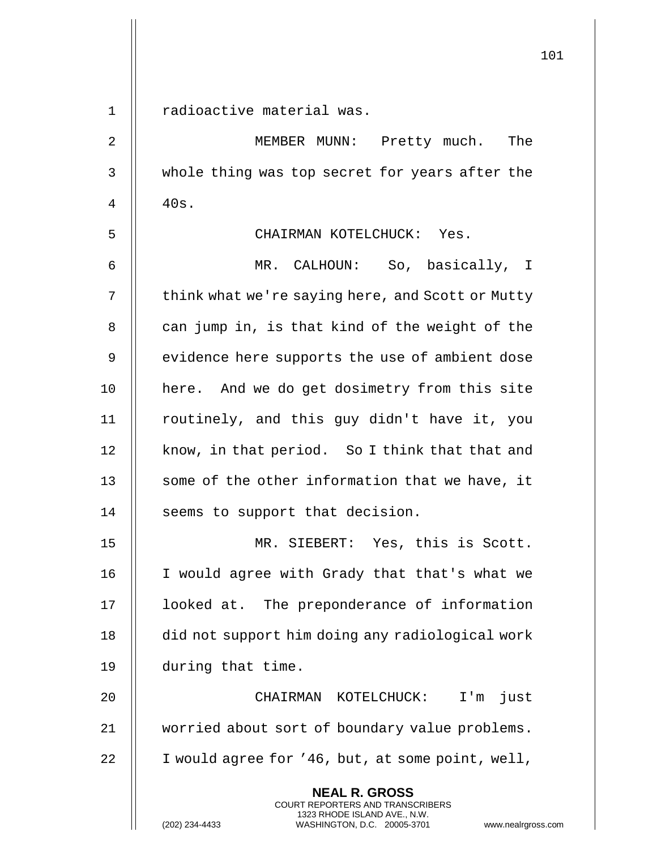|             | ᅩ∪ㅗ                                                                                                                                                             |
|-------------|-----------------------------------------------------------------------------------------------------------------------------------------------------------------|
| $\mathbf 1$ | radioactive material was.                                                                                                                                       |
| 2           | MEMBER MUNN: Pretty much. The                                                                                                                                   |
|             |                                                                                                                                                                 |
| 3           | whole thing was top secret for years after the                                                                                                                  |
| 4           | 40s.                                                                                                                                                            |
| 5           | CHAIRMAN KOTELCHUCK: Yes.                                                                                                                                       |
| 6           | MR. CALHOUN: So, basically, I                                                                                                                                   |
| 7           | think what we're saying here, and Scott or Mutty                                                                                                                |
| 8           | can jump in, is that kind of the weight of the                                                                                                                  |
| 9           | evidence here supports the use of ambient dose                                                                                                                  |
| 10          | here. And we do get dosimetry from this site                                                                                                                    |
| 11          | routinely, and this guy didn't have it, you                                                                                                                     |
| 12          | know, in that period. So I think that that and                                                                                                                  |
| 13          | some of the other information that we have, it                                                                                                                  |
| 14          | seems to support that decision.                                                                                                                                 |
| 15          | MR. SIEBERT: Yes, this is Scott.                                                                                                                                |
| 16          | I would agree with Grady that that's what we                                                                                                                    |
| 17          | looked at. The preponderance of information                                                                                                                     |
| 18          | did not support him doing any radiological work                                                                                                                 |
| 19          | during that time.                                                                                                                                               |
| 20          | CHAIRMAN KOTELCHUCK:<br>I'm just                                                                                                                                |
| 21          | worried about sort of boundary value problems.                                                                                                                  |
| 22          | I would agree for '46, but, at some point, well,                                                                                                                |
|             | <b>NEAL R. GROSS</b><br>COURT REPORTERS AND TRANSCRIBERS<br>1323 RHODE ISLAND AVE., N.W.<br>(202) 234-4433<br>WASHINGTON, D.C. 20005-3701<br>www.nealrgross.com |

 $\mathsf{I}$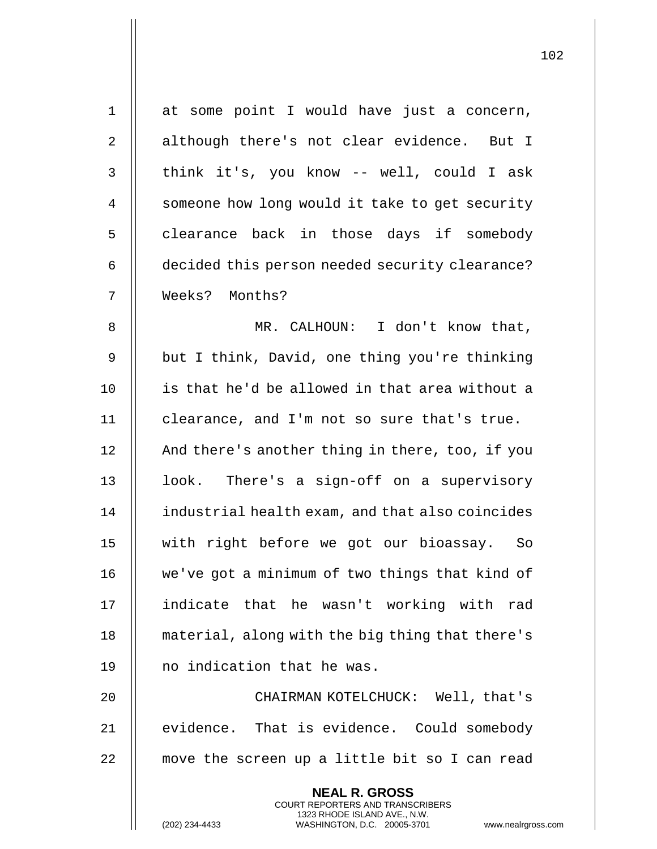| $\mathbf{1}$   | at some point I would have just a concern,                                                      |
|----------------|-------------------------------------------------------------------------------------------------|
| $\overline{2}$ | although there's not clear evidence. But I                                                      |
| 3              | think it's, you know -- well, could I ask                                                       |
| 4              | someone how long would it take to get security                                                  |
| 5              | clearance back in those days if somebody                                                        |
| 6              | decided this person needed security clearance?                                                  |
| 7              | Weeks? Months?                                                                                  |
| 8              | MR. CALHOUN: I don't know that,                                                                 |
| $\mathsf 9$    | but I think, David, one thing you're thinking                                                   |
| 10             | is that he'd be allowed in that area without a                                                  |
| 11             | clearance, and I'm not so sure that's true.                                                     |
| 12             | And there's another thing in there, too, if you                                                 |
| 13             | look. There's a sign-off on a supervisory                                                       |
| 14             | industrial health exam, and that also coincides                                                 |
| 15             | with right before we got our bioassay.<br>So                                                    |
| 16             | we've got a minimum of two things that kind of                                                  |
| 17             | indicate that he wasn't working with<br>rad                                                     |
| 18             | material, along with the big thing that there's                                                 |
| 19             | no indication that he was.                                                                      |
| 20             | CHAIRMAN KOTELCHUCK: Well, that's                                                               |
| 21             | evidence. That is evidence. Could somebody                                                      |
| 22             | move the screen up a little bit so I can read                                                   |
|                | <b>NEAL R. GROSS</b><br>COURT REPORTERS AND TRANSCRIBERS                                        |
|                | 1323 RHODE ISLAND AVE., N.W.<br>(202) 234-4433<br>WASHINGTON, D.C. 20005-3701<br>www.nealrgross |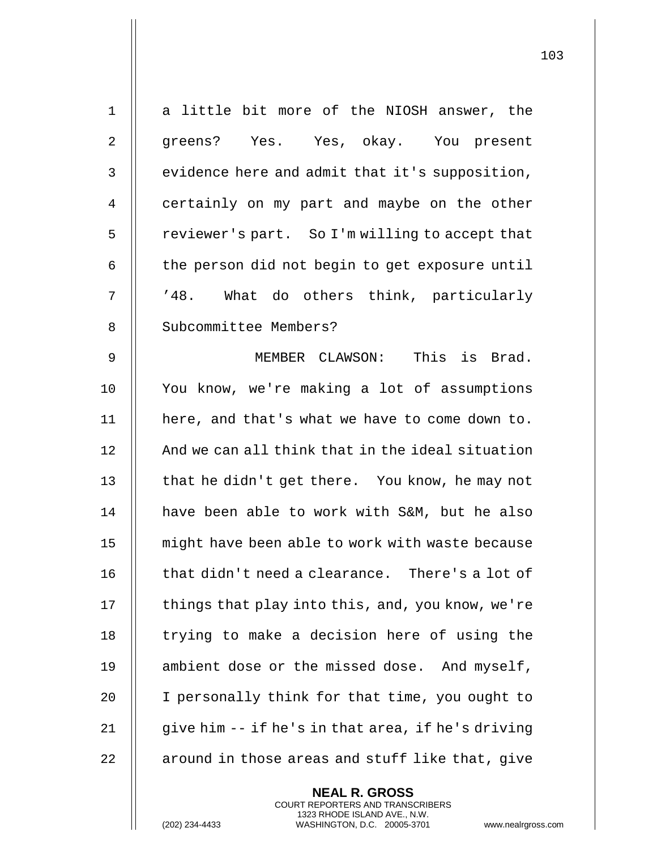| $\mathbf 1$    | a little bit more of the NIOSH answer, the        |
|----------------|---------------------------------------------------|
| $\overline{2}$ | greens? Yes. Yes, okay. You present               |
| 3              | evidence here and admit that it's supposition,    |
| 4              | certainly on my part and maybe on the other       |
| 5              | reviewer's part. So I'm willing to accept that    |
| 6              | the person did not begin to get exposure until    |
| 7              | '48. What do others think, particularly           |
| 8              | Subcommittee Members?                             |
| $\mathsf 9$    | MEMBER CLAWSON: This is Brad.                     |
| 10             | You know, we're making a lot of assumptions       |
| 11             | here, and that's what we have to come down to.    |
| 12             | And we can all think that in the ideal situation  |
| 13             | that he didn't get there. You know, he may not    |
| 14             | have been able to work with S&M, but he also      |
| 15             | might have been able to work with waste because   |
| 16             | that didn't need a clearance. There's a lot of    |
| 17             | things that play into this, and, you know, we're  |
| 18             | trying to make a decision here of using the       |
| 19             | ambient dose or the missed dose. And myself,      |
| 20             | I personally think for that time, you ought to    |
| 21             | give him -- if he's in that area, if he's driving |
| 22             | around in those areas and stuff like that, give   |
|                |                                                   |

**NEAL R. GROSS** COURT REPORTERS AND TRANSCRIBERS 1323 RHODE ISLAND AVE., N.W.

(202) 234-4433 WASHINGTON, D.C. 20005-3701 www.nealrgross.com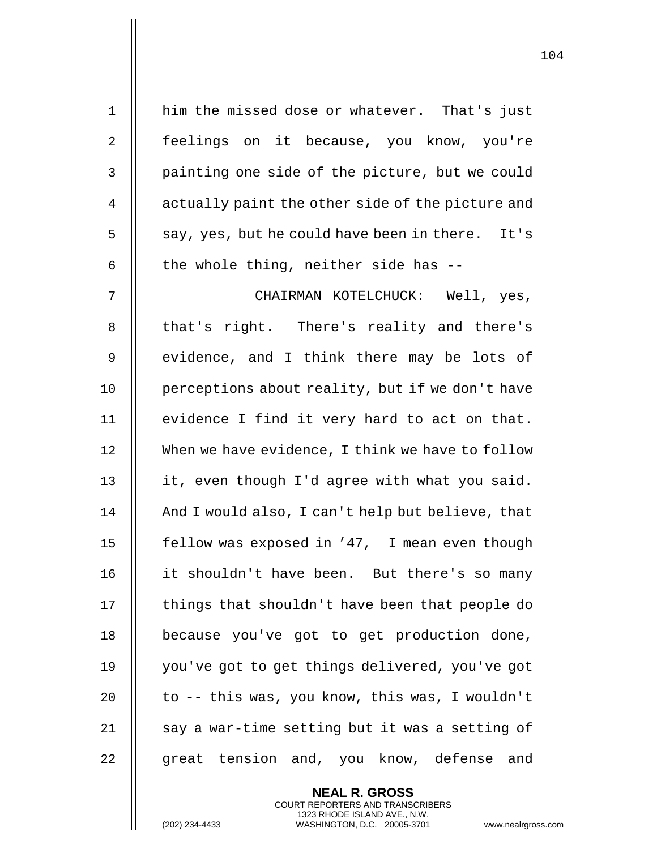| $\mathbf 1$ | him the missed dose or whatever. That's just     |
|-------------|--------------------------------------------------|
| 2           | feelings on it because, you know, you're         |
| 3           | painting one side of the picture, but we could   |
| 4           | actually paint the other side of the picture and |
| 5           | say, yes, but he could have been in there. It's  |
| 6           | the whole thing, neither side has --             |
| 7           | CHAIRMAN KOTELCHUCK: Well, yes,                  |
| 8           | that's right. There's reality and there's        |
| 9           | evidence, and I think there may be lots of       |
| 10          | perceptions about reality, but if we don't have  |
| 11          | evidence I find it very hard to act on that.     |
| 12          | When we have evidence, I think we have to follow |
| 13          | it, even though I'd agree with what you said.    |
| 14          | And I would also, I can't help but believe, that |
| 15          | fellow was exposed in '47, I mean even though    |
| 16          | it shouldn't have been. But there's so many      |
| 17          | things that shouldn't have been that people do   |
| 18          | because you've got to get production done,       |
| 19          | you've got to get things delivered, you've got   |
| 20          | to -- this was, you know, this was, I wouldn't   |
| 21          | say a war-time setting but it was a setting of   |
| 22          | great tension and, you know, defense and         |

**NEAL R. GROSS** COURT REPORTERS AND TRANSCRIBERS 1323 RHODE ISLAND AVE., N.W.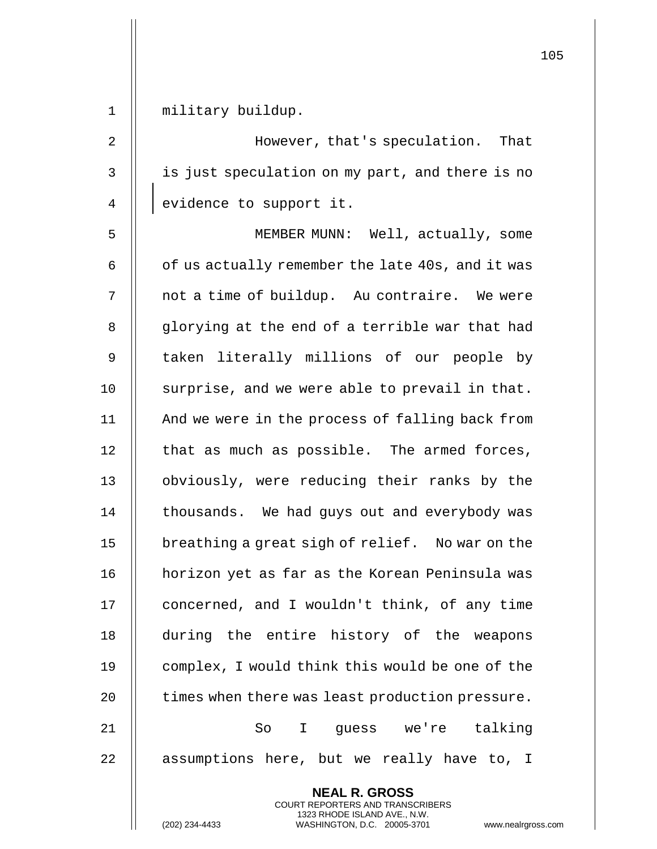|                |                                                                                                     | ⊥∪⊃ |
|----------------|-----------------------------------------------------------------------------------------------------|-----|
| $\mathbf 1$    | military buildup.                                                                                   |     |
| 2              | However, that's speculation. That                                                                   |     |
| $\mathsf{3}$   | is just speculation on my part, and there is no                                                     |     |
| $\overline{4}$ | evidence to support it.                                                                             |     |
| 5              | MEMBER MUNN: Well, actually, some                                                                   |     |
| 6              | of us actually remember the late 40s, and it was                                                    |     |
| 7              | not a time of buildup. Au contraire. We were                                                        |     |
| 8              | glorying at the end of a terrible war that had                                                      |     |
| 9              | taken literally millions of our people by                                                           |     |
| 10             | surprise, and we were able to prevail in that.                                                      |     |
| 11             | And we were in the process of falling back from                                                     |     |
| 12             | that as much as possible. The armed forces,                                                         |     |
| 13             | obviously, were reducing their ranks by the                                                         |     |
| 14             | thousands. We had guys out and everybody was                                                        |     |
| 15             | breathing a great sigh of relief. No war on the                                                     |     |
| 16             | horizon yet as far as the Korean Peninsula was                                                      |     |
| 17             | concerned, and I wouldn't think, of any time                                                        |     |
| 18             | during the entire history of the weapons                                                            |     |
| 19             | complex, I would think this would be one of the                                                     |     |
| 20             | times when there was least production pressure.                                                     |     |
| 21             | I guess we're talking<br>So                                                                         |     |
| 22             | assumptions here, but we really have to, I                                                          |     |
|                | <b>NEAL R. GROSS</b><br>COURT REPORTERS AND TRANSCRIBERS                                            |     |
|                | 1323 RHODE ISLAND AVE., N.W.<br>(202) 234-4433<br>WASHINGTON, D.C. 20005-3701<br>www.nealrgross.com |     |

 $\mathsf{I}$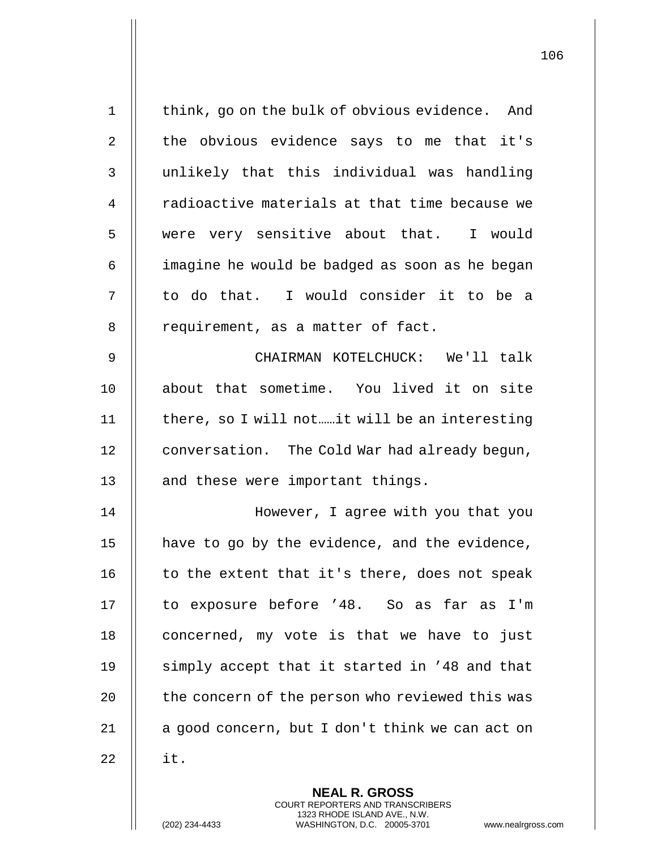| $\mathbf 1$ | think, go on the bulk of obvious evidence. And           |
|-------------|----------------------------------------------------------|
| 2           | the obvious evidence says to me that it's                |
| 3           | unlikely that this individual was handling               |
| 4           | radioactive materials at that time because we            |
| 5           | were very sensitive about that. I would                  |
| 6           | imagine he would be badged as soon as he began           |
| 7           | to do that. I would consider it to be a                  |
| 8           | requirement, as a matter of fact.                        |
| $\mathsf 9$ | CHAIRMAN KOTELCHUCK: We'll talk                          |
| 10          | about that sometime. You lived it on site                |
| 11          | there, so I will notit will be an interesting            |
| 12          | conversation. The Cold War had already begun,            |
| 13          | and these were important things.                         |
| 14          | However, I agree with you that you                       |
| 15          | have to go by the evidence, and the evidence,            |
| 16          | to the extent that it's there, does not speak            |
| 17          | to exposure before '48. So as far as I'm                 |
| 18          | concerned, my vote is that we have to just               |
| 19          | simply accept that it started in '48 and that            |
| 20          | the concern of the person who reviewed this was          |
| 21          | a good concern, but I don't think we can act on          |
| 22          | it.                                                      |
|             | <b>NEAL R. GROSS</b><br>COURT REPORTERS AND TRANSCRIBERS |

1323 RHODE ISLAND AVE., N.W.

 $\prod$ 

(202) 234-4433 WASHINGTON, D.C. 20005-3701 www.nealrgross.com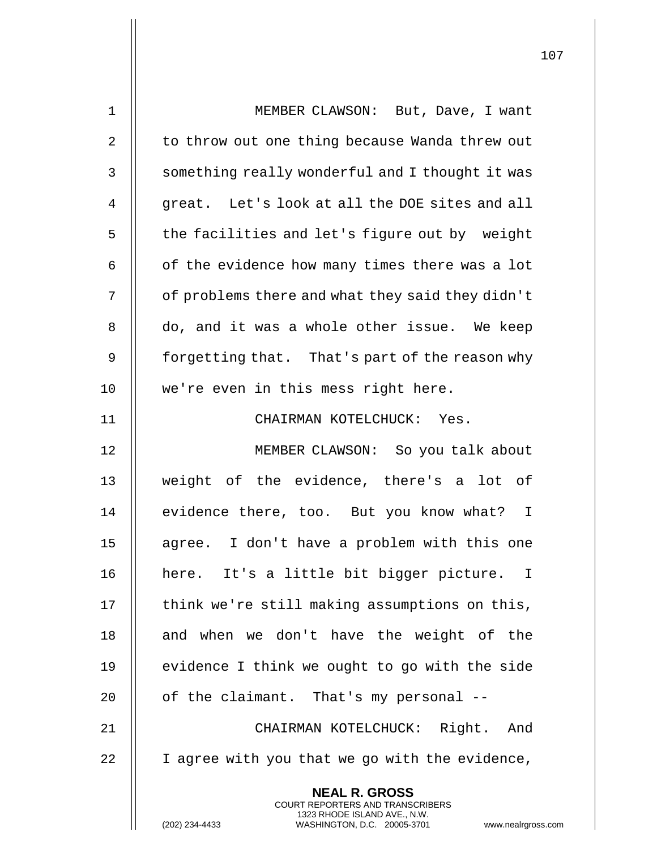| $\mathbf 1$ | MEMBER CLAWSON: But, Dave, I want                                                        |
|-------------|------------------------------------------------------------------------------------------|
| 2           | to throw out one thing because Wanda threw out                                           |
| 3           | something really wonderful and I thought it was                                          |
| 4           | great. Let's look at all the DOE sites and all                                           |
| 5           | the facilities and let's figure out by weight                                            |
| 6           | of the evidence how many times there was a lot                                           |
| 7           | of problems there and what they said they didn't                                         |
| 8           | do, and it was a whole other issue. We keep                                              |
| 9           | forgetting that. That's part of the reason why                                           |
| 10          | we're even in this mess right here.                                                      |
| 11          | CHAIRMAN KOTELCHUCK: Yes.                                                                |
| 12          | MEMBER CLAWSON: So you talk about                                                        |
| 13          | weight of the evidence, there's a lot of                                                 |
| 14          | evidence there, too. But you know what? I                                                |
| 15          | agree. I don't have a problem with this one                                              |
| 16          | here. It's a little bit bigger picture. I                                                |
| 17          | think we're still making assumptions on this,                                            |
| 18          | and when we don't have the weight of the                                                 |
| 19          | evidence I think we ought to go with the side                                            |
| 20          | of the claimant. That's my personal --                                                   |
| 21          | CHAIRMAN KOTELCHUCK: Right. And                                                          |
| 22          | I agree with you that we go with the evidence,                                           |
|             | <b>NEAL R. GROSS</b><br>COURT REPORTERS AND TRANSCRIBERS<br>1323 RHODE ISLAND AVE., N.W. |
|             | (202) 234-4433<br>WASHINGTON, D.C. 20005-3701<br>www.nealrgross.com                      |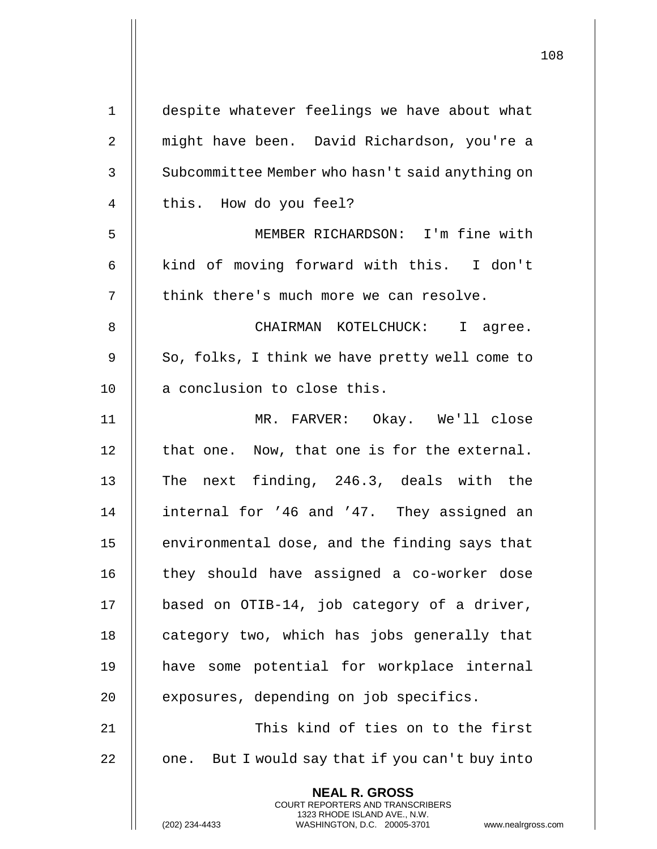| $\mathbf 1$ | despite whatever feelings we have about what                                                        |
|-------------|-----------------------------------------------------------------------------------------------------|
| 2           | might have been. David Richardson, you're a                                                         |
| 3           | Subcommittee Member who hasn't said anything on                                                     |
| 4           | this. How do you feel?                                                                              |
| 5           | MEMBER RICHARDSON: I'm fine with                                                                    |
| 6           | kind of moving forward with this. I don't                                                           |
| 7           | think there's much more we can resolve.                                                             |
| 8           | CHAIRMAN KOTELCHUCK: I agree.                                                                       |
| 9           | So, folks, I think we have pretty well come to                                                      |
| 10          | a conclusion to close this.                                                                         |
| 11          | MR. FARVER: Okay. We'll close                                                                       |
| 12          | that one. Now, that one is for the external.                                                        |
| 13          | The next finding, 246.3, deals with the                                                             |
| 14          | internal for '46 and '47. They assigned an                                                          |
| 15          | environmental dose, and the finding says that                                                       |
| 16          | they should have assigned a co-worker dose                                                          |
| 17          | based on OTIB-14, job category of a driver,                                                         |
| 18          | category two, which has jobs generally that                                                         |
| 19          | have some potential for workplace internal                                                          |
| 20          | exposures, depending on job specifics.                                                              |
| 21          | This kind of ties on to the first                                                                   |
| 22          | one. But I would say that if you can't buy into                                                     |
|             | <b>NEAL R. GROSS</b><br>COURT REPORTERS AND TRANSCRIBERS                                            |
|             | 1323 RHODE ISLAND AVE., N.W.<br>(202) 234-4433<br>WASHINGTON, D.C. 20005-3701<br>www.nealrgross.com |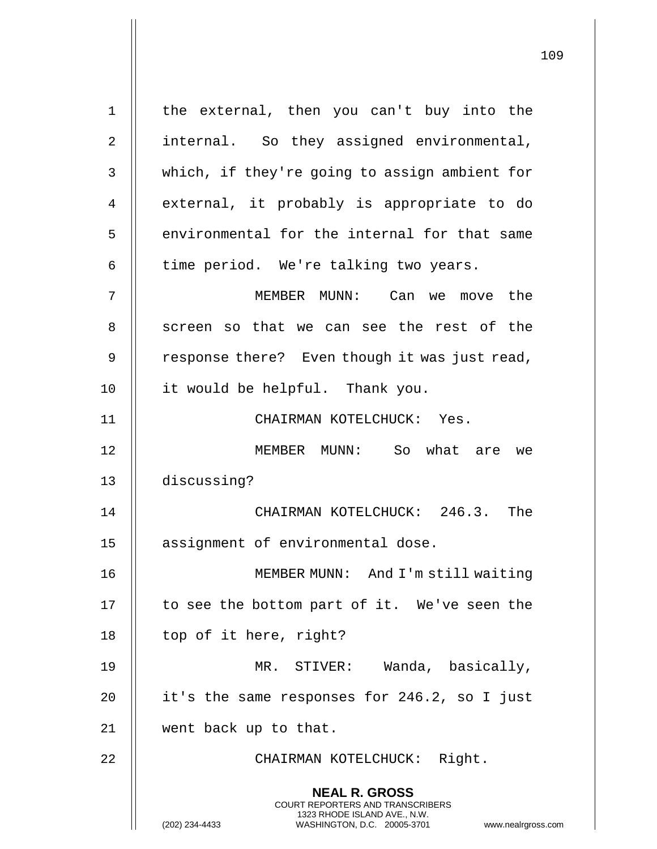**NEAL R. GROSS** COURT REPORTERS AND TRANSCRIBERS 1323 RHODE ISLAND AVE., N.W. (202) 234-4433 WASHINGTON, D.C. 20005-3701 www.nealrgross.com 1 || the external, then you can't buy into the 2 | internal. So they assigned environmental, 3 | which, if they're going to assign ambient for 4 || external, it probably is appropriate to do 5 || environmental for the internal for that same  $6 \parallel$  time period. We're talking two years. 7 MEMBER MUNN: Can we move the 8 || screen so that we can see the rest of the 9  $\parallel$  response there? Even though it was just read, 10 it would be helpful. Thank you. 11 || CHAIRMAN KOTELCHUCK: Yes. 12 MEMBER MUNN: So what are we 13 discussing? 14 CHAIRMAN KOTELCHUCK: 246.3. The 15 | assignment of environmental dose. 16 MEMBER MUNN: And I'm still waiting 17 || to see the bottom part of it. We've seen the 18 | top of it here, right? 19 || MR. STIVER: Wanda, basically, 20  $\parallel$  it's the same responses for 246.2, so I just 21 went back up to that. 22 || CHAIRMAN KOTELCHUCK: Right.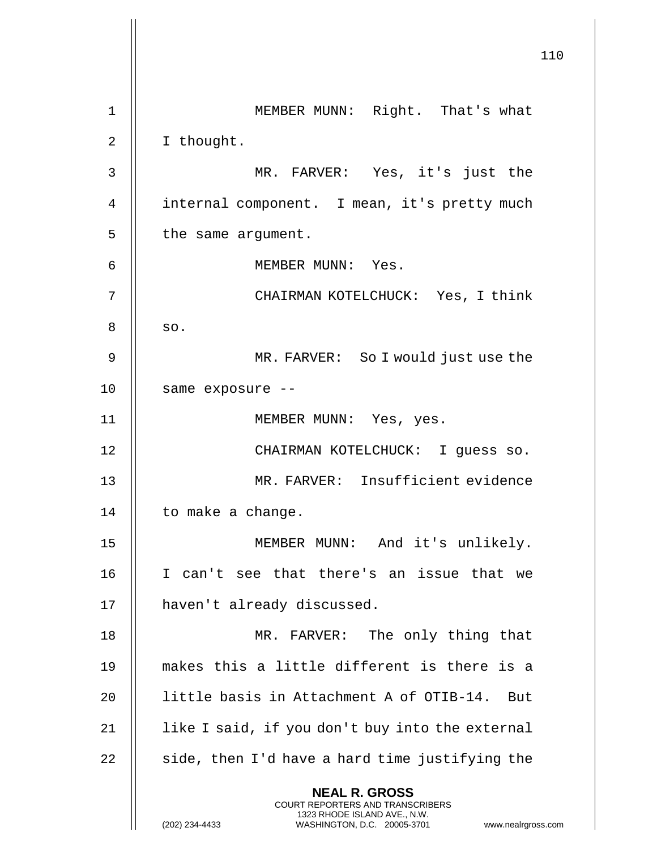|                | 110                                                                                                                                                                    |
|----------------|------------------------------------------------------------------------------------------------------------------------------------------------------------------------|
| $\mathbf 1$    | MEMBER MUNN: Right. That's what                                                                                                                                        |
| $\overline{2}$ | I thought.                                                                                                                                                             |
| 3              | MR. FARVER: Yes, it's just the                                                                                                                                         |
| 4              | internal component. I mean, it's pretty much                                                                                                                           |
| 5              | the same argument.                                                                                                                                                     |
| 6              | MEMBER MUNN: Yes.                                                                                                                                                      |
| 7              | CHAIRMAN KOTELCHUCK: Yes, I think                                                                                                                                      |
| 8              | SO.                                                                                                                                                                    |
| 9              | MR. FARVER: So I would just use the                                                                                                                                    |
| 10             | same exposure --                                                                                                                                                       |
| 11             | MEMBER MUNN: Yes, yes.                                                                                                                                                 |
| 12             | CHAIRMAN KOTELCHUCK: I quess so.                                                                                                                                       |
| 13             | MR. FARVER: Insufficient evidence                                                                                                                                      |
| 14             | to make a change.                                                                                                                                                      |
| 15             | MEMBER MUNN: And it's unlikely.                                                                                                                                        |
| 16             | I can't see that there's an issue that we                                                                                                                              |
| 17             | haven't already discussed.                                                                                                                                             |
| 18             | MR. FARVER: The only thing that                                                                                                                                        |
| 19             | makes this a little different is there is a                                                                                                                            |
| 20             | little basis in Attachment A of OTIB-14. But                                                                                                                           |
| 21             | like I said, if you don't buy into the external                                                                                                                        |
| 22             | side, then I'd have a hard time justifying the                                                                                                                         |
|                | <b>NEAL R. GROSS</b><br><b>COURT REPORTERS AND TRANSCRIBERS</b><br>1323 RHODE ISLAND AVE., N.W.<br>(202) 234-4433<br>WASHINGTON, D.C. 20005-3701<br>www.nealrgross.com |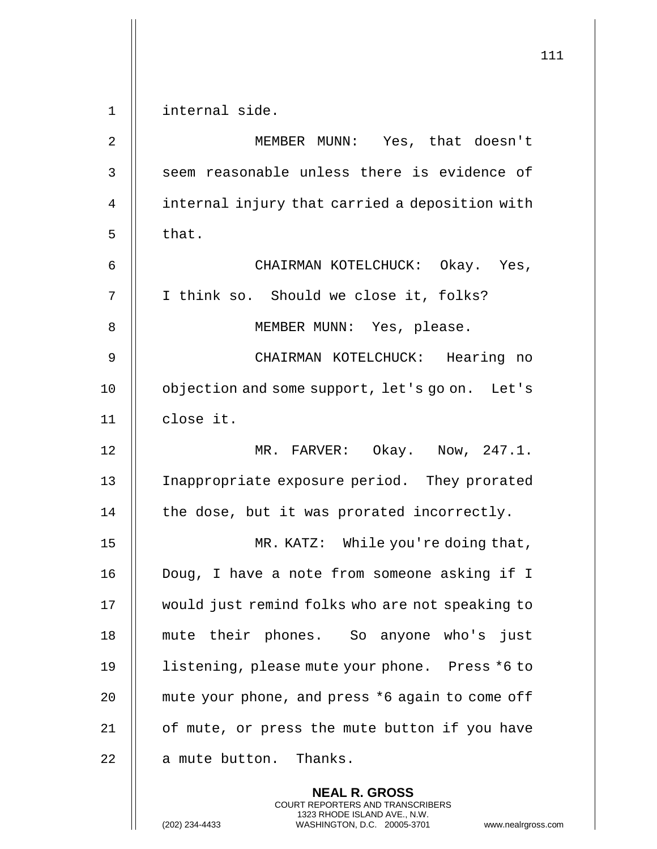|             |                                                 | 111 |
|-------------|-------------------------------------------------|-----|
| $\mathbf 1$ | internal side.                                  |     |
| 2           | MEMBER MUNN: Yes, that doesn't                  |     |
| 3           | seem reasonable unless there is evidence of     |     |
| 4           | internal injury that carried a deposition with  |     |
| 5           | that.                                           |     |
| 6           | CHAIRMAN KOTELCHUCK: Okay. Yes,                 |     |
| 7           | I think so. Should we close it, folks?          |     |
| 8           | MEMBER MUNN: Yes, please.                       |     |
| 9           | CHAIRMAN KOTELCHUCK: Hearing no                 |     |
| 10          | objection and some support, let's go on. Let's  |     |
| 11          | close it.                                       |     |
| 12          | MR. FARVER: Okay. Now, 247.1.                   |     |
| 13          | Inappropriate exposure period. They prorated    |     |
| 14          | the dose, but it was prorated incorrectly.      |     |
| 15          | MR. KATZ: While you're doing that,              |     |
| 16          | Doug, I have a note from someone asking if I    |     |
| 17          | would just remind folks who are not speaking to |     |
| 18          | mute their phones. So anyone who's just         |     |
| 19          | listening, please mute your phone. Press *6 to  |     |
| 20          | mute your phone, and press *6 again to come off |     |
| 21          | of mute, or press the mute button if you have   |     |
| 22          | a mute button. Thanks.                          |     |
|             | <b>NEAL R. GROSS</b>                            |     |

COURT REPORTERS AND TRANSCRIBERS 1323 RHODE ISLAND AVE., N.W.

 $\mathsf{II}$ 

(202) 234-4433 WASHINGTON, D.C. 20005-3701 www.nealrgross.com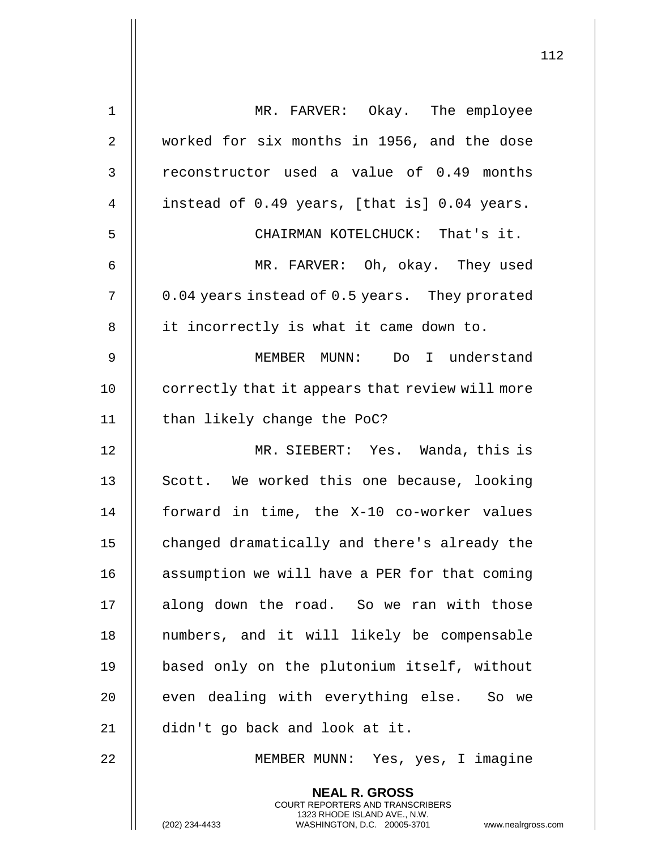| $\mathbf 1$  | MR. FARVER: Okay. The employee                                                                                                                                     |
|--------------|--------------------------------------------------------------------------------------------------------------------------------------------------------------------|
| 2            | worked for six months in 1956, and the dose                                                                                                                        |
| $\mathsf{3}$ | reconstructor used a value of 0.49 months                                                                                                                          |
| 4            | instead of 0.49 years, [that is] 0.04 years.                                                                                                                       |
| 5            | CHAIRMAN KOTELCHUCK: That's it.                                                                                                                                    |
| 6            | MR. FARVER: Oh, okay. They used                                                                                                                                    |
| 7            | 0.04 years instead of 0.5 years. They prorated                                                                                                                     |
| 8            | it incorrectly is what it came down to.                                                                                                                            |
| 9            | MEMBER MUNN: Do I understand                                                                                                                                       |
| 10           | correctly that it appears that review will more                                                                                                                    |
| 11           | than likely change the PoC?                                                                                                                                        |
| 12           | MR. SIEBERT: Yes. Wanda, this is                                                                                                                                   |
| 13           | Scott. We worked this one because, looking                                                                                                                         |
| 14           | forward in time, the X-10 co-worker values                                                                                                                         |
| 15           | changed dramatically and there's already the                                                                                                                       |
| 16           | assumption we will have a PER for that coming                                                                                                                      |
| 17           | along down the road. So we ran with those                                                                                                                          |
| 18           | numbers, and it will likely be compensable                                                                                                                         |
| 19           | based only on the plutonium itself, without                                                                                                                        |
| 20           | even dealing with everything else. So we                                                                                                                           |
| 21           | didn't go back and look at it.                                                                                                                                     |
| 22           | MEMBER MUNN: Yes, yes, I imagine                                                                                                                                   |
|              | <b>NEAL R. GROSS</b><br><b>COURT REPORTERS AND TRANSCRIBERS</b><br>1323 RHODE ISLAND AVE., N.W.<br>(202) 234-4433<br>WASHINGTON, D.C. 20005-3701<br>www.nealrgross |

(202) 234-4433 WASHINGTON, D.C. 20005-3701 www.nealrgross.com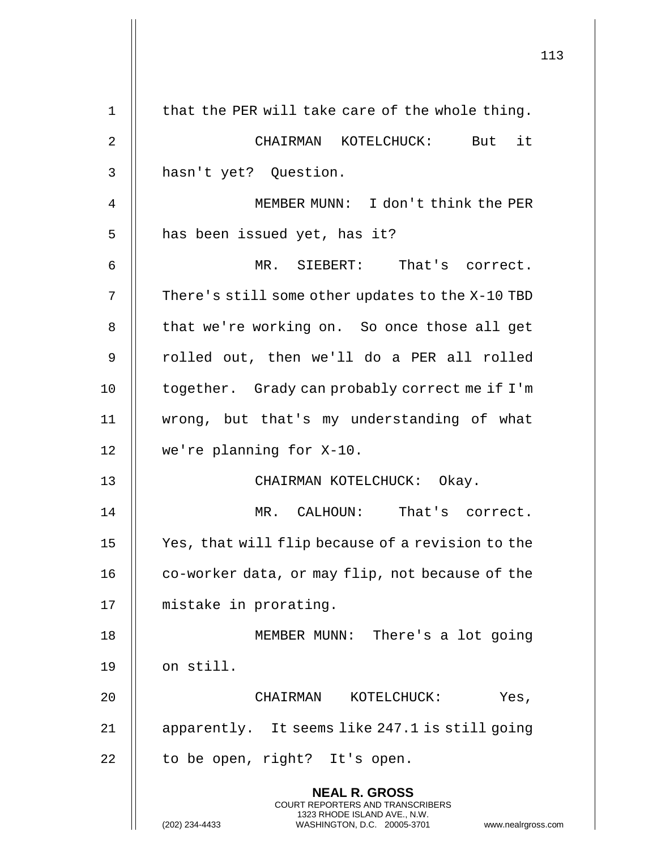|                | 113                                                                                                                                                             |
|----------------|-----------------------------------------------------------------------------------------------------------------------------------------------------------------|
| $\mathbf 1$    | that the PER will take care of the whole thing.                                                                                                                 |
| $\overline{2}$ | CHAIRMAN KOTELCHUCK: But it                                                                                                                                     |
| 3              | hasn't yet? Question.                                                                                                                                           |
| 4              | MEMBER MUNN: I don't think the PER                                                                                                                              |
| 5              | has been issued yet, has it?                                                                                                                                    |
| 6              | MR. SIEBERT: That's correct.                                                                                                                                    |
| 7              | There's still some other updates to the X-10 TBD                                                                                                                |
| 8              | that we're working on. So once those all get                                                                                                                    |
| 9              | rolled out, then we'll do a PER all rolled                                                                                                                      |
|                |                                                                                                                                                                 |
| 10             | together. Grady can probably correct me if I'm                                                                                                                  |
| 11             | wrong, but that's my understanding of what                                                                                                                      |
| 12             | we're planning for X-10.                                                                                                                                        |
| 13             | CHAIRMAN KOTELCHUCK: Okay.                                                                                                                                      |
| 14             | MR. CALHOUN: That's correct.                                                                                                                                    |
| 15             | Yes, that will flip because of a revision to the                                                                                                                |
| 16             | co-worker data, or may flip, not because of the                                                                                                                 |
| 17             | mistake in prorating.                                                                                                                                           |
| 18             | MEMBER MUNN: There's a lot going                                                                                                                                |
| 19             | on still.                                                                                                                                                       |
| 20             | CHAIRMAN<br>KOTELCHUCK:<br>Yes,                                                                                                                                 |
| 21             | apparently. It seems like 247.1 is still going                                                                                                                  |
| 22             | to be open, right? It's open.                                                                                                                                   |
|                | <b>NEAL R. GROSS</b><br>COURT REPORTERS AND TRANSCRIBERS<br>1323 RHODE ISLAND AVE., N.W.<br>(202) 234-4433<br>WASHINGTON, D.C. 20005-3701<br>www.nealrgross.com |

 $\parallel$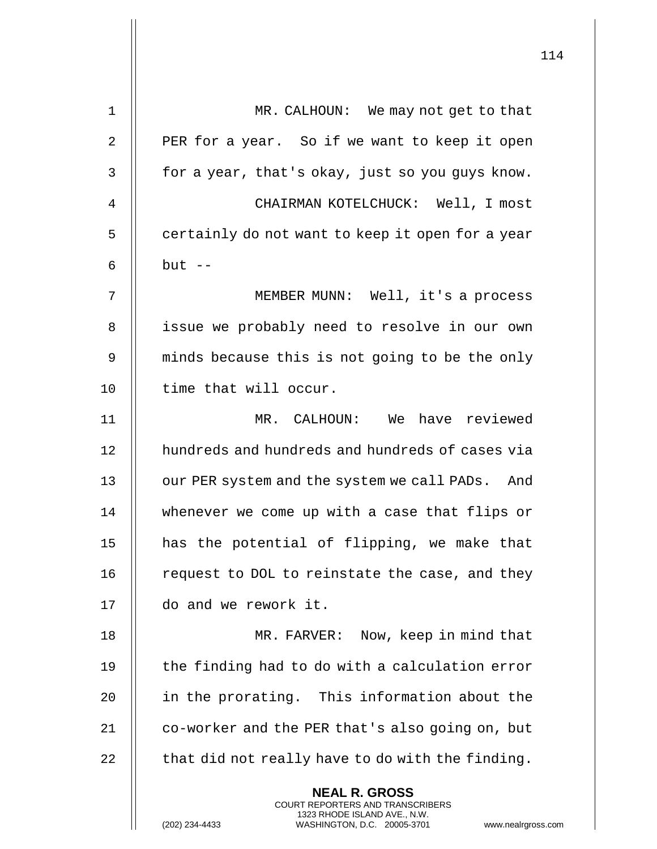| 1              | MR. CALHOUN: We may not get to that                                                                                                                                 |
|----------------|---------------------------------------------------------------------------------------------------------------------------------------------------------------------|
| $\overline{2}$ | PER for a year. So if we want to keep it open                                                                                                                       |
| 3              | for a year, that's okay, just so you guys know.                                                                                                                     |
| 4              | CHAIRMAN KOTELCHUCK: Well, I most                                                                                                                                   |
| 5              | certainly do not want to keep it open for a year                                                                                                                    |
| 6              | $but --$                                                                                                                                                            |
| 7              | MEMBER MUNN: Well, it's a process                                                                                                                                   |
| 8              | issue we probably need to resolve in our own                                                                                                                        |
| 9              | minds because this is not going to be the only                                                                                                                      |
| 10             | time that will occur.                                                                                                                                               |
| 11             | MR. CALHOUN: We have reviewed                                                                                                                                       |
| 12             | hundreds and hundreds and hundreds of cases via                                                                                                                     |
| 13             | our PER system and the system we call PADs. And                                                                                                                     |
| 14             | whenever we come up with a case that flips or                                                                                                                       |
| 15             | has the potential of flipping, we make that                                                                                                                         |
| 16             | request to DOL to reinstate the case, and they                                                                                                                      |
| 17             | do and we rework it.                                                                                                                                                |
| 18             | MR. FARVER: Now, keep in mind that                                                                                                                                  |
| 19             | the finding had to do with a calculation error                                                                                                                      |
| 20             | in the prorating. This information about the                                                                                                                        |
| 21             | co-worker and the PER that's also going on, but                                                                                                                     |
| 22             | that did not really have to do with the finding.                                                                                                                    |
|                | <b>NEAL R. GROSS</b><br><b>COURT REPORTERS AND TRANSCRIBERS</b><br>1323 RHODE ISLAND AVE., N.W.<br>(202) 234-4433<br>WASHINGTON, D.C. 20005-3701<br>www.nealrgross. |

 $\mathop{||}$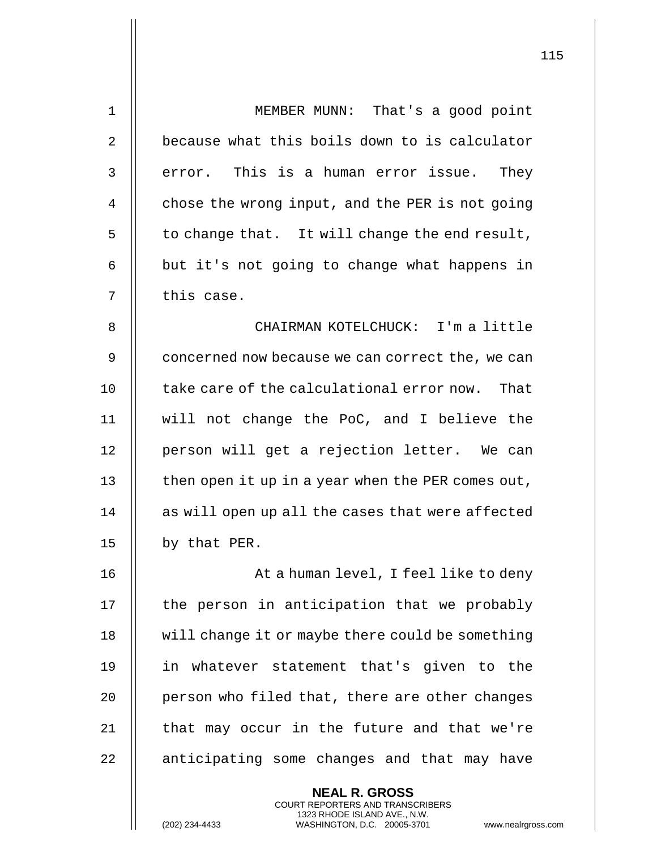| $\mathbf 1$ | MEMBER MUNN: That's a good point                                                                    |
|-------------|-----------------------------------------------------------------------------------------------------|
| 2           | because what this boils down to is calculator                                                       |
| 3           | error. This is a human error issue. They                                                            |
| 4           | chose the wrong input, and the PER is not going                                                     |
| 5           | to change that. It will change the end result,                                                      |
| 6           | but it's not going to change what happens in                                                        |
| 7           | this case.                                                                                          |
| 8           | CHAIRMAN KOTELCHUCK: I'm a little                                                                   |
| 9           | concerned now because we can correct the, we can                                                    |
| 10          | take care of the calculational error now. That                                                      |
| 11          | will not change the PoC, and I believe the                                                          |
| 12          | person will get a rejection letter. We can                                                          |
| 13          | then open it up in a year when the PER comes out,                                                   |
| 14          | as will open up all the cases that were affected                                                    |
| 15          | by that PER.                                                                                        |
| 16          | At a human level, I feel like to deny                                                               |
| 17          | the person in anticipation that we probably                                                         |
| 18          | will change it or maybe there could be something                                                    |
| 19          | in whatever statement that's given to the                                                           |
| 20          | person who filed that, there are other changes                                                      |
| 21          | that may occur in the future and that we're                                                         |
| 22          | anticipating some changes and that may have                                                         |
|             | <b>NEAL R. GROSS</b><br><b>COURT REPORTERS AND TRANSCRIBERS</b>                                     |
|             | 1323 RHODE ISLAND AVE., N.W.<br>(202) 234-4433<br>WASHINGTON, D.C. 20005-3701<br>www.nealrgross.com |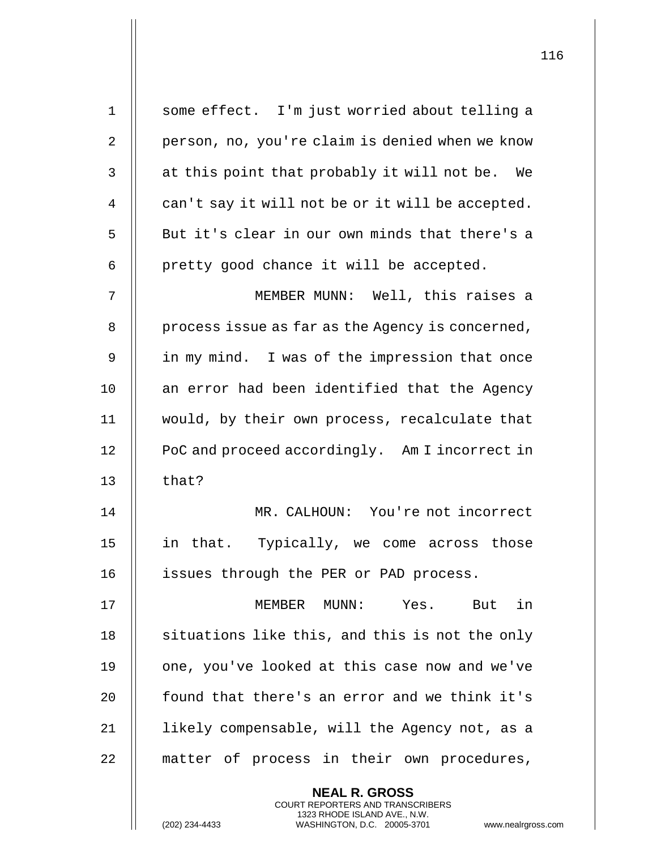| $\mathbf 1$    | some effect. I'm just worried about telling a    |
|----------------|--------------------------------------------------|
| $\overline{2}$ | person, no, you're claim is denied when we know  |
| 3              | at this point that probably it will not be. We   |
| 4              | can't say it will not be or it will be accepted. |
| 5              | But it's clear in our own minds that there's a   |
| 6              | pretty good chance it will be accepted.          |
| 7              | MEMBER MUNN: Well, this raises a                 |
| 8              | process issue as far as the Agency is concerned, |
| 9              | in my mind. I was of the impression that once    |
| 10             | an error had been identified that the Agency     |
| 11             | would, by their own process, recalculate that    |
| 12             | PoC and proceed accordingly. Am I incorrect in   |
| 13             | that?                                            |
| 14             | MR. CALHOUN: You're not incorrect                |
| 15             | in that. Typically, we come across those         |
| 16             | issues through the PER or PAD process.           |
| 17             | Yes. But in<br>MEMBER MUNN:                      |
| 18             | situations like this, and this is not the only   |
| 19             | one, you've looked at this case now and we've    |
| 20             | found that there's an error and we think it's    |
| 21             | likely compensable, will the Agency not, as a    |
| 22             | matter of process in their own procedures,       |
|                | <b>NEAL R. GROSS</b>                             |

COURT REPORTERS AND TRANSCRIBERS 1323 RHODE ISLAND AVE., N.W.

 $\mathsf{II}$ 

(202) 234-4433 WASHINGTON, D.C. 20005-3701 www.nealrgross.com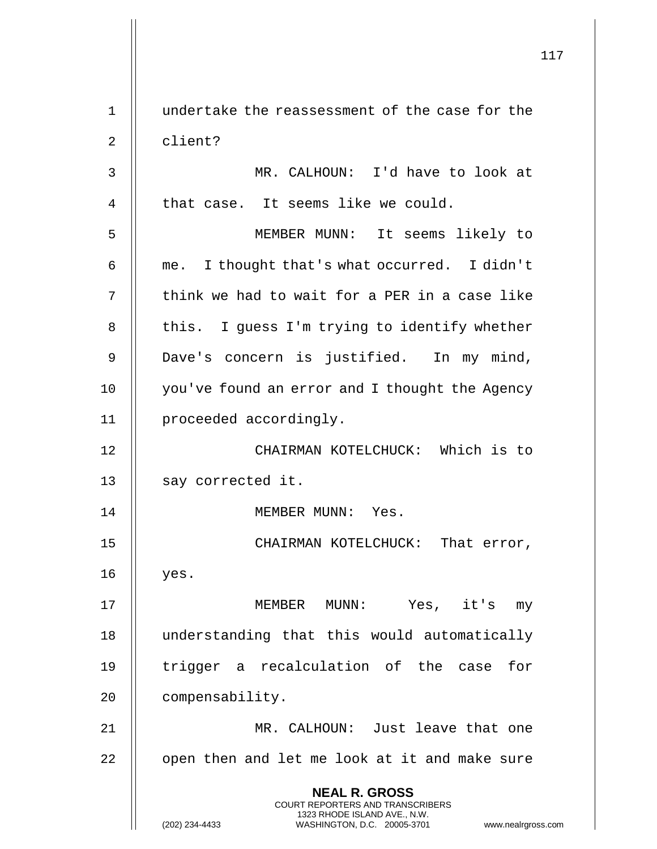**NEAL R. GROSS** COURT REPORTERS AND TRANSCRIBERS 1323 RHODE ISLAND AVE., N.W. (202) 234-4433 WASHINGTON, D.C. 20005-3701 www.nealrgross.com 1 undertake the reassessment of the case for the 2 || client? 3 MR. CALHOUN: I'd have to look at  $4$  | that case. It seems like we could. 5 MEMBER MUNN: It seems likely to  $6 \parallel$  me. I thought that's what occurred. I didn't  $7$   $\parallel$  think we had to wait for a PER in a case like 8 | this. I guess I'm trying to identify whether 9 || Dave's concern is justified. In my mind, 10 || you've found an error and I thought the Agency 11 | proceeded accordingly. 12 CHAIRMAN KOTELCHUCK: Which is to 13 || say corrected it. 14 MEMBER MUNN: Yes. 15 || CHAIRMAN KOTELCHUCK: That error, 16 yes. 17 MEMBER MUNN: Yes, it's my 18 understanding that this would automatically 19 || trigger a recalculation of the case for 20 | compensability. 21 MR. CALHOUN: Just leave that one  $22$   $\parallel$  open then and let me look at it and make sure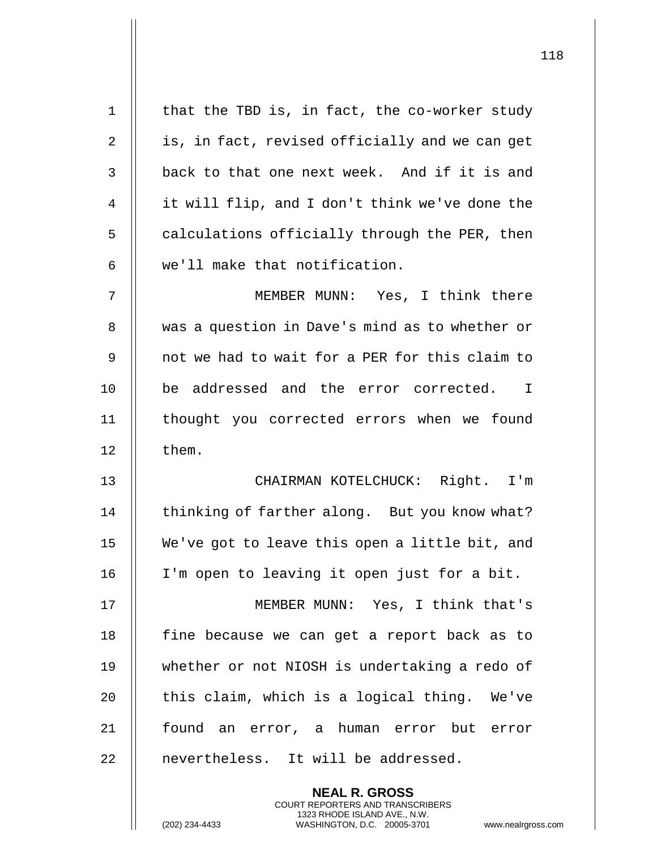| $\mathbf{1}$   | that the TBD is, in fact, the co-worker study                                                   |
|----------------|-------------------------------------------------------------------------------------------------|
| $\overline{2}$ | is, in fact, revised officially and we can get                                                  |
| 3              | back to that one next week. And if it is and                                                    |
| 4              | it will flip, and I don't think we've done the                                                  |
| 5              | calculations officially through the PER, then                                                   |
| 6              | we'll make that notification.                                                                   |
| 7              | MEMBER MUNN: Yes, I think there                                                                 |
| 8              | was a question in Dave's mind as to whether or                                                  |
| 9              | not we had to wait for a PER for this claim to                                                  |
| 10             | be addressed and the error corrected.<br>$\mathbf I$                                            |
| 11             | thought you corrected errors when we found                                                      |
| 12             | them.                                                                                           |
| 13             | CHAIRMAN KOTELCHUCK: Right. I'm                                                                 |
| 14             | thinking of farther along. But you know what?                                                   |
| 15             | We've got to leave this open a little bit, and                                                  |
| 16             | I'm open to leaving it open just for a bit.                                                     |
| 17             | MEMBER MUNN: Yes, I think that's                                                                |
| 18             | fine because we can get a report back as to                                                     |
| 19             | whether or not NIOSH is undertaking a redo of                                                   |
| 20             | this claim, which is a logical thing. We've                                                     |
| 21             | found an error, a human error but error                                                         |
| 22             | nevertheless. It will be addressed.                                                             |
|                | <b>NEAL R. GROSS</b><br><b>COURT REPORTERS AND TRANSCRIBERS</b>                                 |
|                | 1323 RHODE ISLAND AVE., N.W.<br>(202) 234-4433<br>WASHINGTON, D.C. 20005-3701<br>www.nealrgross |

(202) 234-4433 WASHINGTON, D.C. 20005-3701 www.nealrgross.com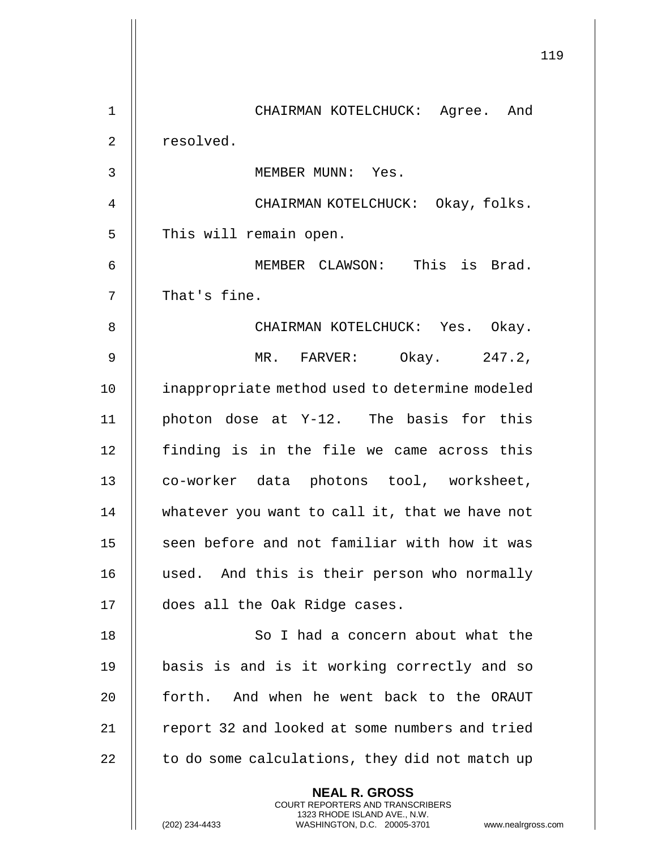|                | 119                                                                                                                                                                    |
|----------------|------------------------------------------------------------------------------------------------------------------------------------------------------------------------|
| $\mathbf 1$    | CHAIRMAN KOTELCHUCK: Agree. And                                                                                                                                        |
| $\overline{2}$ | resolved.                                                                                                                                                              |
| 3              | MEMBER MUNN: Yes.                                                                                                                                                      |
| 4              | CHAIRMAN KOTELCHUCK: Okay, folks.                                                                                                                                      |
| 5              | This will remain open.                                                                                                                                                 |
| 6              | MEMBER CLAWSON: This is Brad.                                                                                                                                          |
| 7              | That's fine.                                                                                                                                                           |
| 8              | CHAIRMAN KOTELCHUCK: Yes. Okay.                                                                                                                                        |
| 9              | MR. FARVER: Okay. 247.2,                                                                                                                                               |
| 10             | inappropriate method used to determine modeled                                                                                                                         |
| 11             | photon dose at Y-12. The basis for this                                                                                                                                |
| 12             | finding is in the file we came across this                                                                                                                             |
| 13             | co-worker data photons tool, worksheet,                                                                                                                                |
| 14             | whatever you want to call it, that we have not                                                                                                                         |
| 15             | seen before and not familiar with how it was                                                                                                                           |
| 16             | used. And this is their person who normally                                                                                                                            |
| 17             | does all the Oak Ridge cases.                                                                                                                                          |
| 18             | So I had a concern about what the                                                                                                                                      |
| 19             | basis is and is it working correctly and so                                                                                                                            |
| 20             | forth. And when he went back to the ORAUT                                                                                                                              |
| 21             | report 32 and looked at some numbers and tried                                                                                                                         |
| 22             | to do some calculations, they did not match up                                                                                                                         |
|                | <b>NEAL R. GROSS</b><br><b>COURT REPORTERS AND TRANSCRIBERS</b><br>1323 RHODE ISLAND AVE., N.W.<br>(202) 234-4433<br>WASHINGTON, D.C. 20005-3701<br>www.nealrgross.com |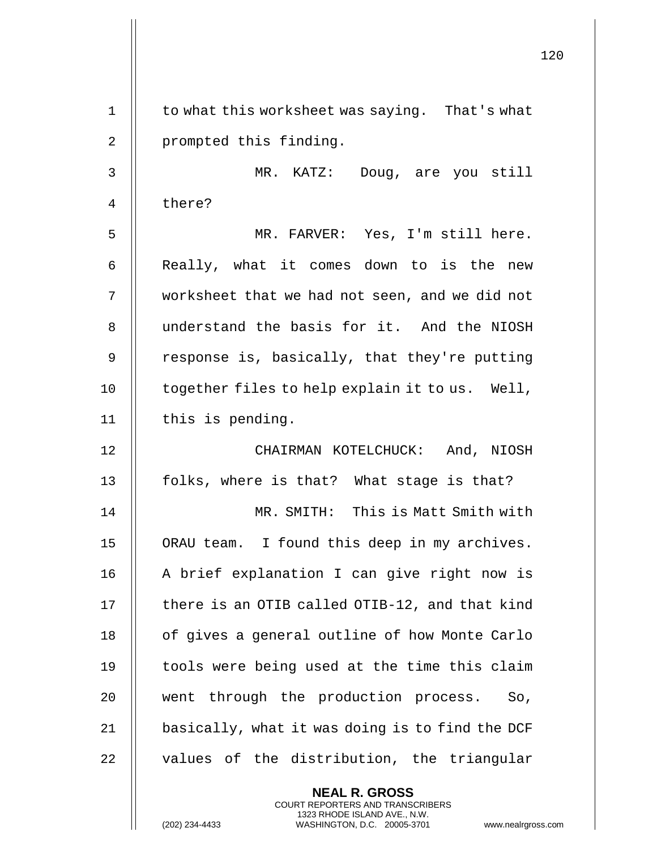|             | 120                                             |  |
|-------------|-------------------------------------------------|--|
| $\mathbf 1$ | to what this worksheet was saying. That's what  |  |
| 2           | prompted this finding.                          |  |
| 3           | MR. KATZ: Doug, are you still                   |  |
| 4           | there?                                          |  |
| 5           | MR. FARVER: Yes, I'm still here.                |  |
|             |                                                 |  |
| 6           | Really, what it comes down to is the new        |  |
| 7           | worksheet that we had not seen, and we did not  |  |
| 8           | understand the basis for it. And the NIOSH      |  |
| 9           | response is, basically, that they're putting    |  |
| 10          | together files to help explain it to us. Well,  |  |
| 11          | this is pending.                                |  |
| 12          | CHAIRMAN KOTELCHUCK: And, NIOSH                 |  |
| 13          | folks, where is that? What stage is that?       |  |
| 14          | MR. SMITH: This is Matt Smith with              |  |
| 15          | ORAU team. I found this deep in my archives.    |  |
| 16          | A brief explanation I can give right now is     |  |
| 17          | there is an OTIB called OTIB-12, and that kind  |  |
| 18          | of gives a general outline of how Monte Carlo   |  |
| 19          | tools were being used at the time this claim    |  |
| 20          | went through the production process. So,        |  |
| 21          | basically, what it was doing is to find the DCF |  |
| 22          | values of the distribution, the triangular      |  |
|             | <b>NEAL R. GROSS</b>                            |  |

COURT REPORTERS AND TRANSCRIBERS 1323 RHODE ISLAND AVE., N.W.

 $\mathsf{II}$ 

 $\mathsf{l}\mathsf{l}$ 

(202) 234-4433 WASHINGTON, D.C. 20005-3701 www.nealrgross.com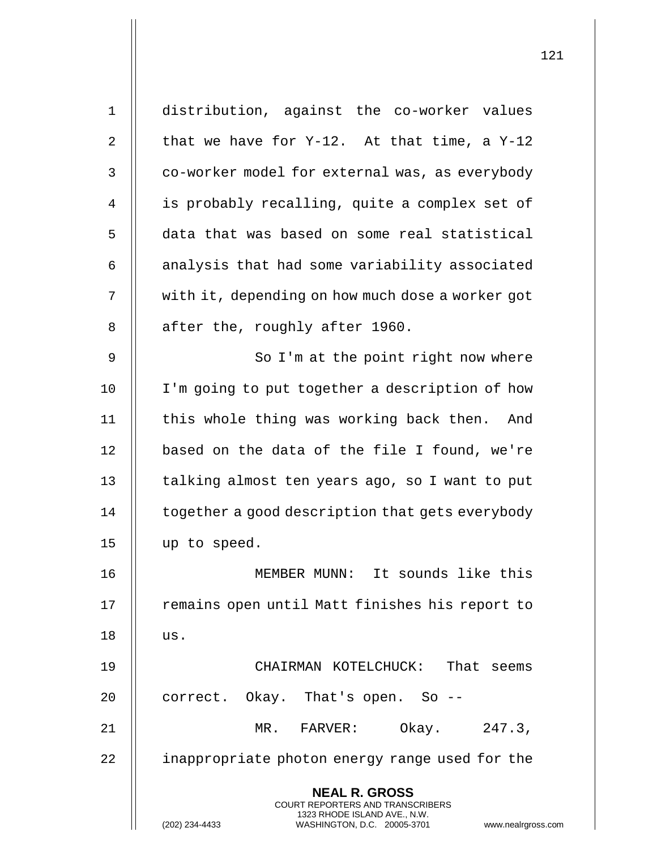**NEAL R. GROSS** COURT REPORTERS AND TRANSCRIBERS 1323 RHODE ISLAND AVE., N.W. (202) 234-4433 WASHINGTON, D.C. 20005-3701 www.nealrgross.com 1 distribution, against the co-worker values 2 | that we have for  $Y-12$ . At that time, a  $Y-12$ 3 | co-worker model for external was, as everybody 4 | is probably recalling, quite a complex set of 5 data that was based on some real statistical  $6$  || analysis that had some variability associated 7 | with it, depending on how much dose a worker got  $8$  | after the, roughly after 1960. 9 || So I'm at the point right now where 10 || I'm going to put together a description of how 11 || this whole thing was working back then. And 12 || based on the data of the file I found, we're 13 | talking almost ten years ago, so I want to put  $14$   $\parallel$  together a good description that gets everybody 15 up to speed. 16 MEMBER MUNN: It sounds like this 17 || remains open until Matt finishes his report to  $18$  || us. 19 CHAIRMAN KOTELCHUCK: That seems 20 || correct. Okay. That's open. So --21 MR. FARVER: Okay. 247.3, 22 | inappropriate photon energy range used for the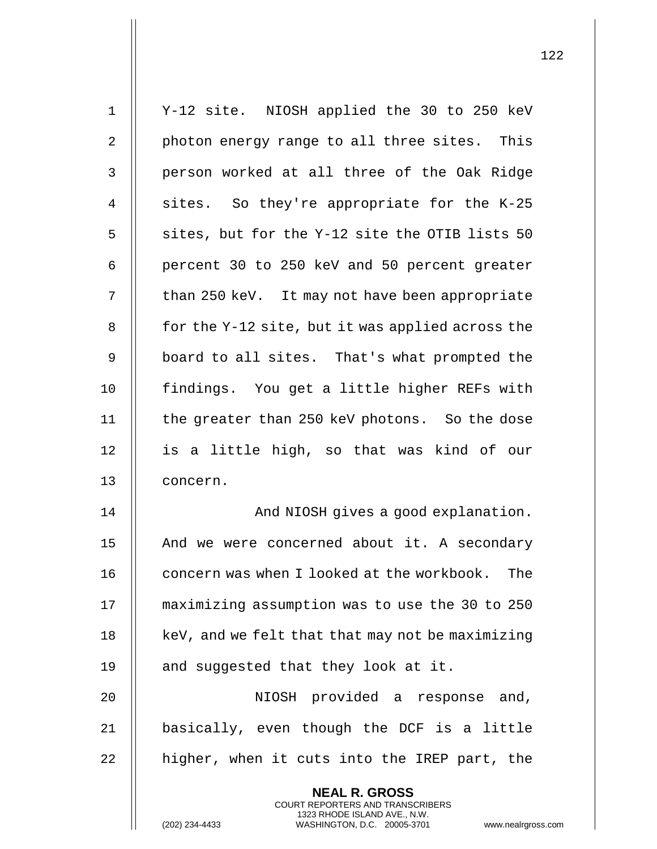| $\mathbf 1$    | Y-12 site. NIOSH applied the 30 to 250 keV                                                      |
|----------------|-------------------------------------------------------------------------------------------------|
| $\overline{2}$ | photon energy range to all three sites. This                                                    |
| 3              | person worked at all three of the Oak Ridge                                                     |
| 4              | sites. So they're appropriate for the K-25                                                      |
| 5              | sites, but for the Y-12 site the OTIB lists 50                                                  |
| 6              | percent 30 to 250 keV and 50 percent greater                                                    |
| 7              | than 250 keV. It may not have been appropriate                                                  |
| 8              | for the Y-12 site, but it was applied across the                                                |
| $\mathsf 9$    | board to all sites. That's what prompted the                                                    |
| 10             | findings. You get a little higher REFs with                                                     |
| 11             | the greater than 250 keV photons. So the dose                                                   |
| 12             | is a little high, so that was kind of our                                                       |
| 13             | concern.                                                                                        |
| 14             | And NIOSH gives a good explanation.                                                             |
| 15             | And we were concerned about it. A secondary                                                     |
| 16             | concern was when I looked at the workbook.<br>The                                               |
| 17             | maximizing assumption was to use the 30 to 250                                                  |
| 18             | keV, and we felt that that may not be maximizing                                                |
| 19             | and suggested that they look at it.                                                             |
| 20             | NIOSH provided a response and,                                                                  |
| 21             | basically, even though the DCF is a little                                                      |
| 22             | higher, when it cuts into the IREP part, the                                                    |
|                | <b>NEAL R. GROSS</b><br><b>COURT REPORTERS AND TRANSCRIBERS</b>                                 |
|                | 1323 RHODE ISLAND AVE., N.W.<br>(202) 234-4433<br>WASHINGTON, D.C. 20005-3701<br>www.nealrgross |

(202) 234-4433 WASHINGTON, D.C. 20005-3701 www.nealrgross.com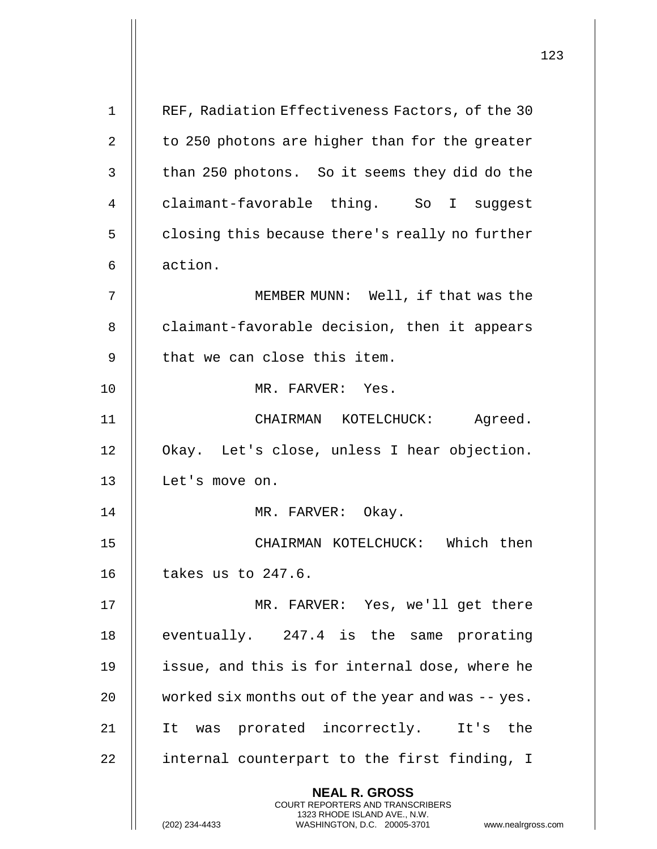|             |                                                                                                     | 123 |
|-------------|-----------------------------------------------------------------------------------------------------|-----|
| $\mathbf 1$ | REF, Radiation Effectiveness Factors, of the 30                                                     |     |
|             |                                                                                                     |     |
| 2           | to 250 photons are higher than for the greater                                                      |     |
| 3           | than 250 photons. So it seems they did do the                                                       |     |
| 4           | claimant-favorable thing. So I suggest                                                              |     |
| 5           | closing this because there's really no further                                                      |     |
| 6           | action.                                                                                             |     |
| 7           | MEMBER MUNN: Well, if that was the                                                                  |     |
| 8           | claimant-favorable decision, then it appears                                                        |     |
| 9           | that we can close this item.                                                                        |     |
| 10          | MR. FARVER: Yes.                                                                                    |     |
| 11          | CHAIRMAN KOTELCHUCK:<br>Agreed.                                                                     |     |
| 12          | Okay. Let's close, unless I hear objection.                                                         |     |
| 13          | Let's move on.                                                                                      |     |
| 14          | MR. FARVER: Okay.                                                                                   |     |
| 15          | CHAIRMAN KOTELCHUCK: Which then                                                                     |     |
| 16          | takes us to 247.6.                                                                                  |     |
| 17          | MR. FARVER: Yes, we'll get there                                                                    |     |
| 18          | eventually. 247.4 is the same prorating                                                             |     |
| 19          | issue, and this is for internal dose, where he                                                      |     |
| 20          | worked six months out of the year and was -- yes.                                                   |     |
| 21          | It was prorated incorrectly. It's the                                                               |     |
| 22          | internal counterpart to the first finding, I                                                        |     |
|             | <b>NEAL R. GROSS</b><br><b>COURT REPORTERS AND TRANSCRIBERS</b>                                     |     |
|             | 1323 RHODE ISLAND AVE., N.W.<br>(202) 234-4433<br>WASHINGTON, D.C. 20005-3701<br>www.nealrgross.com |     |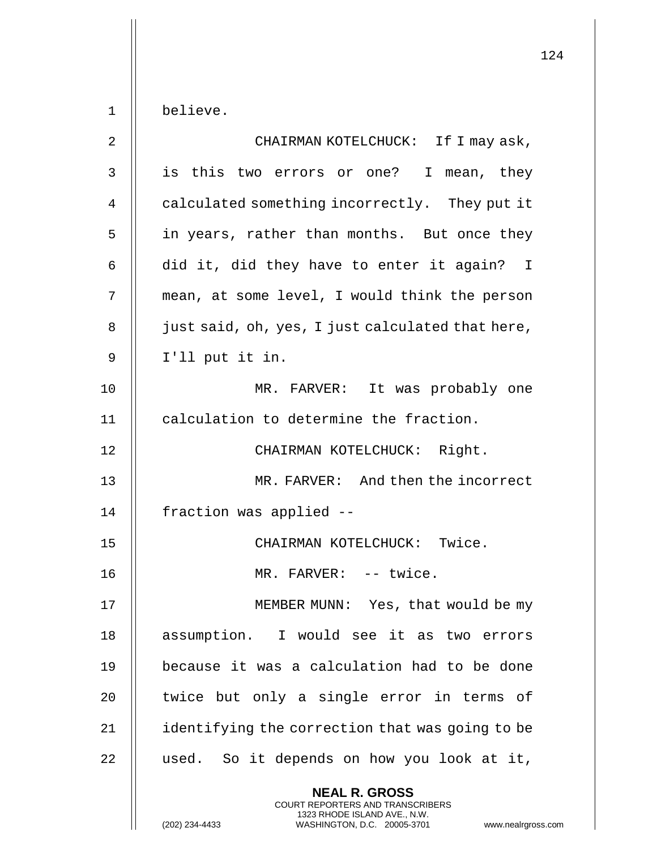**NEAL R. GROSS** COURT REPORTERS AND TRANSCRIBERS 1 believe. 2 CHAIRMAN KOTELCHUCK: If I may ask, 3 || is this two errors or one? I mean, they 4 | calculated something incorrectly. They put it 5 || in years, rather than months. But once they 6  $\parallel$  did it, did they have to enter it again? I 7 || mean, at some level, I would think the person 8 | just said, oh, yes, I just calculated that here,  $9 \parallel$  I'll put it in. 10 MR. FARVER: It was probably one 11 calculation to determine the fraction. 12 || CHAIRMAN KOTELCHUCK: Right. 13 MR. FARVER: And then the incorrect 14 | fraction was applied --15 CHAIRMAN KOTELCHUCK: Twice. 16 MR. FARVER: -- twice. 17 || MEMBER MUNN: Yes, that would be my 18 || assumption. I would see it as two errors 19 because it was a calculation had to be done 20  $\parallel$  twice but only a single error in terms of 21 | identifying the correction that was going to be 22 || used. So it depends on how you look at it,

1323 RHODE ISLAND AVE., N.W.

(202) 234-4433 WASHINGTON, D.C. 20005-3701 www.nealrgross.com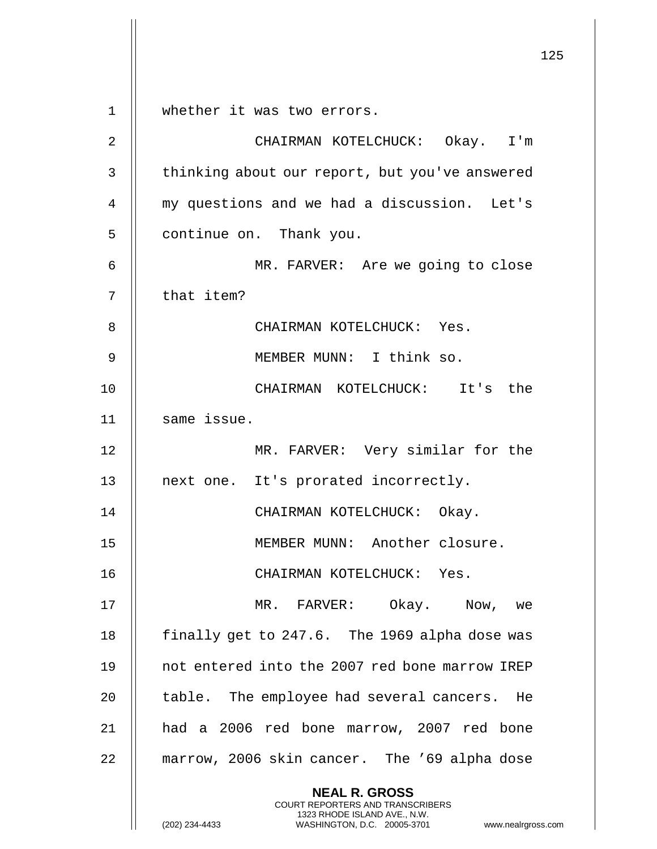125 **NEAL R. GROSS** COURT REPORTERS AND TRANSCRIBERS 1323 RHODE ISLAND AVE., N.W. (202) 234-4433 WASHINGTON, D.C. 20005-3701 www.nealrgross.com 1 whether it was two errors. 2 CHAIRMAN KOTELCHUCK: Okay. I'm 3 | thinking about our report, but you've answered 4 my questions and we had a discussion. Let's 5 | continue on. Thank you. 6 MR. FARVER: Are we going to close  $7$  || that item? 8 || CHAIRMAN KOTELCHUCK: Yes. 9 MEMBER MUNN: I think so. 10 CHAIRMAN KOTELCHUCK: It's the 11 || same issue. 12 || MR. FARVER: Very similar for the 13 || next one. It's prorated incorrectly. 14 CHAIRMAN KOTELCHUCK: Okay. 15 || MEMBER MUNN: Another closure. 16 CHAIRMAN KOTELCHUCK: Yes. 17 MR. FARVER: Okay. Now, we 18 | finally get to 247.6. The 1969 alpha dose was 19 || not entered into the 2007 red bone marrow IREP 20 || table. The employee had several cancers. He 21 had a 2006 red bone marrow, 2007 red bone 22 | marrow, 2006 skin cancer. The '69 alpha dose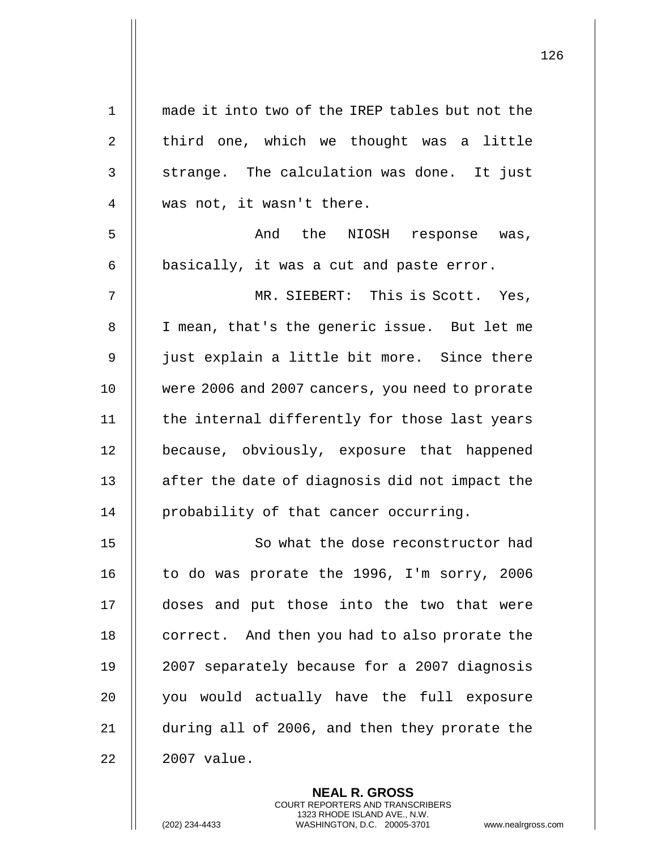| $\mathbf 1$    | made it into two of the IREP tables but not the |
|----------------|-------------------------------------------------|
| $\overline{2}$ | third one, which we thought was a little        |
| 3              | strange. The calculation was done. It just      |
| 4              | was not, it wasn't there.                       |
| 5              | And the NIOSH response was,                     |
| 6              | basically, it was a cut and paste error.        |
| 7              | MR. SIEBERT: This is Scott. Yes,                |
| 8              | I mean, that's the generic issue. But let me    |
| 9              | just explain a little bit more. Since there     |
| 10             | were 2006 and 2007 cancers, you need to prorate |
| 11             | the internal differently for those last years   |
| 12             | because, obviously, exposure that happened      |
| 13             | after the date of diagnosis did not impact the  |
| 14             | probability of that cancer occurring.           |
| 15             | So what the dose reconstructor had              |
| 16             | to do was prorate the 1996, I'm sorry, 2006     |
| 17             | doses and put those into the two that were      |
| 18             | correct. And then you had to also prorate the   |
| 19             | 2007 separately because for a 2007 diagnosis    |
| 20             | you would actually have the full exposure       |
| 21             | during all of 2006, and then they prorate the   |
| 22             | 2007 value.                                     |

**NEAL R. GROSS** COURT REPORTERS AND TRANSCRIBERS 1323 RHODE ISLAND AVE., N.W.

(202) 234-4433 WASHINGTON, D.C. 20005-3701 www.nealrgross.com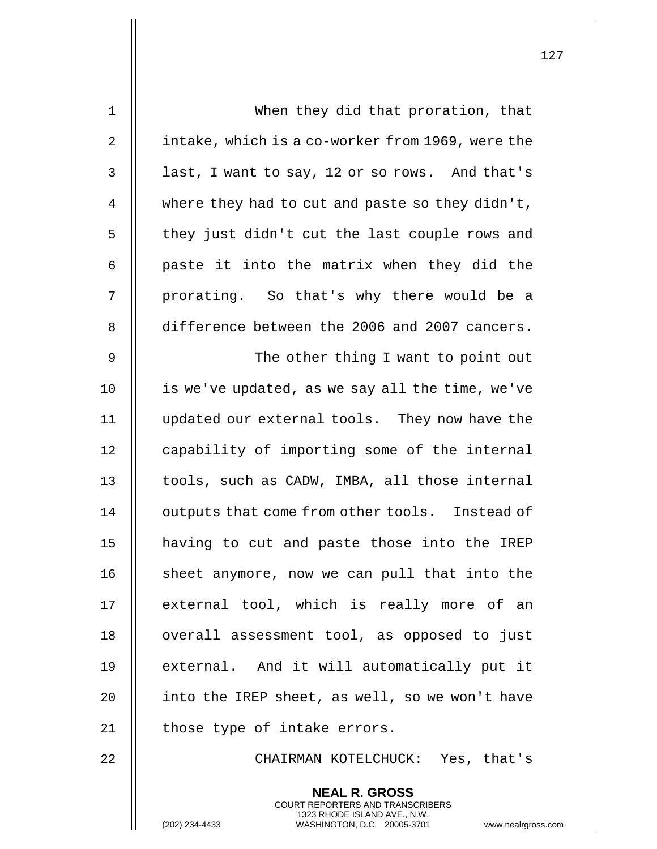| 1  | When they did that proration, that               |
|----|--------------------------------------------------|
| 2  | intake, which is a co-worker from 1969, were the |
| 3  | last, I want to say, 12 or so rows. And that's   |
| 4  | where they had to cut and paste so they didn't,  |
| 5  | they just didn't cut the last couple rows and    |
| 6  | paste it into the matrix when they did the       |
| 7  | prorating. So that's why there would be a        |
| 8  | difference between the 2006 and 2007 cancers.    |
| 9  | The other thing I want to point out              |
| 10 | is we've updated, as we say all the time, we've  |
| 11 | updated our external tools. They now have the    |
| 12 | capability of importing some of the internal     |
| 13 | tools, such as CADW, IMBA, all those internal    |
| 14 | outputs that come from other tools. Instead of   |
| 15 | having to cut and paste those into the IREP      |
| 16 | sheet anymore, now we can pull that into the     |
| 17 | external tool, which is really more of an        |
| 18 | overall assessment tool, as opposed to just      |
| 19 | external. And it will automatically put it       |
| 20 | into the IREP sheet, as well, so we won't have   |
| 21 | those type of intake errors.                     |
| 22 | CHAIRMAN KOTELCHUCK: Yes, that's                 |
|    | <b>NEAL R. GROSS</b>                             |

COURT REPORTERS AND TRANSCRIBERS 1323 RHODE ISLAND AVE., N.W.

(202) 234-4433 WASHINGTON, D.C. 20005-3701 www.nealrgross.com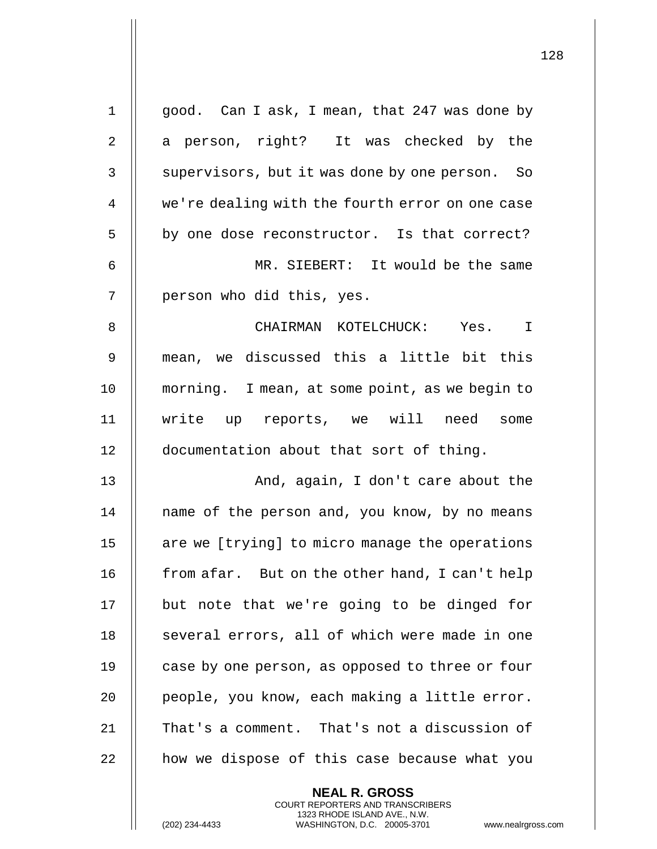| $\mathbf 1$    | good. Can I ask, I mean, that 247 was done by   |
|----------------|-------------------------------------------------|
| $\overline{2}$ | a person, right? It was checked by the          |
| 3              | supervisors, but it was done by one person. So  |
| 4              | we're dealing with the fourth error on one case |
| 5              | by one dose reconstructor. Is that correct?     |
| 6              | MR. SIEBERT: It would be the same               |
| 7              | person who did this, yes.                       |
| 8              | CHAIRMAN KOTELCHUCK:<br>Yes. I                  |
| $\mathsf 9$    | mean, we discussed this a little bit this       |
| 10             | morning. I mean, at some point, as we begin to  |
| 11             | write up reports, we will need some             |
| 12             | documentation about that sort of thing.         |
| 13             | And, again, I don't care about the              |
| 14             | name of the person and, you know, by no means   |
| 15             | are we [trying] to micro manage the operations  |
| 16             | from afar. But on the other hand, I can't help  |
| 17             | but note that we're going to be dinged for      |
| 18             | several errors, all of which were made in one   |
| 19             | case by one person, as opposed to three or four |
| 20             | people, you know, each making a little error.   |
| 21             | That's a comment. That's not a discussion of    |
| 22             | how we dispose of this case because what you    |
|                | <b>NEAL R. GROSS</b>                            |

COURT REPORTERS AND TRANSCRIBERS 1323 RHODE ISLAND AVE., N.W.

(202) 234-4433 WASHINGTON, D.C. 20005-3701 www.nealrgross.com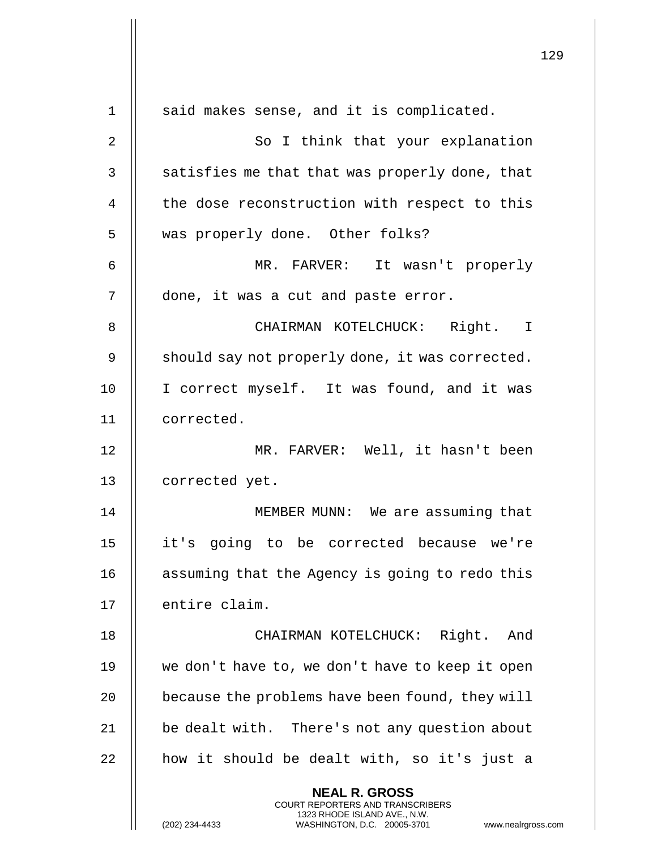|    |                                                                                                                                                                        | 129 |
|----|------------------------------------------------------------------------------------------------------------------------------------------------------------------------|-----|
| 1  | said makes sense, and it is complicated.                                                                                                                               |     |
| 2  | So I think that your explanation                                                                                                                                       |     |
| 3  | satisfies me that that was properly done, that                                                                                                                         |     |
| 4  | the dose reconstruction with respect to this                                                                                                                           |     |
| 5  | was properly done. Other folks?                                                                                                                                        |     |
| 6  | MR. FARVER: It wasn't properly                                                                                                                                         |     |
| 7  | done, it was a cut and paste error.                                                                                                                                    |     |
| 8  | CHAIRMAN KOTELCHUCK: Right. I                                                                                                                                          |     |
| 9  | should say not properly done, it was corrected.                                                                                                                        |     |
| 10 | I correct myself. It was found, and it was                                                                                                                             |     |
| 11 | corrected.                                                                                                                                                             |     |
| 12 | MR. FARVER: Well, it hasn't been                                                                                                                                       |     |
| 13 | corrected yet.                                                                                                                                                         |     |
| 14 | MEMBER MUNN: We are assuming that                                                                                                                                      |     |
| 15 | it's going to be corrected because we're                                                                                                                               |     |
| 16 | assuming that the Agency is going to redo this                                                                                                                         |     |
| 17 | entire claim.                                                                                                                                                          |     |
| 18 | CHAIRMAN KOTELCHUCK: Right. And                                                                                                                                        |     |
| 19 | we don't have to, we don't have to keep it open                                                                                                                        |     |
| 20 | because the problems have been found, they will                                                                                                                        |     |
| 21 | be dealt with. There's not any question about                                                                                                                          |     |
| 22 | how it should be dealt with, so it's just a                                                                                                                            |     |
|    | <b>NEAL R. GROSS</b><br><b>COURT REPORTERS AND TRANSCRIBERS</b><br>1323 RHODE ISLAND AVE., N.W.<br>(202) 234-4433<br>WASHINGTON, D.C. 20005-3701<br>www.nealrgross.com |     |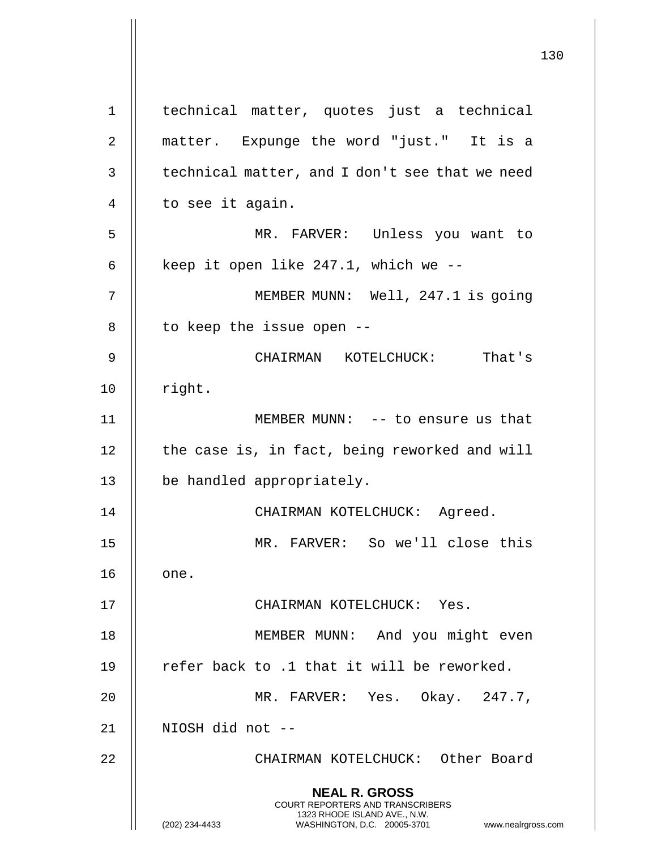**NEAL R. GROSS** COURT REPORTERS AND TRANSCRIBERS 1323 RHODE ISLAND AVE., N.W. (202) 234-4433 WASHINGTON, D.C. 20005-3701 www.nealrgross.com 1 || technical matter, quotes just a technical 2 matter. Expunge the word "just." It is a  $3$  | technical matter, and I don't see that we need 4 | to see it again. 5 MR. FARVER: Unless you want to 6  $\parallel$  keep it open like 247.1, which we --7 || MEMBER MUNN: Well, 247.1 is going 8 | to keep the issue open --9 CHAIRMAN KOTELCHUCK: That's  $10$  | right. 11 MEMBER MUNN: -- to ensure us that 12 | the case is, in fact, being reworked and will 13 be handled appropriately. 14 || CHAIRMAN KOTELCHUCK: Agreed. 15 MR. FARVER: So we'll close this 16 || one. 17 CHAIRMAN KOTELCHUCK: Yes. 18 || MEMBER MUNN: And you might even 19  $\parallel$  refer back to .1 that it will be reworked. 20 MR. FARVER: Yes. Okay. 247.7, 21 NIOSH did not -- 22 CHAIRMAN KOTELCHUCK: Other Board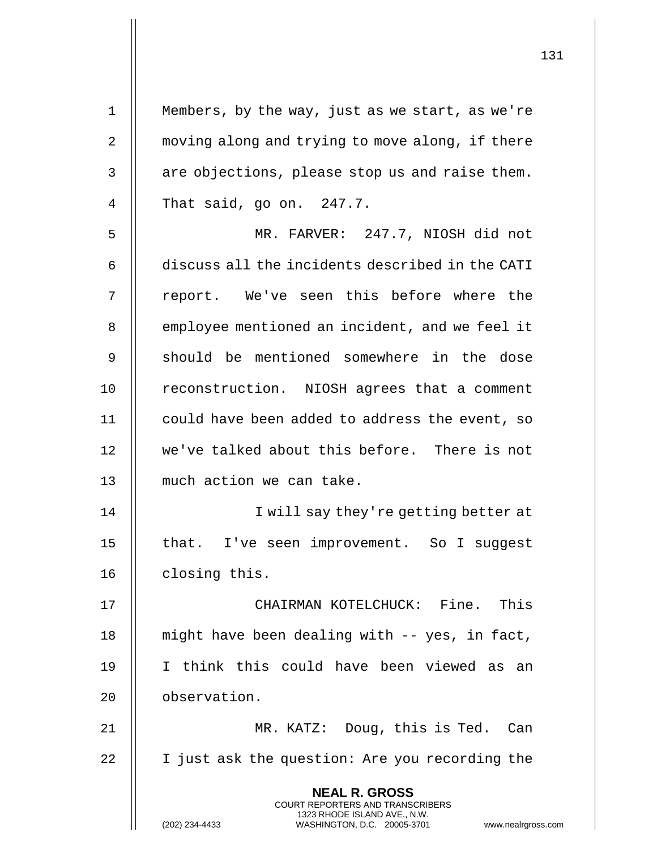| $\mathbf 1$ | Members, by the way, just as we start, as we're                                                                                                                        |
|-------------|------------------------------------------------------------------------------------------------------------------------------------------------------------------------|
| 2           | moving along and trying to move along, if there                                                                                                                        |
| 3           | are objections, please stop us and raise them.                                                                                                                         |
| 4           | That said, go on. 247.7.                                                                                                                                               |
| 5           | MR. FARVER: 247.7, NIOSH did not                                                                                                                                       |
| 6           | discuss all the incidents described in the CATI                                                                                                                        |
| 7           | report. We've seen this before where the                                                                                                                               |
| 8           | employee mentioned an incident, and we feel it                                                                                                                         |
| 9           | should be mentioned somewhere in the dose                                                                                                                              |
| 10          | reconstruction. NIOSH agrees that a comment                                                                                                                            |
| 11          | could have been added to address the event, so                                                                                                                         |
| 12          | we've talked about this before. There is not                                                                                                                           |
| 13          | much action we can take.                                                                                                                                               |
| 14          | I will say they're getting better at                                                                                                                                   |
| 15          | that. I've seen improvement. So I suggest                                                                                                                              |
| 16          | closing this.                                                                                                                                                          |
| 17          | CHAIRMAN KOTELCHUCK: Fine. This                                                                                                                                        |
| 18          | might have been dealing with -- yes, in fact,                                                                                                                          |
| 19          | I think this could have been viewed as an                                                                                                                              |
| 20          | observation.                                                                                                                                                           |
| 21          | MR. KATZ: Doug, this is Ted. Can                                                                                                                                       |
| 22          | I just ask the question: Are you recording the                                                                                                                         |
|             | <b>NEAL R. GROSS</b><br><b>COURT REPORTERS AND TRANSCRIBERS</b><br>1323 RHODE ISLAND AVE., N.W.<br>(202) 234-4433<br>WASHINGTON, D.C. 20005-3701<br>www.nealrgross.com |

 $\mathbf{I}$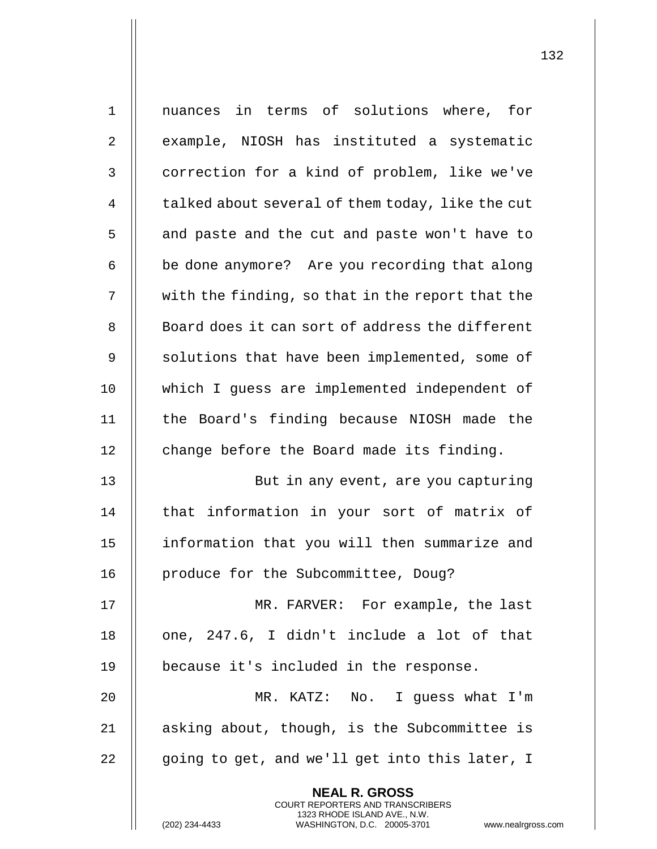| $\mathbf 1$    | nuances in terms of solutions where, for                                                       |
|----------------|------------------------------------------------------------------------------------------------|
| 2              | example, NIOSH has instituted a systematic                                                     |
| 3              | correction for a kind of problem, like we've                                                   |
| $\overline{4}$ | talked about several of them today, like the cut                                               |
| 5              | and paste and the cut and paste won't have to                                                  |
| 6              | be done anymore? Are you recording that along                                                  |
| 7              | with the finding, so that in the report that the                                               |
| 8              | Board does it can sort of address the different                                                |
| $\mathsf 9$    | solutions that have been implemented, some of                                                  |
| 10             | which I guess are implemented independent of                                                   |
| 11             | the Board's finding because NIOSH made the                                                     |
| 12             | change before the Board made its finding.                                                      |
| 13             | But in any event, are you capturing                                                            |
| 14             | that information in your sort of matrix of                                                     |
| 15             | information that you will then summarize and                                                   |
| 16             | produce for the Subcommittee, Doug?                                                            |
| 17             | MR. FARVER: For example, the last                                                              |
| 18             | one, 247.6, I didn't include a lot of that                                                     |
| 19             | because it's included in the response.                                                         |
| 20             | MR. KATZ: No. I guess what I'm                                                                 |
| 21             | asking about, though, is the Subcommittee is                                                   |
| 22             | going to get, and we'll get into this later, I                                                 |
|                | <b>NEAL R. GROSS</b><br><b>COURT REPORTERS AND TRANSCRIBERS</b>                                |
|                | 1323 RHODE ISLAND AVE., N.W.<br>WASHINGTON, D.C. 20005-3701<br>(202) 234-4433<br>www.nealrgros |

(202) 234-4433 WASHINGTON, D.C. 20005-3701 www.nealrgross.com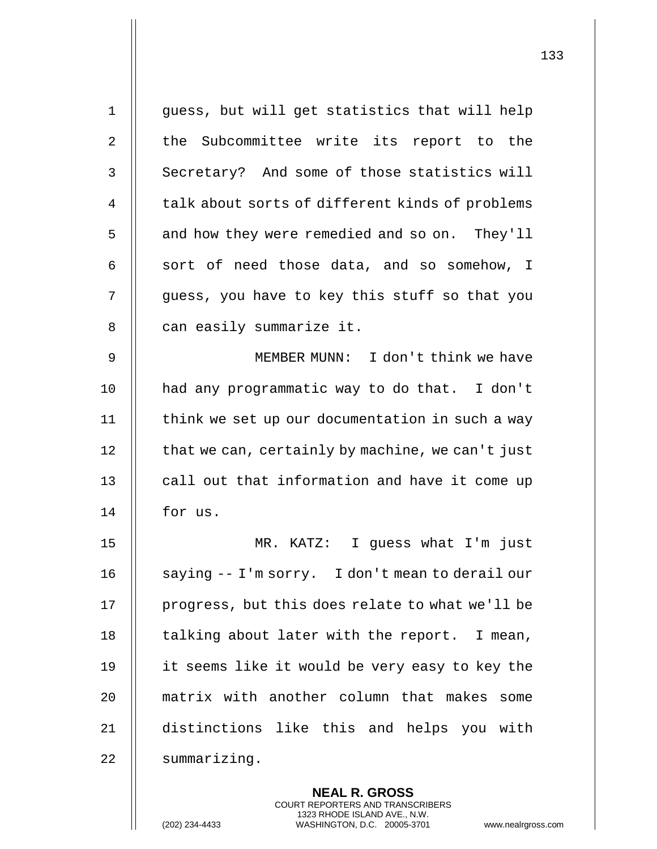|                | <b>NEAL R. GROSS</b>                             |
|----------------|--------------------------------------------------|
| 22             | summarizing.                                     |
| 21             | distinctions like this and helps you with        |
| 20             | matrix with another column that makes some       |
| 19             | it seems like it would be very easy to key the   |
| 18             | talking about later with the report. I mean,     |
| 17             | progress, but this does relate to what we'll be  |
| 16             | saying -- I'm sorry. I don't mean to derail our  |
| 15             | MR. KATZ: I guess what I'm just                  |
| 14             | for us.                                          |
| 13             | call out that information and have it come up    |
| 12             | that we can, certainly by machine, we can't just |
| 11             | think we set up our documentation in such a way  |
| 10             | had any programmatic way to do that. I don't     |
| 9              | MEMBER MUNN: I don't think we have               |
| 8              | can easily summarize it.                         |
| 7              | guess, you have to key this stuff so that you    |
| 6              | sort of need those data, and so somehow, I       |
| 5              | and how they were remedied and so on. They'll    |
| 4              | talk about sorts of different kinds of problems  |
| 3              | Secretary? And some of those statistics will     |
| $\overline{2}$ | the Subcommittee write its report to the         |
| $\mathbf{1}$   | guess, but will get statistics that will help    |
|                |                                                  |

COURT REPORTERS AND TRANSCRIBERS 1323 RHODE ISLAND AVE., N.W.

(202) 234-4433 WASHINGTON, D.C. 20005-3701 www.nealrgross.com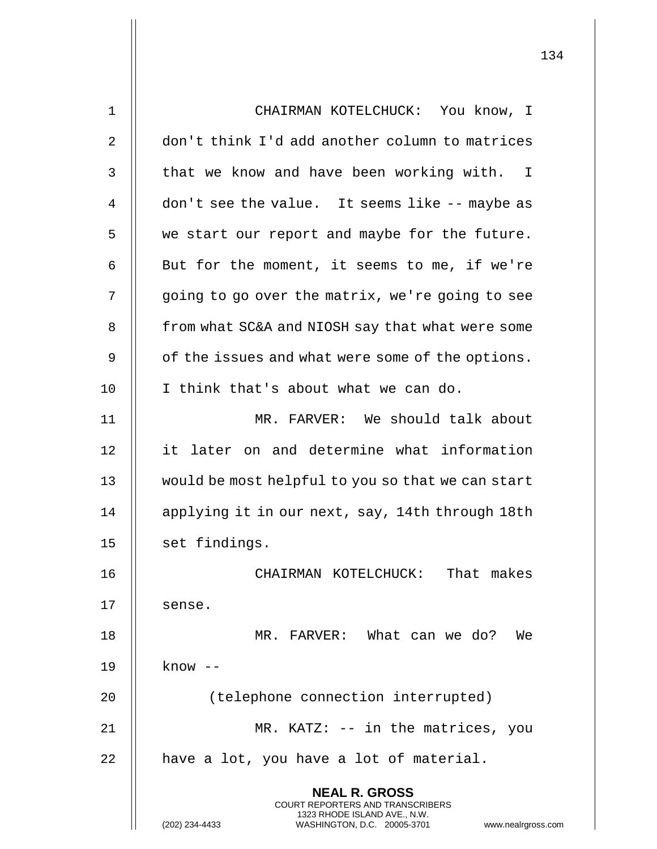| 1  | CHAIRMAN KOTELCHUCK: You know, I                                                         |
|----|------------------------------------------------------------------------------------------|
| 2  | don't think I'd add another column to matrices                                           |
| 3  | that we know and have been working with. I                                               |
| 4  | don't see the value. It seems like -- maybe as                                           |
| 5  | we start our report and maybe for the future.                                            |
| 6  | But for the moment, it seems to me, if we're                                             |
| 7  | going to go over the matrix, we're going to see                                          |
| 8  | from what SC&A and NIOSH say that what were some                                         |
| 9  | of the issues and what were some of the options.                                         |
| 10 | I think that's about what we can do.                                                     |
| 11 | MR. FARVER: We should talk about                                                         |
| 12 | it later on and determine what information                                               |
| 13 | would be most helpful to you so that we can start                                        |
| 14 | applying it in our next, say, 14th through 18th                                          |
| 15 | set findings.                                                                            |
| 16 | CHAIRMAN KOTELCHUCK: That makes                                                          |
| 17 | sense.                                                                                   |
| 18 | MR. FARVER: What can we do?<br>We                                                        |
| 19 | know --                                                                                  |
| 20 | (telephone connection interrupted)                                                       |
| 21 | MR. KATZ: $-$ in the matrices, you                                                       |
| 22 | have a lot, you have a lot of material.                                                  |
|    | <b>NEAL R. GROSS</b><br>COURT REPORTERS AND TRANSCRIBERS<br>1323 RHODE ISLAND AVE., N.W. |
|    | (202) 234-4433<br>WASHINGTON, D.C. 20005-3701<br>www.nealrgross.com                      |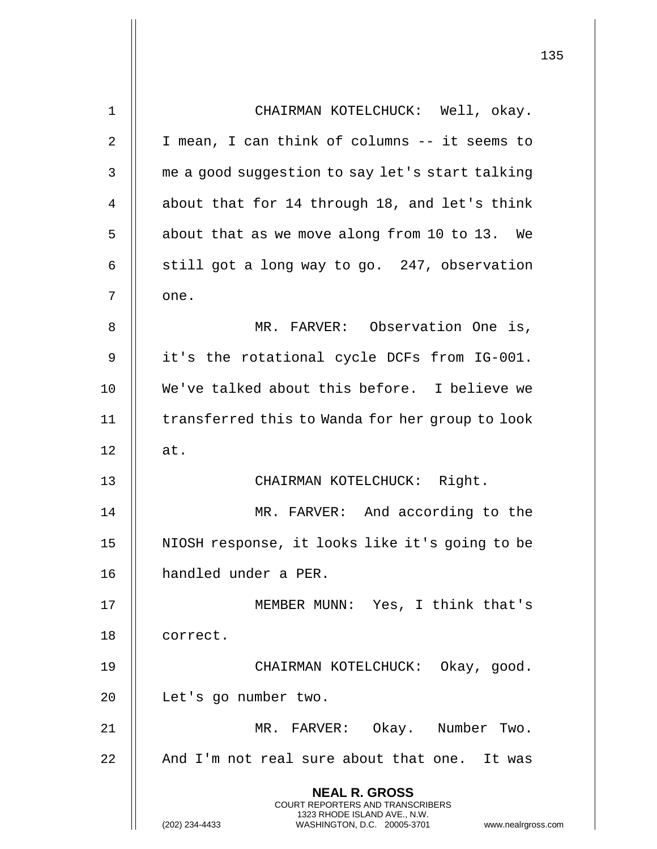| 1  | CHAIRMAN KOTELCHUCK: Well, okay.                                                                    |
|----|-----------------------------------------------------------------------------------------------------|
| 2  | I mean, I can think of columns -- it seems to                                                       |
| 3  | me a good suggestion to say let's start talking                                                     |
| 4  | about that for 14 through 18, and let's think                                                       |
| 5  | about that as we move along from 10 to 13. We                                                       |
| 6  | still got a long way to go. 247, observation                                                        |
| 7  | one.                                                                                                |
| 8  | MR. FARVER: Observation One is,                                                                     |
| 9  | it's the rotational cycle DCFs from IG-001.                                                         |
| 10 | We've talked about this before. I believe we                                                        |
| 11 | transferred this to Wanda for her group to look                                                     |
| 12 | at.                                                                                                 |
| 13 | CHAIRMAN KOTELCHUCK: Right.                                                                         |
| 14 | MR. FARVER: And according to the                                                                    |
| 15 | NIOSH response, it looks like it's going to be                                                      |
| 16 | handled under a PER.                                                                                |
| 17 | MEMBER MUNN: Yes, I think that's                                                                    |
| 18 | correct.                                                                                            |
| 19 | CHAIRMAN KOTELCHUCK: Okay, good.                                                                    |
| 20 | Let's go number two.                                                                                |
| 21 | MR. FARVER: Okay. Number Two.                                                                       |
| 22 | And I'm not real sure about that one. It was                                                        |
|    | <b>NEAL R. GROSS</b><br>COURT REPORTERS AND TRANSCRIBERS                                            |
|    | 1323 RHODE ISLAND AVE., N.W.<br>(202) 234-4433<br>WASHINGTON, D.C. 20005-3701<br>www.nealrgross.com |

L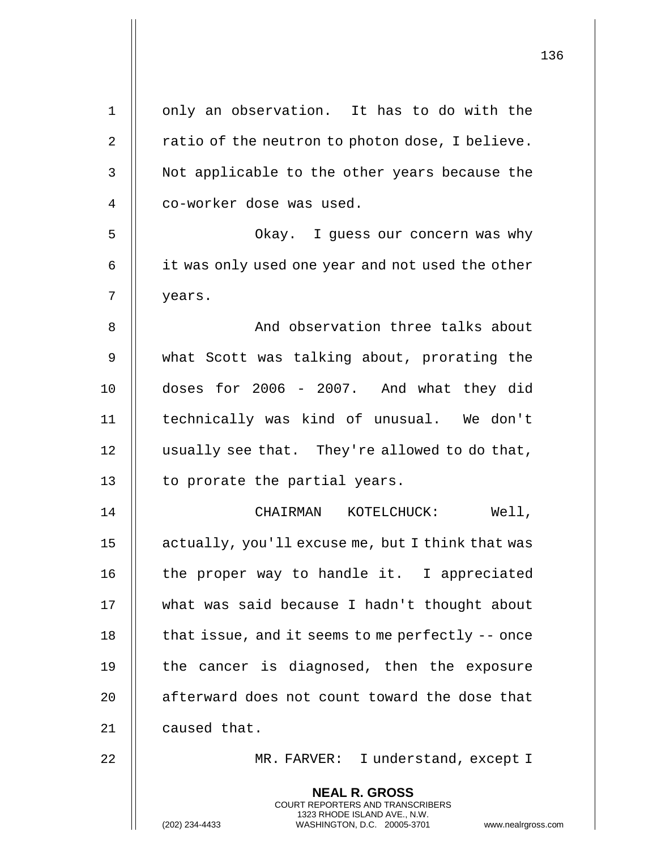| 1              | only an observation. It has to do with the                                                                                                                      |
|----------------|-----------------------------------------------------------------------------------------------------------------------------------------------------------------|
| $\overline{2}$ | ratio of the neutron to photon dose, I believe.                                                                                                                 |
| 3              | Not applicable to the other years because the                                                                                                                   |
| 4              | co-worker dose was used.                                                                                                                                        |
| 5              | Okay. I guess our concern was why                                                                                                                               |
| 6              | it was only used one year and not used the other                                                                                                                |
| 7              | years.                                                                                                                                                          |
| 8              | And observation three talks about                                                                                                                               |
| 9              | what Scott was talking about, prorating the                                                                                                                     |
| 10             | doses for 2006 - 2007. And what they did                                                                                                                        |
| 11             | technically was kind of unusual. We don't                                                                                                                       |
| 12             | usually see that. They're allowed to do that,                                                                                                                   |
| 13             | to prorate the partial years.                                                                                                                                   |
| 14             | CHAIRMAN KOTELCHUCK:<br>Well,                                                                                                                                   |
| 15             | actually, you'll excuse me, but I think that was                                                                                                                |
| 16             | the proper way to handle it. I appreciated                                                                                                                      |
| 17             | what was said because I hadn't thought about                                                                                                                    |
| 18             | that issue, and it seems to me perfectly $-$ once                                                                                                               |
| 19             | the cancer is diagnosed, then the exposure                                                                                                                      |
| 20             | afterward does not count toward the dose that                                                                                                                   |
| 21             | caused that.                                                                                                                                                    |
| 22             | MR. FARVER: I understand, except I                                                                                                                              |
|                | <b>NEAL R. GROSS</b><br>COURT REPORTERS AND TRANSCRIBERS<br>1323 RHODE ISLAND AVE., N.W.<br>(202) 234-4433<br>WASHINGTON, D.C. 20005-3701<br>www.nealrgross.com |

 $\mathbf{I}$ 

Π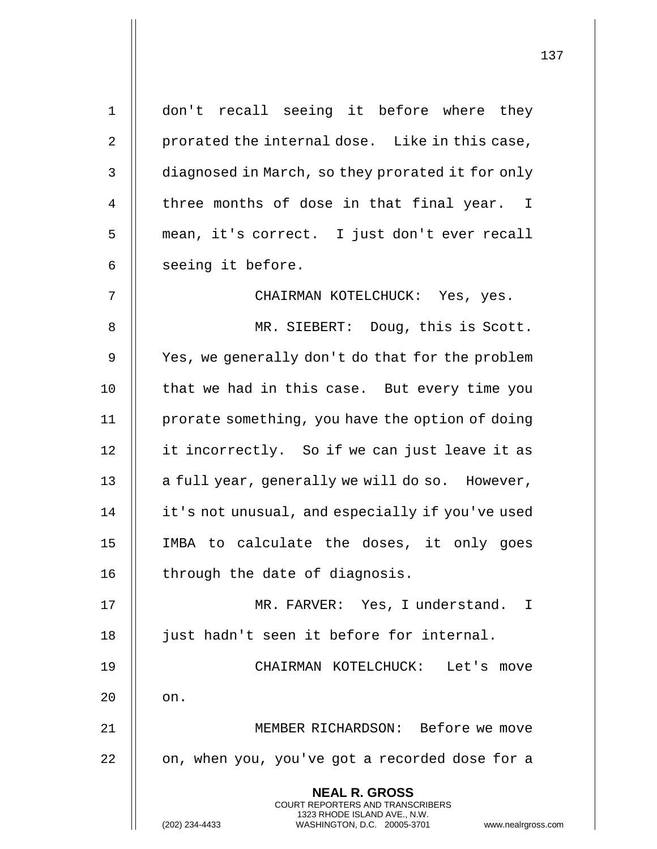| $\mathbf 1$ | don't recall seeing it before where they                                                            |
|-------------|-----------------------------------------------------------------------------------------------------|
| 2           | prorated the internal dose. Like in this case,                                                      |
| 3           | diagnosed in March, so they prorated it for only                                                    |
| 4           | three months of dose in that final year. I                                                          |
| 5           | mean, it's correct. I just don't ever recall                                                        |
| 6           | seeing it before.                                                                                   |
| 7           | CHAIRMAN KOTELCHUCK: Yes, yes.                                                                      |
| 8           | MR. SIEBERT: Doug, this is Scott.                                                                   |
| 9           | Yes, we generally don't do that for the problem                                                     |
| 10          | that we had in this case. But every time you                                                        |
| 11          | prorate something, you have the option of doing                                                     |
| 12          | it incorrectly. So if we can just leave it as                                                       |
| 13          | a full year, generally we will do so. However,                                                      |
| 14          | it's not unusual, and especially if you've used                                                     |
| 15          | IMBA to calculate the doses, it only goes                                                           |
| 16          | through the date of diagnosis.                                                                      |
| 17          | MR. FARVER: Yes, I understand. I                                                                    |
| 18          | just hadn't seen it before for internal.                                                            |
| 19          | CHAIRMAN KOTELCHUCK: Let's move                                                                     |
| 20          | on.                                                                                                 |
| 21          | MEMBER RICHARDSON: Before we move                                                                   |
| 22          | on, when you, you've got a recorded dose for a                                                      |
|             | <b>NEAL R. GROSS</b><br><b>COURT REPORTERS AND TRANSCRIBERS</b>                                     |
|             | 1323 RHODE ISLAND AVE., N.W.<br>(202) 234-4433<br>WASHINGTON, D.C. 20005-3701<br>www.nealrgross.com |

Ħ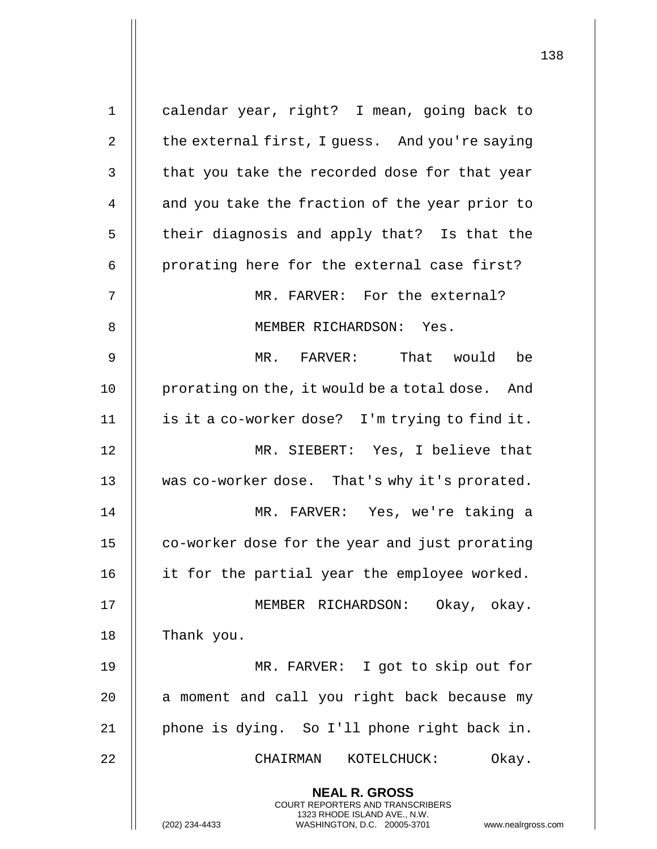| $\mathbf 1$    | calendar year, right? I mean, going back to                                                                                                                            |
|----------------|------------------------------------------------------------------------------------------------------------------------------------------------------------------------|
| $\overline{2}$ | the external first, I guess. And you're saying                                                                                                                         |
| 3              | that you take the recorded dose for that year                                                                                                                          |
| 4              | and you take the fraction of the year prior to                                                                                                                         |
| 5              | their diagnosis and apply that? Is that the                                                                                                                            |
| 6              | prorating here for the external case first?                                                                                                                            |
| 7              | MR. FARVER: For the external?                                                                                                                                          |
| 8              | MEMBER RICHARDSON: Yes.                                                                                                                                                |
| 9              | MR. FARVER: That would be                                                                                                                                              |
| 10             | prorating on the, it would be a total dose. And                                                                                                                        |
| 11             | is it a co-worker dose? I'm trying to find it.                                                                                                                         |
| 12             | MR. SIEBERT: Yes, I believe that                                                                                                                                       |
| 13             | was co-worker dose. That's why it's prorated.                                                                                                                          |
| 14             | MR. FARVER: Yes, we're taking a                                                                                                                                        |
| 15             | co-worker dose for the year and just prorating                                                                                                                         |
| 16             | it for the partial year the employee worked.                                                                                                                           |
| 17             | MEMBER RICHARDSON:<br>Okay, okay.                                                                                                                                      |
| 18             | Thank you.                                                                                                                                                             |
| 19             | MR. FARVER: I got to skip out for                                                                                                                                      |
| 20             | a moment and call you right back because my                                                                                                                            |
| 21             | phone is dying. So I'll phone right back in.                                                                                                                           |
| 22             | KOTELCHUCK:<br>Okay.<br>CHAIRMAN                                                                                                                                       |
|                | <b>NEAL R. GROSS</b><br><b>COURT REPORTERS AND TRANSCRIBERS</b><br>1323 RHODE ISLAND AVE., N.W.<br>(202) 234-4433<br>WASHINGTON, D.C. 20005-3701<br>www.nealrgross.com |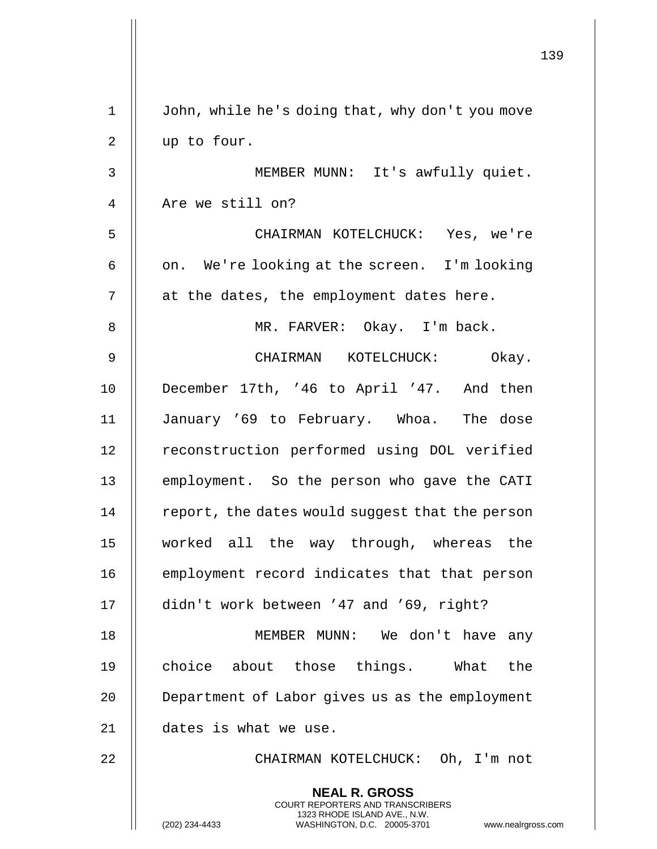|             | 139                                                                                                                                                                    |
|-------------|------------------------------------------------------------------------------------------------------------------------------------------------------------------------|
| $\mathbf 1$ | John, while he's doing that, why don't you move                                                                                                                        |
| 2           | up to four.                                                                                                                                                            |
| 3           | MEMBER MUNN: It's awfully quiet.                                                                                                                                       |
| 4           | Are we still on?                                                                                                                                                       |
| 5           | CHAIRMAN KOTELCHUCK: Yes, we're                                                                                                                                        |
| 6           | on. We're looking at the screen. I'm looking                                                                                                                           |
| 7           | at the dates, the employment dates here.                                                                                                                               |
| 8           | MR. FARVER: Okay. I'm back.                                                                                                                                            |
| 9           | CHAIRMAN KOTELCHUCK: Okay.                                                                                                                                             |
| 10          | December 17th, '46 to April '47. And then                                                                                                                              |
| 11          | January '69 to February. Whoa. The dose                                                                                                                                |
| 12          | reconstruction performed using DOL verified                                                                                                                            |
| 13          | employment. So the person who gave the CATI                                                                                                                            |
| 14          | report, the dates would suggest that the person                                                                                                                        |
| 15          | worked all the way through, whereas the                                                                                                                                |
| 16          | employment record indicates that that person                                                                                                                           |
| 17          | didn't work between '47 and '69, right?                                                                                                                                |
| 18          | MEMBER MUNN: We don't have any                                                                                                                                         |
| 19          | choice about those things. What the                                                                                                                                    |
| 20          | Department of Labor gives us as the employment                                                                                                                         |
| 21          | dates is what we use.                                                                                                                                                  |
| 22          | CHAIRMAN KOTELCHUCK: Oh, I'm not                                                                                                                                       |
|             | <b>NEAL R. GROSS</b><br><b>COURT REPORTERS AND TRANSCRIBERS</b><br>1323 RHODE ISLAND AVE., N.W.<br>(202) 234-4433<br>WASHINGTON, D.C. 20005-3701<br>www.nealrgross.com |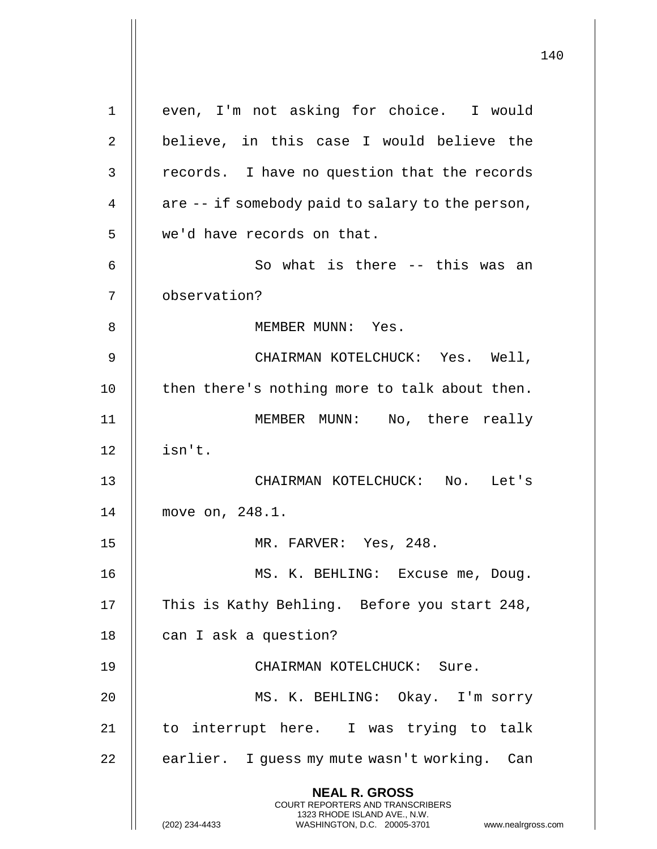**NEAL R. GROSS** COURT REPORTERS AND TRANSCRIBERS 1323 RHODE ISLAND AVE., N.W. (202) 234-4433 WASHINGTON, D.C. 20005-3701 www.nealrgross.com 1 || even, I'm not asking for choice. I would 2 || believe, in this case I would believe the 3 || records. I have no question that the records 4  $\parallel$  are -- if somebody paid to salary to the person, 5 || we'd have records on that. 6 || So what is there -- this was an 7 observation? 8 MEMBER MUNN: Yes. 9 CHAIRMAN KOTELCHUCK: Yes. Well, 10 || then there's nothing more to talk about then. 11 MEMBER MUNN: No, there really  $12$  || isn't. 13 CHAIRMAN KOTELCHUCK: No. Let's 14 move on, 248.1. 15 MR. FARVER: Yes, 248. 16 MS. K. BEHLING: Excuse me, Doug. 17 || This is Kathy Behling. Before you start 248, 18 | can I ask a question? 19 || CHAIRMAN KOTELCHUCK: Sure. 20 || MS. K. BEHLING: Okay. I'm sorry 21 || to interrupt here. I was trying to talk 22 | earlier. I guess my mute wasn't working. Can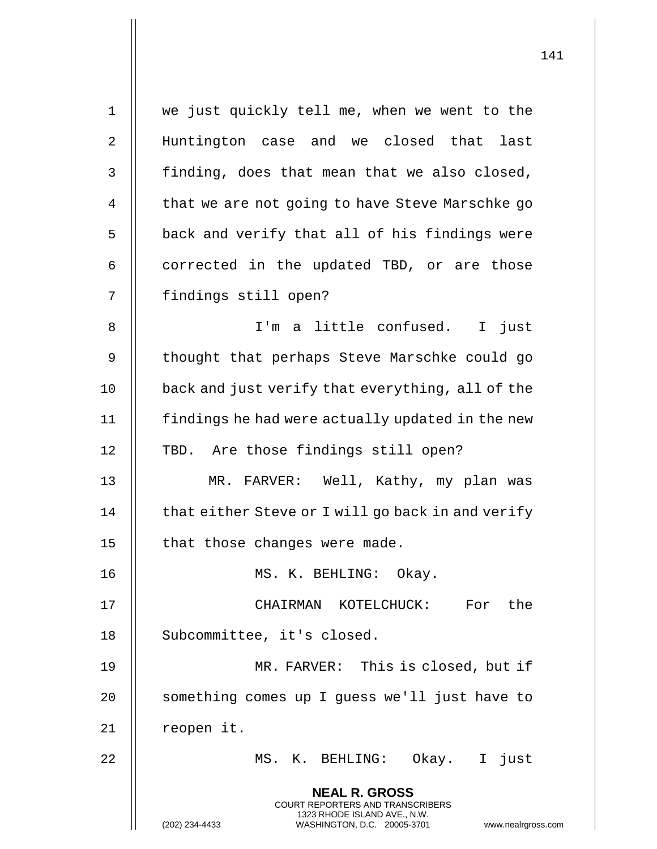| $\mathbf 1$ | we just quickly tell me, when we went to the                                                                                                                    |
|-------------|-----------------------------------------------------------------------------------------------------------------------------------------------------------------|
| 2           | Huntington case and we closed that last                                                                                                                         |
| 3           | finding, does that mean that we also closed,                                                                                                                    |
| 4           | that we are not going to have Steve Marschke go                                                                                                                 |
| 5           | back and verify that all of his findings were                                                                                                                   |
| 6           | corrected in the updated TBD, or are those                                                                                                                      |
| 7           | findings still open?                                                                                                                                            |
| 8           | I'm a little confused. I just                                                                                                                                   |
| 9           | thought that perhaps Steve Marschke could go                                                                                                                    |
| 10          | back and just verify that everything, all of the                                                                                                                |
| 11          | findings he had were actually updated in the new                                                                                                                |
| 12          | TBD. Are those findings still open?                                                                                                                             |
| 13          | MR. FARVER: Well, Kathy, my plan was                                                                                                                            |
| 14          | that either Steve or I will go back in and verify                                                                                                               |
| 15          | that those changes were made.                                                                                                                                   |
| 16          | MS. K. BEHLING: Okay.                                                                                                                                           |
| 17          | CHAIRMAN KOTELCHUCK: For the                                                                                                                                    |
| 18          | Subcommittee, it's closed.                                                                                                                                      |
| 19          | MR. FARVER: This is closed, but if                                                                                                                              |
| 20          | something comes up I guess we'll just have to                                                                                                                   |
| 21          | reopen it.                                                                                                                                                      |
| 22          | MS. K. BEHLING: Okay. I just                                                                                                                                    |
|             | <b>NEAL R. GROSS</b><br>COURT REPORTERS AND TRANSCRIBERS<br>1323 RHODE ISLAND AVE., N.W.<br>(202) 234-4433<br>WASHINGTON, D.C. 20005-3701<br>www.nealrgross.com |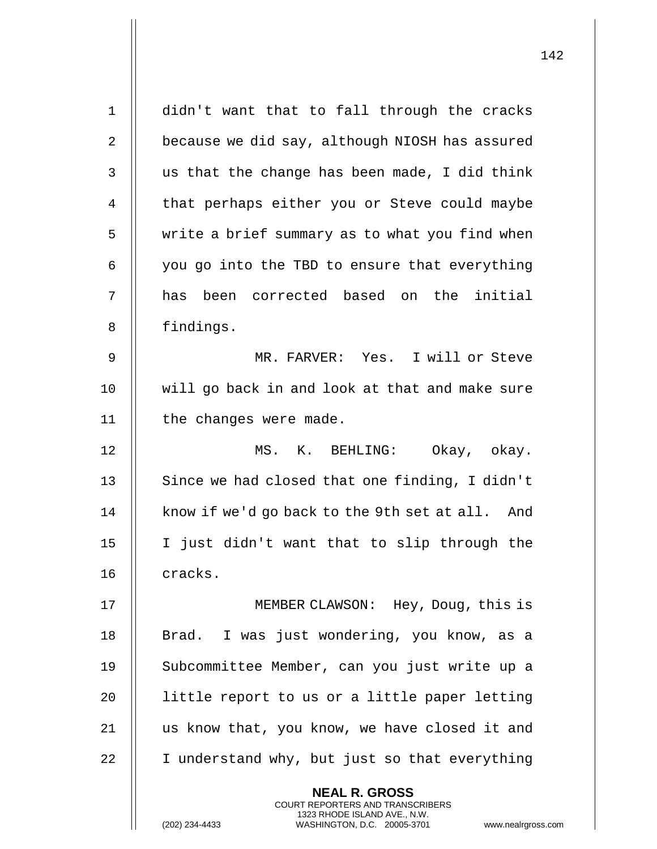| $\mathbf 1$    | didn't want that to fall through the cracks                                                                                                                 |
|----------------|-------------------------------------------------------------------------------------------------------------------------------------------------------------|
| $\overline{2}$ | because we did say, although NIOSH has assured                                                                                                              |
| 3              | us that the change has been made, I did think                                                                                                               |
| 4              | that perhaps either you or Steve could maybe                                                                                                                |
| 5              | write a brief summary as to what you find when                                                                                                              |
| 6              | you go into the TBD to ensure that everything                                                                                                               |
| 7              | been corrected based on the initial<br>has                                                                                                                  |
| 8              | findings.                                                                                                                                                   |
| $\mathsf 9$    | MR. FARVER: Yes. I will or Steve                                                                                                                            |
| 10             | will go back in and look at that and make sure                                                                                                              |
| 11             | the changes were made.                                                                                                                                      |
| 12             | MS. K. BEHLING: Okay, okay.                                                                                                                                 |
| 13             | Since we had closed that one finding, I didn't                                                                                                              |
| 14             | know if we'd go back to the 9th set at all. And                                                                                                             |
| 15             | I just didn't want that to slip through the                                                                                                                 |
| 16             | cracks.                                                                                                                                                     |
| 17             | MEMBER CLAWSON: Hey, Doug, this is                                                                                                                          |
| 18             | Brad. I was just wondering, you know, as a                                                                                                                  |
| 19             | Subcommittee Member, can you just write up a                                                                                                                |
| 20             | little report to us or a little paper letting                                                                                                               |
| 21             | us know that, you know, we have closed it and                                                                                                               |
| 22             | I understand why, but just so that everything                                                                                                               |
|                | <b>NEAL R. GROSS</b><br>COURT REPORTERS AND TRANSCRIBERS<br>1323 RHODE ISLAND AVE., N.W.<br>(202) 234-4433<br>WASHINGTON, D.C. 20005-3701<br>www.nealrgross |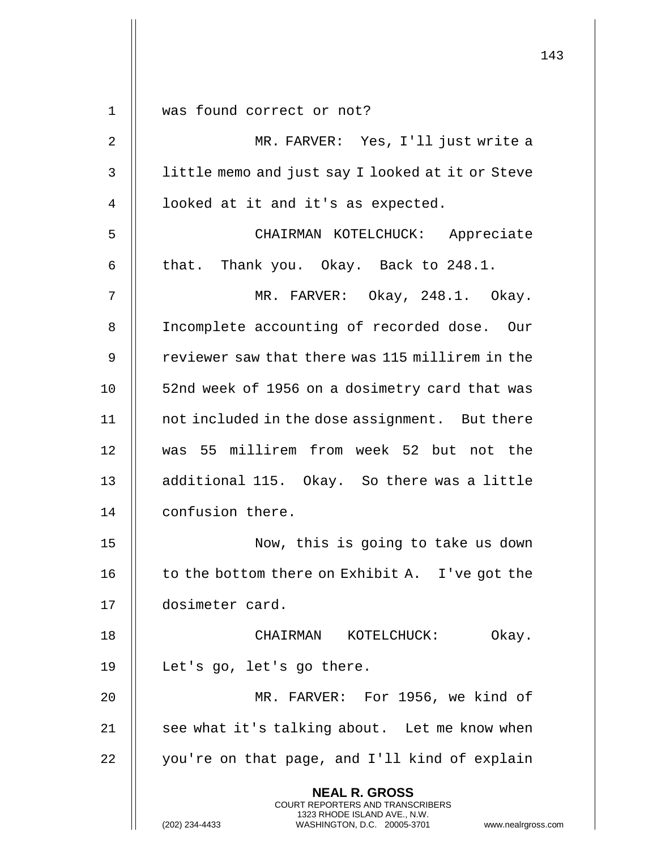|             |                                                                                                                                                                        | 143 |
|-------------|------------------------------------------------------------------------------------------------------------------------------------------------------------------------|-----|
|             |                                                                                                                                                                        |     |
| $\mathbf 1$ | was found correct or not?                                                                                                                                              |     |
| 2           | MR. FARVER: Yes, I'll just write a                                                                                                                                     |     |
| 3           | little memo and just say I looked at it or Steve                                                                                                                       |     |
| 4           | looked at it and it's as expected.                                                                                                                                     |     |
| 5           | CHAIRMAN KOTELCHUCK: Appreciate                                                                                                                                        |     |
| 6           | that. Thank you. Okay. Back to 248.1.                                                                                                                                  |     |
| 7           | MR. FARVER: Okay, 248.1. Okay.                                                                                                                                         |     |
| 8           | Incomplete accounting of recorded dose. Our                                                                                                                            |     |
| 9           | reviewer saw that there was 115 millirem in the                                                                                                                        |     |
| 10          | 52nd week of 1956 on a dosimetry card that was                                                                                                                         |     |
| 11          | not included in the dose assignment. But there                                                                                                                         |     |
| 12          | was 55 millirem from week 52 but not the                                                                                                                               |     |
| 13          | additional 115. Okay. So there was a little                                                                                                                            |     |
| 14          | confusion there.                                                                                                                                                       |     |
| 15          | Now, this is going to take us down                                                                                                                                     |     |
| 16          | to the bottom there on Exhibit A. I've got the                                                                                                                         |     |
| 17          | dosimeter card.                                                                                                                                                        |     |
| 18          | Okay.<br>CHAIRMAN KOTELCHUCK:                                                                                                                                          |     |
| 19          | Let's go, let's go there.                                                                                                                                              |     |
| 20          | MR. FARVER: For 1956, we kind of                                                                                                                                       |     |
| 21          | see what it's talking about. Let me know when                                                                                                                          |     |
| 22          | you're on that page, and I'll kind of explain                                                                                                                          |     |
|             | <b>NEAL R. GROSS</b><br><b>COURT REPORTERS AND TRANSCRIBERS</b><br>1323 RHODE ISLAND AVE., N.W.<br>(202) 234-4433<br>WASHINGTON, D.C. 20005-3701<br>www.nealrgross.com |     |

 $\mathbf{I}$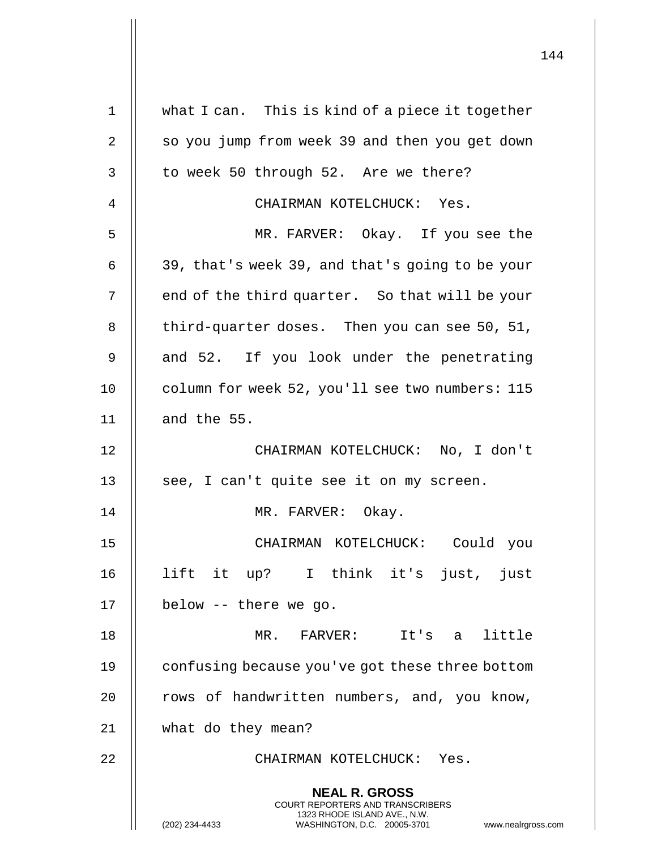| $\mathbf 1$ | what I can. This is kind of a piece it together                                                                                                                        |
|-------------|------------------------------------------------------------------------------------------------------------------------------------------------------------------------|
| 2           | so you jump from week 39 and then you get down                                                                                                                         |
| 3           | to week 50 through 52. Are we there?                                                                                                                                   |
| 4           | CHAIRMAN KOTELCHUCK: Yes.                                                                                                                                              |
| 5           | MR. FARVER: Okay. If you see the                                                                                                                                       |
| 6           | 39, that's week 39, and that's going to be your                                                                                                                        |
| 7           | end of the third quarter. So that will be your                                                                                                                         |
| 8           | third-quarter doses. Then you can see 50, 51,                                                                                                                          |
| 9           | and 52. If you look under the penetrating                                                                                                                              |
| 10          | column for week 52, you'll see two numbers: 115                                                                                                                        |
| 11          | and the 55.                                                                                                                                                            |
| 12          | CHAIRMAN KOTELCHUCK: No, I don't                                                                                                                                       |
| 13          | see, I can't quite see it on my screen.                                                                                                                                |
| 14          | MR. FARVER: Okay.                                                                                                                                                      |
| 15          | CHAIRMAN KOTELCHUCK:<br>Could you                                                                                                                                      |
| 16          | lift it up? I think it's just, just                                                                                                                                    |
| 17          | below -- there we go.                                                                                                                                                  |
| 18          | MR. FARVER: It's a little                                                                                                                                              |
| 19          | confusing because you've got these three bottom                                                                                                                        |
| 20          | rows of handwritten numbers, and, you know,                                                                                                                            |
| 21          | what do they mean?                                                                                                                                                     |
| 22          | CHAIRMAN KOTELCHUCK: Yes.                                                                                                                                              |
|             | <b>NEAL R. GROSS</b><br><b>COURT REPORTERS AND TRANSCRIBERS</b><br>1323 RHODE ISLAND AVE., N.W.<br>(202) 234-4433<br>WASHINGTON, D.C. 20005-3701<br>www.nealrgross.com |

 $\mathbf{I}$ 

 $\mathbf{I}$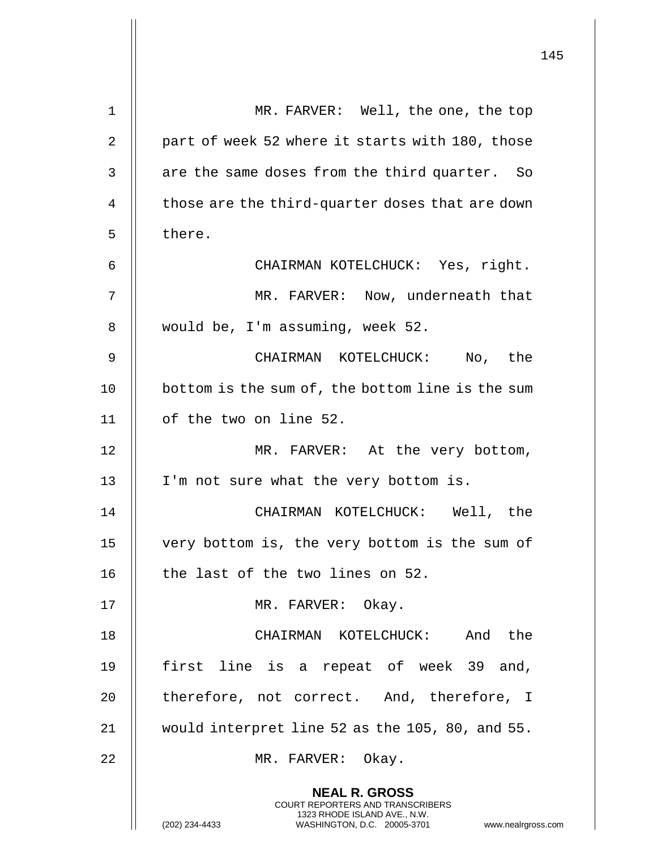|    |                                                                                                                                                              | 145 |
|----|--------------------------------------------------------------------------------------------------------------------------------------------------------------|-----|
| 1  | MR. FARVER: Well, the one, the top                                                                                                                           |     |
| 2  | part of week 52 where it starts with 180, those                                                                                                              |     |
| 3  | are the same doses from the third quarter. So                                                                                                                |     |
| 4  | those are the third-quarter doses that are down                                                                                                              |     |
| 5  | there.                                                                                                                                                       |     |
| 6  | CHAIRMAN KOTELCHUCK: Yes, right.                                                                                                                             |     |
| 7  | MR. FARVER: Now, underneath that                                                                                                                             |     |
| 8  | would be, I'm assuming, week 52.                                                                                                                             |     |
| 9  | CHAIRMAN KOTELCHUCK: No, the                                                                                                                                 |     |
| 10 | bottom is the sum of, the bottom line is the sum                                                                                                             |     |
| 11 | of the two on line 52.                                                                                                                                       |     |
| 12 | MR. FARVER: At the very bottom,                                                                                                                              |     |
| 13 | I'm not sure what the very bottom is.                                                                                                                        |     |
| 14 | CHAIRMAN KOTELCHUCK: Well, the                                                                                                                               |     |
| 15 | very bottom is, the very bottom is the sum of                                                                                                                |     |
| 16 | the last of the two lines on 52.                                                                                                                             |     |
| 17 | MR. FARVER: Okay.                                                                                                                                            |     |
| 18 | CHAIRMAN KOTELCHUCK: And the                                                                                                                                 |     |
| 19 | first line is a repeat of week 39 and,                                                                                                                       |     |
| 20 | therefore, not correct. And, therefore, I                                                                                                                    |     |
| 21 | would interpret line 52 as the 105, 80, and 55.                                                                                                              |     |
| 22 | MR. FARVER: Okay.                                                                                                                                            |     |
|    | <b>NEAL R. GROSS</b><br>COURT REPORTERS AND TRANSCRIBERS<br>1323 RHODE ISLAND AVE., N.W.<br>WASHINGTON, D.C. 20005-3701 www.nealrgross.com<br>(202) 234-4433 |     |

 $\overline{1}$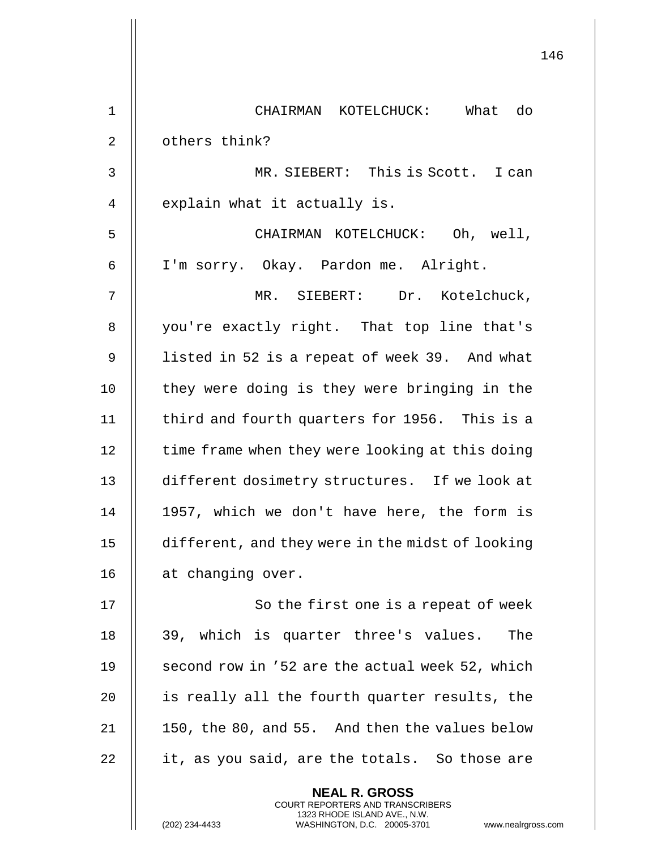|             | 146                                                                                                                                                             |
|-------------|-----------------------------------------------------------------------------------------------------------------------------------------------------------------|
| $\mathbf 1$ | CHAIRMAN KOTELCHUCK: What do                                                                                                                                    |
| 2           | others think?                                                                                                                                                   |
| 3           | MR. SIEBERT: This is Scott. I can                                                                                                                               |
| 4           | explain what it actually is.                                                                                                                                    |
| 5           | CHAIRMAN KOTELCHUCK: Oh, well,                                                                                                                                  |
| 6           | I'm sorry. Okay. Pardon me. Alright.                                                                                                                            |
| 7           | MR. SIEBERT: Dr. Kotelchuck,                                                                                                                                    |
| 8           | you're exactly right. That top line that's                                                                                                                      |
| 9           | listed in 52 is a repeat of week 39. And what                                                                                                                   |
| 10          | they were doing is they were bringing in the                                                                                                                    |
| 11          | third and fourth quarters for 1956. This is a                                                                                                                   |
| 12          | time frame when they were looking at this doing                                                                                                                 |
| 13          | different dosimetry structures. If we look at                                                                                                                   |
| 14          | 1957, which we don't have here, the form is                                                                                                                     |
| 15          | different, and they were in the midst of looking                                                                                                                |
| 16          | at changing over.                                                                                                                                               |
| 17          | So the first one is a repeat of week                                                                                                                            |
| 18          | 39, which is quarter three's values. The                                                                                                                        |
| 19          | second row in '52 are the actual week 52, which                                                                                                                 |
| 20          | is really all the fourth quarter results, the                                                                                                                   |
| 21          | 150, the 80, and 55. And then the values below                                                                                                                  |
| 22          | it, as you said, are the totals. So those are                                                                                                                   |
|             | <b>NEAL R. GROSS</b><br>COURT REPORTERS AND TRANSCRIBERS<br>1323 RHODE ISLAND AVE., N.W.<br>(202) 234-4433<br>WASHINGTON, D.C. 20005-3701<br>www.nealrgross.com |

 $\begin{array}{c} \hline \end{array}$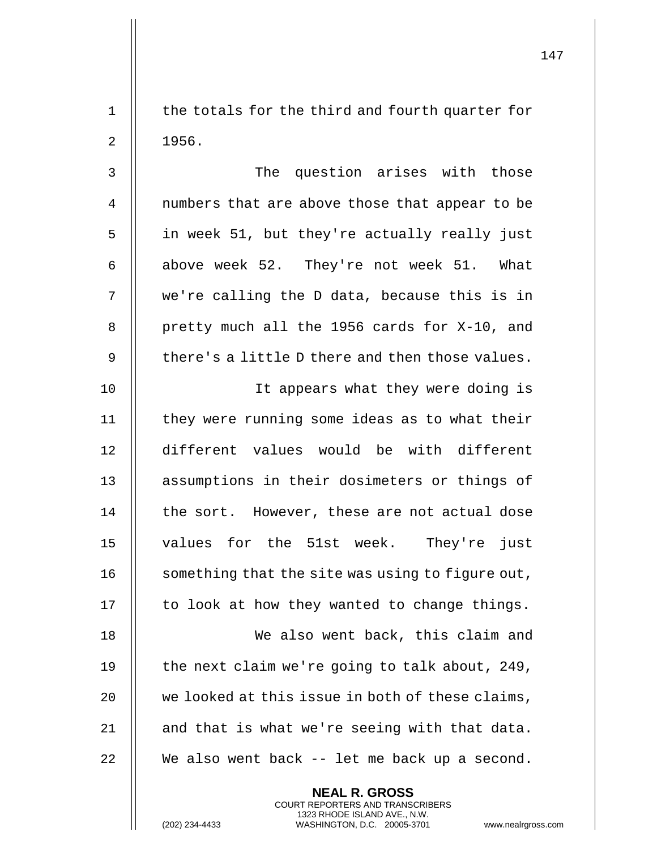1 || the totals for the third and fourth quarter for  $2 \parallel 1956.$ 

3 || The question arises with those 4 || numbers that are above those that appear to be 5 || in week 51, but they're actually really just 6 | above week 52. They're not week 51. What 7 we're calling the D data, because this is in 8 || pretty much all the 1956 cards for X-10, and 9  $\parallel$  there's a little D there and then those values.

10 || It appears what they were doing is 11 | they were running some ideas as to what their 12 different values would be with different 13 || assumptions in their dosimeters or things of  $14$   $\parallel$  the sort. However, these are not actual dose 15 values for the 51st week. They're just 16  $\parallel$  something that the site was using to figure out, 17 || to look at how they wanted to change things. 18 We also went back, this claim and

 $\parallel$  the next claim we're going to talk about, 249,  $\parallel$  we looked at this issue in both of these claims,  $\parallel$  and that is what we're seeing with that data. || We also went back -- let me back up a second.

> **NEAL R. GROSS** COURT REPORTERS AND TRANSCRIBERS 1323 RHODE ISLAND AVE., N.W.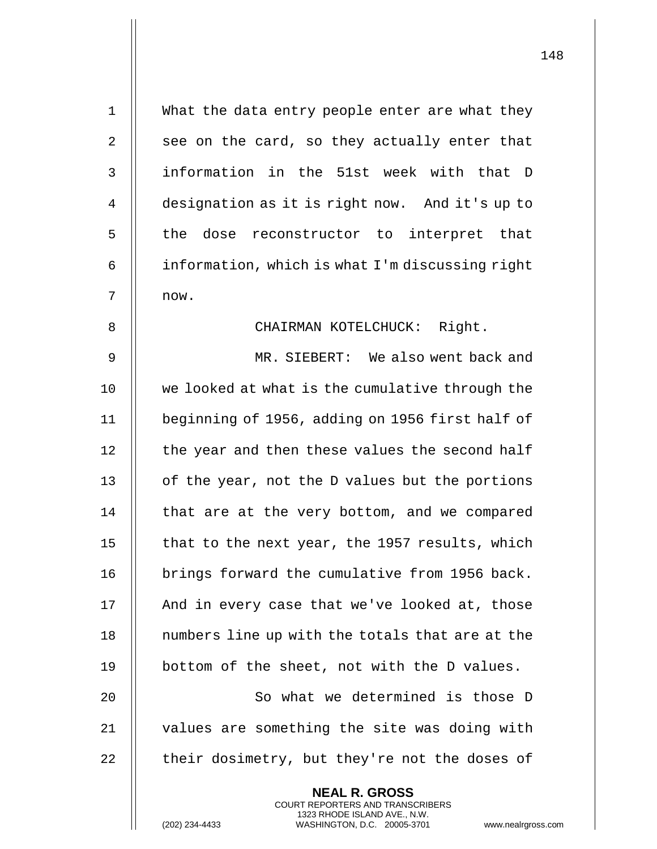| $\mathbf{1}$ | What the data entry people enter are what they                                                  |
|--------------|-------------------------------------------------------------------------------------------------|
| 2            | see on the card, so they actually enter that                                                    |
| 3            | information in the 51st week with that D                                                        |
| 4            | designation as it is right now. And it's up to                                                  |
| 5            | the dose reconstructor to interpret that                                                        |
| 6            | information, which is what I'm discussing right                                                 |
| 7            | now.                                                                                            |
| 8            | CHAIRMAN KOTELCHUCK: Right.                                                                     |
| 9            | MR. SIEBERT: We also went back and                                                              |
| 10           | we looked at what is the cumulative through the                                                 |
| 11           | beginning of 1956, adding on 1956 first half of                                                 |
| 12           | the year and then these values the second half                                                  |
| 13           | of the year, not the D values but the portions                                                  |
| 14           | that are at the very bottom, and we compared                                                    |
| 15           | that to the next year, the 1957 results, which                                                  |
| 16           | brings forward the cumulative from 1956 back.                                                   |
| 17           | And in every case that we've looked at, those                                                   |
| 18           | numbers line up with the totals that are at the                                                 |
| 19           | bottom of the sheet, not with the D values.                                                     |
| 20           | So what we determined is those D                                                                |
| 21           | values are something the site was doing with                                                    |
| 22           | their dosimetry, but they're not the doses of                                                   |
|              | <b>NEAL R. GROSS</b><br><b>COURT REPORTERS AND TRANSCRIBERS</b>                                 |
|              | 1323 RHODE ISLAND AVE., N.W.<br>(202) 234-4433<br>WASHINGTON, D.C. 20005-3701<br>www.nealrgross |

(202) 234-4433 WASHINGTON, D.C. 20005-3701 www.nealrgross.com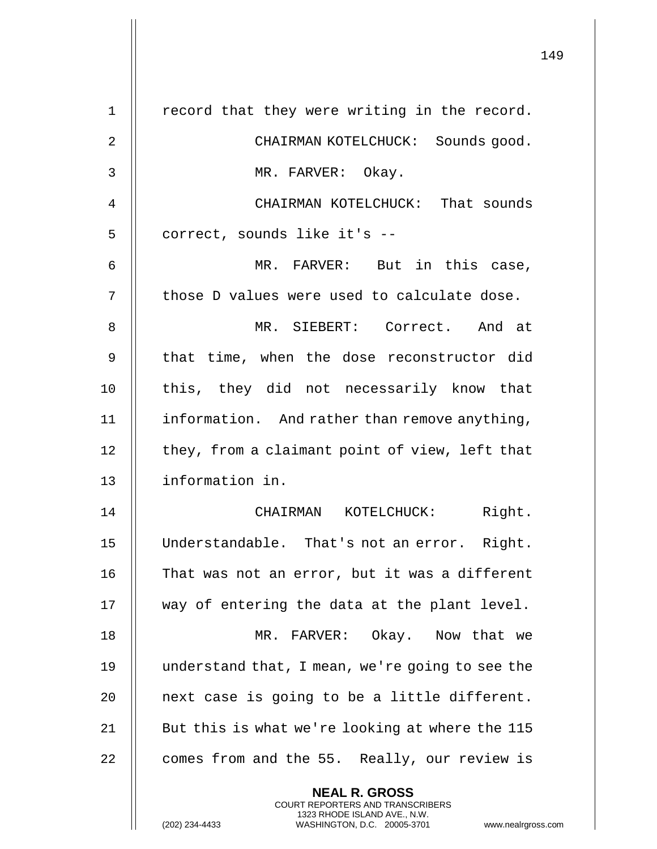| $\mathbf 1$    | record that they were writing in the record.                                                                                                                       |
|----------------|--------------------------------------------------------------------------------------------------------------------------------------------------------------------|
| $\overline{2}$ | CHAIRMAN KOTELCHUCK: Sounds good.                                                                                                                                  |
| 3              | MR. FARVER: Okay.                                                                                                                                                  |
| 4              | CHAIRMAN KOTELCHUCK: That sounds                                                                                                                                   |
| 5              | correct, sounds like it's --                                                                                                                                       |
| 6              | MR. FARVER: But in this case,                                                                                                                                      |
| 7              | those D values were used to calculate dose.                                                                                                                        |
| 8              | MR. SIEBERT: Correct. And at                                                                                                                                       |
| 9              | that time, when the dose reconstructor did                                                                                                                         |
| 10             | this, they did not necessarily know that                                                                                                                           |
| 11             | information. And rather than remove anything,                                                                                                                      |
| 12             | they, from a claimant point of view, left that                                                                                                                     |
| 13             | information in.                                                                                                                                                    |
| 14             | Right.<br>CHAIRMAN KOTELCHUCK:                                                                                                                                     |
| 15             | Understandable. That's not an error. Right.                                                                                                                        |
| 16             | That was not an error, but it was a different                                                                                                                      |
| 17             | way of entering the data at the plant level.                                                                                                                       |
| 18             | MR. FARVER: Okay. Now that we                                                                                                                                      |
| 19             | understand that, I mean, we're going to see the                                                                                                                    |
| 20             | next case is going to be a little different.                                                                                                                       |
| 21             | But this is what we're looking at where the 115                                                                                                                    |
| 22             | comes from and the 55. Really, our review is                                                                                                                       |
|                | <b>NEAL R. GROSS</b><br><b>COURT REPORTERS AND TRANSCRIBERS</b><br>1323 RHODE ISLAND AVE., N.W.<br>WASHINGTON, D.C. 20005-3701<br>(202) 234-4433<br>www.nealrgross |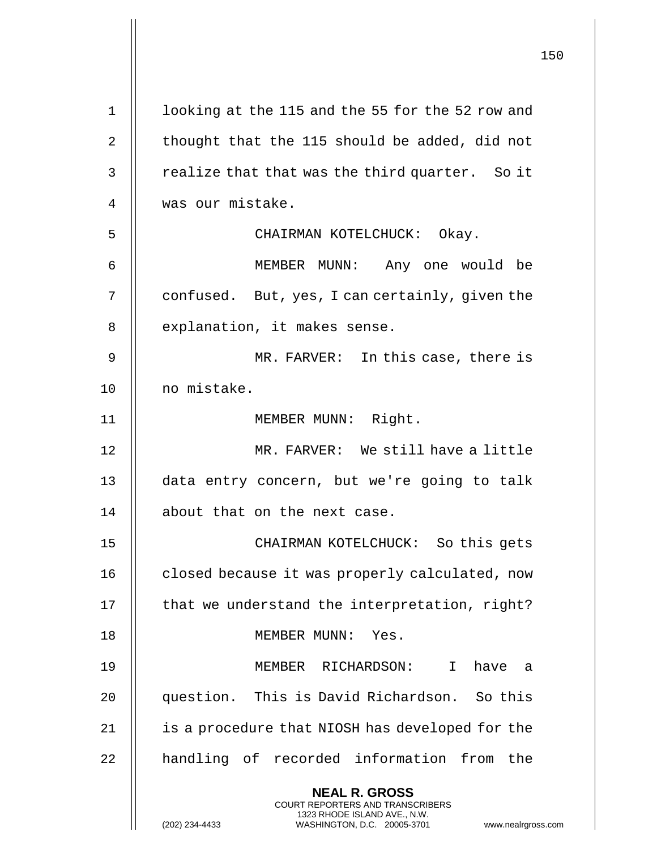|             |                                                                                                                                                                 | 150 |
|-------------|-----------------------------------------------------------------------------------------------------------------------------------------------------------------|-----|
| $\mathbf 1$ | looking at the 115 and the 55 for the 52 row and                                                                                                                |     |
| 2           | thought that the 115 should be added, did not                                                                                                                   |     |
| 3           | realize that that was the third quarter. So it                                                                                                                  |     |
| 4           | was our mistake.                                                                                                                                                |     |
| 5           | CHAIRMAN KOTELCHUCK: Okay.                                                                                                                                      |     |
| 6           | MEMBER MUNN: Any one would be                                                                                                                                   |     |
| 7           | confused. But, yes, I can certainly, given the                                                                                                                  |     |
| 8           | explanation, it makes sense.                                                                                                                                    |     |
| 9           | MR. FARVER: In this case, there is                                                                                                                              |     |
| 10          | no mistake.                                                                                                                                                     |     |
| 11          | MEMBER MUNN: Right.                                                                                                                                             |     |
| 12          | MR. FARVER: We still have a little                                                                                                                              |     |
| 13          | data entry concern, but we're going to talk                                                                                                                     |     |
| 14          | about that on the next case                                                                                                                                     |     |
| 15          | CHAIRMAN KOTELCHUCK: So this gets                                                                                                                               |     |
| 16          | closed because it was properly calculated, now                                                                                                                  |     |
| 17          | that we understand the interpretation, right?                                                                                                                   |     |
| 18          | MEMBER MUNN: Yes.                                                                                                                                               |     |
| 19          | MEMBER RICHARDSON:<br>$\mathbf{I}$<br>have a                                                                                                                    |     |
| 20          | question. This is David Richardson. So this                                                                                                                     |     |
| 21          | is a procedure that NIOSH has developed for the                                                                                                                 |     |
| 22          | handling of recorded information from the                                                                                                                       |     |
|             | <b>NEAL R. GROSS</b><br>COURT REPORTERS AND TRANSCRIBERS<br>1323 RHODE ISLAND AVE., N.W.<br>(202) 234-4433<br>WASHINGTON, D.C. 20005-3701<br>www.nealrgross.com |     |

 $\mathbf{I}$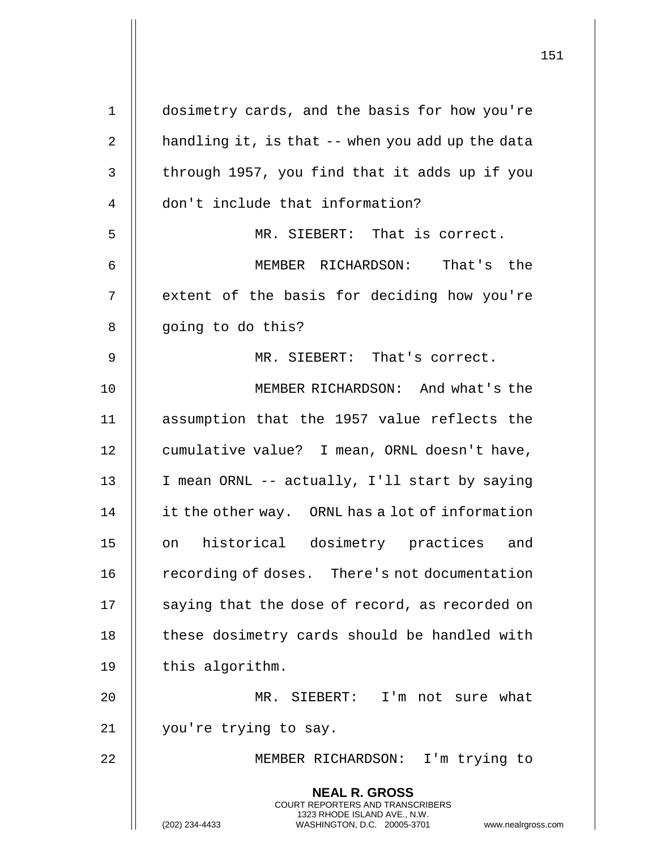| $\mathbf 1$    | dosimetry cards, and the basis for how you're                                                       |
|----------------|-----------------------------------------------------------------------------------------------------|
| 2              | handling it, is that -- when you add up the data                                                    |
| 3              | through 1957, you find that it adds up if you                                                       |
| $\overline{4}$ | don't include that information?                                                                     |
| 5              | MR. SIEBERT: That is correct.                                                                       |
| 6              | MEMBER RICHARDSON: That's the                                                                       |
| 7              | extent of the basis for deciding how you're                                                         |
| 8              | going to do this?                                                                                   |
| 9              | MR. SIEBERT: That's correct.                                                                        |
| 10             | MEMBER RICHARDSON: And what's the                                                                   |
| 11             | assumption that the 1957 value reflects the                                                         |
| 12             | cumulative value? I mean, ORNL doesn't have,                                                        |
| 13             | I mean ORNL -- actually, I'll start by saying                                                       |
| 14             | it the other way. ORNL has a lot of information                                                     |
| 15             | on historical dosimetry practices and                                                               |
| 16             | recording of doses. There's not documentation                                                       |
| 17             | saying that the dose of record, as recorded on                                                      |
| 18             | these dosimetry cards should be handled with                                                        |
| 19             | this algorithm.                                                                                     |
| 20             | MR. SIEBERT: I'm not sure what                                                                      |
| 21             | you're trying to say.                                                                               |
| 22             | MEMBER RICHARDSON: I'm trying to                                                                    |
|                | <b>NEAL R. GROSS</b><br>COURT REPORTERS AND TRANSCRIBERS                                            |
|                | 1323 RHODE ISLAND AVE., N.W.<br>(202) 234-4433<br>WASHINGTON, D.C. 20005-3701<br>www.nealrgross.com |

 $\overline{1}$ 

 $\mathsf{I}$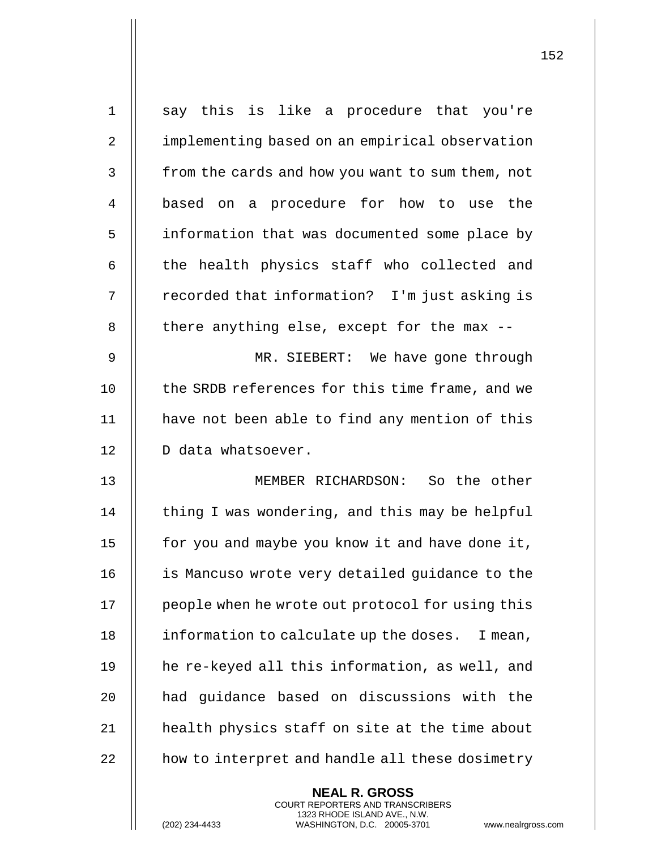| $\mathbf 1$    | say this is like a procedure that you're         |
|----------------|--------------------------------------------------|
| $\overline{2}$ | implementing based on an empirical observation   |
| 3              | from the cards and how you want to sum them, not |
| 4              | based on a procedure for how to use the          |
| 5              | information that was documented some place by    |
| 6              | the health physics staff who collected and       |
| 7              | recorded that information? I'm just asking is    |
| 8              | there anything else, except for the max --       |
| 9              | MR. SIEBERT: We have gone through                |
| 10             | the SRDB references for this time frame, and we  |
| 11             | have not been able to find any mention of this   |
| 12             | D data whatsoever.                               |
| 13             | MEMBER RICHARDSON: So the other                  |
| 14             | thing I was wondering, and this may be helpful   |
| 15             | for you and maybe you know it and have done it,  |
| 16             | is Mancuso wrote very detailed guidance to the   |
| 17             | people when he wrote out protocol for using this |
| 18             | information to calculate up the doses. I mean,   |
| 19             | he re-keyed all this information, as well, and   |
| 20             | had guidance based on discussions with the       |
| 21             | health physics staff on site at the time about   |
| 22             | how to interpret and handle all these dosimetry  |
|                | <b>NEAL R. GROSS</b>                             |

COURT REPORTERS AND TRANSCRIBERS 1323 RHODE ISLAND AVE., N.W.

 $\mathsf{II}$ 

(202) 234-4433 WASHINGTON, D.C. 20005-3701 www.nealrgross.com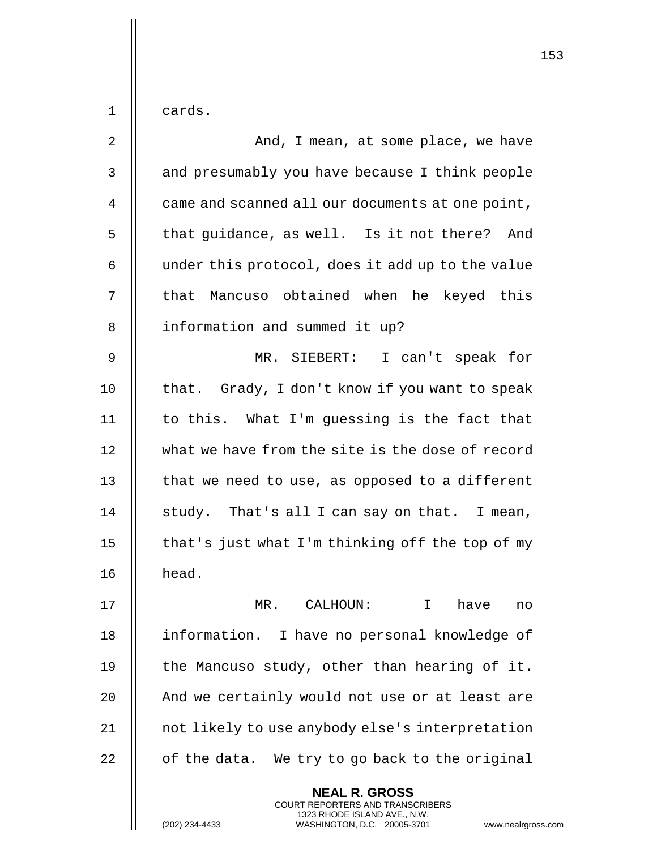| $\mathbf 1$    | cards.                                                                                          |
|----------------|-------------------------------------------------------------------------------------------------|
| $\overline{2}$ | And, I mean, at some place, we have                                                             |
| 3              | and presumably you have because I think people                                                  |
| 4              | came and scanned all our documents at one point,                                                |
| 5              | that guidance, as well. Is it not there?<br>And                                                 |
| 6              | under this protocol, does it add up to the value                                                |
| 7              | that Mancuso obtained when he keyed this                                                        |
| 8              | information and summed it up?                                                                   |
| 9              | MR. SIEBERT: I can't speak for                                                                  |
| 10             | that. Grady, I don't know if you want to speak                                                  |
| 11             | to this. What I'm guessing is the fact that                                                     |
| 12             | what we have from the site is the dose of record                                                |
| 13             | that we need to use, as opposed to a different                                                  |
| 14             | study. That's all I can say on that. I mean,                                                    |
| 15             | that's just what I'm thinking off the top of my                                                 |
| 16             | head.                                                                                           |
| 17             | MR. CALHOUN:<br>$\mathbf{I}$<br>have<br>no                                                      |
| 18             | information. I have no personal knowledge of                                                    |
| 19             | the Mancuso study, other than hearing of it.                                                    |
| 20             | And we certainly would not use or at least are                                                  |
| 21             | not likely to use anybody else's interpretation                                                 |
| 22             | of the data. We try to go back to the original                                                  |
|                | <b>NEAL R. GROSS</b><br><b>COURT REPORTERS AND TRANSCRIBERS</b>                                 |
|                | 1323 RHODE ISLAND AVE., N.W.<br>(202) 234-4433<br>WASHINGTON, D.C. 20005-3701<br>www.nealrgross |

(202) 234-4433 WASHINGTON, D.C. 20005-3701 www.nealrgross.com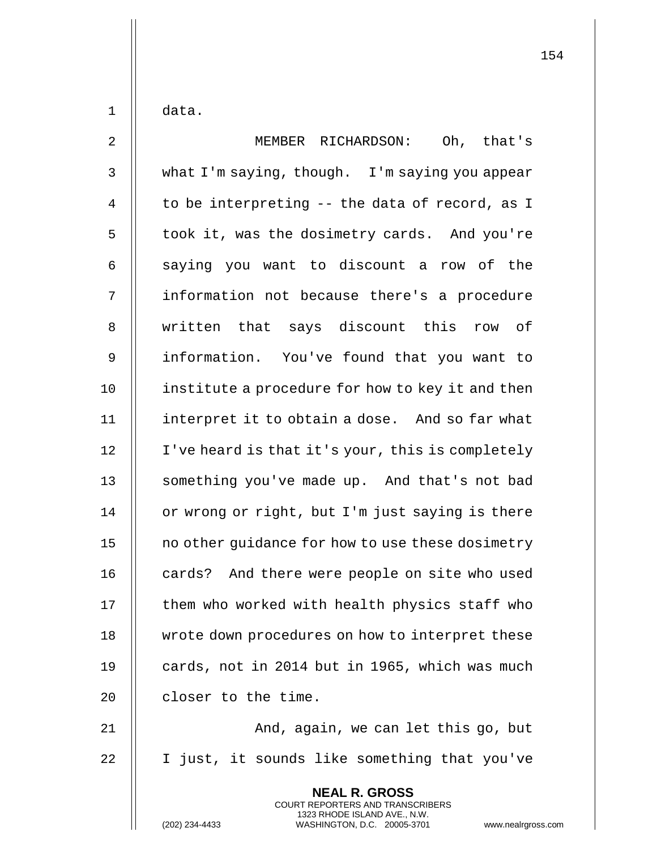$1 \parallel$  data.

| $\overline{2}$ | Oh, that's<br>MEMBER RICHARDSON:                                                                                                                                   |
|----------------|--------------------------------------------------------------------------------------------------------------------------------------------------------------------|
| $\mathsf{3}$   | what I'm saying, though. I'm saying you appear                                                                                                                     |
| $\overline{4}$ | to be interpreting -- the data of record, as I                                                                                                                     |
| 5              | took it, was the dosimetry cards. And you're                                                                                                                       |
| 6              | saying you want to discount a row of the                                                                                                                           |
| 7              | information not because there's a procedure                                                                                                                        |
| 8              | written that says discount this row of                                                                                                                             |
| 9              | information. You've found that you want to                                                                                                                         |
| 10             | institute a procedure for how to key it and then                                                                                                                   |
| 11             | interpret it to obtain a dose. And so far what                                                                                                                     |
| 12             | I've heard is that it's your, this is completely                                                                                                                   |
| 13             | something you've made up. And that's not bad                                                                                                                       |
| 14             | or wrong or right, but I'm just saying is there                                                                                                                    |
| 15             | no other guidance for how to use these dosimetry                                                                                                                   |
| 16             | cards? And there were people on site who used                                                                                                                      |
| 17             | them who worked with health physics staff who                                                                                                                      |
| 18             | wrote down procedures on how to interpret these                                                                                                                    |
| 19             | cards, not in 2014 but in 1965, which was much                                                                                                                     |
| 20             | closer to the time.                                                                                                                                                |
| 21             | And, again, we can let this go, but                                                                                                                                |
| 22             | I just, it sounds like something that you've                                                                                                                       |
|                | <b>NEAL R. GROSS</b><br><b>COURT REPORTERS AND TRANSCRIBERS</b><br>1323 RHODE ISLAND AVE., N.W.<br>(202) 234-4433<br>WASHINGTON, D.C. 20005-3701<br>www.nealrgross |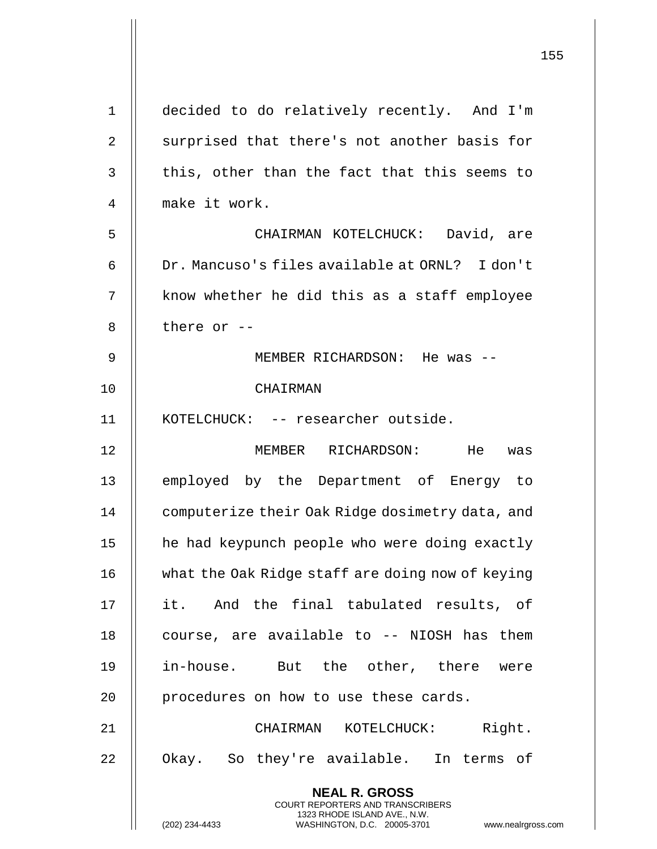|                | 155                                                                                             |
|----------------|-------------------------------------------------------------------------------------------------|
| $\mathbf{1}$   | decided to do relatively recently. And I'm                                                      |
| $\overline{2}$ | surprised that there's not another basis for                                                    |
| 3              | this, other than the fact that this seems to                                                    |
| 4              | make it work.                                                                                   |
| 5              | CHAIRMAN KOTELCHUCK: David, are                                                                 |
| 6              | Dr. Mancuso's files available at ORNL? I don't                                                  |
| 7              | know whether he did this as a staff employee                                                    |
| 8              | there or $-$                                                                                    |
| 9              | MEMBER RICHARDSON: He was --                                                                    |
|                |                                                                                                 |
| 10             | CHAIRMAN                                                                                        |
| 11             | KOTELCHUCK: -- researcher outside.                                                              |
| 12             | MEMBER RICHARDSON: He<br>was                                                                    |
| 13             | employed by the Department of Energy to                                                         |
| 14             | computerize their Oak Ridge dosimetry data, and                                                 |
| 15             | he had keypunch people who were doing exactly                                                   |
| 16             | what the Oak Ridge staff are doing now of keying                                                |
| 17             | it. And the final tabulated results, of                                                         |
| 18             | course, are available to -- NIOSH has them                                                      |
| 19             | in-house. But the other, there were                                                             |
| 20             | procedures on how to use these cards.                                                           |
| 21             | Right.<br>CHAIRMAN KOTELCHUCK:                                                                  |
| 22             | Okay. So they're available. In terms of                                                         |
|                | <b>NEAL R. GROSS</b><br><b>COURT REPORTERS AND TRANSCRIBERS</b><br>1323 RHODE ISLAND AVE., N.W. |
|                | (202) 234-4433<br>WASHINGTON, D.C. 20005-3701<br>www.nealrgross.com                             |

 $\mathsf{l}\mathsf{l}$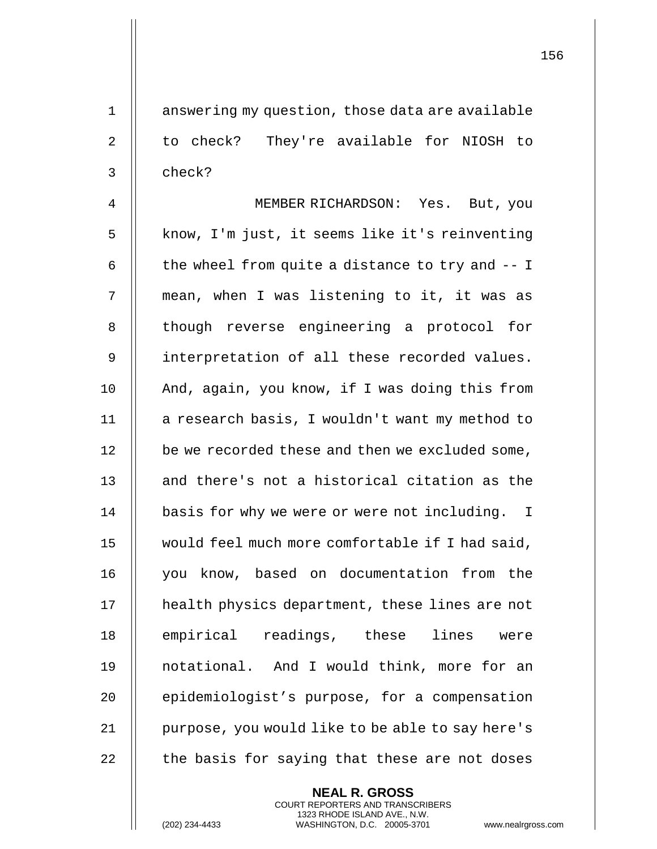1 | answering my question, those data are available 2 || to check? They're available for NIOSH to 3 ll check?

4 MEMBER RICHARDSON: Yes. But, you 5 || know, I'm just, it seems like it's reinventing 6  $\parallel$  the wheel from quite a distance to try and  $-1$ 7 mean, when I was listening to it, it was as 8 || though reverse engineering a protocol for 9 | interpretation of all these recorded values. 10 || And, again, you know, if I was doing this from 11 | a research basis, I wouldn't want my method to 12 | be we recorded these and then we excluded some, 13 || and there's not a historical citation as the 14 | basis for why we were or were not including. I 15 would feel much more comfortable if I had said, 16 you know, based on documentation from the 17 health physics department, these lines are not 18 || empirical readings, these lines were 19 notational. And I would think, more for an 20 **epidemiologist's purpose, for a compensation** 21 | purpose, you would like to be able to say here's  $22$   $\parallel$  the basis for saying that these are not doses

> **NEAL R. GROSS** COURT REPORTERS AND TRANSCRIBERS 1323 RHODE ISLAND AVE., N.W.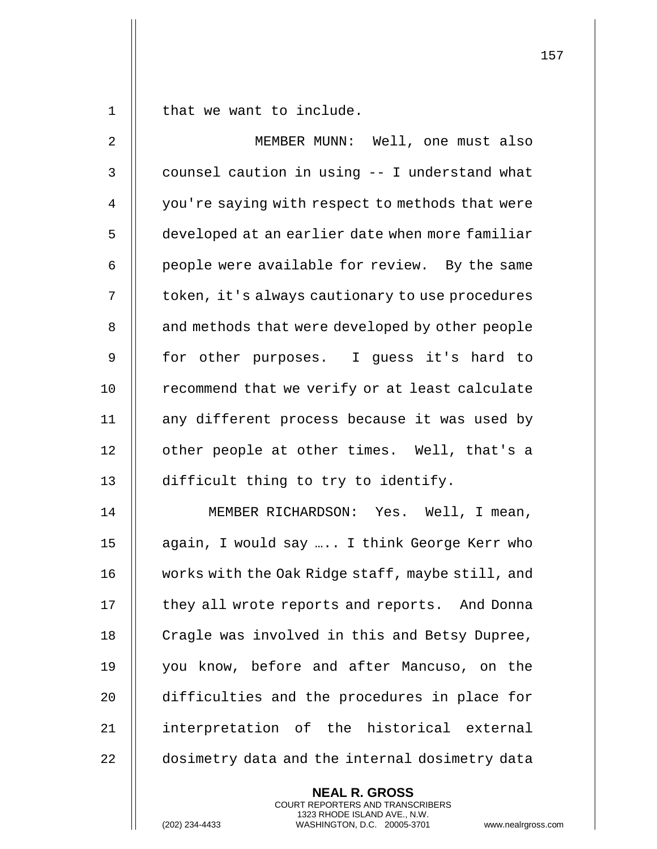$1 \parallel$  that we want to include.

| $\overline{2}$ | MEMBER MUNN: Well, one must also                 |
|----------------|--------------------------------------------------|
| $\mathsf 3$    | counsel caution in using -- I understand what    |
| 4              | you're saying with respect to methods that were  |
| 5              | developed at an earlier date when more familiar  |
| 6              | people were available for review. By the same    |
| 7              | token, it's always cautionary to use procedures  |
| 8              | and methods that were developed by other people  |
| 9              | for other purposes. I guess it's hard to         |
| 10             | recommend that we verify or at least calculate   |
| 11             | any different process because it was used by     |
| 12             | other people at other times. Well, that's a      |
| 13             | difficult thing to try to identify.              |
| 14             | MEMBER RICHARDSON: Yes. Well, I mean,            |
| 15             | again, I would say  I think George Kerr who      |
| 16             | works with the Oak Ridge staff, maybe still, and |
| 17             | they all wrote reports and reports. And Donna    |
| 18             | Cragle was involved in this and Betsy Dupree,    |
| 19             | you know, before and after Mancuso, on the       |
| 20             | difficulties and the procedures in place for     |
| 21             | interpretation of the historical external        |
| 22             | dosimetry data and the internal dosimetry data   |

**NEAL R. GROSS** COURT REPORTERS AND TRANSCRIBERS 1323 RHODE ISLAND AVE., N.W.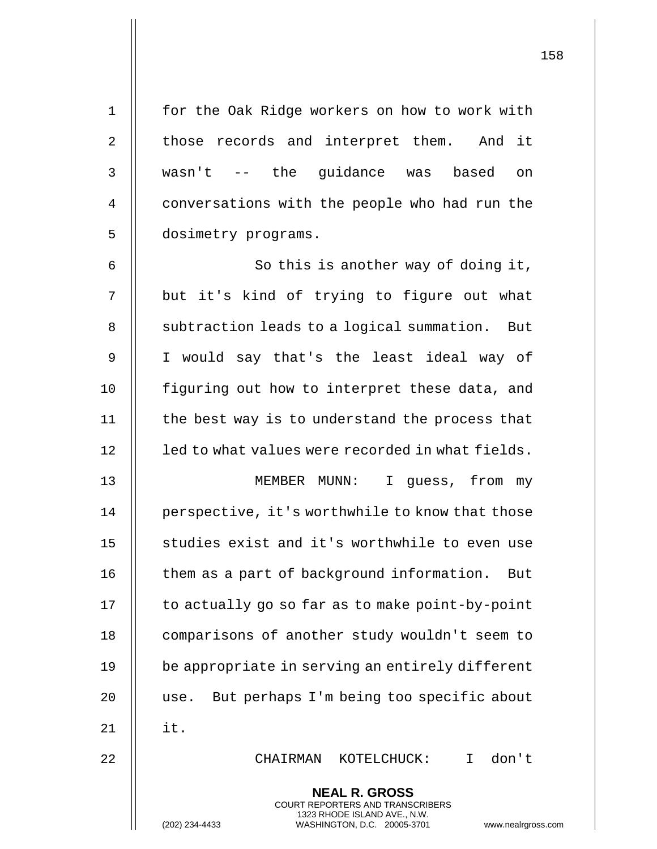| $\mathbf 1$    | for the Oak Ridge workers on how to work with    |
|----------------|--------------------------------------------------|
| $\overline{2}$ | those records and interpret them. And it         |
| 3              | wasn't -- the guidance was based<br>on           |
| 4              | conversations with the people who had run the    |
| 5              | dosimetry programs.                              |
| 6              | So this is another way of doing it,              |
| 7              | but it's kind of trying to figure out what       |
| 8              | subtraction leads to a logical summation. But    |
| 9              | I would say that's the least ideal way of        |
| 10             | figuring out how to interpret these data, and    |
| 11             | the best way is to understand the process that   |
| 12             | led to what values were recorded in what fields. |
| 13             | MEMBER MUNN: I guess, from my                    |
| 14             | perspective, it's worthwhile to know that those  |
| 15             | studies exist and it's worthwhile to even use    |
| 16             | them as a part of background information.<br>But |
| 17             | to actually go so far as to make point-by-point  |
| 18             | comparisons of another study wouldn't seem to    |
| 19             | be appropriate in serving an entirely different  |
| 20             | But perhaps I'm being too specific about<br>use. |
| 21             | it.                                              |
| 22             | don't<br>CHAIRMAN KOTELCHUCK:<br>$\mathbf{I}$    |
|                | <b>NEAL R. GROSS</b>                             |

COURT REPORTERS AND TRANSCRIBERS 1323 RHODE ISLAND AVE., N.W.

 $\prod$ 

(202) 234-4433 WASHINGTON, D.C. 20005-3701 www.nealrgross.com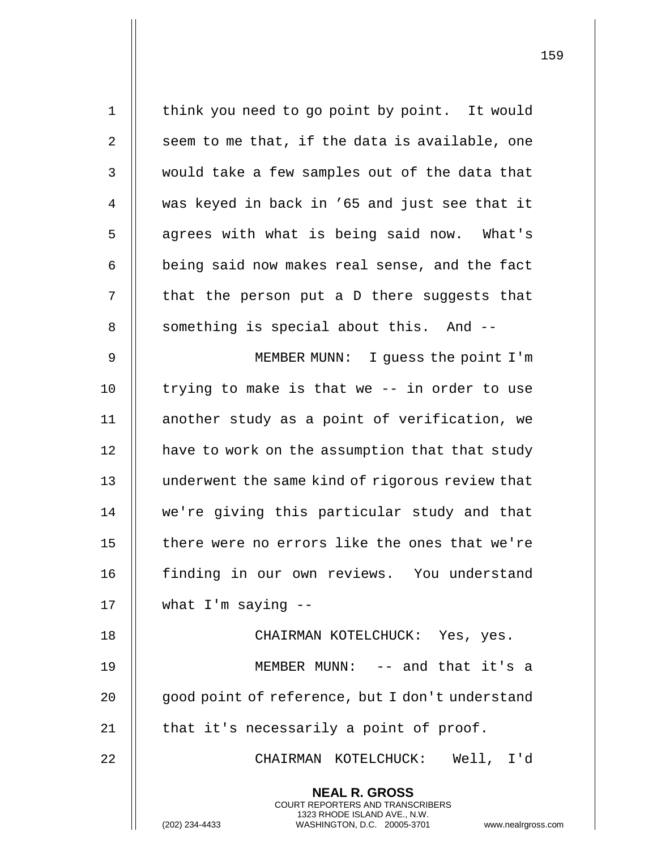**NEAL R. GROSS** COURT REPORTERS AND TRANSCRIBERS 1323 RHODE ISLAND AVE., N.W. (202) 234-4433 WASHINGTON, D.C. 20005-3701 www.nealrgross.com 1 | think you need to go point by point. It would  $2 \parallel$  seem to me that, if the data is available, one 3 would take a few samples out of the data that 4 was keyed in back in '65 and just see that it 5 | agrees with what is being said now. What's  $6$  | being said now makes real sense, and the fact  $7$  || that the person put a D there suggests that 8 || something is special about this. And --9 MEMBER MUNN: I guess the point I'm 10  $\parallel$  trying to make is that we -- in order to use 11 another study as a point of verification, we 12 | have to work on the assumption that that study 13 underwent the same kind of rigorous review that 14 || we're giving this particular study and that 15  $\parallel$  there were no errors like the ones that we're 16 finding in our own reviews. You understand  $17$  || what I'm saying  $-$ 18 CHAIRMAN KOTELCHUCK: Yes, yes. 19 MEMBER MUNN: -- and that it's a 20 || qood point of reference, but I don't understand  $21$  | that it's necessarily a point of proof. 22 CHAIRMAN KOTELCHUCK: Well, I'd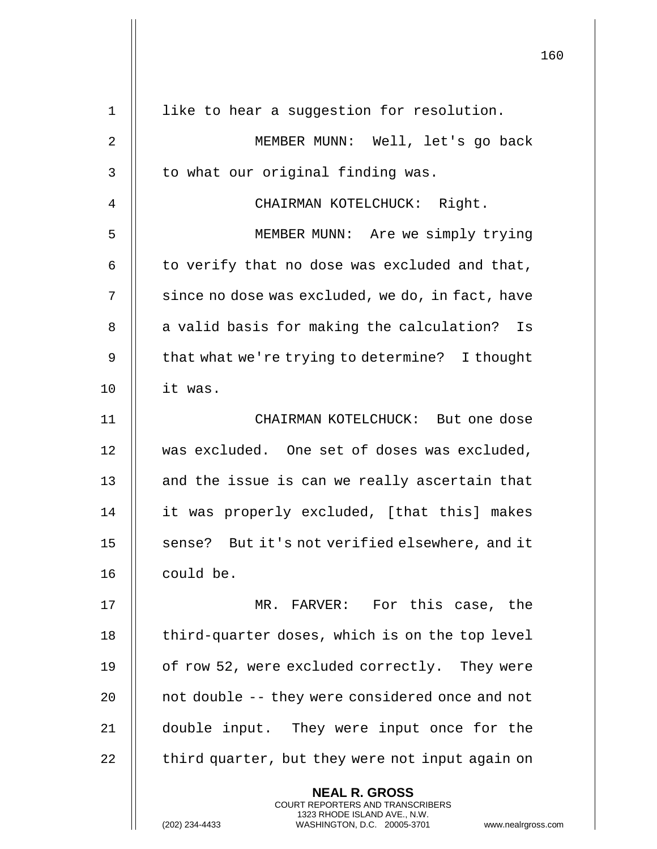|                |                                                                                                                                                                        | 160 |
|----------------|------------------------------------------------------------------------------------------------------------------------------------------------------------------------|-----|
| $\mathbf 1$    | like to hear a suggestion for resolution.                                                                                                                              |     |
| $\overline{2}$ | MEMBER MUNN: Well, let's go back                                                                                                                                       |     |
| 3              | to what our original finding was.                                                                                                                                      |     |
| 4              | CHAIRMAN KOTELCHUCK: Right.                                                                                                                                            |     |
| 5              | MEMBER MUNN: Are we simply trying                                                                                                                                      |     |
| 6              | to verify that no dose was excluded and that,                                                                                                                          |     |
| 7              | since no dose was excluded, we do, in fact, have                                                                                                                       |     |
| 8              | a valid basis for making the calculation? Is                                                                                                                           |     |
| 9              | that what we're trying to determine? I thought                                                                                                                         |     |
| 10             | it was.                                                                                                                                                                |     |
| 11             | CHAIRMAN KOTELCHUCK: But one dose                                                                                                                                      |     |
| 12             | was excluded. One set of doses was excluded,                                                                                                                           |     |
| 13             | and the issue is can we really ascertain that                                                                                                                          |     |
| 14             | it was properly excluded, [that this] makes                                                                                                                            |     |
| 15             | sense? But it's not verified elsewhere, and it                                                                                                                         |     |
| 16             | could be.                                                                                                                                                              |     |
| 17             | MR. FARVER: For this case, the                                                                                                                                         |     |
| 18             | third-quarter doses, which is on the top level                                                                                                                         |     |
| 19             | of row 52, were excluded correctly. They were                                                                                                                          |     |
| 20             | not double -- they were considered once and not                                                                                                                        |     |
| 21             | double input. They were input once for the                                                                                                                             |     |
| 22             | third quarter, but they were not input again on                                                                                                                        |     |
|                | <b>NEAL R. GROSS</b><br><b>COURT REPORTERS AND TRANSCRIBERS</b><br>1323 RHODE ISLAND AVE., N.W.<br>(202) 234-4433<br>WASHINGTON, D.C. 20005-3701<br>www.nealrgross.com |     |

 $\mathop{||}$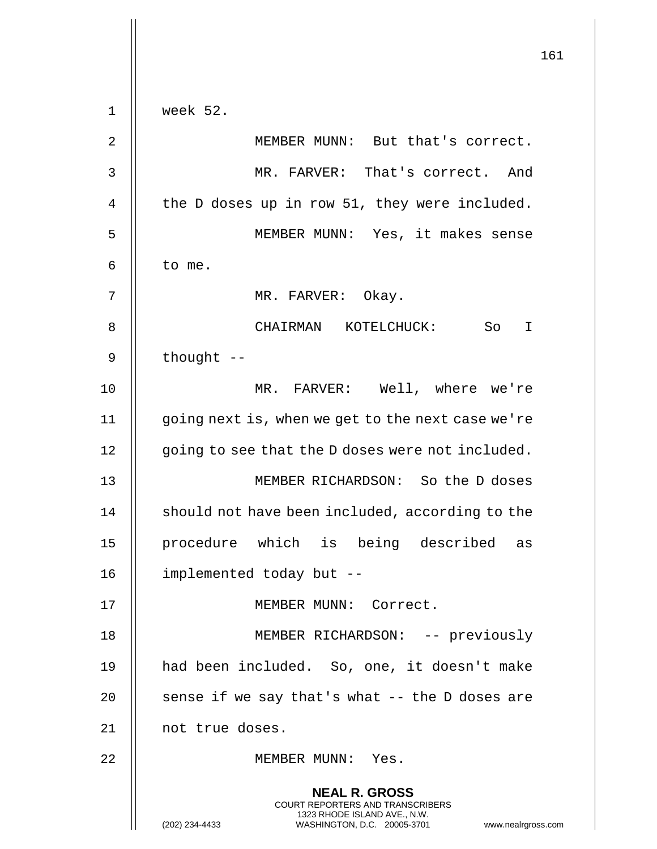|             | 161                                                                                                                                                                    |
|-------------|------------------------------------------------------------------------------------------------------------------------------------------------------------------------|
| $\mathbf 1$ | week 52.                                                                                                                                                               |
| 2           | MEMBER MUNN: But that's correct.                                                                                                                                       |
| 3           | MR. FARVER: That's correct. And                                                                                                                                        |
| 4           | the D doses up in row 51, they were included.                                                                                                                          |
| 5           | MEMBER MUNN: Yes, it makes sense                                                                                                                                       |
| 6           | to me.                                                                                                                                                                 |
| 7           | MR. FARVER: Okay.                                                                                                                                                      |
| 8           | So I<br>CHAIRMAN KOTELCHUCK:                                                                                                                                           |
| 9           | thought --                                                                                                                                                             |
| 10          | MR. FARVER: Well, where we're                                                                                                                                          |
| 11          | going next is, when we get to the next case we're                                                                                                                      |
| 12          | going to see that the D doses were not included.                                                                                                                       |
| 13          | MEMBER RICHARDSON: So the D doses                                                                                                                                      |
| 14          | should not have been included, according to the                                                                                                                        |
| 15          | procedure which is being described as                                                                                                                                  |
| 16          | implemented today but --                                                                                                                                               |
| 17          | MEMBER MUNN: Correct.                                                                                                                                                  |
| 18          | MEMBER RICHARDSON: -- previously                                                                                                                                       |
| 19          | had been included. So, one, it doesn't make                                                                                                                            |
| 20          | sense if we say that's what -- the D doses are                                                                                                                         |
| 21          | not true doses.                                                                                                                                                        |
| 22          | MEMBER MUNN: Yes.                                                                                                                                                      |
|             | <b>NEAL R. GROSS</b><br><b>COURT REPORTERS AND TRANSCRIBERS</b><br>1323 RHODE ISLAND AVE., N.W.<br>(202) 234-4433<br>WASHINGTON, D.C. 20005-3701<br>www.nealrgross.com |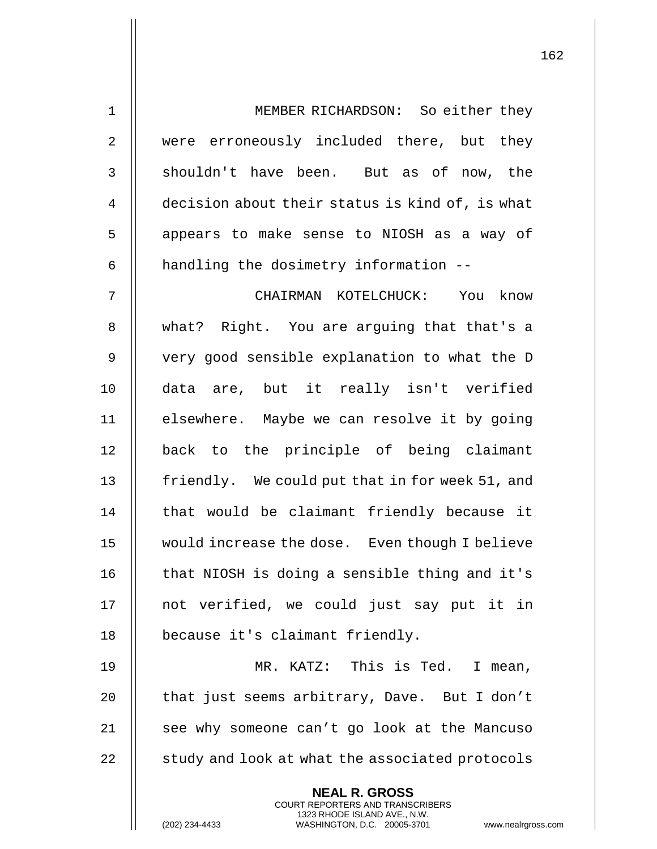| 1              | MEMBER RICHARDSON: So either they               |
|----------------|-------------------------------------------------|
| $\overline{2}$ | were erroneously included there, but they       |
| 3              | shouldn't have been. But as of now, the         |
| 4              | decision about their status is kind of, is what |
| 5              | appears to make sense to NIOSH as a way of      |
| 6              | handling the dosimetry information --           |
| 7              | CHAIRMAN KOTELCHUCK: You know                   |
| 8              | what? Right. You are arguing that that's a      |
| 9              | very good sensible explanation to what the D    |
| 10             | data are, but it really isn't verified          |
| 11             | elsewhere. Maybe we can resolve it by going     |
| 12             | back to the principle of being claimant         |
| 13             | friendly. We could put that in for week 51, and |
| 14             | that would be claimant friendly because it      |
| 15             | would increase the dose. Even though I believe  |
| 16             | that NIOSH is doing a sensible thing and it's   |
| 17             | not verified, we could just say put it in       |
| 18             | because it's claimant friendly.                 |
| 19             | MR. KATZ: This is Ted.<br>I mean,               |
| 20             | that just seems arbitrary, Dave. But I don't    |
| 21             | see why someone can't go look at the Mancuso    |
| 22             | study and look at what the associated protocols |
|                | <b>NEAL R. GROSS</b>                            |

COURT REPORTERS AND TRANSCRIBERS 1323 RHODE ISLAND AVE., N.W.

 $\prod$ 

(202) 234-4433 WASHINGTON, D.C. 20005-3701 www.nealrgross.com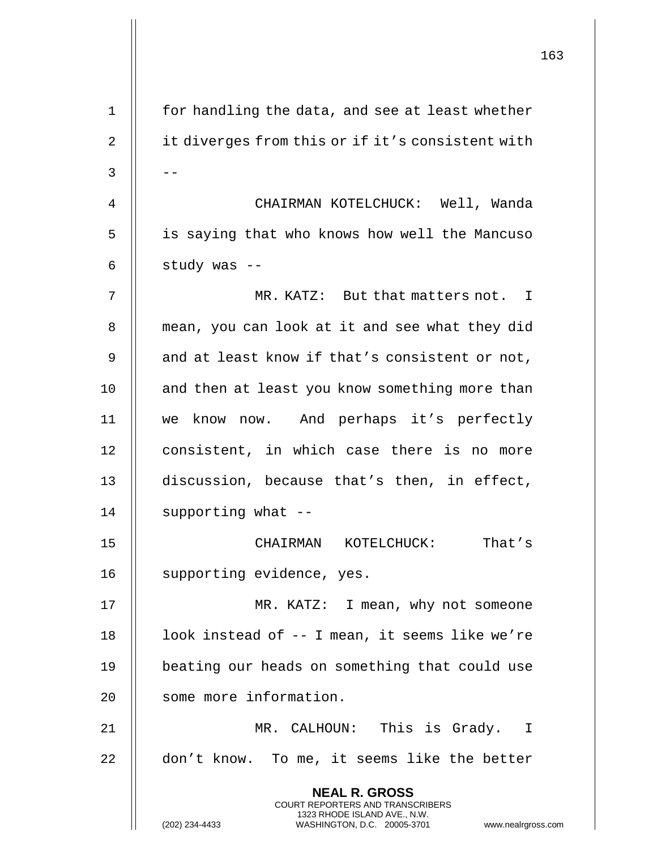|    |                                                                                                                                                                     | 163 |
|----|---------------------------------------------------------------------------------------------------------------------------------------------------------------------|-----|
| 1  | for handling the data, and see at least whether                                                                                                                     |     |
| 2  | it diverges from this or if it's consistent with                                                                                                                    |     |
| 3  |                                                                                                                                                                     |     |
| 4  | CHAIRMAN KOTELCHUCK: Well, Wanda                                                                                                                                    |     |
| 5  | is saying that who knows how well the Mancuso                                                                                                                       |     |
| 6  | study was --                                                                                                                                                        |     |
| 7  | MR. KATZ: But that matters not. I                                                                                                                                   |     |
| 8  | mean, you can look at it and see what they did                                                                                                                      |     |
| 9  | and at least know if that's consistent or not,                                                                                                                      |     |
| 10 | and then at least you know something more than                                                                                                                      |     |
| 11 | we know now. And perhaps it's perfectly                                                                                                                             |     |
| 12 | consistent, in which case there is no more                                                                                                                          |     |
| 13 | discussion, because that's then, in effect,                                                                                                                         |     |
| 14 | supporting what --                                                                                                                                                  |     |
| 15 | CHAIRMAN KOTELCHUCK: That's                                                                                                                                         |     |
| 16 | supporting evidence, yes.                                                                                                                                           |     |
| 17 | MR. KATZ: I mean, why not someone                                                                                                                                   |     |
| 18 | look instead of -- I mean, it seems like we're                                                                                                                      |     |
| 19 | beating our heads on something that could use                                                                                                                       |     |
| 20 | some more information.                                                                                                                                              |     |
| 21 | MR. CALHOUN: This is Grady. I                                                                                                                                       |     |
| 22 | don't know. To me, it seems like the better                                                                                                                         |     |
|    | <b>NEAL R. GROSS</b><br><b>COURT REPORTERS AND TRANSCRIBERS</b><br>1323 RHODE ISLAND AVE., N.W.<br>WASHINGTON, D.C. 20005-3701 www.nealrgross.com<br>(202) 234-4433 |     |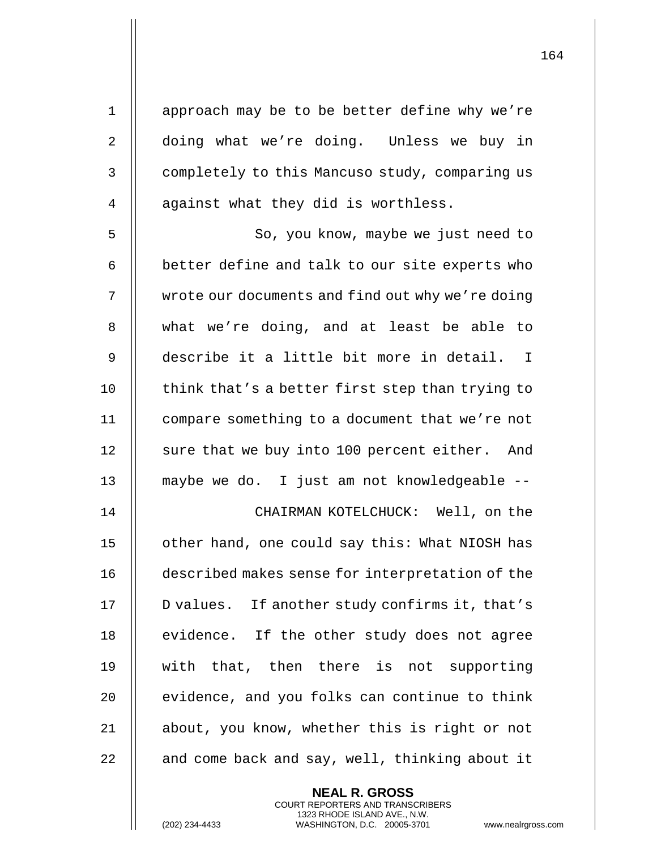1 || approach may be to be better define why we're 2 | doing what we're doing. Unless we buy in 3 | completely to this Mancuso study, comparing us 4 || against what they did is worthless. 5 || So, you know, maybe we just need to  $6$   $\parallel$  better define and talk to our site experts who 7 | wrote our documents and find out why we're doing 8 what we're doing, and at least be able to 9 describe it a little bit more in detail. I 10  $\parallel$  think that's a better first step than trying to 11 compare something to a document that we're not 12 || sure that we buy into 100 percent either. And 13 maybe we do. I just am not knowledgeable -- 14 CHAIRMAN KOTELCHUCK: Well, on the 15 || other hand, one could say this: What NIOSH has 16 **described makes sense for interpretation of the** 17 || D values. If another study confirms it, that's 18 || evidence. If the other study does not agree 19 || with that, then there is not supporting  $20$   $\parallel$  evidence, and you folks can continue to think 21 || about, you know, whether this is right or not  $22$   $\parallel$  and come back and say, well, thinking about it

> **NEAL R. GROSS** COURT REPORTERS AND TRANSCRIBERS 1323 RHODE ISLAND AVE., N.W.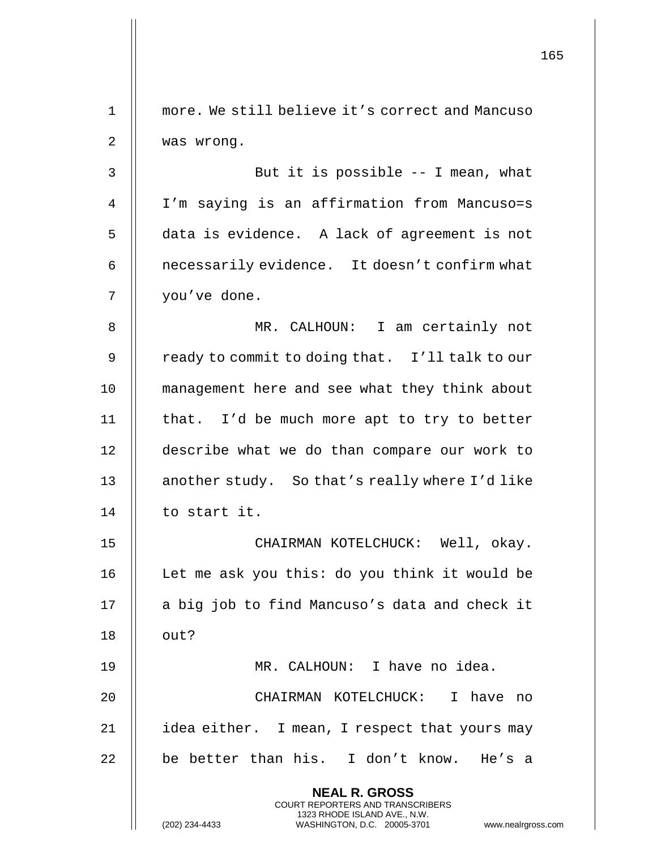|    |                                                                                                                                                | 165 |
|----|------------------------------------------------------------------------------------------------------------------------------------------------|-----|
| 1  | more. We still believe it's correct and Mancuso                                                                                                |     |
| 2  | was wrong.                                                                                                                                     |     |
| 3  | But it is possible -- I mean, what                                                                                                             |     |
| 4  | I'm saying is an affirmation from Mancuso=s                                                                                                    |     |
| 5  | data is evidence. A lack of agreement is not                                                                                                   |     |
| 6  | necessarily evidence. It doesn't confirm what                                                                                                  |     |
| 7  | you've done.                                                                                                                                   |     |
| 8  | MR. CALHOUN: I am certainly not                                                                                                                |     |
| 9  | ready to commit to doing that. I'll talk to our                                                                                                |     |
| 10 | management here and see what they think about                                                                                                  |     |
| 11 | that. I'd be much more apt to try to better                                                                                                    |     |
| 12 | describe what we do than compare our work to                                                                                                   |     |
| 13 | another study. So that's really where I'd like                                                                                                 |     |
| 14 | to start it.                                                                                                                                   |     |
| 15 | CHAIRMAN KOTELCHUCK: Well, okay.                                                                                                               |     |
| 16 | Let me ask you this: do you think it would be                                                                                                  |     |
| 17 | a big job to find Mancuso's data and check it                                                                                                  |     |
| 18 | out?                                                                                                                                           |     |
| 19 | MR. CALHOUN: I have no idea.                                                                                                                   |     |
| 20 | CHAIRMAN KOTELCHUCK: I have no                                                                                                                 |     |
| 21 | idea either. I mean, I respect that yours may                                                                                                  |     |
| 22 | be better than his. I don't know. He's a                                                                                                       |     |
|    | <b>NEAL R. GROSS</b>                                                                                                                           |     |
|    | <b>COURT REPORTERS AND TRANSCRIBERS</b><br>1323 RHODE ISLAND AVE., N.W.<br>(202) 234-4433<br>WASHINGTON, D.C. 20005-3701<br>www.nealrgross.com |     |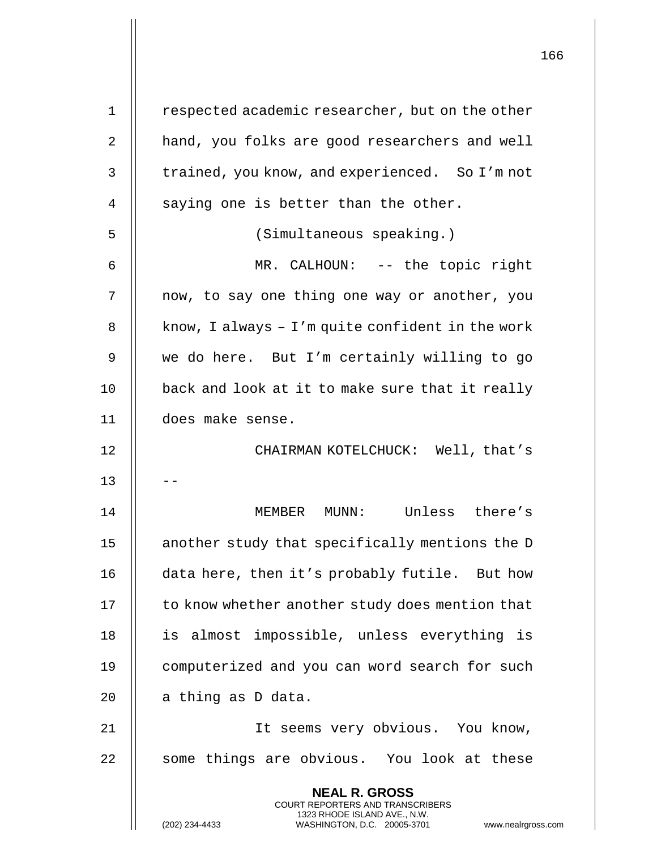| 1  | respected academic researcher, but on the other                                                                                                                        |
|----|------------------------------------------------------------------------------------------------------------------------------------------------------------------------|
| 2  | hand, you folks are good researchers and well                                                                                                                          |
| 3  | trained, you know, and experienced. So I'm not                                                                                                                         |
| 4  | saying one is better than the other.                                                                                                                                   |
| 5  | (Simultaneous speaking.)                                                                                                                                               |
| 6  | MR. CALHOUN: -- the topic right                                                                                                                                        |
| 7  | now, to say one thing one way or another, you                                                                                                                          |
| 8  | know, I always $-1$ 'm quite confident in the work                                                                                                                     |
| 9  | we do here. But I'm certainly willing to go                                                                                                                            |
| 10 | back and look at it to make sure that it really                                                                                                                        |
| 11 | does make sense.                                                                                                                                                       |
| 12 | CHAIRMAN KOTELCHUCK: Well, that's                                                                                                                                      |
| 13 |                                                                                                                                                                        |
| 14 | MUNN: Unless there's<br>MEMBER                                                                                                                                         |
| 15 | another study that specifically mentions the D                                                                                                                         |
| 16 | data here, then it's probably futile. But how                                                                                                                          |
| 17 | to know whether another study does mention that                                                                                                                        |
| 18 | is almost impossible, unless everything is                                                                                                                             |
| 19 | computerized and you can word search for such                                                                                                                          |
| 20 | a thing as D data.                                                                                                                                                     |
| 21 | It seems very obvious. You know,                                                                                                                                       |
| 22 | some things are obvious. You look at these                                                                                                                             |
|    | <b>NEAL R. GROSS</b><br><b>COURT REPORTERS AND TRANSCRIBERS</b><br>1323 RHODE ISLAND AVE., N.W.<br>(202) 234-4433<br>WASHINGTON, D.C. 20005-3701<br>www.nealrgross.com |

 $\mathbf{I}$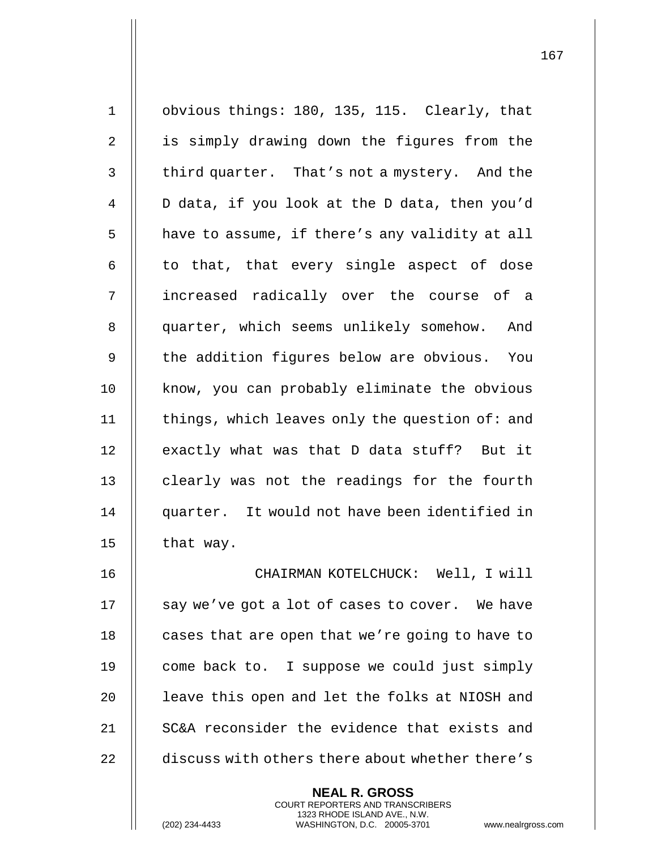1 obvious things: 180, 135, 115. Clearly, that 2 || is simply drawing down the figures from the 3 | third quarter. That's not a mystery. And the 4 D data, if you look at the D data, then you'd 5 | have to assume, if there's any validity at all  $6$  || to that, that every single aspect of dose 7 increased radically over the course of a 8 || quarter, which seems unlikely somehow. And  $9$   $\parallel$  the addition figures below are obvious. You 10 || know, you can probably eliminate the obvious 11  $\parallel$  things, which leaves only the question of: and 12 | exactly what was that D data stuff? But it 13 || clearly was not the readings for the fourth 14 quarter. It would not have been identified in 15  $\parallel$  that way. 16 CHAIRMAN KOTELCHUCK: Well, I will 17  $\parallel$  say we've got a lot of cases to cover. We have 18 | cases that are open that we're going to have to 19  $\parallel$  come back to. I suppose we could just simply

> **NEAL R. GROSS** COURT REPORTERS AND TRANSCRIBERS 1323 RHODE ISLAND AVE., N.W.

20  $\parallel$  leave this open and let the folks at NIOSH and

21 || SC&A reconsider the evidence that exists and

22 discuss with others there about whether there's

(202) 234-4433 WASHINGTON, D.C. 20005-3701 www.nealrgross.com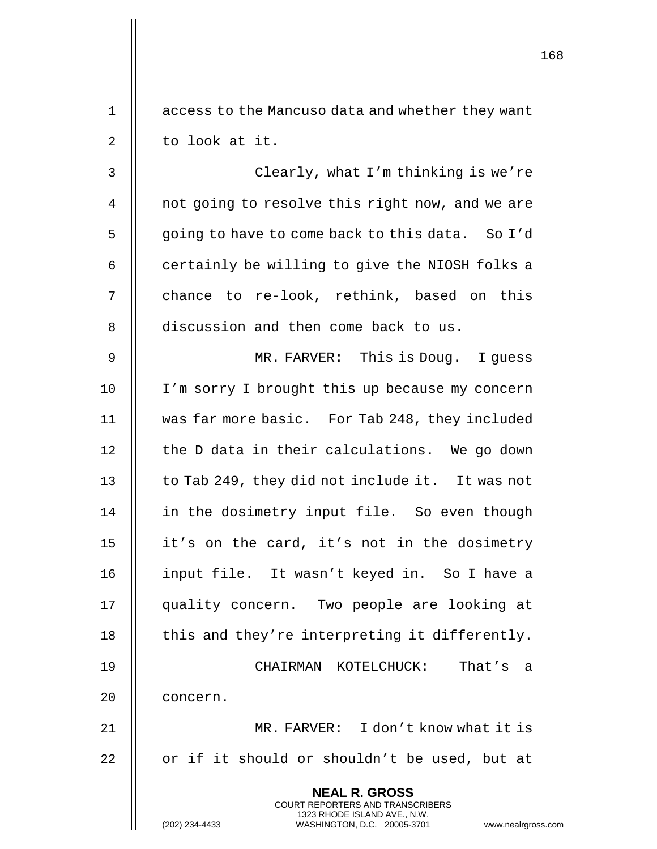|       | 1                                                                                                                                                                   |
|-------|---------------------------------------------------------------------------------------------------------------------------------------------------------------------|
| $1\,$ | access to the Mancuso data and whether they want                                                                                                                    |
| 2     | to look at it.                                                                                                                                                      |
| 3     | Clearly, what I'm thinking is we're                                                                                                                                 |
| 4     | not going to resolve this right now, and we are                                                                                                                     |
| 5     | going to have to come back to this data. So I'd                                                                                                                     |
| 6     | certainly be willing to give the NIOSH folks a                                                                                                                      |
| 7     | chance to re-look, rethink, based on this                                                                                                                           |
| 8     | discussion and then come back to us.                                                                                                                                |
| 9     | MR. FARVER: This is Doug. I guess                                                                                                                                   |
| 10    | I'm sorry I brought this up because my concern                                                                                                                      |
| 11    | was far more basic. For Tab 248, they included                                                                                                                      |
| 12    | the D data in their calculations. We go down                                                                                                                        |
| 13    | to Tab 249, they did not include it. It was not                                                                                                                     |
| 14    | in the dosimetry input file. So even though                                                                                                                         |
| 15    | it's on the card, it's not in the dosimetry                                                                                                                         |
| 16    | input file. It wasn't keyed in. So I have a                                                                                                                         |
| 17    | quality concern. Two people are looking at                                                                                                                          |
| 18    | this and they're interpreting it differently.                                                                                                                       |
| 19    | CHAIRMAN KOTELCHUCK:<br>That's a                                                                                                                                    |
| 20    | concern.                                                                                                                                                            |
| 21    | MR. FARVER: I don't know what it is                                                                                                                                 |
| 22    | or if it should or shouldn't be used, but at                                                                                                                        |
|       | <b>NEAL R. GROSS</b><br><b>COURT REPORTERS AND TRANSCRIBERS</b><br>1323 RHODE ISLAND AVE., N.W.<br>(202) 234-4433<br>WASHINGTON, D.C. 20005-3701<br>www.nealrgross. |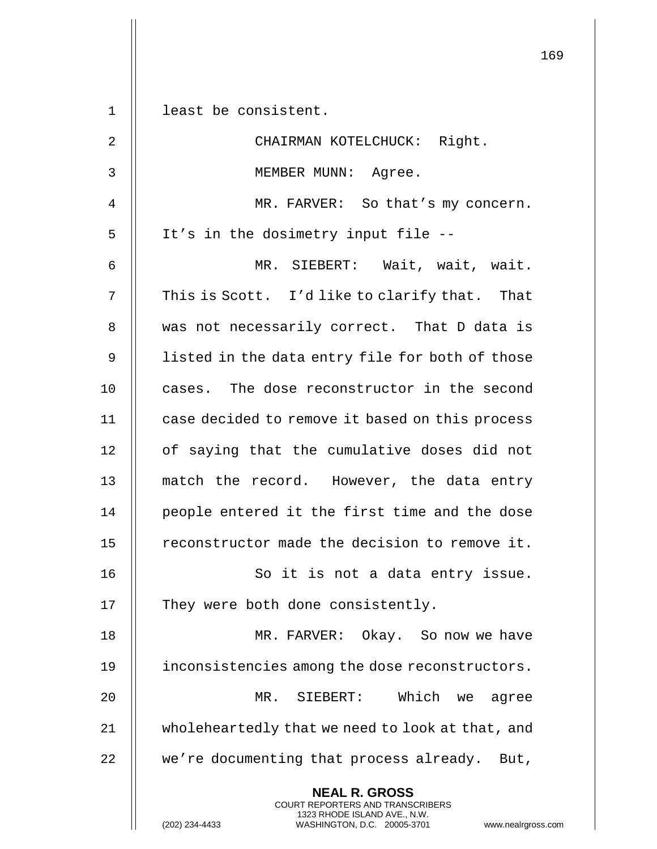|                |                                                                                                                                                                        | 169 |
|----------------|------------------------------------------------------------------------------------------------------------------------------------------------------------------------|-----|
| $\mathbf 1$    | least be consistent.                                                                                                                                                   |     |
|                |                                                                                                                                                                        |     |
| $\overline{2}$ | CHAIRMAN KOTELCHUCK: Right.                                                                                                                                            |     |
| 3              | MEMBER MUNN: Agree.                                                                                                                                                    |     |
| 4              | MR. FARVER: So that's my concern.                                                                                                                                      |     |
| 5              | It's in the dosimetry input file --                                                                                                                                    |     |
| 6              | MR. SIEBERT: Wait, wait, wait.                                                                                                                                         |     |
| 7              | This is Scott. I'd like to clarify that. That                                                                                                                          |     |
| 8              | was not necessarily correct. That D data is                                                                                                                            |     |
| 9              | listed in the data entry file for both of those                                                                                                                        |     |
| 10             | cases. The dose reconstructor in the second                                                                                                                            |     |
| 11             | case decided to remove it based on this process                                                                                                                        |     |
| 12             | of saying that the cumulative doses did not                                                                                                                            |     |
| 13             | match the record. However, the data entry                                                                                                                              |     |
| 14             | people entered it the first time and the dose                                                                                                                          |     |
| 15             | reconstructor made the decision to remove it.                                                                                                                          |     |
| 16             | So it is not a data entry issue.                                                                                                                                       |     |
| 17             | They were both done consistently.                                                                                                                                      |     |
| 18             | MR. FARVER: Okay. So now we have                                                                                                                                       |     |
| 19             | inconsistencies among the dose reconstructors.                                                                                                                         |     |
| 20             | Which we agree<br>MR. SIEBERT:                                                                                                                                         |     |
| 21             | wholeheartedly that we need to look at that, and                                                                                                                       |     |
| 22             | we're documenting that process already. But,                                                                                                                           |     |
|                | <b>NEAL R. GROSS</b><br><b>COURT REPORTERS AND TRANSCRIBERS</b><br>1323 RHODE ISLAND AVE., N.W.<br>(202) 234-4433<br>WASHINGTON, D.C. 20005-3701<br>www.nealrgross.com |     |

 $\mathbf{I}$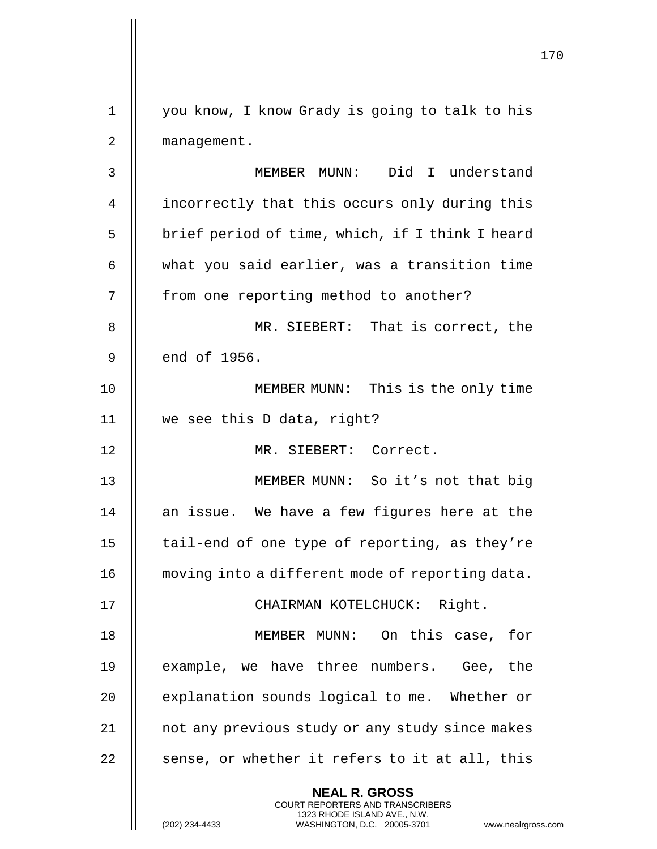170 **NEAL R. GROSS** COURT REPORTERS AND TRANSCRIBERS 1323 RHODE ISLAND AVE., N.W. (202) 234-4433 WASHINGTON, D.C. 20005-3701 www.nealrgross.com 1 you know, I know Grady is going to talk to his 2 | management. 3 MEMBER MUNN: Did I understand 4 | incorrectly that this occurs only during this  $5$  || brief period of time, which, if I think I heard  $6$   $\parallel$  what you said earlier, was a transition time 7 || from one reporting method to another? 8 MR. SIEBERT: That is correct, the  $9 \parallel$  end of 1956. 10 || MEMBER MUNN: This is the only time 11 we see this D data, right? 12 MR. SIEBERT: Correct. 13 MEMBER MUNN: So it's not that big 14  $\parallel$  an issue. We have a few figures here at the 15  $\parallel$  tail-end of one type of reporting, as they're 16 | moving into a different mode of reporting data. 17 CHAIRMAN KOTELCHUCK: Right. 18 MEMBER MUNN: On this case, for 19 || example, we have three numbers. Gee, the 20 **explanation sounds logical to me.** Whether or 21 | not any previous study or any study since makes  $22$  || sense, or whether it refers to it at all, this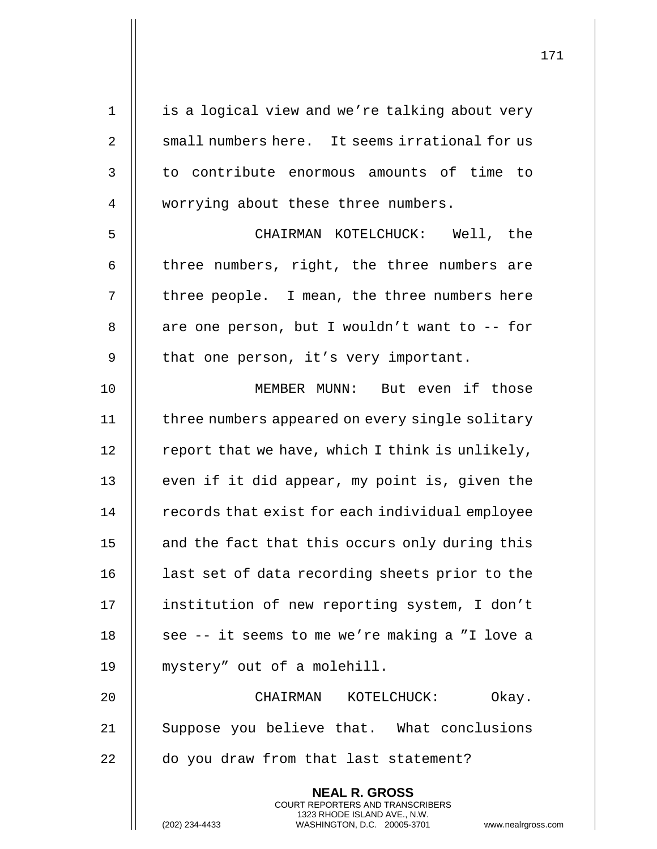| $\mathbf 1$ | is a logical view and we're talking about very                                                                                             |
|-------------|--------------------------------------------------------------------------------------------------------------------------------------------|
| 2           | small numbers here. It seems irrational for us                                                                                             |
| 3           | to contribute enormous amounts of time to                                                                                                  |
| 4           | worrying about these three numbers.                                                                                                        |
| 5           | CHAIRMAN KOTELCHUCK: Well, the                                                                                                             |
| 6           | three numbers, right, the three numbers are                                                                                                |
| 7           | three people. I mean, the three numbers here                                                                                               |
| 8           | are one person, but I wouldn't want to -- for                                                                                              |
| 9           | that one person, it's very important.                                                                                                      |
| 10          | MEMBER MUNN: But even if those                                                                                                             |
| 11          | three numbers appeared on every single solitary                                                                                            |
| 12          | report that we have, which I think is unlikely,                                                                                            |
| 13          | even if it did appear, my point is, given the                                                                                              |
| 14          | records that exist for each individual employee                                                                                            |
| 15          | and the fact that this occurs only during this                                                                                             |
| 16          | last set of data recording sheets prior to the                                                                                             |
| 17          | institution of new reporting system, I don't                                                                                               |
| 18          | see -- it seems to me we're making a "I love a                                                                                             |
| 19          | mystery" out of a molehill.                                                                                                                |
| 20          | CHAIRMAN KOTELCHUCK:<br>Okay.                                                                                                              |
| 21          | Suppose you believe that. What conclusions                                                                                                 |
| 22          | do you draw from that last statement?                                                                                                      |
|             | <b>NEAL R. GROSS</b>                                                                                                                       |
|             | <b>COURT REPORTERS AND TRANSCRIBERS</b><br>1323 RHODE ISLAND AVE., N.W.<br>(202) 234-4433<br>WASHINGTON, D.C. 20005-3701<br>www.nealrgross |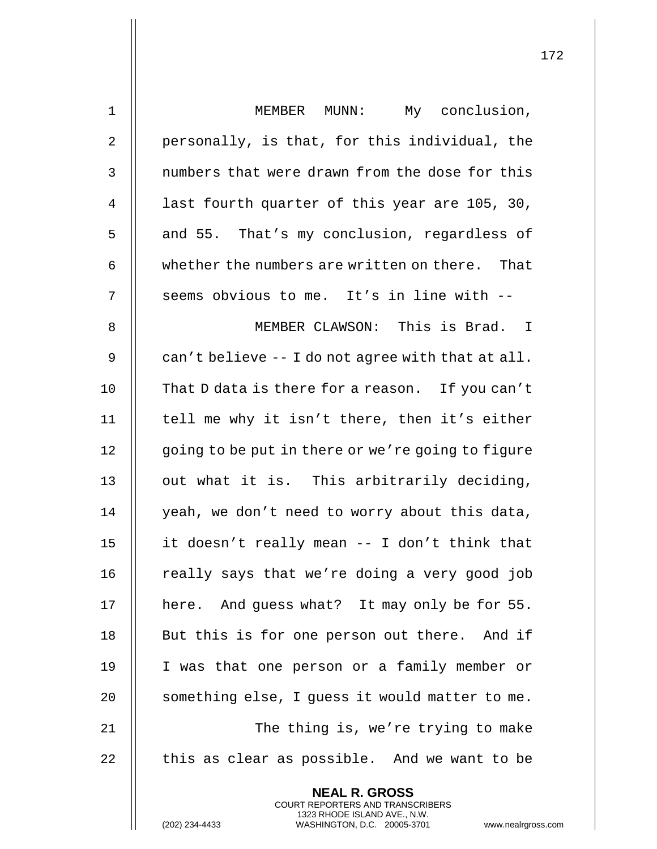| $\mathbf 1$ | MEMBER MUNN: My conclusion,                                                                                                                                       |
|-------------|-------------------------------------------------------------------------------------------------------------------------------------------------------------------|
| 2           | personally, is that, for this individual, the                                                                                                                     |
| 3           | numbers that were drawn from the dose for this                                                                                                                    |
| 4           | last fourth quarter of this year are 105, 30,                                                                                                                     |
| 5           | and 55. That's my conclusion, regardless of                                                                                                                       |
| 6           | whether the numbers are written on there. That                                                                                                                    |
| 7           | seems obvious to me. It's in line with --                                                                                                                         |
| 8           | MEMBER CLAWSON: This is Brad. I                                                                                                                                   |
| 9           | can't believe -- I do not agree with that at all.                                                                                                                 |
| 10          | That D data is there for a reason. If you can't                                                                                                                   |
| 11          | tell me why it isn't there, then it's either                                                                                                                      |
| 12          | going to be put in there or we're going to figure                                                                                                                 |
| 13          | out what it is. This arbitrarily deciding,                                                                                                                        |
| 14          | yeah, we don't need to worry about this data,                                                                                                                     |
| 15          | it doesn't really mean -- I don't think that                                                                                                                      |
| 16          | really says that we're doing a very good job                                                                                                                      |
| 17          | here. And guess what? It may only be for 55.                                                                                                                      |
| 18          | But this is for one person out there. And if                                                                                                                      |
| 19          | I was that one person or a family member or                                                                                                                       |
| 20          | something else, I quess it would matter to me.                                                                                                                    |
| 21          | The thing is, we're trying to make                                                                                                                                |
| 22          | this as clear as possible. And we want to be                                                                                                                      |
|             | <b>NEAL R. GROSS</b><br><b>COURT REPORTERS AND TRANSCRIBERS</b><br>1323 RHODE ISLAND AVE., N.W.<br>(202) 234-4433<br>WASHINGTON, D.C. 20005-3701<br>www.nealrgros |

(202) 234-4433 WASHINGTON, D.C. 20005-3701 www.nealrgross.com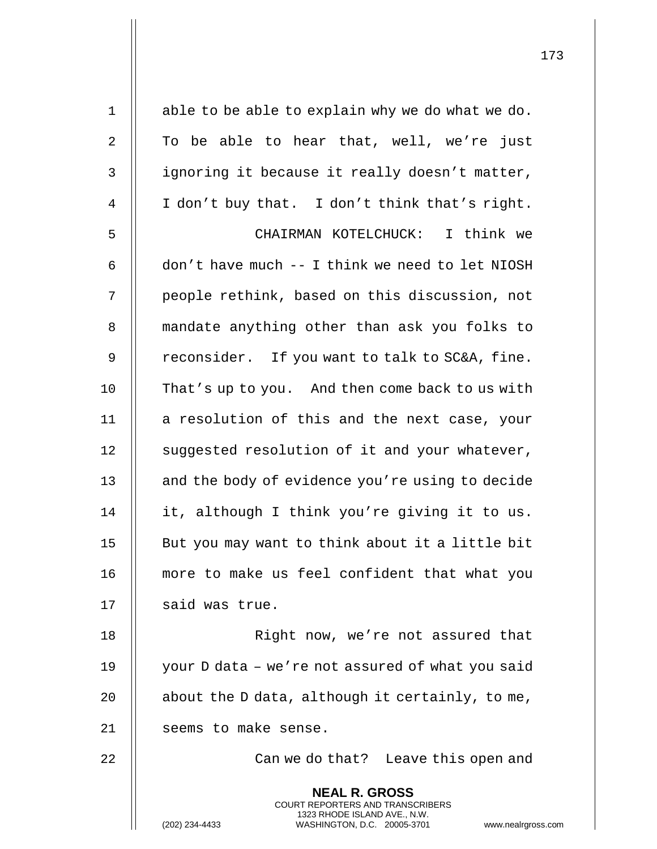| $\mathbf 1$    | able to be able to explain why we do what we do.                                                                                                                  |
|----------------|-------------------------------------------------------------------------------------------------------------------------------------------------------------------|
| $\overline{2}$ | To be able to hear that, well, we're just                                                                                                                         |
| 3              | ignoring it because it really doesn't matter,                                                                                                                     |
| 4              | I don't buy that. I don't think that's right.                                                                                                                     |
| 5              | CHAIRMAN KOTELCHUCK: I think we                                                                                                                                   |
| 6              | don't have much -- I think we need to let NIOSH                                                                                                                   |
| 7              | people rethink, based on this discussion, not                                                                                                                     |
| 8              | mandate anything other than ask you folks to                                                                                                                      |
| $\mathsf 9$    | reconsider. If you want to talk to SC&A, fine.                                                                                                                    |
| 10             | That's up to you. And then come back to us with                                                                                                                   |
| 11             | a resolution of this and the next case, your                                                                                                                      |
| 12             | suggested resolution of it and your whatever,                                                                                                                     |
| 13             | and the body of evidence you're using to decide                                                                                                                   |
| 14             | it, although I think you're giving it to us.                                                                                                                      |
| 15             | But you may want to think about it a little bit                                                                                                                   |
| 16             | more to make us feel confident that what you                                                                                                                      |
| 17             | said was true.                                                                                                                                                    |
| 18             | Right now, we're not assured that                                                                                                                                 |
| 19             | your D data - we're not assured of what you said                                                                                                                  |
| 20             | about the D data, although it certainly, to me,                                                                                                                   |
| 21             | seems to make sense.                                                                                                                                              |
| 22             | Can we do that? Leave this open and                                                                                                                               |
|                | <b>NEAL R. GROSS</b><br><b>COURT REPORTERS AND TRANSCRIBERS</b><br>1323 RHODE ISLAND AVE., N.W.<br>(202) 234-4433<br>WASHINGTON, D.C. 20005-3701<br>www.nealrgros |

(202) 234-4433 WASHINGTON, D.C. 20005-3701 www.nealrgross.com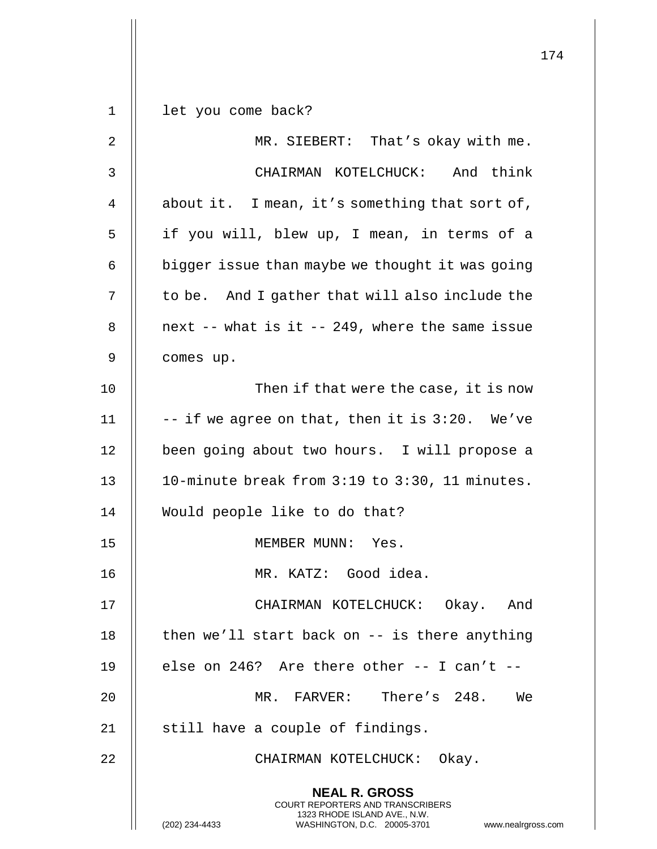**NEAL R. GROSS** COURT REPORTERS AND TRANSCRIBERS 1323 RHODE ISLAND AVE., N.W. (202) 234-4433 WASHINGTON, D.C. 20005-3701 www.nealrgross.com let you come back? 2 || MR. SIEBERT: That's okay with me. CHAIRMAN KOTELCHUCK: And think  $\parallel$  about it. I mean, it's something that sort of, 5 || if you will, blew up, I mean, in terms of a | bigger issue than maybe we thought it was going  $\parallel$  to be. And I gather that will also include the | next -- what is it -- 249, where the same issue comes up. 10 || Then if that were the case, it is now  $\parallel$  -- if we agree on that, then it is 3:20. We've 12 || been going about two hours. I will propose a 10-minute break from 3:19 to 3:30, 11 minutes. Would people like to do that? MEMBER MUNN: Yes. MR. KATZ: Good idea. CHAIRMAN KOTELCHUCK: Okay. And  $\parallel$  then we'll start back on  $-$  is there anything  $\parallel$  else on 246? Are there other -- I can't -- MR. FARVER: There's 248. We 21 || still have a couple of findings. 22 || CHAIRMAN KOTELCHUCK: Okay.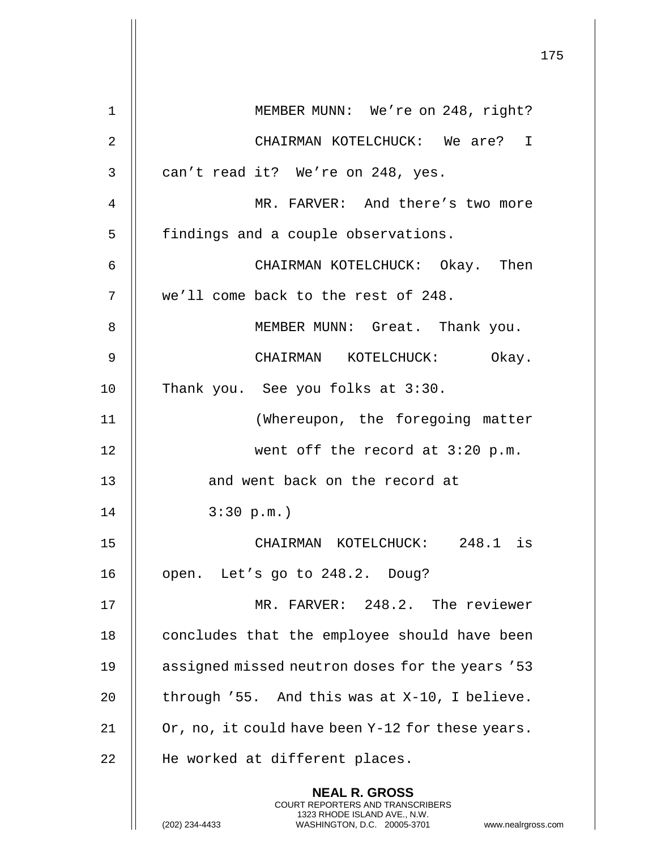|             | 175                                                                                                                                                                 |
|-------------|---------------------------------------------------------------------------------------------------------------------------------------------------------------------|
| $\mathbf 1$ | MEMBER MUNN: We're on 248, right?                                                                                                                                   |
| 2           | CHAIRMAN KOTELCHUCK: We are? I                                                                                                                                      |
| 3           | can't read it? We're on 248, yes.                                                                                                                                   |
| 4           | MR. FARVER: And there's two more                                                                                                                                    |
| 5           | findings and a couple observations.                                                                                                                                 |
| 6           | CHAIRMAN KOTELCHUCK: Okay. Then                                                                                                                                     |
| 7           | we'll come back to the rest of 248.                                                                                                                                 |
| 8           | MEMBER MUNN: Great. Thank you.                                                                                                                                      |
| 9           | CHAIRMAN KOTELCHUCK: Okay.                                                                                                                                          |
| 10          | Thank you. See you folks at 3:30.                                                                                                                                   |
| 11          | (Whereupon, the foregoing matter                                                                                                                                    |
| 12          | went off the record at 3:20 p.m.                                                                                                                                    |
| 13          | and went back on the record at                                                                                                                                      |
| 14          | 3:30 p.m.                                                                                                                                                           |
| 15          | CHAIRMAN KOTELCHUCK: 248.1 is                                                                                                                                       |
| 16          | open. Let's go to 248.2. Doug?                                                                                                                                      |
| 17          | MR. FARVER: 248.2. The reviewer                                                                                                                                     |
| 18          | concludes that the employee should have been                                                                                                                        |
| 19          | assigned missed neutron doses for the years '53                                                                                                                     |
| 20          | through '55. And this was at X-10, I believe.                                                                                                                       |
| 21          | Or, no, it could have been Y-12 for these years.                                                                                                                    |
| 22          | He worked at different places.                                                                                                                                      |
|             | <b>NEAL R. GROSS</b><br><b>COURT REPORTERS AND TRANSCRIBERS</b><br>1323 RHODE ISLAND AVE., N.W.<br>WASHINGTON, D.C. 20005-3701 www.nealrgross.com<br>(202) 234-4433 |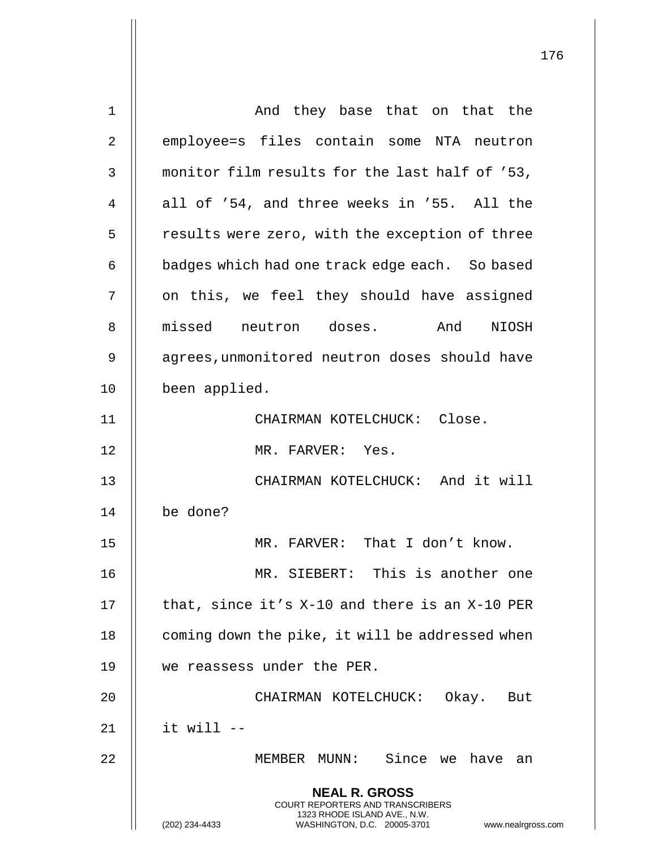| $\mathbf 1$    | And they base that on that the                                                                                                                                         |
|----------------|------------------------------------------------------------------------------------------------------------------------------------------------------------------------|
| 2              | employee=s files contain some NTA neutron                                                                                                                              |
| 3              | monitor film results for the last half of '53,                                                                                                                         |
| $\overline{4}$ | all of '54, and three weeks in '55. All the                                                                                                                            |
| 5              | results were zero, with the exception of three                                                                                                                         |
| 6              | badges which had one track edge each. So based                                                                                                                         |
| 7              | on this, we feel they should have assigned                                                                                                                             |
| 8              | missed neutron doses. And<br>NIOSH                                                                                                                                     |
| 9              | agrees, unmonitored neutron doses should have                                                                                                                          |
| 10             | been applied.                                                                                                                                                          |
| 11             | CHAIRMAN KOTELCHUCK: Close.                                                                                                                                            |
| 12             | MR. FARVER: Yes.                                                                                                                                                       |
| 13             | CHAIRMAN KOTELCHUCK: And it will                                                                                                                                       |
| 14             | be done?                                                                                                                                                               |
| 15             | MR. FARVER: That I don't know.                                                                                                                                         |
| 16             | MR. SIEBERT: This is another one                                                                                                                                       |
| 17             | that, since it's X-10 and there is an X-10 PER                                                                                                                         |
| 18             | coming down the pike, it will be addressed when                                                                                                                        |
| 19             | we reassess under the PER.                                                                                                                                             |
| 20             | CHAIRMAN KOTELCHUCK: Okay. But                                                                                                                                         |
| 21             | it will $--$                                                                                                                                                           |
| 22             | MEMBER MUNN: Since we have an                                                                                                                                          |
|                | <b>NEAL R. GROSS</b><br><b>COURT REPORTERS AND TRANSCRIBERS</b><br>1323 RHODE ISLAND AVE., N.W.<br>WASHINGTON, D.C. 20005-3701<br>(202) 234-4433<br>www.nealrgross.com |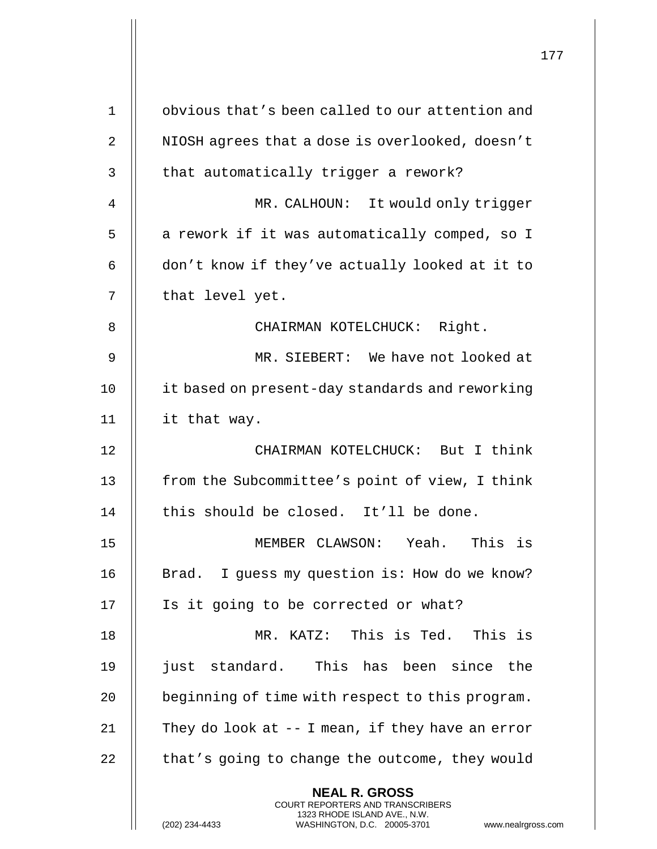|    |                                                                                                                                                                        | 177 |
|----|------------------------------------------------------------------------------------------------------------------------------------------------------------------------|-----|
| 1  | obvious that's been called to our attention and                                                                                                                        |     |
| 2  | NIOSH agrees that a dose is overlooked, doesn't                                                                                                                        |     |
| 3  | that automatically trigger a rework?                                                                                                                                   |     |
| 4  | MR. CALHOUN: It would only trigger                                                                                                                                     |     |
| 5  | a rework if it was automatically comped, so I                                                                                                                          |     |
| 6  | don't know if they've actually looked at it to                                                                                                                         |     |
| 7  | that level yet.                                                                                                                                                        |     |
| 8  | CHAIRMAN KOTELCHUCK: Right.                                                                                                                                            |     |
| 9  | MR. SIEBERT: We have not looked at                                                                                                                                     |     |
| 10 | it based on present-day standards and reworking                                                                                                                        |     |
| 11 | it that way.                                                                                                                                                           |     |
| 12 | CHAIRMAN KOTELCHUCK: But I think                                                                                                                                       |     |
| 13 | from the Subcommittee's point of view, I think                                                                                                                         |     |
| 14 | this should be closed. It'll be done.                                                                                                                                  |     |
| 15 | MEMBER CLAWSON: Yeah. This is                                                                                                                                          |     |
| 16 | Brad. I guess my question is: How do we know?                                                                                                                          |     |
| 17 | Is it going to be corrected or what?                                                                                                                                   |     |
| 18 | MR. KATZ: This is Ted. This is                                                                                                                                         |     |
| 19 | just standard. This has been since the                                                                                                                                 |     |
|    |                                                                                                                                                                        |     |
| 20 | beginning of time with respect to this program.                                                                                                                        |     |
| 21 | They do look at $-$ I mean, if they have an error                                                                                                                      |     |
| 22 | that's going to change the outcome, they would                                                                                                                         |     |
|    | <b>NEAL R. GROSS</b><br><b>COURT REPORTERS AND TRANSCRIBERS</b><br>1323 RHODE ISLAND AVE., N.W.<br>WASHINGTON, D.C. 20005-3701<br>(202) 234-4433<br>www.nealrgross.com |     |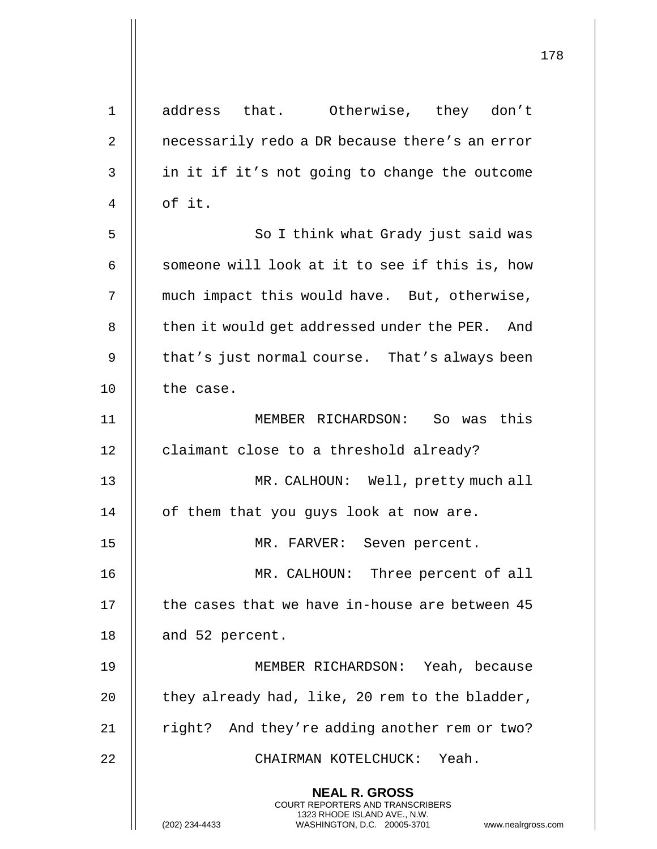|             |                                                                                                                                                                 | 178 |
|-------------|-----------------------------------------------------------------------------------------------------------------------------------------------------------------|-----|
| $\mathbf 1$ | address that. Otherwise, they don't                                                                                                                             |     |
| 2           | necessarily redo a DR because there's an error                                                                                                                  |     |
| 3           | in it if it's not going to change the outcome                                                                                                                   |     |
| 4           | of it.                                                                                                                                                          |     |
| 5           | So I think what Grady just said was                                                                                                                             |     |
| 6           | someone will look at it to see if this is, how                                                                                                                  |     |
| 7           | much impact this would have. But, otherwise,                                                                                                                    |     |
| 8           | then it would get addressed under the PER. And                                                                                                                  |     |
| 9           | that's just normal course. That's always been                                                                                                                   |     |
| 10          | the case.                                                                                                                                                       |     |
| 11          | MEMBER RICHARDSON: So was this                                                                                                                                  |     |
| 12          | claimant close to a threshold already?                                                                                                                          |     |
| 13          | MR. CALHOUN: Well, pretty much all                                                                                                                              |     |
| 14          | of them that you guys look at now are.                                                                                                                          |     |
| 15          | MR. FARVER: Seven percent.                                                                                                                                      |     |
| 16          | MR. CALHOUN: Three percent of all                                                                                                                               |     |
| 17          | the cases that we have in-house are between 45                                                                                                                  |     |
| 18          | and 52 percent.                                                                                                                                                 |     |
| 19          | MEMBER RICHARDSON: Yeah, because                                                                                                                                |     |
| 20          | they already had, like, 20 rem to the bladder,                                                                                                                  |     |
| 21          | right? And they're adding another rem or two?                                                                                                                   |     |
| 22          | CHAIRMAN KOTELCHUCK: Yeah.                                                                                                                                      |     |
|             | <b>NEAL R. GROSS</b><br>COURT REPORTERS AND TRANSCRIBERS<br>1323 RHODE ISLAND AVE., N.W.<br>(202) 234-4433<br>WASHINGTON, D.C. 20005-3701<br>www.nealrgross.com |     |

 $\mathbf{I}$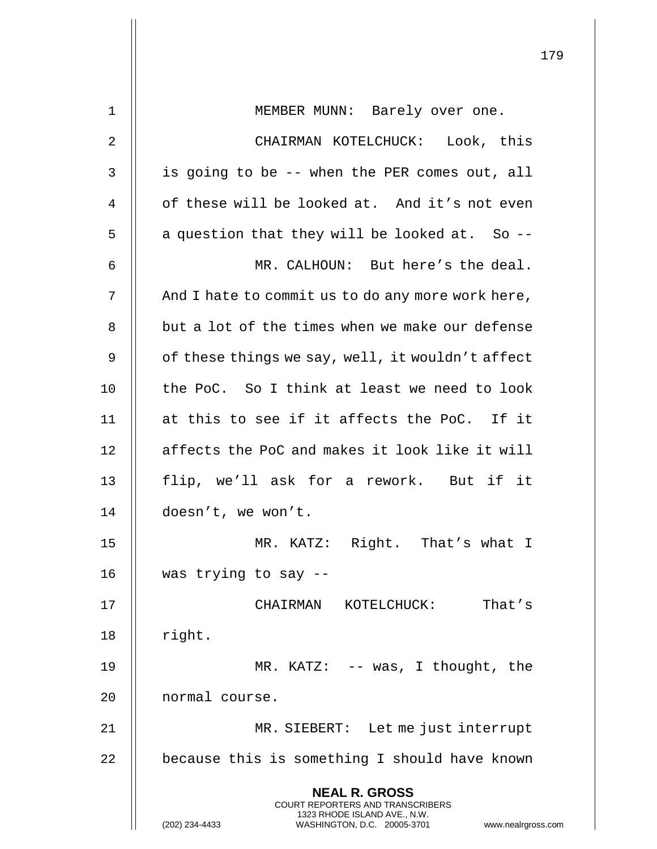|                |                                                                                                                                                                 | 179 |
|----------------|-----------------------------------------------------------------------------------------------------------------------------------------------------------------|-----|
| $\mathbf 1$    | MEMBER MUNN: Barely over one.                                                                                                                                   |     |
| $\overline{2}$ | CHAIRMAN KOTELCHUCK: Look, this                                                                                                                                 |     |
| $\mathsf{3}$   | is going to be -- when the PER comes out, all                                                                                                                   |     |
| 4              | of these will be looked at. And it's not even                                                                                                                   |     |
| 5              | a question that they will be looked at. So --                                                                                                                   |     |
| 6              | MR. CALHOUN: But here's the deal.                                                                                                                               |     |
| 7              | And I hate to commit us to do any more work here,                                                                                                               |     |
| 8              | but a lot of the times when we make our defense                                                                                                                 |     |
| 9              | of these things we say, well, it wouldn't affect                                                                                                                |     |
| 10             | the PoC. So I think at least we need to look                                                                                                                    |     |
| 11             | at this to see if it affects the PoC. If it                                                                                                                     |     |
| 12             | affects the PoC and makes it look like it will                                                                                                                  |     |
| 13             | flip, we'll ask for a rework. But if it                                                                                                                         |     |
| 14             | doesn't, we won't.                                                                                                                                              |     |
| 15             | MR. KATZ: Right. That's what I                                                                                                                                  |     |
| 16             | was trying to say --                                                                                                                                            |     |
| 17             | KOTELCHUCK:<br>That's<br>CHAIRMAN                                                                                                                               |     |
| 18             | right.                                                                                                                                                          |     |
| 19             | MR. KATZ: $--$ was, I thought, the                                                                                                                              |     |
| 20             | normal course.                                                                                                                                                  |     |
| 21             | MR. SIEBERT: Let me just interrupt                                                                                                                              |     |
| 22             | because this is something I should have known                                                                                                                   |     |
|                | <b>NEAL R. GROSS</b><br>COURT REPORTERS AND TRANSCRIBERS<br>1323 RHODE ISLAND AVE., N.W.<br>(202) 234-4433<br>WASHINGTON, D.C. 20005-3701<br>www.nealrgross.com |     |

 $\mathsf{||}$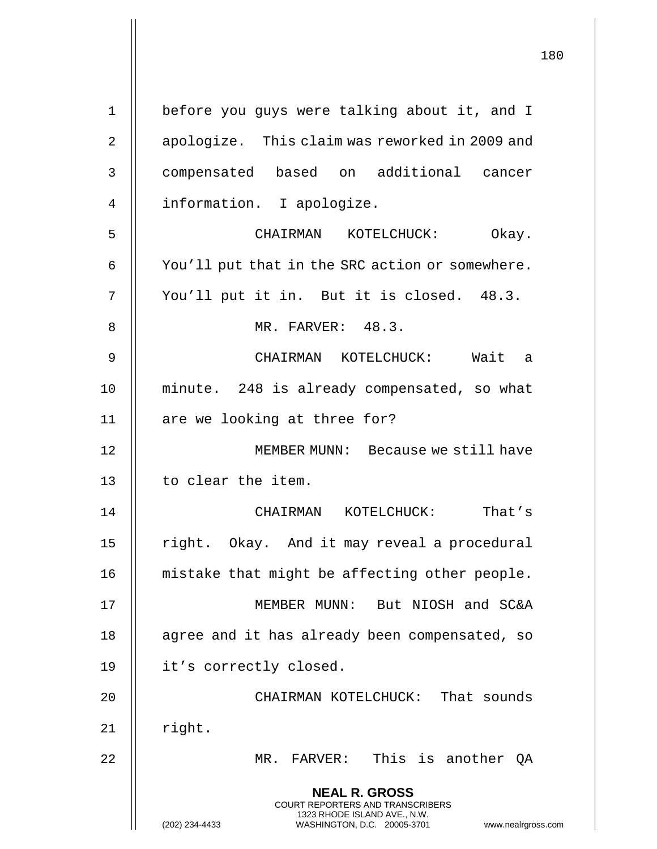**NEAL R. GROSS** COURT REPORTERS AND TRANSCRIBERS 1323 RHODE ISLAND AVE., N.W. (202) 234-4433 WASHINGTON, D.C. 20005-3701 www.nealrgross.com 1 | before you guys were talking about it, and I 2 | apologize. This claim was reworked in 2009 and 3 compensated based on additional cancer 4 || information. I apologize. 5 CHAIRMAN KOTELCHUCK: Okay.  $6 \parallel$  You'll put that in the SRC action or somewhere. 7 || You'll put it in. But it is closed. 48.3. 8 || MR. FARVER: 48.3. 9 CHAIRMAN KOTELCHUCK: Wait a 10 minute. 248 is already compensated, so what 11 || are we looking at three for? 12 MEMBER MUNN: Because we still have 13 || to clear the item. 14 CHAIRMAN KOTELCHUCK: That's 15 || right. Okay. And it may reveal a procedural 16 || mistake that might be affecting other people. 17 MEMBER MUNN: But NIOSH and SC&A 18 || agree and it has already been compensated, so 19 | it's correctly closed. 20 CHAIRMAN KOTELCHUCK: That sounds  $21$  | right. 22 MR. FARVER: This is another QA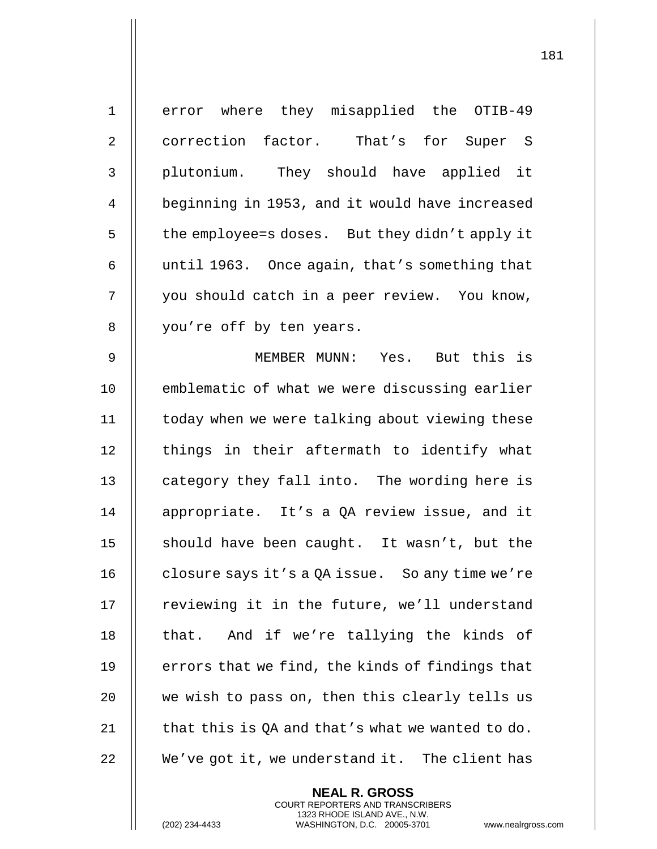| $\mathbf 1$    | error where they misapplied the OTIB-49          |
|----------------|--------------------------------------------------|
| $\overline{2}$ | correction factor. That's for Super S            |
| $\mathfrak{Z}$ | plutonium. They should have applied it           |
| $\overline{4}$ | beginning in 1953, and it would have increased   |
| 5              | the employee=s doses. But they didn't apply it   |
| 6              | until 1963. Once again, that's something that    |
| 7              | you should catch in a peer review. You know,     |
| 8              | you're off by ten years.                         |
| $\mathsf 9$    | MEMBER MUNN: Yes. But this is                    |
| 10             | emblematic of what we were discussing earlier    |
| 11             | today when we were talking about viewing these   |
| 12             | things in their aftermath to identify what       |
| 13             | category they fall into. The wording here is     |
| 14             | appropriate. It's a QA review issue, and it      |
| 15             | should have been caught. It wasn't, but the      |
| 16             | closure says it's a QA issue. So any time we're  |
| 17             | reviewing it in the future, we'll understand     |
| 18             | And if we're tallying the kinds of<br>that.      |
| 19             | errors that we find, the kinds of findings that  |
| 20             | we wish to pass on, then this clearly tells us   |
| 21             | that this is QA and that's what we wanted to do. |
| 22             | We've got it, we understand it. The client has   |

**NEAL R. GROSS** COURT REPORTERS AND TRANSCRIBERS 1323 RHODE ISLAND AVE., N.W.

(202) 234-4433 WASHINGTON, D.C. 20005-3701 www.nealrgross.com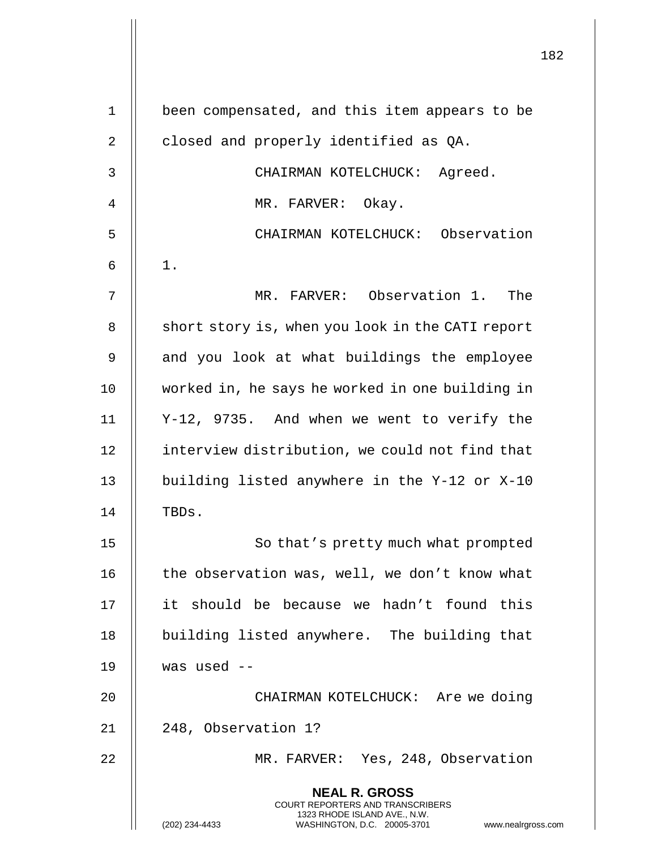|       |                                                                                                                                                                        | 182 |
|-------|------------------------------------------------------------------------------------------------------------------------------------------------------------------------|-----|
| $1\,$ | been compensated, and this item appears to be                                                                                                                          |     |
| 2     | closed and properly identified as QA.                                                                                                                                  |     |
| 3     | CHAIRMAN KOTELCHUCK: Agreed.                                                                                                                                           |     |
| 4     | MR. FARVER: Okay.                                                                                                                                                      |     |
| 5     | CHAIRMAN KOTELCHUCK: Observation                                                                                                                                       |     |
| 6     | $1$ .                                                                                                                                                                  |     |
| 7     | MR. FARVER: Observation 1. The                                                                                                                                         |     |
| 8     | short story is, when you look in the CATI report                                                                                                                       |     |
| 9     | and you look at what buildings the employee                                                                                                                            |     |
| 10    | worked in, he says he worked in one building in                                                                                                                        |     |
| 11    | Y-12, 9735. And when we went to verify the                                                                                                                             |     |
| 12    | interview distribution, we could not find that                                                                                                                         |     |
| 13    | building listed anywhere in the Y-12 or X-10                                                                                                                           |     |
| 14    | TBDs.                                                                                                                                                                  |     |
| 15    | So that's pretty much what prompted                                                                                                                                    |     |
| 16    | the observation was, well, we don't know what                                                                                                                          |     |
|       |                                                                                                                                                                        |     |
| 17    | it should be because we hadn't found this                                                                                                                              |     |
| 18    | building listed anywhere. The building that                                                                                                                            |     |
| 19    | was used $--$                                                                                                                                                          |     |
| 20    | CHAIRMAN KOTELCHUCK: Are we doing                                                                                                                                      |     |
| 21    | 248, Observation 1?                                                                                                                                                    |     |
| 22    | MR. FARVER: Yes, 248, Observation                                                                                                                                      |     |
|       | <b>NEAL R. GROSS</b><br><b>COURT REPORTERS AND TRANSCRIBERS</b><br>1323 RHODE ISLAND AVE., N.W.<br>(202) 234-4433<br>WASHINGTON, D.C. 20005-3701<br>www.nealrgross.com |     |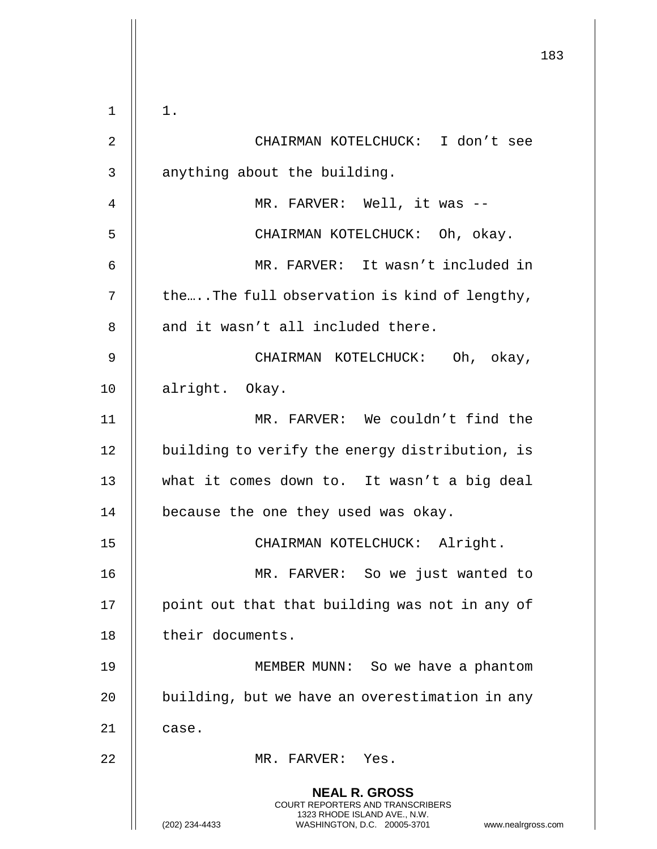|    | 183                                                                                                                                                                    |
|----|------------------------------------------------------------------------------------------------------------------------------------------------------------------------|
|    |                                                                                                                                                                        |
| 1  | $1$ .                                                                                                                                                                  |
| 2  | CHAIRMAN KOTELCHUCK: I don't see                                                                                                                                       |
| 3  | anything about the building.                                                                                                                                           |
| 4  | MR. FARVER: Well, it was --                                                                                                                                            |
| 5  | CHAIRMAN KOTELCHUCK: Oh, okay.                                                                                                                                         |
| 6  | MR. FARVER: It wasn't included in                                                                                                                                      |
| 7  | theThe full observation is kind of lengthy,                                                                                                                            |
| 8  | and it wasn't all included there.                                                                                                                                      |
| 9  | CHAIRMAN KOTELCHUCK: Oh, okay,                                                                                                                                         |
| 10 | alright. Okay.                                                                                                                                                         |
| 11 | MR. FARVER: We couldn't find the                                                                                                                                       |
| 12 | building to verify the energy distribution, is                                                                                                                         |
| 13 | what it comes down to. It wasn't a big deal                                                                                                                            |
| 14 | because the one they used was okay.                                                                                                                                    |
| 15 | CHAIRMAN KOTELCHUCK: Alright.                                                                                                                                          |
| 16 | MR. FARVER: So we just wanted to                                                                                                                                       |
| 17 | point out that that building was not in any of                                                                                                                         |
| 18 | their documents.                                                                                                                                                       |
| 19 | MEMBER MUNN: So we have a phantom                                                                                                                                      |
| 20 | building, but we have an overestimation in any                                                                                                                         |
| 21 | case.                                                                                                                                                                  |
| 22 | MR. FARVER: Yes.                                                                                                                                                       |
|    | <b>NEAL R. GROSS</b><br><b>COURT REPORTERS AND TRANSCRIBERS</b><br>1323 RHODE ISLAND AVE., N.W.<br>(202) 234-4433<br>WASHINGTON, D.C. 20005-3701<br>www.nealrgross.com |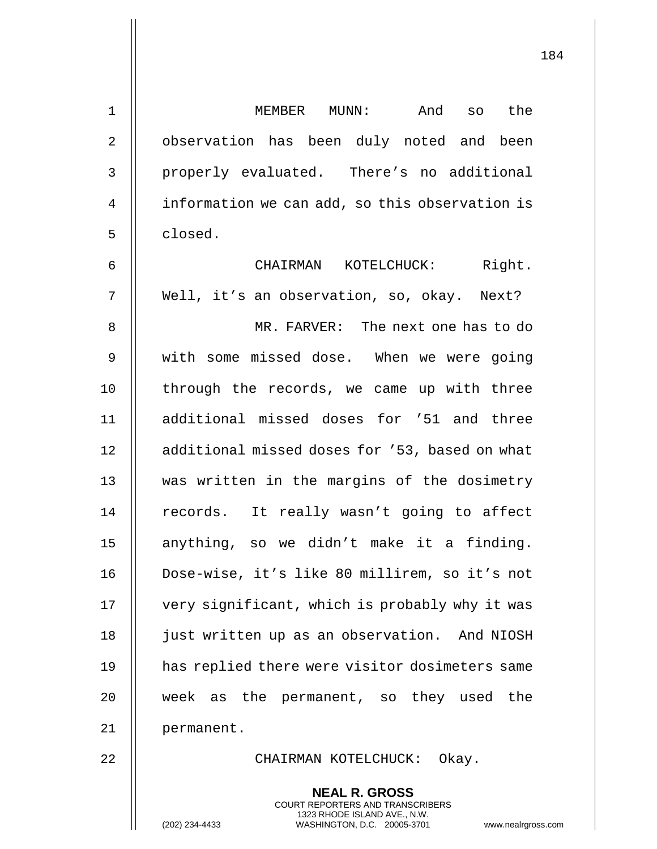| $\mathbf 1$    | MEMBER MUNN: And so the                        |
|----------------|------------------------------------------------|
| $\overline{2}$ | observation has been duly noted and been       |
| 3              | properly evaluated. There's no additional      |
| 4              | information we can add, so this observation is |
| 5              | closed.                                        |
| 6              | CHAIRMAN KOTELCHUCK: Right.                    |
| 7              | Well, it's an observation, so, okay. Next?     |
| 8              | MR. FARVER: The next one has to do             |
| 9              | with some missed dose. When we were going      |
| $\mathsf 0$    | through the records, we came up with three     |
| $\mathbf{1}$   | additional missed doses for '51 and three      |
| $\overline{2}$ | additional missed doses for '53, based on what |

8 MR. FARVER: The next one has to do 9 | with some miss 10  $\parallel$  through the re 11  $\parallel$  additional mis 12 || additional miss 13 || was written in the margins of the dosimetry 14 || records. It really wasn't going to affect 15 || anything, so we didn't make it a finding. 16 Dose-wise, it's like 80 millirem, so it's not 17 | very significant, which is probably why it was 18 | just written up as an observation. And NIOSH 19 || has replied there were visitor dosimeters same 20 week as the permanent, so they used the 21 permanent.

22 || CHAIRMAN KOTELCHUCK: Okay.

**NEAL R. GROSS** COURT REPORTERS AND TRANSCRIBERS 1323 RHODE ISLAND AVE., N.W.

(202) 234-4433 WASHINGTON, D.C. 20005-3701 www.nealrgross.com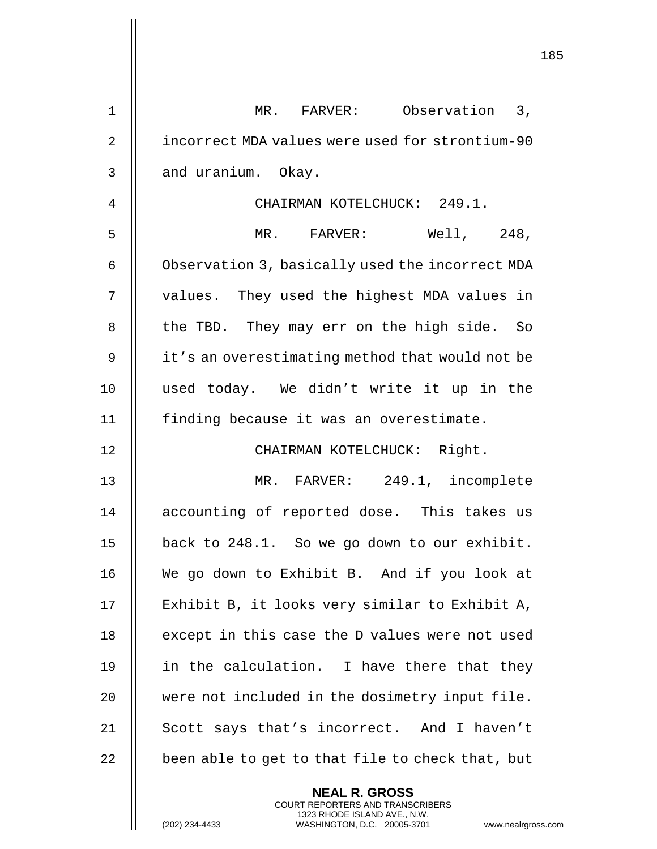|    | 185                                                                                                                                                                    |  |
|----|------------------------------------------------------------------------------------------------------------------------------------------------------------------------|--|
| 1  | MR. FARVER: Observation 3,                                                                                                                                             |  |
| 2  | incorrect MDA values were used for strontium-90                                                                                                                        |  |
| 3  | and uranium. Okay.                                                                                                                                                     |  |
| 4  | CHAIRMAN KOTELCHUCK: 249.1.                                                                                                                                            |  |
| 5  | Well, 248,<br>MR. FARVER:                                                                                                                                              |  |
| 6  | Observation 3, basically used the incorrect MDA                                                                                                                        |  |
| 7  | values. They used the highest MDA values in                                                                                                                            |  |
| 8  | the TBD. They may err on the high side. So                                                                                                                             |  |
| 9  | it's an overestimating method that would not be                                                                                                                        |  |
| 10 | used today. We didn't write it up in the                                                                                                                               |  |
| 11 | finding because it was an overestimate.                                                                                                                                |  |
| 12 | CHAIRMAN KOTELCHUCK: Right.                                                                                                                                            |  |
| 13 | MR. FARVER: 249.1, incomplete                                                                                                                                          |  |
| 14 | accounting of reported dose. This takes us                                                                                                                             |  |
| 15 | back to 248.1. So we go down to our exhibit.                                                                                                                           |  |
| 16 | We go down to Exhibit B. And if you look at                                                                                                                            |  |
| 17 | Exhibit B, it looks very similar to Exhibit A,                                                                                                                         |  |
| 18 | except in this case the D values were not used                                                                                                                         |  |
| 19 | in the calculation. I have there that they                                                                                                                             |  |
| 20 | were not included in the dosimetry input file.                                                                                                                         |  |
| 21 | Scott says that's incorrect. And I haven't                                                                                                                             |  |
| 22 | been able to get to that file to check that, but                                                                                                                       |  |
|    | <b>NEAL R. GROSS</b><br><b>COURT REPORTERS AND TRANSCRIBERS</b><br>1323 RHODE ISLAND AVE., N.W.<br>(202) 234-4433<br>WASHINGTON, D.C. 20005-3701<br>www.nealrgross.com |  |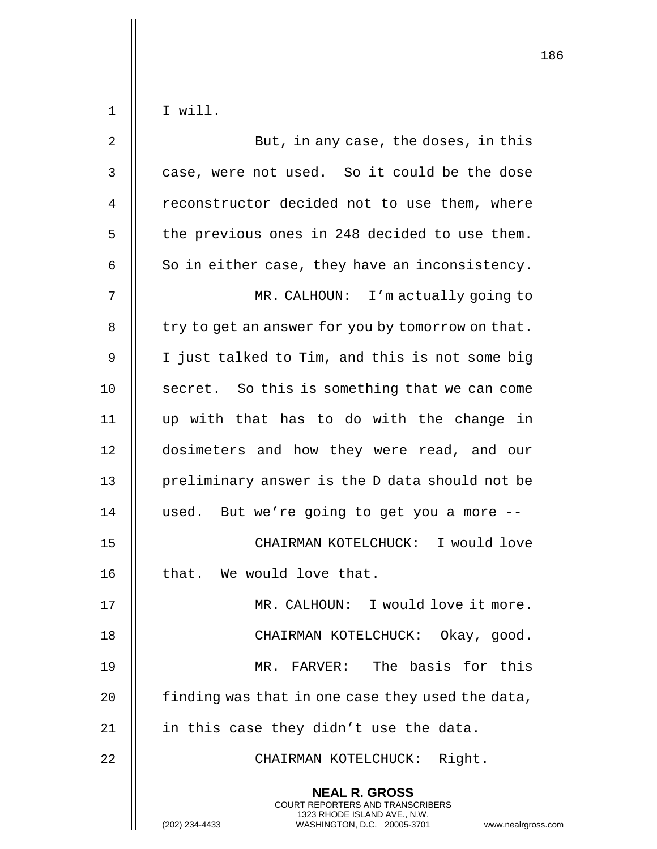|              |                                                                                                                                                                     | 186 |
|--------------|---------------------------------------------------------------------------------------------------------------------------------------------------------------------|-----|
| 1            | I will.                                                                                                                                                             |     |
| 2            | But, in any case, the doses, in this                                                                                                                                |     |
| $\mathsf{3}$ | case, were not used. So it could be the dose                                                                                                                        |     |
| 4            | reconstructor decided not to use them, where                                                                                                                        |     |
|              |                                                                                                                                                                     |     |
| 5            | the previous ones in 248 decided to use them.                                                                                                                       |     |
| 6            | So in either case, they have an inconsistency.                                                                                                                      |     |
| 7            | MR. CALHOUN: I'm actually going to                                                                                                                                  |     |
| 8            | try to get an answer for you by tomorrow on that.                                                                                                                   |     |
| 9            | I just talked to Tim, and this is not some big                                                                                                                      |     |
| 10           | secret. So this is something that we can come                                                                                                                       |     |
| 11           | up with that has to do with the change in                                                                                                                           |     |
| 12           | dosimeters and how they were read, and our                                                                                                                          |     |
| 13           | preliminary answer is the D data should not be                                                                                                                      |     |
| 14           | used. But we're going to get you a more --                                                                                                                          |     |
| 15           | CHAIRMAN KOTELCHUCK: I would love                                                                                                                                   |     |
| 16           | that. We would love that.                                                                                                                                           |     |
| 17           | MR. CALHOUN: I would love it more.                                                                                                                                  |     |
| 18           | CHAIRMAN KOTELCHUCK: Okay, good.                                                                                                                                    |     |
| 19           | MR. FARVER: The basis for this                                                                                                                                      |     |
| 20           | finding was that in one case they used the data,                                                                                                                    |     |
| 21           | in this case they didn't use the data.                                                                                                                              |     |
| 22           | CHAIRMAN KOTELCHUCK: Right.                                                                                                                                         |     |
|              | <b>NEAL R. GROSS</b><br><b>COURT REPORTERS AND TRANSCRIBERS</b><br>1323 RHODE ISLAND AVE., N.W.<br>WASHINGTON, D.C. 20005-3701 www.nealrgross.com<br>(202) 234-4433 |     |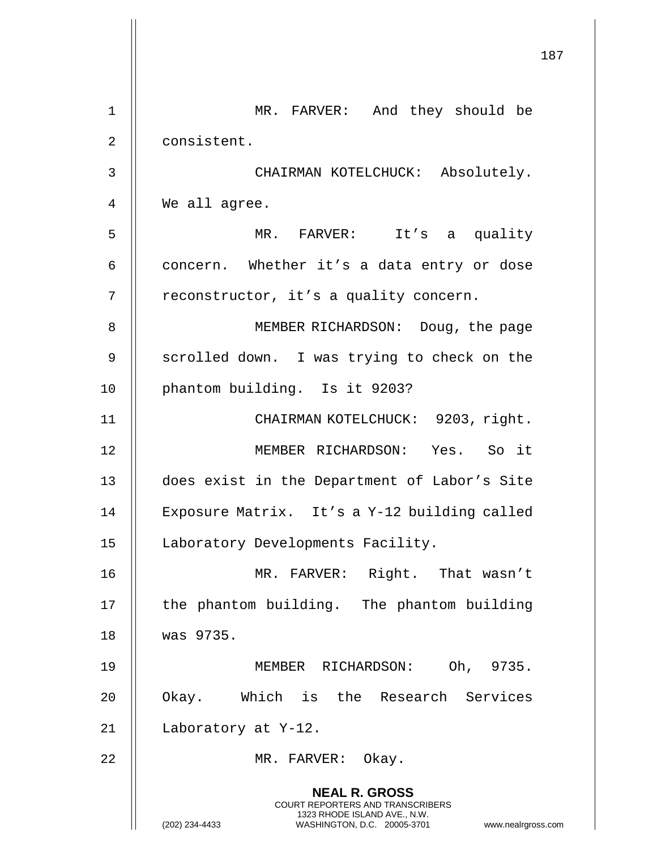|                | 187                                                                                                                                                                    |
|----------------|------------------------------------------------------------------------------------------------------------------------------------------------------------------------|
| $\mathbf 1$    | MR. FARVER: And they should be                                                                                                                                         |
| $\overline{2}$ | consistent.                                                                                                                                                            |
| 3              | CHAIRMAN KOTELCHUCK: Absolutely.                                                                                                                                       |
| 4              | We all agree.                                                                                                                                                          |
| 5              | MR. FARVER: It's a quality                                                                                                                                             |
| 6              | concern. Whether it's a data entry or dose                                                                                                                             |
| 7              | reconstructor, it's a quality concern.                                                                                                                                 |
| 8              | MEMBER RICHARDSON: Doug, the page                                                                                                                                      |
| 9              | scrolled down. I was trying to check on the                                                                                                                            |
| 10             | phantom building. Is it 9203?                                                                                                                                          |
| 11             | CHAIRMAN KOTELCHUCK: 9203, right.                                                                                                                                      |
| 12             | MEMBER RICHARDSON: Yes. So it                                                                                                                                          |
| 13             | does exist in the Department of Labor's Site                                                                                                                           |
| 14             | Exposure Matrix. It's a Y-12 building called                                                                                                                           |
| 15             | Laboratory Developments Facility.                                                                                                                                      |
| 16             | MR. FARVER: Right. That wasn't                                                                                                                                         |
| 17             | the phantom building. The phantom building                                                                                                                             |
| 18             | was 9735.                                                                                                                                                              |
| 19             | MEMBER RICHARDSON: Oh, 9735.                                                                                                                                           |
| 20             | Okay. Which is the Research Services                                                                                                                                   |
| 21             | Laboratory at Y-12.                                                                                                                                                    |
| 22             | MR. FARVER: Okay.                                                                                                                                                      |
|                | <b>NEAL R. GROSS</b><br><b>COURT REPORTERS AND TRANSCRIBERS</b><br>1323 RHODE ISLAND AVE., N.W.<br>(202) 234-4433<br>WASHINGTON, D.C. 20005-3701<br>www.nealrgross.com |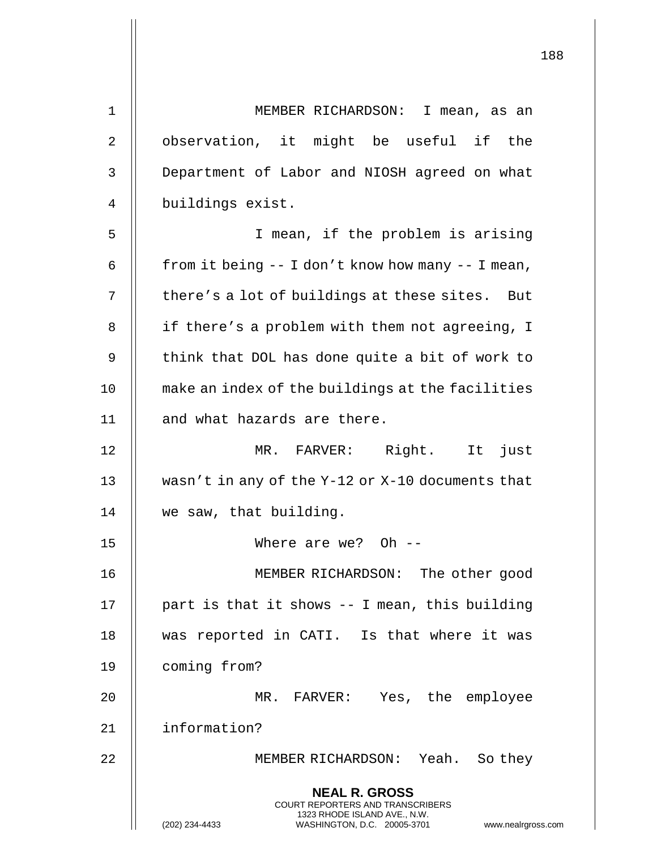| $\mathbf 1$    | MEMBER RICHARDSON: I mean, as an                                                                                                                                  |
|----------------|-------------------------------------------------------------------------------------------------------------------------------------------------------------------|
| $\overline{2}$ | observation, it might be useful if the                                                                                                                            |
| 3              | Department of Labor and NIOSH agreed on what                                                                                                                      |
| 4              | buildings exist.                                                                                                                                                  |
| 5              | I mean, if the problem is arising                                                                                                                                 |
| 6              | from it being $-$ I don't know how many $-$ I mean,                                                                                                               |
| 7              | there's a lot of buildings at these sites. But                                                                                                                    |
| 8              | if there's a problem with them not agreeing, I                                                                                                                    |
| 9              | think that DOL has done quite a bit of work to                                                                                                                    |
| 10             | make an index of the buildings at the facilities                                                                                                                  |
| 11             | and what hazards are there.                                                                                                                                       |
| 12             | MR. FARVER: Right. It just                                                                                                                                        |
| 13             | wasn't in any of the Y-12 or X-10 documents that                                                                                                                  |
| 14             | we saw, that building.                                                                                                                                            |
| 15             | Where are we? Oh $-$                                                                                                                                              |
| 16             | MEMBER RICHARDSON: The other good                                                                                                                                 |
| 17             | part is that it shows -- I mean, this building                                                                                                                    |
| 18             | was reported in CATI. Is that where it was                                                                                                                        |
| 19             | coming from?                                                                                                                                                      |
| 20             | MR. FARVER: Yes, the employee                                                                                                                                     |
| 21             | information?                                                                                                                                                      |
| 22             | MEMBER RICHARDSON: Yeah. So they                                                                                                                                  |
|                | <b>NEAL R. GROSS</b><br><b>COURT REPORTERS AND TRANSCRIBERS</b><br>1323 RHODE ISLAND AVE., N.W.<br>(202) 234-4433<br>WASHINGTON, D.C. 20005-3701<br>www.nealrgros |

 $\mathsf{l}\mathsf{l}$ 

(202) 234-4433 WASHINGTON, D.C. 20005-3701 www.nealrgross.com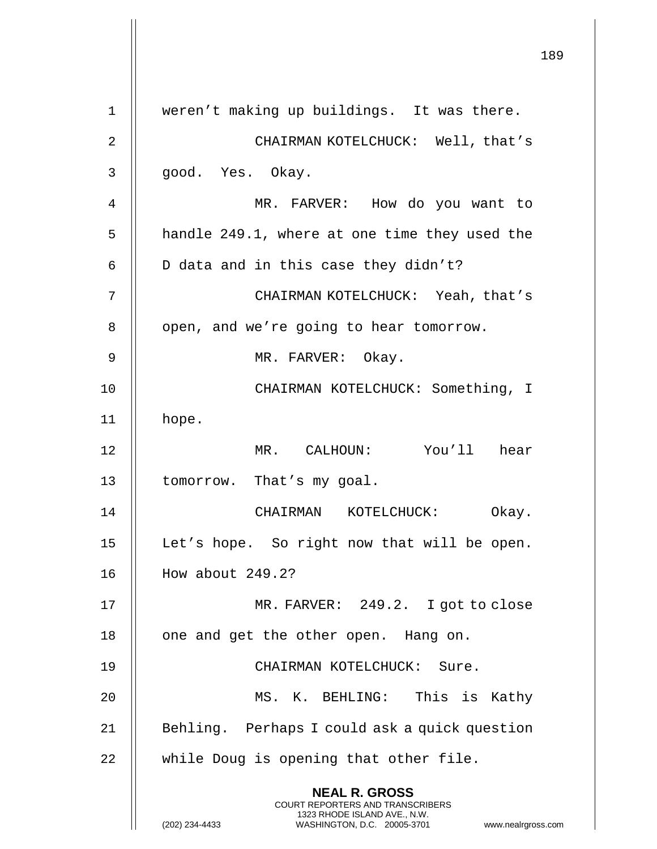**NEAL R. GROSS** COURT REPORTERS AND TRANSCRIBERS 1323 RHODE ISLAND AVE., N.W. (202) 234-4433 WASHINGTON, D.C. 20005-3701 www.nealrgross.com 1 weren't making up buildings. It was there. 2 CHAIRMAN KOTELCHUCK: Well, that's 3 || qood. Yes. Okay. 4 MR. FARVER: How do you want to  $5$  || handle 249.1, where at one time they used the  $6 \parallel$  D data and in this case they didn't? 7 CHAIRMAN KOTELCHUCK: Yeah, that's 8 | | open, and we're going to hear tomorrow. 9 || MR. FARVER: Okay. 10 || CHAIRMAN KOTELCHUCK: Something, I 11 hope. 12 MR. CALHOUN: You'll hear 13 | tomorrow. That's my goal. 14 CHAIRMAN KOTELCHUCK: Okay. 15 || Let's hope. So right now that will be open. 16 How about 249.2? 17 MR. FARVER: 249.2. I got to close 18 || one and get the other open. Hang on. 19 || CHAIRMAN KOTELCHUCK: Sure. 20 MS. K. BEHLING: This is Kathy 21 || Behling. Perhaps I could ask a quick question 22 || while Doug is opening that other file.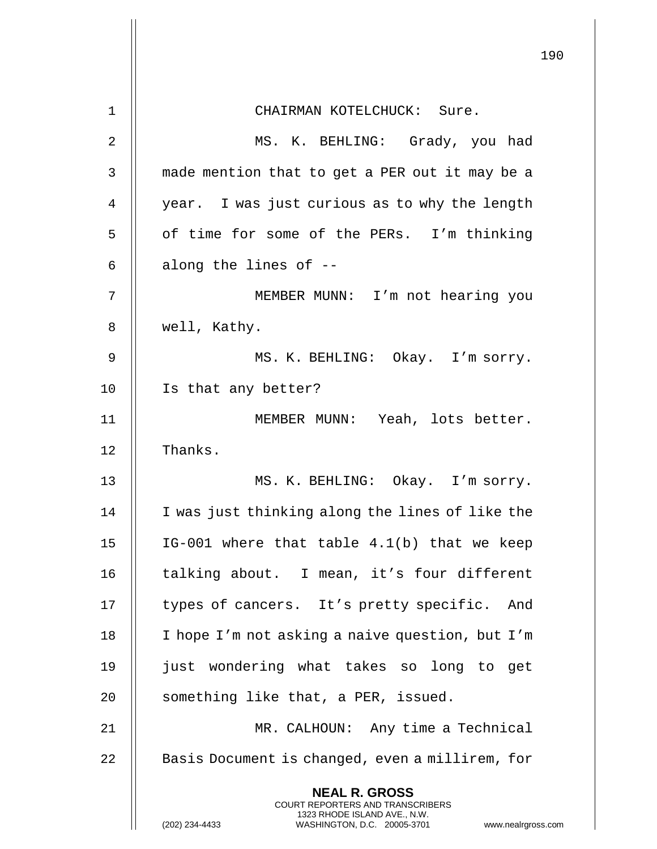|    | 190                                                                                                                                                                    |
|----|------------------------------------------------------------------------------------------------------------------------------------------------------------------------|
| 1  | CHAIRMAN KOTELCHUCK: Sure.                                                                                                                                             |
| 2  | MS. K. BEHLING: Grady, you had                                                                                                                                         |
| 3  | made mention that to get a PER out it may be a                                                                                                                         |
| 4  | year. I was just curious as to why the length                                                                                                                          |
| 5  | of time for some of the PERs. I'm thinking                                                                                                                             |
| 6  | along the lines of --                                                                                                                                                  |
| 7  | MEMBER MUNN: I'm not hearing you                                                                                                                                       |
| 8  | well, Kathy.                                                                                                                                                           |
|    |                                                                                                                                                                        |
| 9  | MS. K. BEHLING: Okay. I'm sorry.                                                                                                                                       |
| 10 | Is that any better?                                                                                                                                                    |
| 11 | MEMBER MUNN: Yeah, lots better.                                                                                                                                        |
| 12 | Thanks.                                                                                                                                                                |
| 13 | MS. K. BEHLING: Okay. I'm sorry.                                                                                                                                       |
| 14 | I was just thinking along the lines of like the                                                                                                                        |
| 15 | IG-001 where that table 4.1(b) that we keep                                                                                                                            |
| 16 | talking about. I mean, it's four different                                                                                                                             |
| 17 | types of cancers. It's pretty specific. And                                                                                                                            |
| 18 | I hope I'm not asking a naive question, but I'm                                                                                                                        |
| 19 | just wondering what takes so long to get                                                                                                                               |
| 20 | something like that, a PER, issued.                                                                                                                                    |
| 21 | MR. CALHOUN: Any time a Technical                                                                                                                                      |
| 22 | Basis Document is changed, even a millirem, for                                                                                                                        |
|    | <b>NEAL R. GROSS</b><br><b>COURT REPORTERS AND TRANSCRIBERS</b><br>1323 RHODE ISLAND AVE., N.W.<br>(202) 234-4433<br>WASHINGTON, D.C. 20005-3701<br>www.nealrgross.com |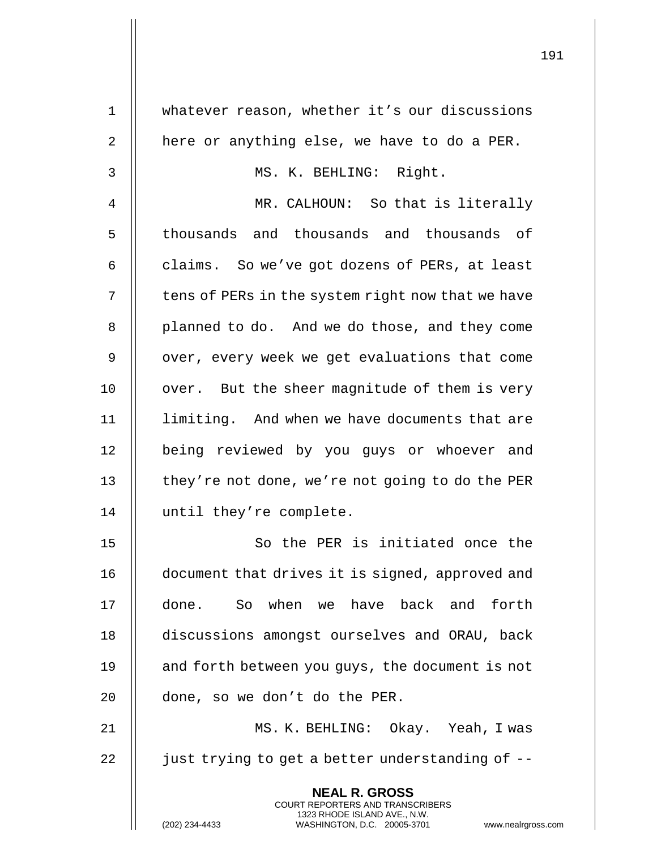| $\mathbf 1$ | whatever reason, whether it's our discussions                                                       |
|-------------|-----------------------------------------------------------------------------------------------------|
| 2           | here or anything else, we have to do a PER.                                                         |
| 3           | MS. K. BEHLING: Right.                                                                              |
| 4           | MR. CALHOUN: So that is literally                                                                   |
| 5           | thousands and thousands and thousands of                                                            |
| 6           | claims. So we've got dozens of PERs, at least                                                       |
| 7           | tens of PERs in the system right now that we have                                                   |
| 8           | planned to do. And we do those, and they come                                                       |
| 9           | over, every week we get evaluations that come                                                       |
| 10          | over. But the sheer magnitude of them is very                                                       |
| 11          | limiting. And when we have documents that are                                                       |
| 12          | being reviewed by you guys or whoever and                                                           |
| 13          | they're not done, we're not going to do the PER                                                     |
| 14          | until they're complete.                                                                             |
| 15          | So the PER is initiated once the                                                                    |
| 16          | document that drives it is signed, approved and                                                     |
| 17          | done. So when we have back and forth                                                                |
| 18          | discussions amongst ourselves and ORAU, back                                                        |
| 19          | and forth between you guys, the document is not                                                     |
| 20          | done, so we don't do the PER.                                                                       |
| 21          | MS. K. BEHLING: Okay. Yeah, I was                                                                   |
| 22          | just trying to get a better understanding of --                                                     |
|             | <b>NEAL R. GROSS</b><br><b>COURT REPORTERS AND TRANSCRIBERS</b>                                     |
|             | 1323 RHODE ISLAND AVE., N.W.<br>(202) 234-4433<br>WASHINGTON, D.C. 20005-3701<br>www.nealrgross.com |

 $\mathsf{I}$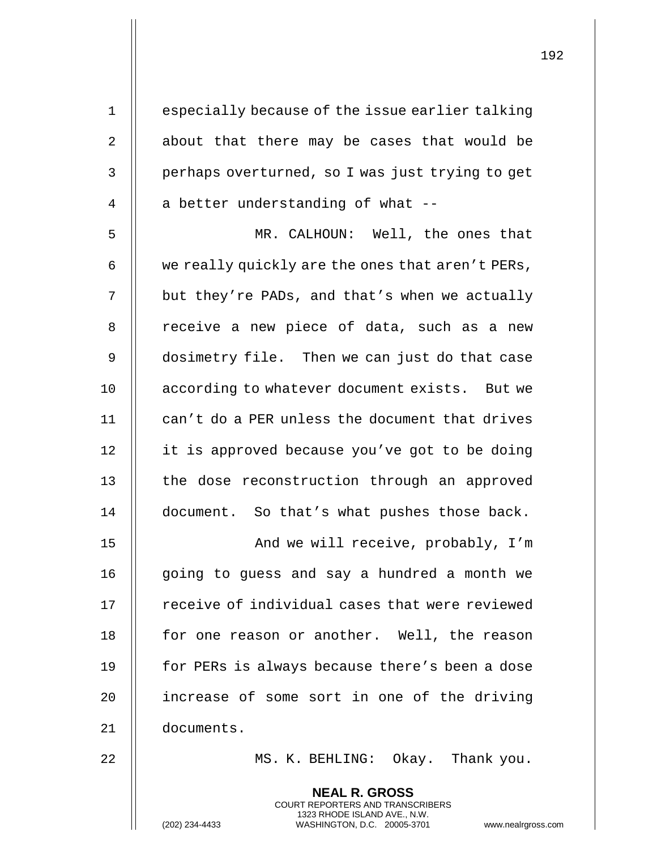|                | <b>NEAL R. GROSS</b>                             |
|----------------|--------------------------------------------------|
| 22             | MS. K. BEHLING: Okay. Thank you.                 |
| 21             | documents.                                       |
| 20             | increase of some sort in one of the driving      |
| 19             | for PERs is always because there's been a dose   |
| 18             | for one reason or another. Well, the reason      |
| 17             | receive of individual cases that were reviewed   |
| 16             | going to guess and say a hundred a month we      |
| 15             | And we will receive, probably, I'm               |
| 14             | document. So that's what pushes those back.      |
| 13             | the dose reconstruction through an approved      |
| 12             | it is approved because you've got to be doing    |
| 11             | can't do a PER unless the document that drives   |
| 10             | according to whatever document exists. But we    |
| 9              | dosimetry file. Then we can just do that case    |
| 8              | receive a new piece of data, such as a new       |
| 7              | but they're PADs, and that's when we actually    |
| 6              | we really quickly are the ones that aren't PERs, |
| 5              | MR. CALHOUN: Well, the ones that                 |
| $\overline{4}$ | a better understanding of what --                |
| 3              | perhaps overturned, so I was just trying to get  |
| 2              | about that there may be cases that would be      |
| $\mathbf 1$    | especially because of the issue earlier talking  |
|                |                                                  |

COURT REPORTERS AND TRANSCRIBERS 1323 RHODE ISLAND AVE., N.W.

 $\mathsf{I}$ 

(202) 234-4433 WASHINGTON, D.C. 20005-3701 www.nealrgross.com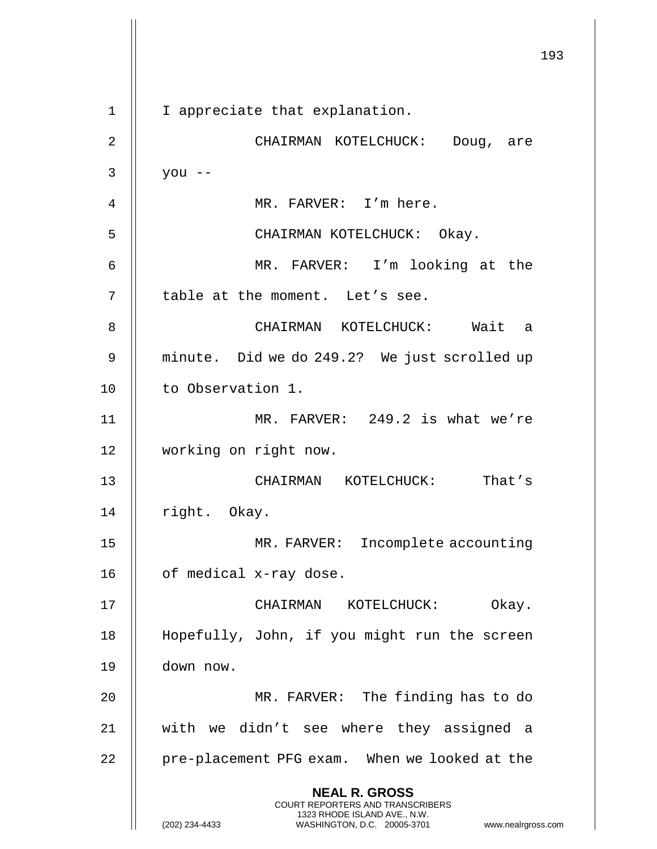**NEAL R. GROSS** COURT REPORTERS AND TRANSCRIBERS 1323 RHODE ISLAND AVE., N.W. (202) 234-4433 WASHINGTON, D.C. 20005-3701 www.nealrgross.com 1 | I appreciate that explanation. 2 CHAIRMAN KOTELCHUCK: Doug, are  $3 \parallel$  you --4 MR. FARVER: I'm here. 5 CHAIRMAN KOTELCHUCK: Okay. 6 MR. FARVER: I'm looking at the 7 || table at the moment. Let's see. 8 CHAIRMAN KOTELCHUCK: Wait a 9 || minute. Did we do 249.2? We just scrolled up 10 | to Observation 1. 11 || MR. FARVER: 249.2 is what we're 12 working on right now. 13 CHAIRMAN KOTELCHUCK: That's 14 || right. Okay. 15 || MR. FARVER: Incomplete accounting 16 | of medical x-ray dose. 17 CHAIRMAN KOTELCHUCK: Okay. 18 Hopefully, John, if you might run the screen 19 down now. 20 MR. FARVER: The finding has to do 21 with we didn't see where they assigned a  $22$  | pre-placement PFG exam. When we looked at the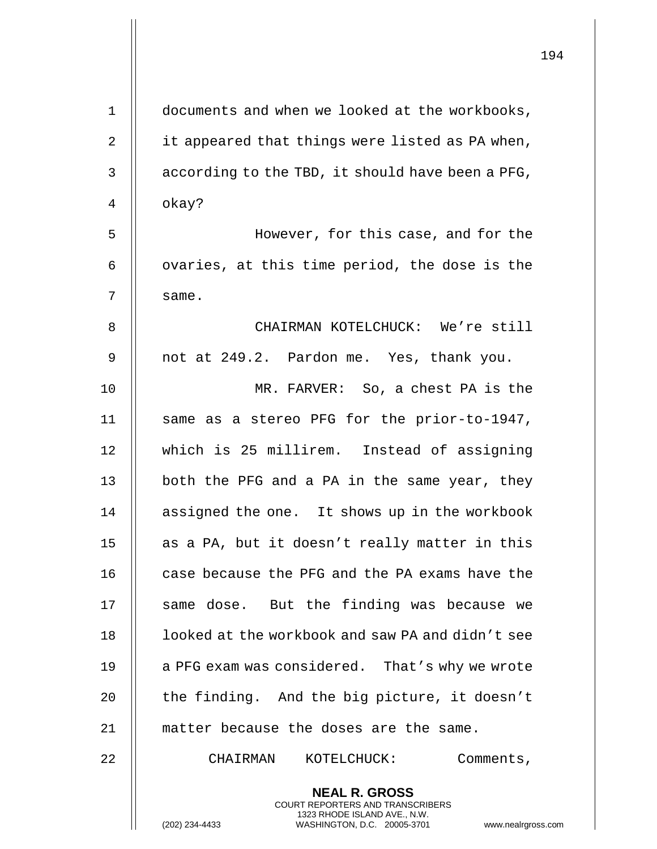|              |                                                                                                                                                                        | 194 |
|--------------|------------------------------------------------------------------------------------------------------------------------------------------------------------------------|-----|
| $\mathbf{1}$ | documents and when we looked at the workbooks,                                                                                                                         |     |
| 2            | it appeared that things were listed as PA when,                                                                                                                        |     |
| 3            | according to the TBD, it should have been a PFG,                                                                                                                       |     |
| 4            | okay?                                                                                                                                                                  |     |
| 5            | However, for this case, and for the                                                                                                                                    |     |
| 6            | ovaries, at this time period, the dose is the                                                                                                                          |     |
| 7            |                                                                                                                                                                        |     |
|              | same.                                                                                                                                                                  |     |
| 8            | CHAIRMAN KOTELCHUCK: We're still                                                                                                                                       |     |
| 9            | not at 249.2. Pardon me. Yes, thank you.                                                                                                                               |     |
| 10           | MR. FARVER: So, a chest PA is the                                                                                                                                      |     |
| 11           | same as a stereo PFG for the prior-to-1947,                                                                                                                            |     |
| 12           | which is 25 millirem. Instead of assigning                                                                                                                             |     |
| 13           | both the PFG and a PA in the same year, they                                                                                                                           |     |
| 14           | assigned the one. It shows up in the workbook                                                                                                                          |     |
| 15           | as a PA, but it doesn't really matter in this                                                                                                                          |     |
| 16           | case because the PFG and the PA exams have the                                                                                                                         |     |
| 17           | same dose. But the finding was because we                                                                                                                              |     |
| 18           | looked at the workbook and saw PA and didn't see                                                                                                                       |     |
| 19           | a PFG exam was considered. That's why we wrote                                                                                                                         |     |
| 20           | the finding. And the big picture, it doesn't                                                                                                                           |     |
| 21           | matter because the doses are the same.                                                                                                                                 |     |
| 22           | KOTELCHUCK:<br>Comments,<br>CHAIRMAN                                                                                                                                   |     |
|              | <b>NEAL R. GROSS</b><br><b>COURT REPORTERS AND TRANSCRIBERS</b><br>1323 RHODE ISLAND AVE., N.W.<br>(202) 234-4433<br>WASHINGTON, D.C. 20005-3701<br>www.nealrgross.com |     |

 $\mathbf{I}$  $\parallel$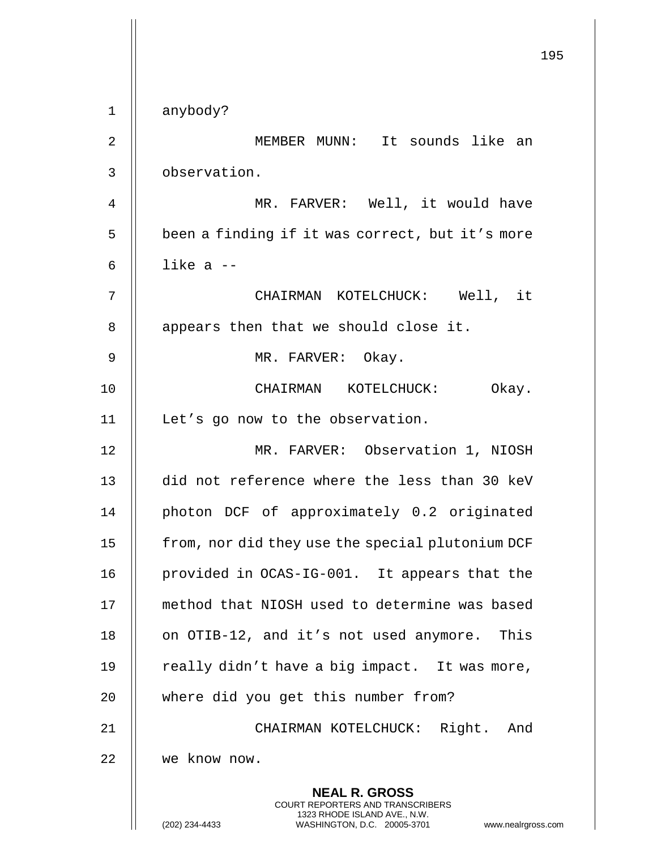**NEAL R. GROSS** COURT REPORTERS AND TRANSCRIBERS 1323 RHODE ISLAND AVE., N.W. (202) 234-4433 WASHINGTON, D.C. 20005-3701 www.nealrgross.com 1 anybody? 2 || MEMBER MUNN: It sounds like an 3 observation. 4 || MR. FARVER: Well, it would have 5 | been a finding if it was correct, but it's more 6  $\parallel$  like a  $-$ 7 CHAIRMAN KOTELCHUCK: Well, it 8 || appears then that we should close it. 9 || MR. FARVER: Okay. 10 || CHAIRMAN KOTELCHUCK: Okay. 11 | Let's go now to the observation. 12 MR. FARVER: Observation 1, NIOSH 13 did not reference where the less than 30 keV 14 || photon DCF of approximately 0.2 originated 15 | from, nor did they use the special plutonium DCF 16 provided in OCAS-IG-001. It appears that the 17 method that NIOSH used to determine was based 18 || on OTIB-12, and it's not used anymore. This 19  $\parallel$  really didn't have a big impact. It was more, 20 || where did you get this number from? 21 CHAIRMAN KOTELCHUCK: Right. And 22 we know now.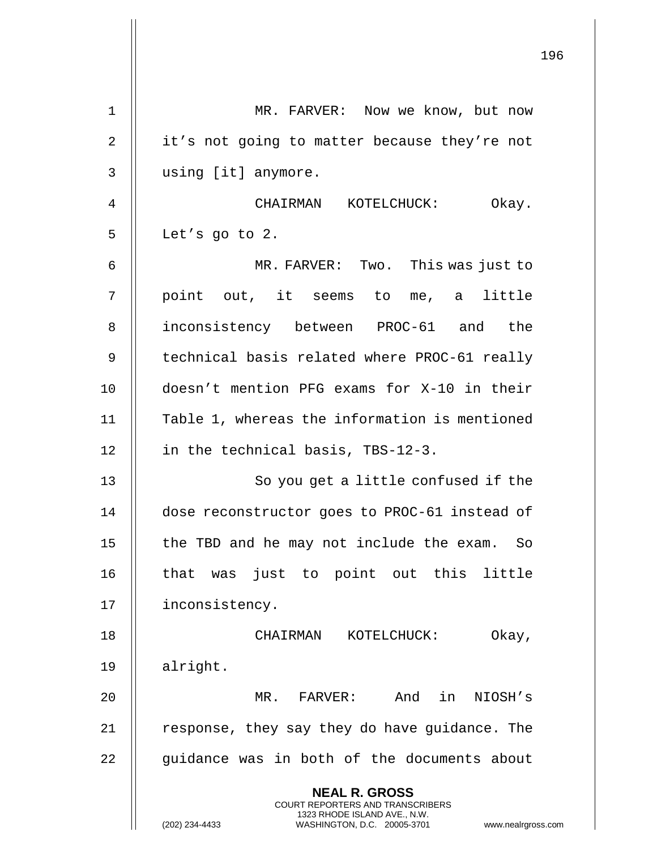|    | 196                                                                                                                                                             |
|----|-----------------------------------------------------------------------------------------------------------------------------------------------------------------|
| 1  | MR. FARVER: Now we know, but now                                                                                                                                |
| 2  | it's not going to matter because they're not                                                                                                                    |
| 3  | using [it] anymore.                                                                                                                                             |
| 4  | CHAIRMAN KOTELCHUCK: Okay.                                                                                                                                      |
| 5  | Let's go to 2.                                                                                                                                                  |
| 6  | MR. FARVER: Two. This was just to                                                                                                                               |
| 7  | point out, it seems to me, a little                                                                                                                             |
| 8  | inconsistency between PROC-61 and the                                                                                                                           |
| 9  | technical basis related where PROC-61 really                                                                                                                    |
| 10 | doesn't mention PFG exams for X-10 in their                                                                                                                     |
| 11 | Table 1, whereas the information is mentioned                                                                                                                   |
| 12 | in the technical basis, TBS-12-3.                                                                                                                               |
| 13 | So you get a little confused if the                                                                                                                             |
| 14 | dose reconstructor goes to PROC-61 instead of                                                                                                                   |
| 15 | the TBD and he may not include the exam. So                                                                                                                     |
| 16 | that was just to point out this little                                                                                                                          |
| 17 | inconsistency.                                                                                                                                                  |
| 18 | Okay,<br>CHAIRMAN KOTELCHUCK:                                                                                                                                   |
| 19 | alright.                                                                                                                                                        |
| 20 | MR. FARVER: And in NIOSH's                                                                                                                                      |
| 21 | response, they say they do have guidance. The                                                                                                                   |
| 22 | guidance was in both of the documents about                                                                                                                     |
|    | <b>NEAL R. GROSS</b><br>COURT REPORTERS AND TRANSCRIBERS<br>1323 RHODE ISLAND AVE., N.W.<br>WASHINGTON, D.C. 20005-3701<br>(202) 234-4433<br>www.nealrgross.com |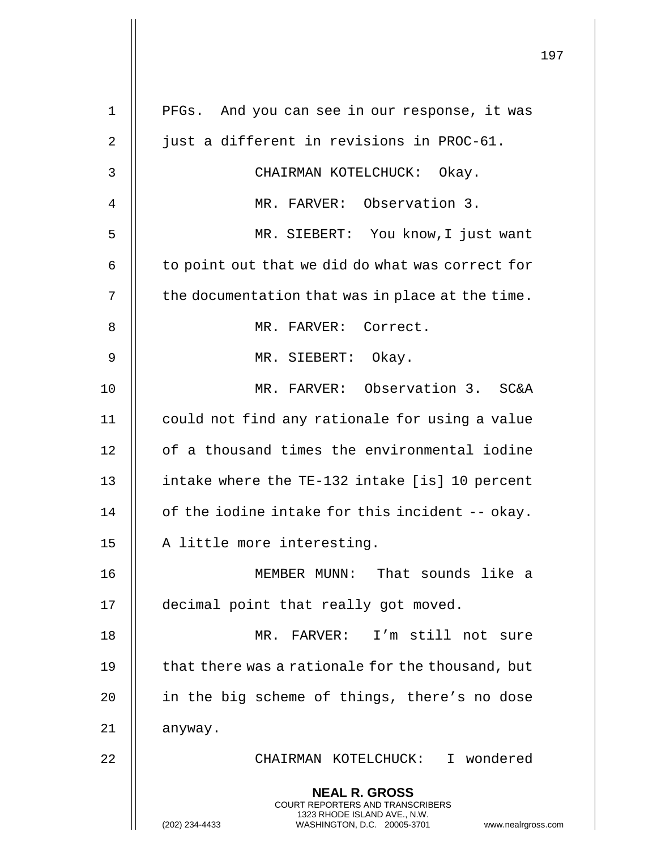|             |                                                                                                                                                                 | 197 |
|-------------|-----------------------------------------------------------------------------------------------------------------------------------------------------------------|-----|
| $\mathbf 1$ | And you can see in our response, it was<br>PFGs.                                                                                                                |     |
| 2           | just a different in revisions in PROC-61.                                                                                                                       |     |
| 3           | CHAIRMAN KOTELCHUCK: Okay.                                                                                                                                      |     |
| 4           | MR. FARVER: Observation 3.                                                                                                                                      |     |
| 5           | MR. SIEBERT: You know, I just want                                                                                                                              |     |
| 6           | to point out that we did do what was correct for                                                                                                                |     |
| 7           |                                                                                                                                                                 |     |
|             | the documentation that was in place at the time.                                                                                                                |     |
| 8           | MR. FARVER: Correct.                                                                                                                                            |     |
| 9           | MR. SIEBERT: Okay.                                                                                                                                              |     |
| 10          | MR. FARVER: Observation 3. SC&A                                                                                                                                 |     |
| 11          | could not find any rationale for using a value                                                                                                                  |     |
| 12          | of a thousand times the environmental iodine                                                                                                                    |     |
| 13          | intake where the TE-132 intake [is] 10 percent                                                                                                                  |     |
| 14          | of the iodine intake for this incident -- okay.                                                                                                                 |     |
| 15          | A little more interesting.                                                                                                                                      |     |
| 16          | MEMBER MUNN: That sounds like a                                                                                                                                 |     |
| 17          | decimal point that really got moved.                                                                                                                            |     |
| 18          | MR. FARVER: I'm still not sure                                                                                                                                  |     |
| 19          | that there was a rationale for the thousand, but                                                                                                                |     |
| 20          | in the big scheme of things, there's no dose                                                                                                                    |     |
| 21          | anyway.                                                                                                                                                         |     |
| 22          | CHAIRMAN KOTELCHUCK: I wondered                                                                                                                                 |     |
|             | <b>NEAL R. GROSS</b><br>COURT REPORTERS AND TRANSCRIBERS<br>1323 RHODE ISLAND AVE., N.W.<br>(202) 234-4433<br>WASHINGTON, D.C. 20005-3701<br>www.nealrgross.com |     |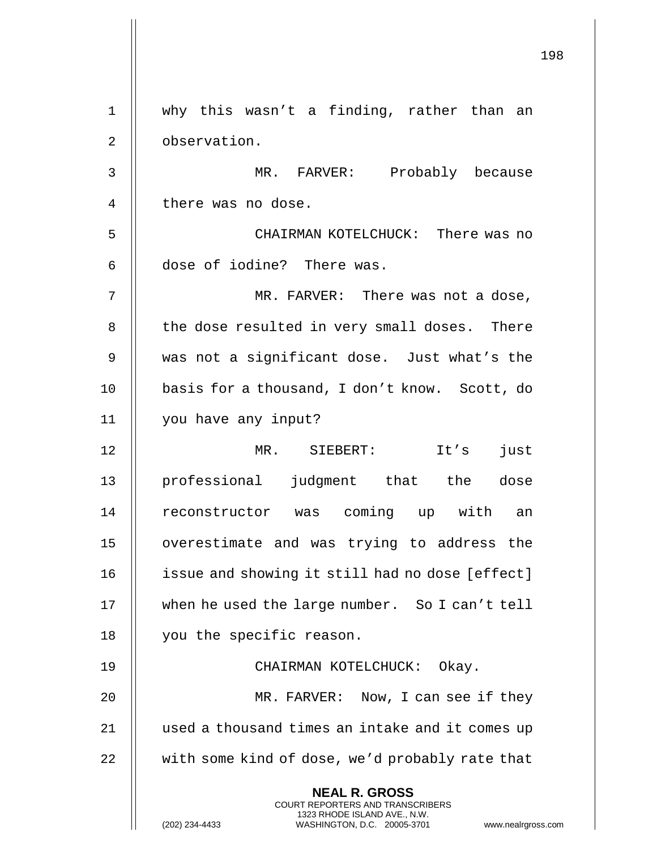198 **NEAL R. GROSS** COURT REPORTERS AND TRANSCRIBERS 1323 RHODE ISLAND AVE., N.W. (202) 234-4433 WASHINGTON, D.C. 20005-3701 www.nealrgross.com 1 why this wasn't a finding, rather than an 2 | observation. 3 MR. FARVER: Probably because 4 | there was no dose. 5 CHAIRMAN KOTELCHUCK: There was no 6 || dose of iodine? There was. 7 MR. FARVER: There was not a dose, 8 || the dose resulted in very small doses. There 9 was not a significant dose. Just what's the 10 || basis for a thousand, I don't know. Scott, do 11 you have any input? 12 MR. SIEBERT: It's just 13 || professional judgment that the dose 14 || reconstructor was coming up with an 15 overestimate and was trying to address the 16 | issue and showing it still had no dose [effect] 17 when he used the large number. So I can't tell 18 | you the specific reason. 19 || CHAIRMAN KOTELCHUCK: Okay. 20 || MR. FARVER: Now, I can see if they 21 | used a thousand times an intake and it comes up  $22$   $\parallel$  with some kind of dose, we'd probably rate that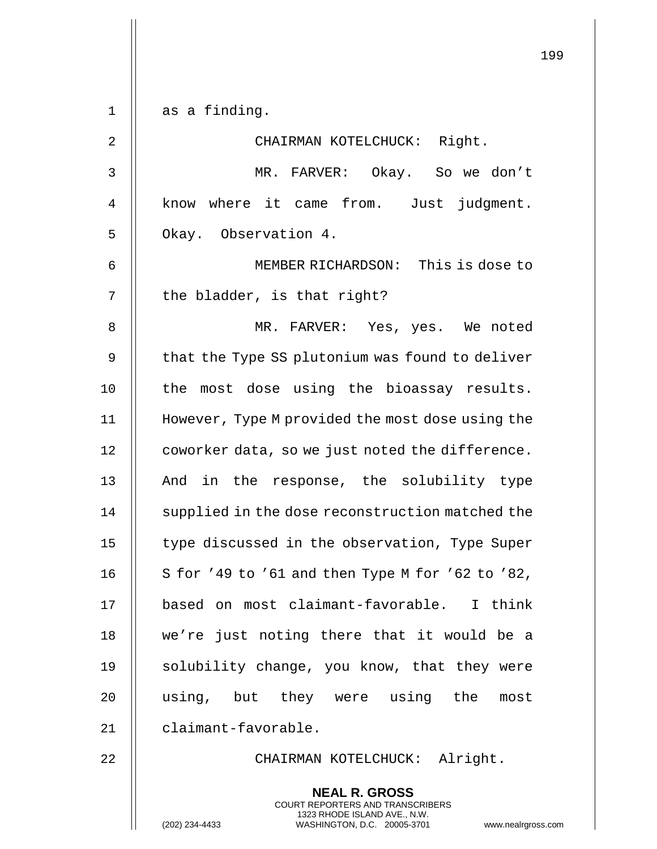|                | 199                                                                                                                                                             |
|----------------|-----------------------------------------------------------------------------------------------------------------------------------------------------------------|
| $\mathbf 1$    | as a finding.                                                                                                                                                   |
|                |                                                                                                                                                                 |
| $\overline{2}$ | CHAIRMAN KOTELCHUCK: Right.                                                                                                                                     |
| 3              | MR. FARVER: Okay. So we don't                                                                                                                                   |
| 4              | know where it came from. Just judgment.                                                                                                                         |
| 5              | Okay. Observation 4.                                                                                                                                            |
| 6              | MEMBER RICHARDSON: This is dose to                                                                                                                              |
| 7              | the bladder, is that right?                                                                                                                                     |
| 8              | MR. FARVER: Yes, yes. We noted                                                                                                                                  |
| 9              | that the Type SS plutonium was found to deliver                                                                                                                 |
| 10             | the most dose using the bioassay results.                                                                                                                       |
| 11             | However, Type M provided the most dose using the                                                                                                                |
| 12             | coworker data, so we just noted the difference.                                                                                                                 |
| 13             | And in the response, the solubility type                                                                                                                        |
| 14             | supplied in the dose reconstruction matched the                                                                                                                 |
| 15             | type discussed in the observation, Type Super                                                                                                                   |
| 16             | S for '49 to '61 and then Type M for '62 to '82,                                                                                                                |
| 17             | based on most claimant-favorable. I think                                                                                                                       |
| 18             | we're just noting there that it would be a                                                                                                                      |
| 19             | solubility change, you know, that they were                                                                                                                     |
| 20             | using, but they were using the most                                                                                                                             |
| 21             | claimant-favorable.                                                                                                                                             |
| 22             | CHAIRMAN KOTELCHUCK: Alright.                                                                                                                                   |
|                | <b>NEAL R. GROSS</b><br>COURT REPORTERS AND TRANSCRIBERS<br>1323 RHODE ISLAND AVE., N.W.<br>(202) 234-4433<br>WASHINGTON, D.C. 20005-3701<br>www.nealrgross.com |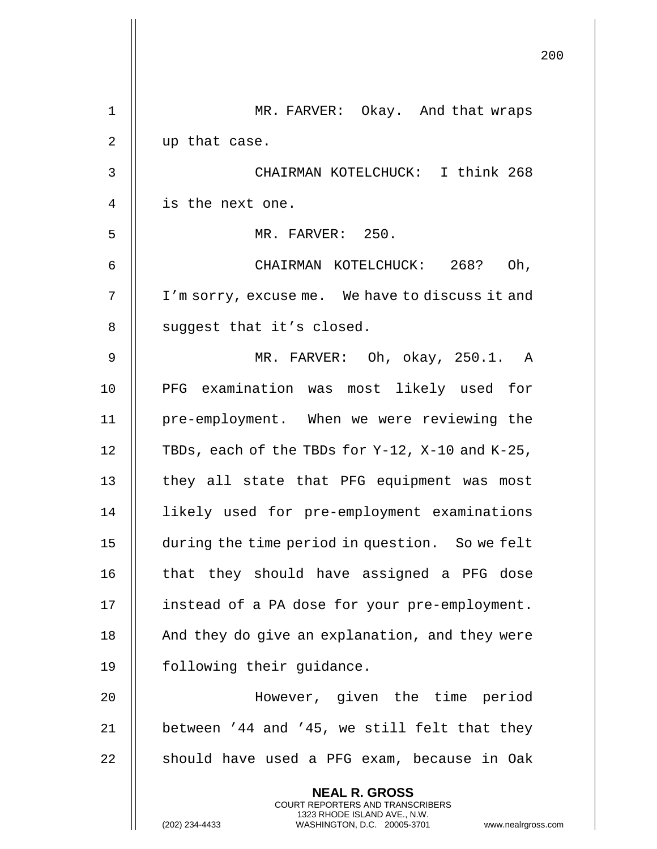|             |                                                                                                                                                                        | 200 |
|-------------|------------------------------------------------------------------------------------------------------------------------------------------------------------------------|-----|
| $\mathbf 1$ | MR. FARVER: Okay. And that wraps                                                                                                                                       |     |
| 2           | up that case.                                                                                                                                                          |     |
| 3           | CHAIRMAN KOTELCHUCK: I think 268                                                                                                                                       |     |
| 4           | is the next one.                                                                                                                                                       |     |
| 5           | MR. FARVER: 250.                                                                                                                                                       |     |
| 6           | CHAIRMAN KOTELCHUCK: 268? Oh,                                                                                                                                          |     |
| 7           | I'm sorry, excuse me. We have to discuss it and                                                                                                                        |     |
| 8           | suggest that it's closed.                                                                                                                                              |     |
| 9           | MR. FARVER: Oh, okay, 250.1. A                                                                                                                                         |     |
| 10          | PFG examination was most likely used for                                                                                                                               |     |
| 11          | pre-employment. When we were reviewing the                                                                                                                             |     |
| 12          | TBDs, each of the TBDs for $Y-12$ , $X-10$ and $K-25$ ,                                                                                                                |     |
| 13          | they all state that PFG equipment was most                                                                                                                             |     |
| 14          | likely used for pre-employment examinations                                                                                                                            |     |
| 15          | during the time period in question. So we felt                                                                                                                         |     |
| 16          | that they should have assigned a PFG dose                                                                                                                              |     |
| 17          | instead of a PA dose for your pre-employment.                                                                                                                          |     |
| 18          | And they do give an explanation, and they were                                                                                                                         |     |
| 19          | following their guidance.                                                                                                                                              |     |
| 20          | However, given the time period                                                                                                                                         |     |
| 21          | between '44 and '45, we still felt that they                                                                                                                           |     |
| 22          | should have used a PFG exam, because in Oak                                                                                                                            |     |
|             | <b>NEAL R. GROSS</b><br><b>COURT REPORTERS AND TRANSCRIBERS</b><br>1323 RHODE ISLAND AVE., N.W.<br>(202) 234-4433<br>WASHINGTON, D.C. 20005-3701<br>www.nealrgross.com |     |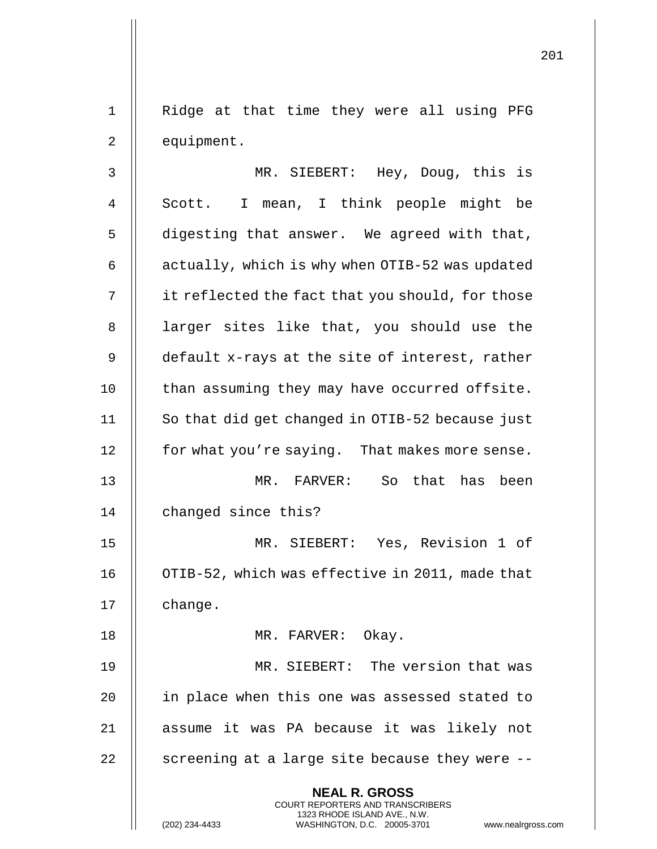1 || Ridge at that time they were all using PFG 2 | equipment.

**NEAL R. GROSS** COURT REPORTERS AND TRANSCRIBERS 1323 RHODE ISLAND AVE., N.W. 3 MR. SIEBERT: Hey, Doug, this is 4 || Scott. I mean, I think people might be 5 | digesting that answer. We agreed with that, 6  $\parallel$  actually, which is why when OTIB-52 was updated 7 | it reflected the fact that you should, for those 8 || larger sites like that, you should use the 9 | default x-rays at the site of interest, rather  $10$  | than assuming they may have occurred offsite. 11 || So that did get changed in OTIB-52 because just 12 | for what you're saying. That makes more sense. 13 MR. FARVER: So that has been 14 | changed since this? 15 MR. SIEBERT: Yes, Revision 1 of 16 | OTIB-52, which was effective in 2011, made that 17 || change. 18 || MR. FARVER: Okay. 19 MR. SIEBERT: The version that was 20 || in place when this one was assessed stated to 21 assume it was PA because it was likely not 22  $\parallel$  screening at a large site because they were  $-$ -

(202) 234-4433 WASHINGTON, D.C. 20005-3701 www.nealrgross.com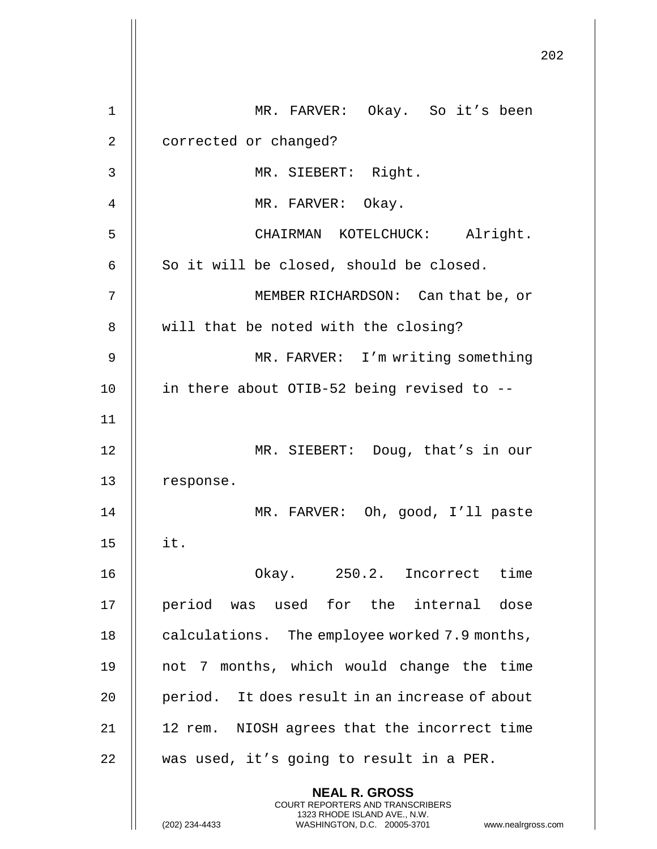|                | 202                                                                                                                                                                    |
|----------------|------------------------------------------------------------------------------------------------------------------------------------------------------------------------|
| $\mathbf 1$    | MR. FARVER: Okay. So it's been                                                                                                                                         |
| $\overline{2}$ | corrected or changed?                                                                                                                                                  |
| 3              | MR. SIEBERT: Right.                                                                                                                                                    |
| 4              | MR. FARVER: Okay.                                                                                                                                                      |
| 5              | CHAIRMAN KOTELCHUCK: Alright.                                                                                                                                          |
| 6              | So it will be closed, should be closed.                                                                                                                                |
| 7              | MEMBER RICHARDSON: Can that be, or                                                                                                                                     |
| 8              | will that be noted with the closing?                                                                                                                                   |
| 9              | MR. FARVER: I'm writing something                                                                                                                                      |
| 10             | in there about OTIB-52 being revised to --                                                                                                                             |
| 11             |                                                                                                                                                                        |
| 12             | MR. SIEBERT: Doug, that's in our                                                                                                                                       |
| 13             | response.                                                                                                                                                              |
| 14             | MR. FARVER: Oh, good, I'll paste                                                                                                                                       |
| 15             | it.                                                                                                                                                                    |
| 16             | Okay. 250.2. Incorrect time                                                                                                                                            |
| 17             | period was used for the internal dose                                                                                                                                  |
| 18             | calculations. The employee worked 7.9 months,                                                                                                                          |
| 19             | not 7 months, which would change the time                                                                                                                              |
| 20             | period. It does result in an increase of about                                                                                                                         |
| 21             | NIOSH agrees that the incorrect time<br>12 rem.                                                                                                                        |
| 22             | was used, it's going to result in a PER.                                                                                                                               |
|                | <b>NEAL R. GROSS</b><br><b>COURT REPORTERS AND TRANSCRIBERS</b><br>1323 RHODE ISLAND AVE., N.W.<br>(202) 234-4433<br>WASHINGTON, D.C. 20005-3701<br>www.nealrgross.com |

 $\begin{array}{c} \hline \end{array}$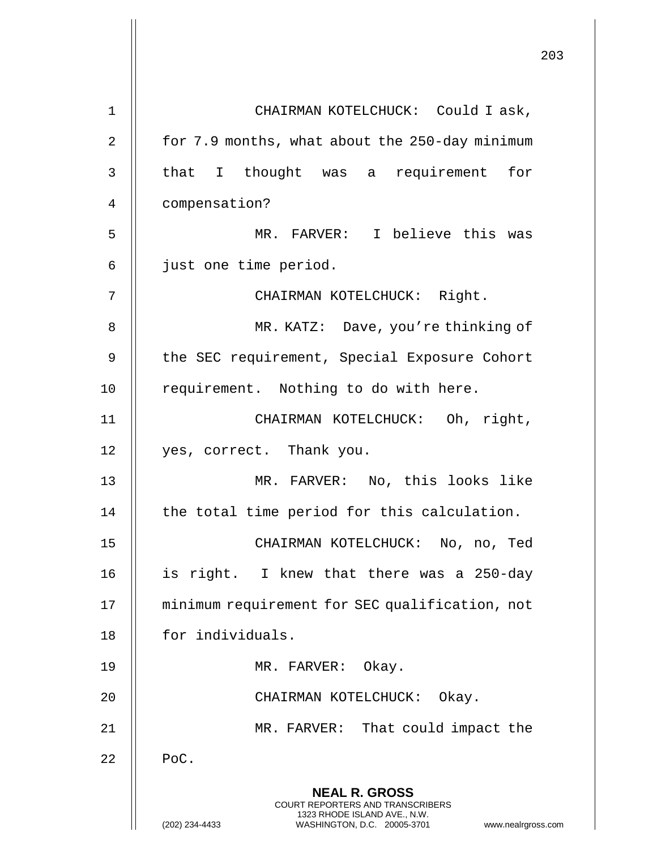|    | 203                                                                                                                                                                 |  |
|----|---------------------------------------------------------------------------------------------------------------------------------------------------------------------|--|
| 1  | CHAIRMAN KOTELCHUCK: Could I ask,                                                                                                                                   |  |
| 2  | for 7.9 months, what about the 250-day minimum                                                                                                                      |  |
| 3  | that I thought was a requirement for                                                                                                                                |  |
| 4  | compensation?                                                                                                                                                       |  |
| 5  | MR. FARVER: I believe this was                                                                                                                                      |  |
| 6  | just one time period.                                                                                                                                               |  |
|    |                                                                                                                                                                     |  |
| 7  | CHAIRMAN KOTELCHUCK: Right.                                                                                                                                         |  |
| 8  | MR. KATZ: Dave, you're thinking of                                                                                                                                  |  |
| 9  | the SEC requirement, Special Exposure Cohort                                                                                                                        |  |
| 10 | requirement. Nothing to do with here.                                                                                                                               |  |
| 11 | CHAIRMAN KOTELCHUCK: Oh, right,                                                                                                                                     |  |
| 12 | yes, correct. Thank you.                                                                                                                                            |  |
| 13 | MR. FARVER: No, this looks like                                                                                                                                     |  |
| 14 | the total time period for this calculation.                                                                                                                         |  |
| 15 | CHAIRMAN KOTELCHUCK: No, no, Ted                                                                                                                                    |  |
| 16 | is right. I knew that there was a 250-day                                                                                                                           |  |
| 17 | minimum requirement for SEC qualification, not                                                                                                                      |  |
| 18 | for individuals.                                                                                                                                                    |  |
| 19 | MR. FARVER: Okay.                                                                                                                                                   |  |
| 20 | CHAIRMAN KOTELCHUCK: Okay.                                                                                                                                          |  |
| 21 | MR. FARVER: That could impact the                                                                                                                                   |  |
| 22 | PoC.                                                                                                                                                                |  |
|    | <b>NEAL R. GROSS</b><br><b>COURT REPORTERS AND TRANSCRIBERS</b><br>1323 RHODE ISLAND AVE., N.W.<br>(202) 234-4433<br>WASHINGTON, D.C. 20005-3701 www.nealrgross.com |  |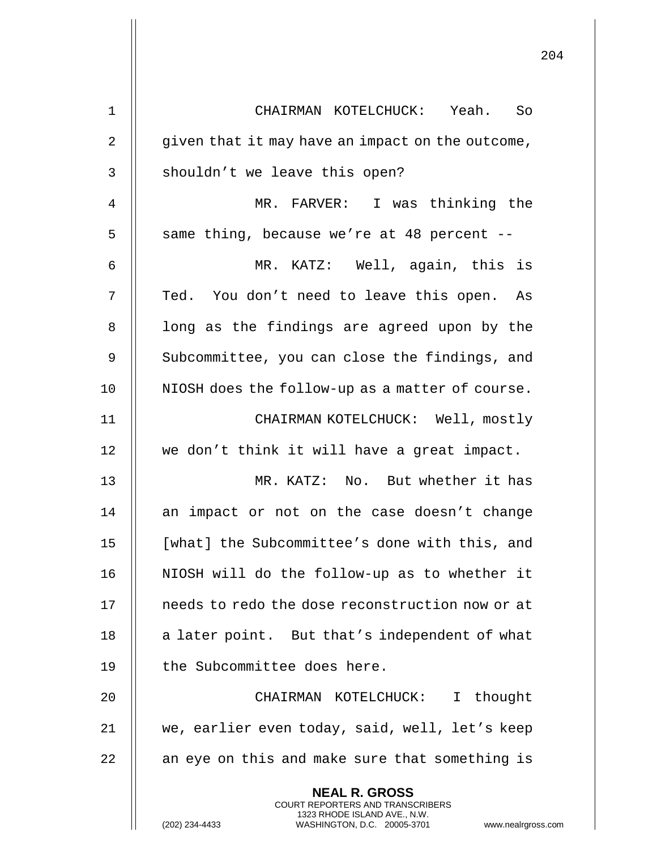| $\mathbf 1$    | CHAIRMAN KOTELCHUCK: Yeah. So                                                                                                                                      |
|----------------|--------------------------------------------------------------------------------------------------------------------------------------------------------------------|
| $\overline{2}$ | given that it may have an impact on the outcome,                                                                                                                   |
| $\mathsf{3}$   | shouldn't we leave this open?                                                                                                                                      |
| 4              | MR. FARVER: I was thinking the                                                                                                                                     |
| 5              | same thing, because we're at 48 percent --                                                                                                                         |
| 6              | MR. KATZ: Well, again, this is                                                                                                                                     |
| 7              | Ted. You don't need to leave this open.<br>As                                                                                                                      |
| $\,8\,$        | long as the findings are agreed upon by the                                                                                                                        |
| 9              | Subcommittee, you can close the findings, and                                                                                                                      |
| 10             | NIOSH does the follow-up as a matter of course.                                                                                                                    |
| 11             | CHAIRMAN KOTELCHUCK: Well, mostly                                                                                                                                  |
| 12             | we don't think it will have a great impact.                                                                                                                        |
| 13             | MR. KATZ: No. But whether it has                                                                                                                                   |
| 14             | an impact or not on the case doesn't change                                                                                                                        |
| 15             | [what] the Subcommittee's done with this, and                                                                                                                      |
| 16             | NIOSH will do the follow-up as to whether it                                                                                                                       |
| 17             | needs to redo the dose reconstruction now or at                                                                                                                    |
| 18             | a later point. But that's independent of what                                                                                                                      |
| 19             | the Subcommittee does here.                                                                                                                                        |
| 20             | CHAIRMAN KOTELCHUCK:<br>I thought                                                                                                                                  |
| 21             | we, earlier even today, said, well, let's keep                                                                                                                     |
| 22             | an eye on this and make sure that something is                                                                                                                     |
|                | <b>NEAL R. GROSS</b><br><b>COURT REPORTERS AND TRANSCRIBERS</b><br>1323 RHODE ISLAND AVE., N.W.<br>WASHINGTON, D.C. 20005-3701<br>(202) 234-4433<br>www.nealrgross |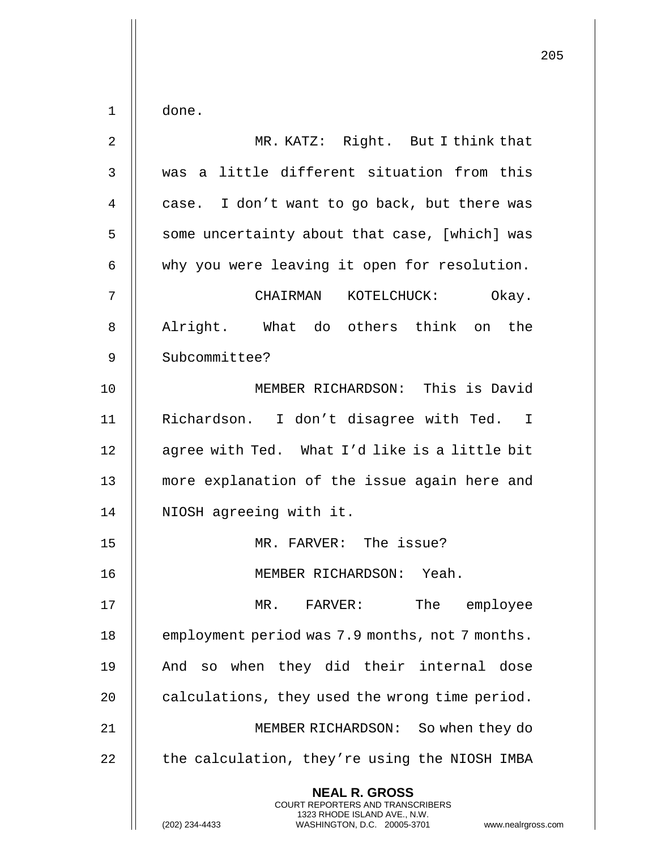|             |                                                                                                                                                                        | 205 |
|-------------|------------------------------------------------------------------------------------------------------------------------------------------------------------------------|-----|
| $\mathbf 1$ | done.                                                                                                                                                                  |     |
| 2           | MR. KATZ: Right. But I think that                                                                                                                                      |     |
|             |                                                                                                                                                                        |     |
| 3           | was a little different situation from this                                                                                                                             |     |
| 4           | case. I don't want to go back, but there was                                                                                                                           |     |
| 5           | some uncertainty about that case, [which] was                                                                                                                          |     |
| 6           | why you were leaving it open for resolution.                                                                                                                           |     |
| 7           | CHAIRMAN KOTELCHUCK:<br>Okay.                                                                                                                                          |     |
| 8           | Alright. What do others think on the                                                                                                                                   |     |
| 9           | Subcommittee?                                                                                                                                                          |     |
| 10          | MEMBER RICHARDSON: This is David                                                                                                                                       |     |
| 11          | Richardson. I don't disagree with Ted. I                                                                                                                               |     |
| 12          | agree with Ted. What I'd like is a little bit                                                                                                                          |     |
| 13          | more explanation of the issue again here and                                                                                                                           |     |
| 14          | NIOSH agreeing with it.                                                                                                                                                |     |
| 15          | MR. FARVER: The issue?                                                                                                                                                 |     |
| 16          | MEMBER RICHARDSON: Yeah.                                                                                                                                               |     |
| 17          | The employee<br>MR. FARVER:                                                                                                                                            |     |
| 18          | employment period was 7.9 months, not 7 months.                                                                                                                        |     |
| 19          | And so when they did their internal dose                                                                                                                               |     |
| 20          | calculations, they used the wrong time period.                                                                                                                         |     |
| 21          | MEMBER RICHARDSON: So when they do                                                                                                                                     |     |
| 22          | the calculation, they're using the NIOSH IMBA                                                                                                                          |     |
|             | <b>NEAL R. GROSS</b><br><b>COURT REPORTERS AND TRANSCRIBERS</b><br>1323 RHODE ISLAND AVE., N.W.<br>(202) 234-4433<br>WASHINGTON, D.C. 20005-3701<br>www.nealrgross.com |     |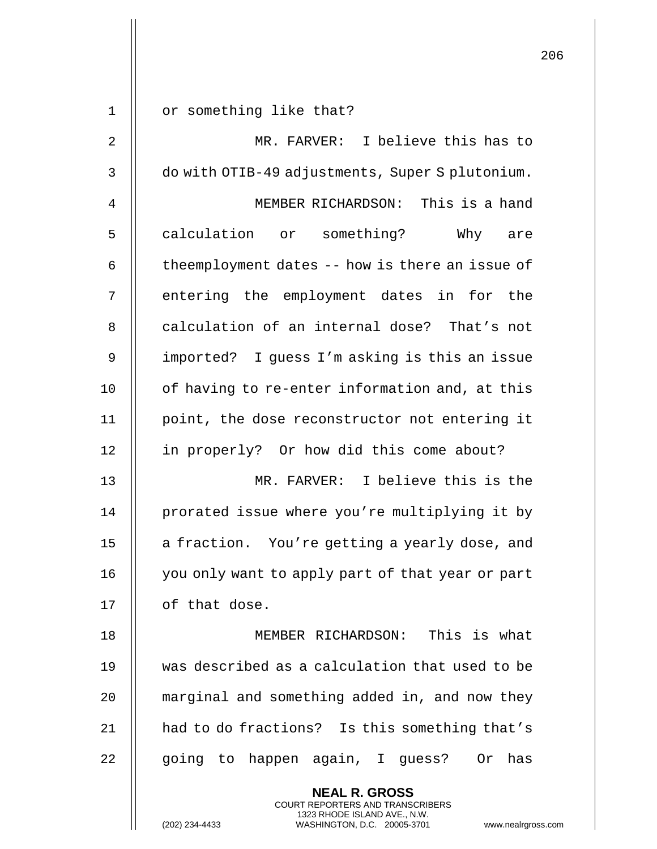|                |                                                                                                     | 206 |
|----------------|-----------------------------------------------------------------------------------------------------|-----|
| $\mathbf 1$    | or something like that?                                                                             |     |
| $\overline{2}$ | MR. FARVER: I believe this has to                                                                   |     |
|                |                                                                                                     |     |
| 3              | do with OTIB-49 adjustments, Super S plutonium.                                                     |     |
| 4              | MEMBER RICHARDSON: This is a hand                                                                   |     |
| 5              | calculation or something? Why are                                                                   |     |
| 6              | theemployment dates -- how is there an issue of                                                     |     |
| 7              | entering the employment dates in for the                                                            |     |
| 8              | calculation of an internal dose? That's not                                                         |     |
| 9              | imported? I guess I'm asking is this an issue                                                       |     |
| 10             | of having to re-enter information and, at this                                                      |     |
| 11             | point, the dose reconstructor not entering it                                                       |     |
| 12             | in properly? Or how did this come about?                                                            |     |
| 13             | MR. FARVER: I believe this is the                                                                   |     |
| 14             | prorated issue where you're multiplying it by                                                       |     |
| 15             | a fraction. You're getting a yearly dose, and                                                       |     |
| 16             | you only want to apply part of that year or part                                                    |     |
| 17             | of that dose.                                                                                       |     |
| 18             | MEMBER RICHARDSON: This is what                                                                     |     |
| 19             | was described as a calculation that used to be                                                      |     |
| 20             | marginal and something added in, and now they                                                       |     |
| 21             | had to do fractions? Is this something that's                                                       |     |
| 22             | going to happen again, I guess? Or has                                                              |     |
|                | <b>NEAL R. GROSS</b><br>COURT REPORTERS AND TRANSCRIBERS                                            |     |
|                | 1323 RHODE ISLAND AVE., N.W.<br>(202) 234-4433<br>WASHINGTON, D.C. 20005-3701<br>www.nealrgross.com |     |

 $\mathop{||}$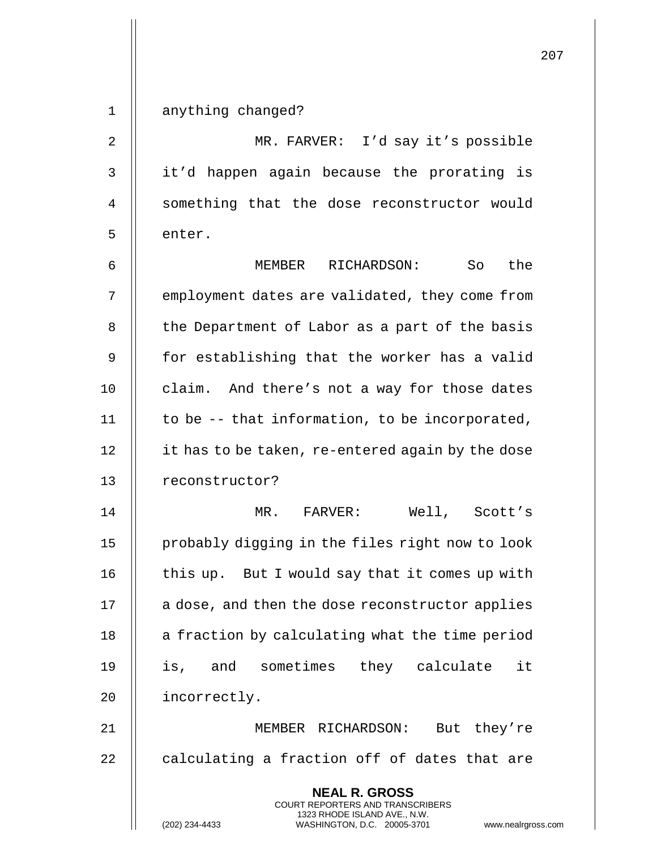| $\mathbf 1$ | anything changed?                                                                                                                                               |
|-------------|-----------------------------------------------------------------------------------------------------------------------------------------------------------------|
| 2           | MR. FARVER: I'd say it's possible                                                                                                                               |
| 3           | it'd happen again because the prorating is                                                                                                                      |
| 4           | something that the dose reconstructor would                                                                                                                     |
| 5           | enter.                                                                                                                                                          |
| 6           | the<br>MEMBER RICHARDSON:<br>So                                                                                                                                 |
| 7           | employment dates are validated, they come from                                                                                                                  |
| 8           | the Department of Labor as a part of the basis                                                                                                                  |
| 9           | for establishing that the worker has a valid                                                                                                                    |
| 10          | claim. And there's not a way for those dates                                                                                                                    |
| 11          | to be -- that information, to be incorporated,                                                                                                                  |
| 12          | it has to be taken, re-entered again by the dose                                                                                                                |
| 13          | reconstructor?                                                                                                                                                  |
| 14          | Well, Scott's<br>MR. FARVER:                                                                                                                                    |
| 15          | probably digging in the files right now to look                                                                                                                 |
| 16          | this up. But I would say that it comes up with                                                                                                                  |
| 17          | a dose, and then the dose reconstructor applies                                                                                                                 |
| 18          | a fraction by calculating what the time period                                                                                                                  |
| 19          | is, and sometimes they calculate<br>it                                                                                                                          |
| 20          | incorrectly.                                                                                                                                                    |
| 21          | MEMBER RICHARDSON:<br>But they're                                                                                                                               |
| 22          | calculating a fraction off of dates that are                                                                                                                    |
|             | <b>NEAL R. GROSS</b><br>COURT REPORTERS AND TRANSCRIBERS<br>1323 RHODE ISLAND AVE., N.W.<br>(202) 234-4433<br>WASHINGTON, D.C. 20005-3701<br>www.nealrgross.com |

 $\mathsf{I}$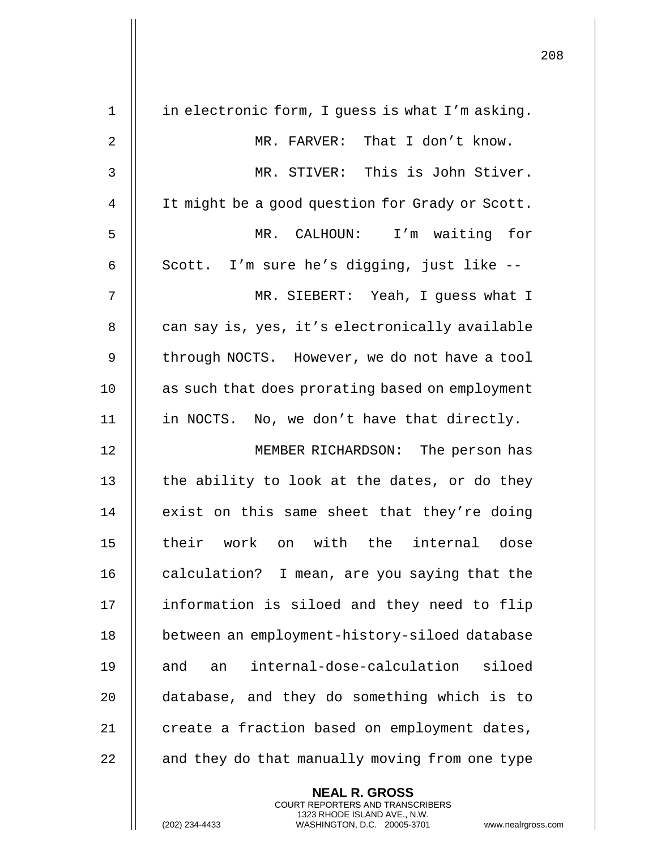| in electronic form, I guess is what I'm asking.  |
|--------------------------------------------------|
| MR. FARVER: That I don't know.                   |
| MR. STIVER: This is John Stiver.                 |
| It might be a good question for Grady or Scott.  |
| MR. CALHOUN: I'm waiting for                     |
| Scott. I'm sure he's digging, just like --       |
| MR. SIEBERT: Yeah, I guess what I                |
| can say is, yes, it's electronically available   |
| through NOCTS. However, we do not have a tool    |
| as such that does prorating based on employment  |
| in NOCTS. No, we don't have that directly.       |
| MEMBER RICHARDSON:<br>The person has             |
| the ability to look at the dates, or do they     |
| exist on this same sheet that they're doing      |
| their work on with the internal dose             |
| calculation? I mean, are you saying that the     |
| information is siloed and they need to flip      |
| between an employment-history-siloed database    |
| internal-dose-calculation<br>siloed<br>and<br>an |
| database, and they do something which is to      |
| create a fraction based on employment dates,     |
| and they do that manually moving from one type   |
|                                                  |

**NEAL R. GROSS** COURT REPORTERS AND TRANSCRIBERS 1323 RHODE ISLAND AVE., N.W.

(202) 234-4433 WASHINGTON, D.C. 20005-3701 www.nealrgross.com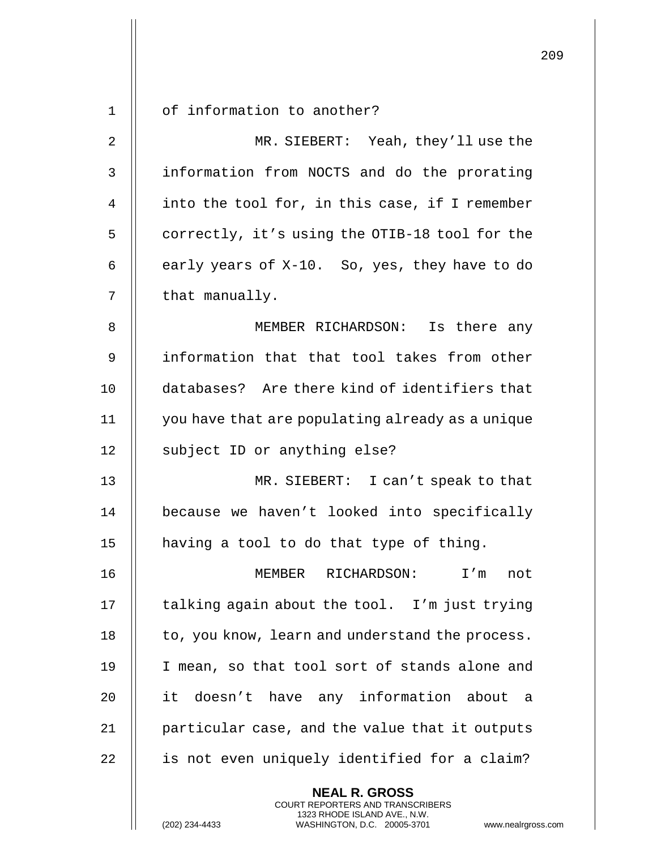|             |                                                  | 209 |
|-------------|--------------------------------------------------|-----|
| $\mathbf 1$ | of information to another?                       |     |
|             |                                                  |     |
| 2           | MR. SIEBERT: Yeah, they'll use the               |     |
| 3           | information from NOCTS and do the prorating      |     |
| 4           | into the tool for, in this case, if I remember   |     |
| 5           | correctly, it's using the OTIB-18 tool for the   |     |
| 6           | early years of X-10. So, yes, they have to do    |     |
| 7           | that manually.                                   |     |
| 8           | MEMBER RICHARDSON: Is there any                  |     |
| 9           | information that that tool takes from other      |     |
| 10          | databases? Are there kind of identifiers that    |     |
| 11          | you have that are populating already as a unique |     |
| 12          | subject ID or anything else?                     |     |
| 13          | MR. SIEBERT: I can't speak to that               |     |
| 14          | because we haven't looked into specifically      |     |
| 15          | having a tool to do that type of thing.          |     |
| 16          | I'm<br>MEMBER<br>RICHARDSON:<br>not              |     |
| 17          | talking again about the tool. I'm just trying    |     |
| 18          | to, you know, learn and understand the process.  |     |
| 19          | I mean, so that tool sort of stands alone and    |     |
| 20          | it doesn't have any information about<br>a a     |     |
| 21          | particular case, and the value that it outputs   |     |
| 22          | is not even uniquely identified for a claim?     |     |
|             | <b>NEAL R. GROSS</b>                             |     |

COURT REPORTERS AND TRANSCRIBERS 1323 RHODE ISLAND AVE., N.W.

 $\mathsf{II}$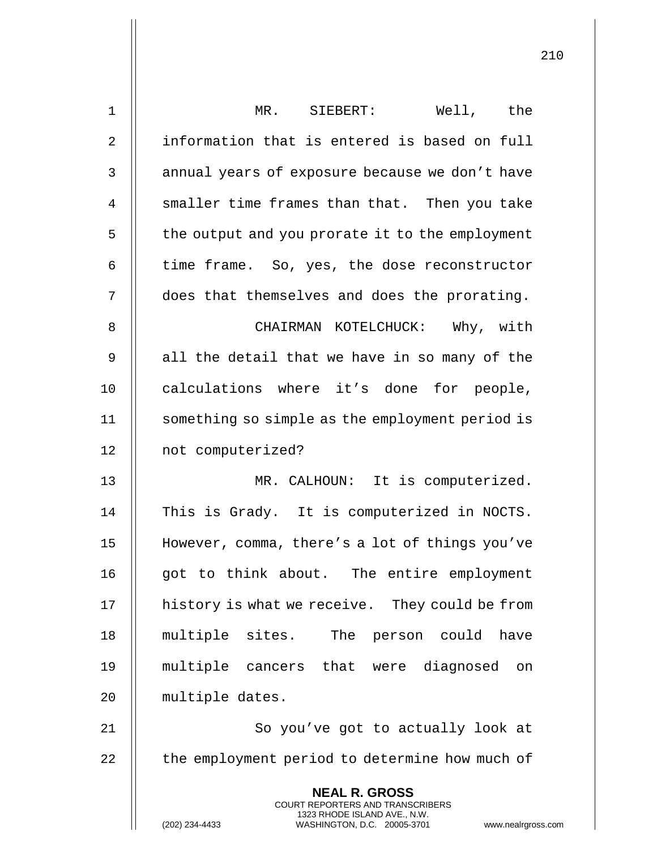| $\mathbf 1$    | Well, the<br>MR. SIEBERT:                                                                                                                                       |
|----------------|-----------------------------------------------------------------------------------------------------------------------------------------------------------------|
| $\overline{2}$ | information that is entered is based on full                                                                                                                    |
| 3              | annual years of exposure because we don't have                                                                                                                  |
| 4              | smaller time frames than that. Then you take                                                                                                                    |
| 5              | the output and you prorate it to the employment                                                                                                                 |
| 6              | time frame. So, yes, the dose reconstructor                                                                                                                     |
| 7              | does that themselves and does the prorating.                                                                                                                    |
| 8              | CHAIRMAN KOTELCHUCK: Why, with                                                                                                                                  |
| 9              | all the detail that we have in so many of the                                                                                                                   |
| 10             | calculations where it's done for people,                                                                                                                        |
| 11             | something so simple as the employment period is                                                                                                                 |
| 12             | not computerized?                                                                                                                                               |
| 13             | MR. CALHOUN: It is computerized.                                                                                                                                |
| 14             | This is Grady. It is computerized in NOCTS.                                                                                                                     |
| 15             | However, comma, there's a lot of things you've                                                                                                                  |
| 16             | got to think about. The entire employment                                                                                                                       |
| 17             | history is what we receive. They could be from                                                                                                                  |
| 18             | multiple sites. The<br>person could<br>have                                                                                                                     |
| 19             | multiple cancers that were diagnosed on                                                                                                                         |
| 20             | multiple dates.                                                                                                                                                 |
| 21             | So you've got to actually look at                                                                                                                               |
| 22             | the employment period to determine how much of                                                                                                                  |
|                | <b>NEAL R. GROSS</b><br>COURT REPORTERS AND TRANSCRIBERS<br>1323 RHODE ISLAND AVE., N.W.<br>(202) 234-4433<br>WASHINGTON, D.C. 20005-3701<br>www.nealrgross.com |

 $\mathbf{I}$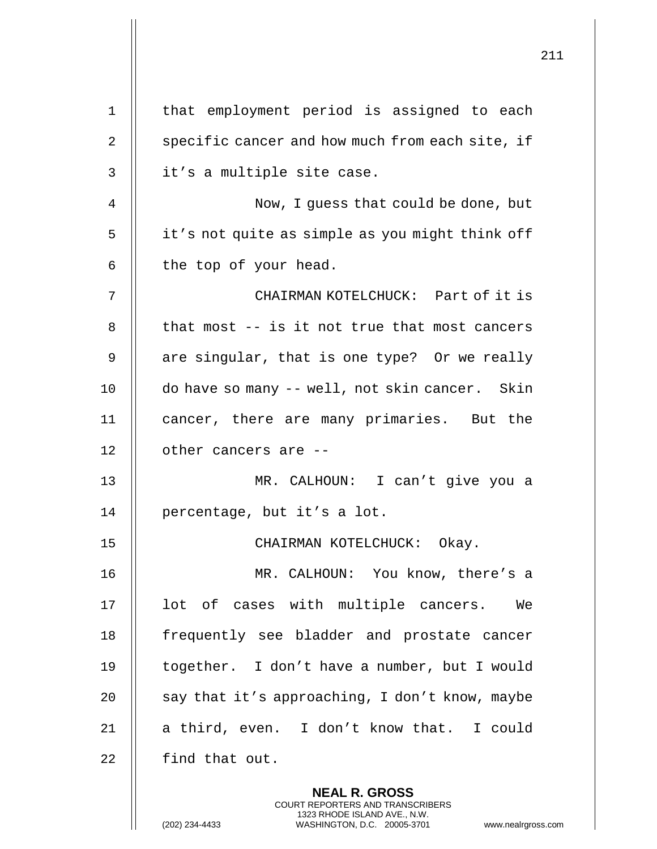|    |                                                 | 211 |
|----|-------------------------------------------------|-----|
|    |                                                 |     |
| 1  | that employment period is assigned to each      |     |
| 2  | specific cancer and how much from each site, if |     |
| 3  | it's a multiple site case.                      |     |
| 4  | Now, I guess that could be done, but            |     |
| 5  | it's not quite as simple as you might think off |     |
| 6  | the top of your head.                           |     |
| 7  | CHAIRMAN KOTELCHUCK: Part of it is              |     |
| 8  | that most -- is it not true that most cancers   |     |
| 9  | are singular, that is one type? Or we really    |     |
| 10 | do have so many -- well, not skin cancer. Skin  |     |
| 11 | cancer, there are many primaries. But the       |     |
| 12 | other cancers are --                            |     |
| 13 | MR. CALHOUN: I can't give you a                 |     |
| 14 | percentage, but it's a lot.                     |     |
| 15 | CHAIRMAN KOTELCHUCK: Okay.                      |     |
| 16 | MR. CALHOUN: You know, there's a                |     |
| 17 | lot of cases with multiple cancers. We          |     |
| 18 | frequently see bladder and prostate cancer      |     |
| 19 | together. I don't have a number, but I would    |     |
| 20 | say that it's approaching, I don't know, maybe  |     |
| 21 | a third, even. I don't know that. I could       |     |
| 22 | find that out.                                  |     |
|    | <b>NEAL R. GROSS</b>                            |     |

COURT REPORTERS AND TRANSCRIBERS 1323 RHODE ISLAND AVE., N.W.

 $\prod$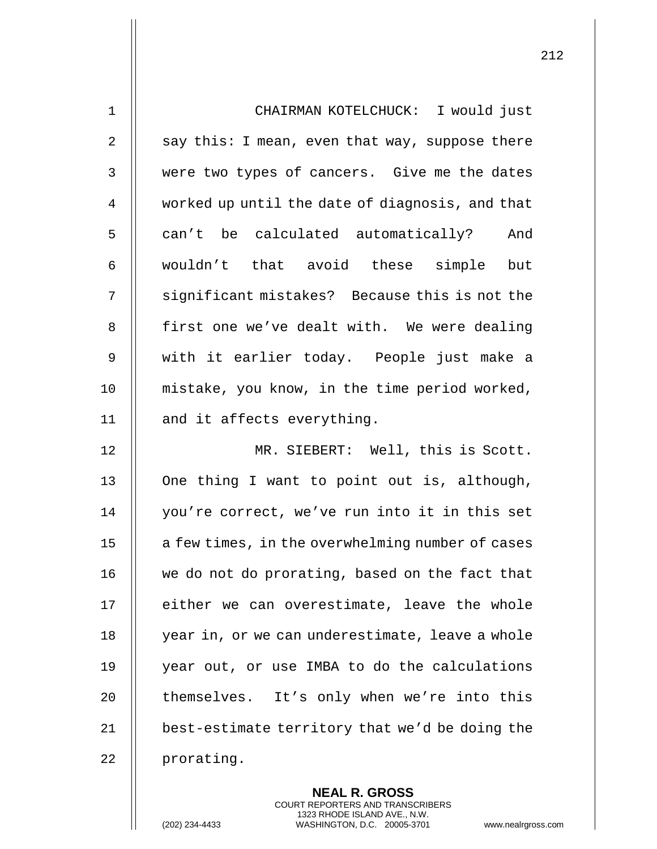| $\mathbf{1}$   | CHAIRMAN KOTELCHUCK: I would just                |
|----------------|--------------------------------------------------|
| $\overline{2}$ | say this: I mean, even that way, suppose there   |
| 3              | were two types of cancers. Give me the dates     |
| 4              | worked up until the date of diagnosis, and that  |
| 5              | can't be calculated automatically?<br>And        |
| 6              | wouldn't that avoid these simple but             |
| 7              | significant mistakes? Because this is not the    |
| 8              | first one we've dealt with. We were dealing      |
| $\mathsf 9$    | with it earlier today. People just make a        |
| 10             | mistake, you know, in the time period worked,    |
| 11             | and it affects everything.                       |
| 12             | MR. SIEBERT: Well, this is Scott.                |
| 13             | One thing I want to point out is, although,      |
| 14             | you're correct, we've run into it in this set    |
| 15             | a few times, in the overwhelming number of cases |
| 16             | we do not do prorating, based on the fact that   |
| 17             | either we can overestimate, leave the whole      |
| 18             | year in, or we can underestimate, leave a whole  |
| 19             | year out, or use IMBA to do the calculations     |
| 20             | themselves. It's only when we're into this       |
| 21             | best-estimate territory that we'd be doing the   |
| 22             | prorating.                                       |

**NEAL R. GROSS** COURT REPORTERS AND TRANSCRIBERS 1323 RHODE ISLAND AVE., N.W.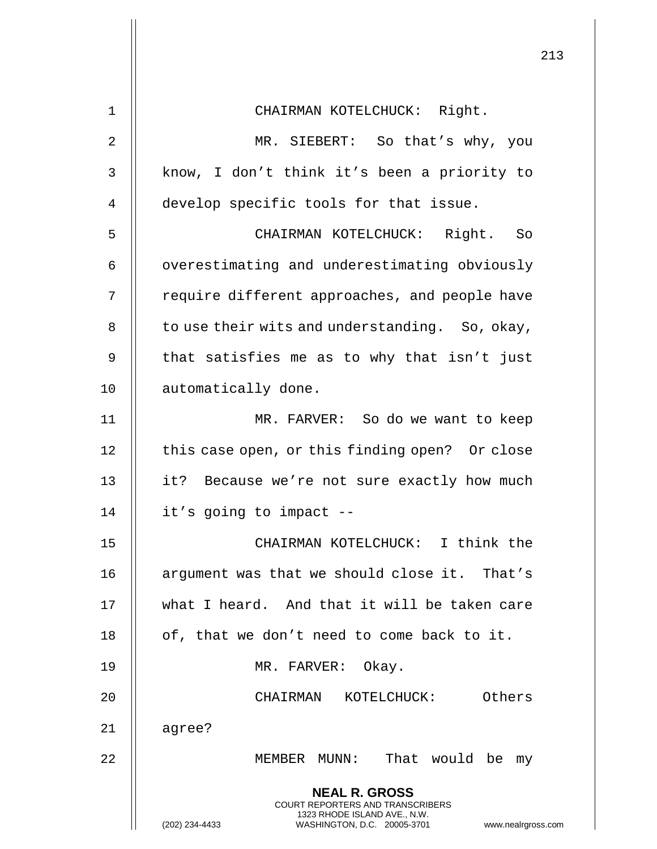|                | 213                                                                                                                                                                 |
|----------------|---------------------------------------------------------------------------------------------------------------------------------------------------------------------|
| $\mathbf 1$    | CHAIRMAN KOTELCHUCK: Right.                                                                                                                                         |
| $\overline{2}$ | MR. SIEBERT: So that's why, you                                                                                                                                     |
| 3              | know, I don't think it's been a priority to                                                                                                                         |
| 4              | develop specific tools for that issue.                                                                                                                              |
| 5              | CHAIRMAN KOTELCHUCK: Right. So                                                                                                                                      |
| 6              | overestimating and underestimating obviously                                                                                                                        |
| 7              | require different approaches, and people have                                                                                                                       |
| 8              | to use their wits and understanding. So, okay,                                                                                                                      |
| 9              | that satisfies me as to why that isn't just                                                                                                                         |
| 10             | automatically done.                                                                                                                                                 |
| 11             | MR. FARVER: So do we want to keep                                                                                                                                   |
| 12             | this case open, or this finding open? Or close                                                                                                                      |
| 13             | it? Because we're not sure exactly how much                                                                                                                         |
| 14             | it's going to impact --                                                                                                                                             |
| 15             | CHAIRMAN KOTELCHUCK: I think the                                                                                                                                    |
| 16             | argument was that we should close it. That's                                                                                                                        |
| 17             | what I heard. And that it will be taken care                                                                                                                        |
| 18             | of, that we don't need to come back to it.                                                                                                                          |
| 19             | MR. FARVER: Okay.                                                                                                                                                   |
| 20             | CHAIRMAN KOTELCHUCK: Others                                                                                                                                         |
| 21             | agree?                                                                                                                                                              |
| 22             | MEMBER MUNN: That would be my                                                                                                                                       |
|                | <b>NEAL R. GROSS</b><br><b>COURT REPORTERS AND TRANSCRIBERS</b><br>1323 RHODE ISLAND AVE., N.W.<br>(202) 234-4433<br>WASHINGTON, D.C. 20005-3701 www.nealrgross.com |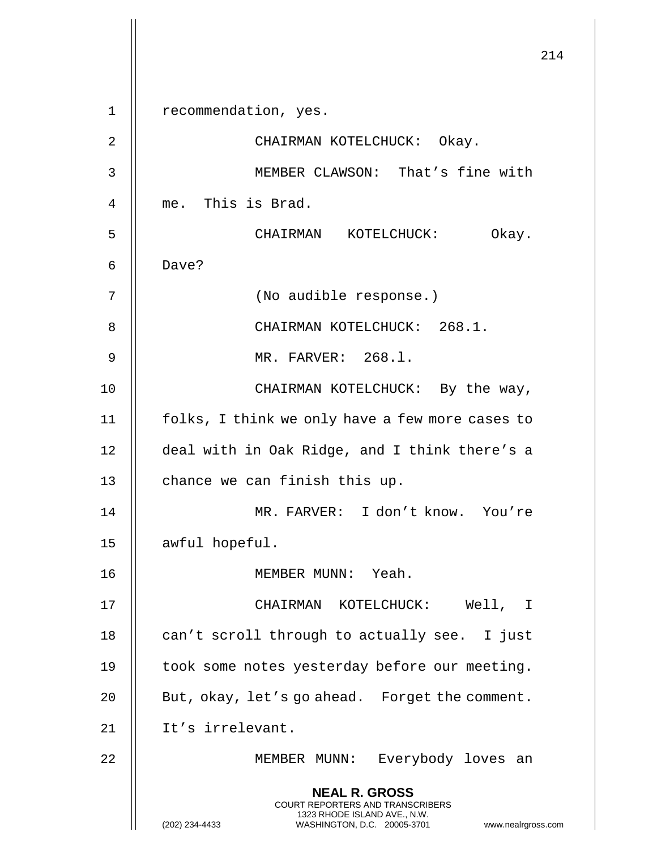**NEAL R. GROSS** COURT REPORTERS AND TRANSCRIBERS 1323 RHODE ISLAND AVE., N.W. (202) 234-4433 WASHINGTON, D.C. 20005-3701 www.nealrgross.com 1 || recommendation, yes. 2 || CHAIRMAN KOTELCHUCK: Okay. 3 MEMBER CLAWSON: That's fine with 4 me. This is Brad. 5 CHAIRMAN KOTELCHUCK: Okay. 6 Dave? 7 || (No audible response.) 8 || CHAIRMAN KOTELCHUCK: 268.1. 9 MR. FARVER: 268.l. 10 || CHAIRMAN KOTELCHUCK: By the way, 11 | folks, I think we only have a few more cases to 12 deal with in Oak Ridge, and I think there's a 13  $\parallel$  chance we can finish this up. 14 MR. FARVER: I don't know. You're 15 | awful hopeful. 16 MEMBER MUNN: Yeah. 17 CHAIRMAN KOTELCHUCK: Well, I 18  $\parallel$  can't scroll through to actually see. I just 19 || took some notes yesterday before our meeting. 20 | But, okay, let's go ahead. Forget the comment. 21 || It's irrelevant. 22 MEMBER MUNN: Everybody loves an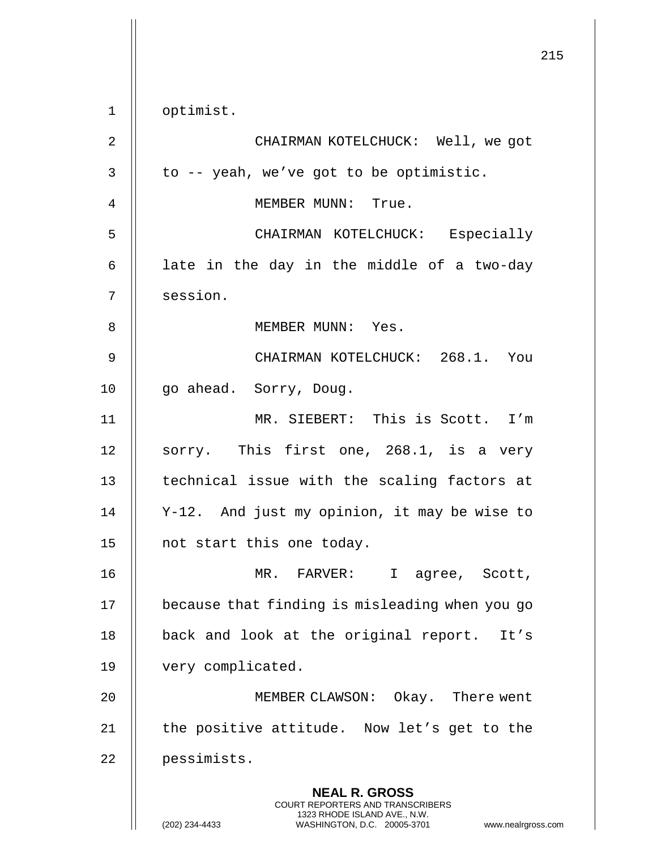215 **NEAL R. GROSS** COURT REPORTERS AND TRANSCRIBERS 1323 RHODE ISLAND AVE., N.W. (202) 234-4433 WASHINGTON, D.C. 20005-3701 www.nealrgross.com 1 || optimist. 2 CHAIRMAN KOTELCHUCK: Well, we got  $3 \parallel$  to -- yeah, we've got to be optimistic. 4 MEMBER MUNN: True. 5 CHAIRMAN KOTELCHUCK: Especially  $6$  || late in the day in the middle of a two-day 7 || session. 8 MEMBER MUNN: Yes. 9 CHAIRMAN KOTELCHUCK: 268.1. You 10 | go ahead. Sorry, Doug. 11 MR. SIEBERT: This is Scott. I'm 12 || sorry. This first one, 268.1, is a very 13 || technical issue with the scaling factors at 14 Y-12. And just my opinion, it may be wise to 15 | not start this one today. 16 MR. FARVER: I agree, Scott, 17 | because that finding is misleading when you go 18 || back and look at the original report. It's 19 | very complicated. 20 MEMBER CLAWSON: Okay. There went 21  $\parallel$  the positive attitude. Now let's get to the 22 pessimists.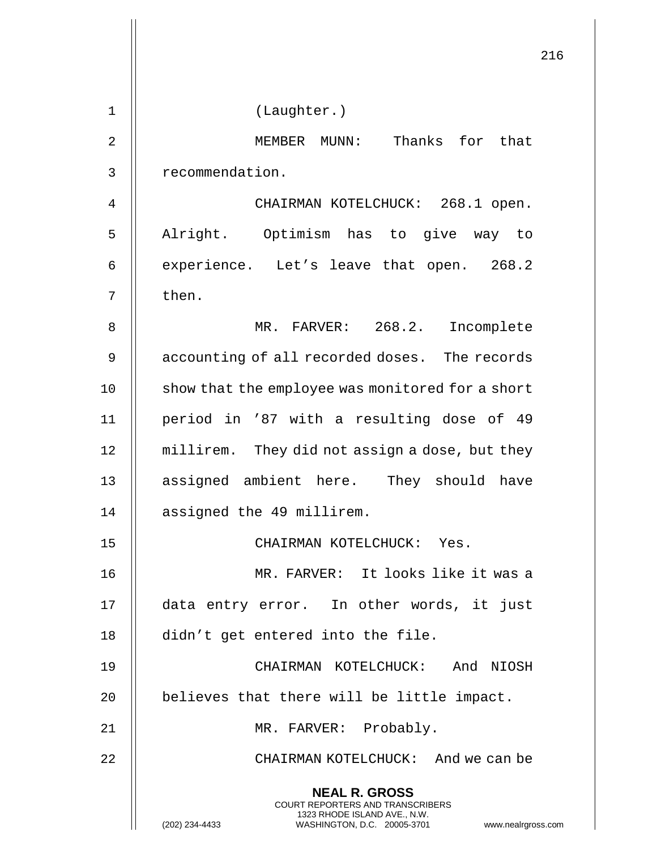|                | 216                                                                                                                                                                    |
|----------------|------------------------------------------------------------------------------------------------------------------------------------------------------------------------|
| $\mathbf 1$    | (Laughter.)                                                                                                                                                            |
| $\overline{2}$ | MEMBER MUNN: Thanks for that                                                                                                                                           |
| 3              | recommendation.                                                                                                                                                        |
| 4              | CHAIRMAN KOTELCHUCK: 268.1 open.                                                                                                                                       |
| 5              | Alright. Optimism has to give way to                                                                                                                                   |
| 6              | experience. Let's leave that open. 268.2                                                                                                                               |
| 7              | then.                                                                                                                                                                  |
| 8              | MR. FARVER: 268.2. Incomplete                                                                                                                                          |
| 9              | accounting of all recorded doses. The records                                                                                                                          |
| 10             | show that the employee was monitored for a short                                                                                                                       |
| 11             | period in '87 with a resulting dose of 49                                                                                                                              |
| 12             | millirem. They did not assign a dose, but they                                                                                                                         |
| 13             | assigned ambient here. They should have                                                                                                                                |
| 14             | assigned the 49 millirem.                                                                                                                                              |
| 15             | CHAIRMAN KOTELCHUCK: Yes.                                                                                                                                              |
| 16             | MR. FARVER: It looks like it was a                                                                                                                                     |
| 17             | data entry error. In other words, it just                                                                                                                              |
| 18             | didn't get entered into the file.                                                                                                                                      |
| 19             | CHAIRMAN KOTELCHUCK: And NIOSH                                                                                                                                         |
| 20             | believes that there will be little impact.                                                                                                                             |
| 21             | MR. FARVER: Probably.                                                                                                                                                  |
| 22             | CHAIRMAN KOTELCHUCK: And we can be                                                                                                                                     |
|                | <b>NEAL R. GROSS</b><br><b>COURT REPORTERS AND TRANSCRIBERS</b><br>1323 RHODE ISLAND AVE., N.W.<br>(202) 234-4433<br>WASHINGTON, D.C. 20005-3701<br>www.nealrgross.com |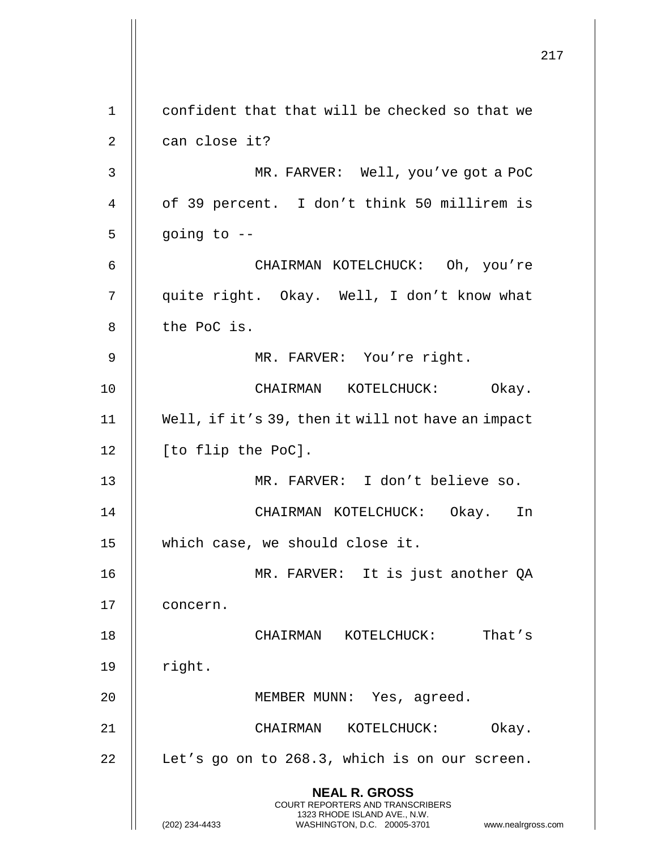|                |                                                                                                 | 217 |
|----------------|-------------------------------------------------------------------------------------------------|-----|
| $\mathbf 1$    | confident that that will be checked so that we                                                  |     |
| $\overline{2}$ | can close it?                                                                                   |     |
| 3              | MR. FARVER: Well, you've got a PoC                                                              |     |
| 4              | of 39 percent. I don't think 50 millirem is                                                     |     |
| 5              | going to --                                                                                     |     |
| 6              | CHAIRMAN KOTELCHUCK: Oh, you're                                                                 |     |
| 7              | quite right. Okay. Well, I don't know what                                                      |     |
| 8              | the PoC is.                                                                                     |     |
| 9              | MR. FARVER: You're right.                                                                       |     |
| 10             | CHAIRMAN KOTELCHUCK: Okay.                                                                      |     |
| 11             | Well, if it's 39, then it will not have an impact                                               |     |
| 12             | [to flip the PoC].                                                                              |     |
| 13             | MR. FARVER: I don't believe so.                                                                 |     |
| 14             | CHAIRMAN KOTELCHUCK: Okay. In                                                                   |     |
| 15             | which case, we should close it.                                                                 |     |
| 16             | MR. FARVER: It is just another QA                                                               |     |
| 17             | concern.                                                                                        |     |
| 18             | CHAIRMAN KOTELCHUCK:<br>That's                                                                  |     |
| 19             | right.                                                                                          |     |
| 20             | MEMBER MUNN: Yes, agreed.                                                                       |     |
| 21             | CHAIRMAN KOTELCHUCK:<br>Okay.                                                                   |     |
| 22             | Let's go on to 268.3, which is on our screen.                                                   |     |
|                | <b>NEAL R. GROSS</b><br><b>COURT REPORTERS AND TRANSCRIBERS</b><br>1323 RHODE ISLAND AVE., N.W. |     |
|                | (202) 234-4433<br>WASHINGTON, D.C. 20005-3701<br>www.nealrgross.com                             |     |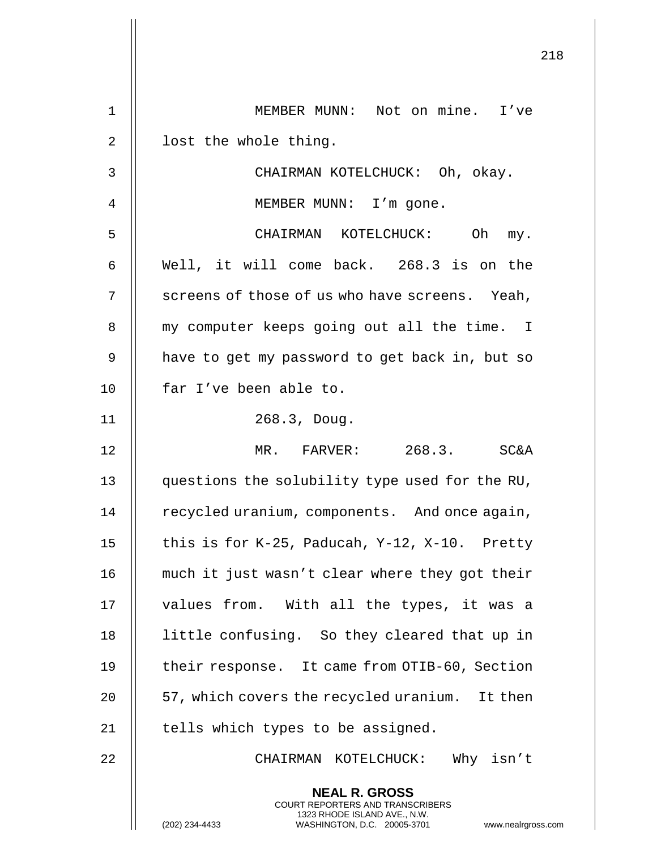|    | 218                                                                                                                                                                 |
|----|---------------------------------------------------------------------------------------------------------------------------------------------------------------------|
| 1  | MEMBER MUNN: Not on mine. I've                                                                                                                                      |
| 2  | lost the whole thing.                                                                                                                                               |
| 3  | CHAIRMAN KOTELCHUCK: Oh, okay.                                                                                                                                      |
| 4  | MEMBER MUNN: I'm gone.                                                                                                                                              |
| 5  | CHAIRMAN KOTELCHUCK: Oh<br>my.                                                                                                                                      |
| 6  | Well, it will come back. 268.3 is on the                                                                                                                            |
| 7  | screens of those of us who have screens. Yeah,                                                                                                                      |
| 8  | my computer keeps going out all the time. I                                                                                                                         |
| 9  | have to get my password to get back in, but so                                                                                                                      |
| 10 | far I've been able to.                                                                                                                                              |
| 11 | 268.3, Doug.                                                                                                                                                        |
| 12 | MR. FARVER: 268.3. SC&A                                                                                                                                             |
| 13 | questions the solubility type used for the RU,                                                                                                                      |
| 14 | recycled uranium, components. And once again,                                                                                                                       |
| 15 | this is for $K-25$ , Paducah, Y-12, X-10. Pretty                                                                                                                    |
| 16 | much it just wasn't clear where they got their                                                                                                                      |
| 17 | values from. With all the types, it was a                                                                                                                           |
| 18 | little confusing. So they cleared that up in                                                                                                                        |
| 19 | their response. It came from OTIB-60, Section                                                                                                                       |
| 20 | 57, which covers the recycled uranium. It then                                                                                                                      |
| 21 | tells which types to be assigned.                                                                                                                                   |
| 22 | CHAIRMAN KOTELCHUCK: Why isn't                                                                                                                                      |
|    | <b>NEAL R. GROSS</b><br><b>COURT REPORTERS AND TRANSCRIBERS</b><br>1323 RHODE ISLAND AVE., N.W.<br>WASHINGTON, D.C. 20005-3701 www.nealrgross.com<br>(202) 234-4433 |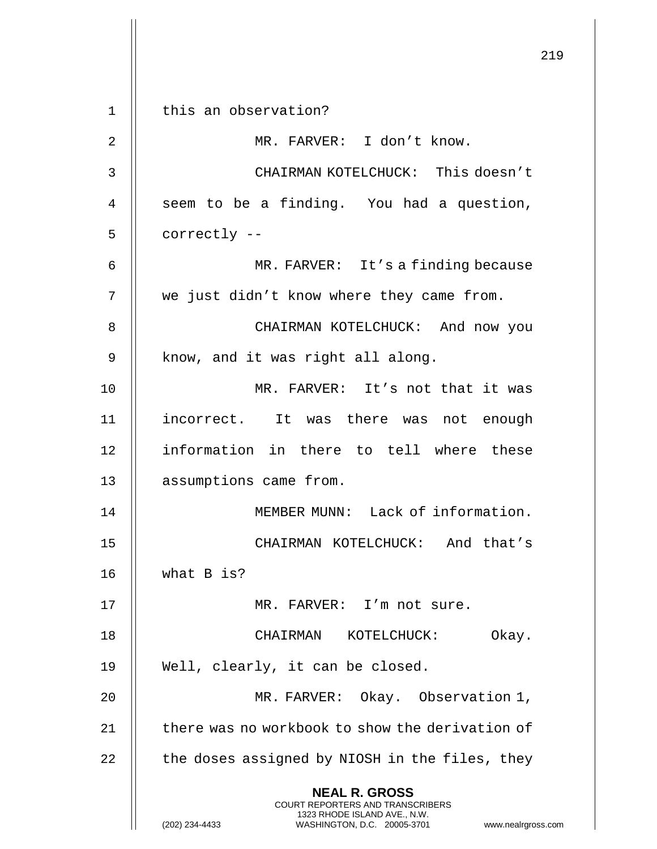**NEAL R. GROSS** COURT REPORTERS AND TRANSCRIBERS 1323 RHODE ISLAND AVE., N.W. (202) 234-4433 WASHINGTON, D.C. 20005-3701 www.nealrgross.com 1 || this an observation? 2 || MR. FARVER: I don't know. 3 CHAIRMAN KOTELCHUCK: This doesn't  $4 \parallel$  seem to be a finding. You had a question,  $5$  | correctly  $-$ 6 MR. FARVER: It's a finding because 7 we just didn't know where they came from. 8 **B** CHAIRMAN KOTELCHUCK: And now you  $9 \parallel$  know, and it was right all along. 10 MR. FARVER: It's not that it was 11 || incorrect. It was there was not enough 12 || information in there to tell where these 13 | assumptions came from. 14 MEMBER MUNN: Lack of information. 15 CHAIRMAN KOTELCHUCK: And that's 16 what B is? 17 MR. FARVER: I'm not sure. 18 CHAIRMAN KOTELCHUCK: Okay. 19 Well, clearly, it can be closed. 20 MR. FARVER: Okay. Observation 1, 21  $\parallel$  there was no workbook to show the derivation of  $22$   $\parallel$  the doses assigned by NIOSH in the files, they

219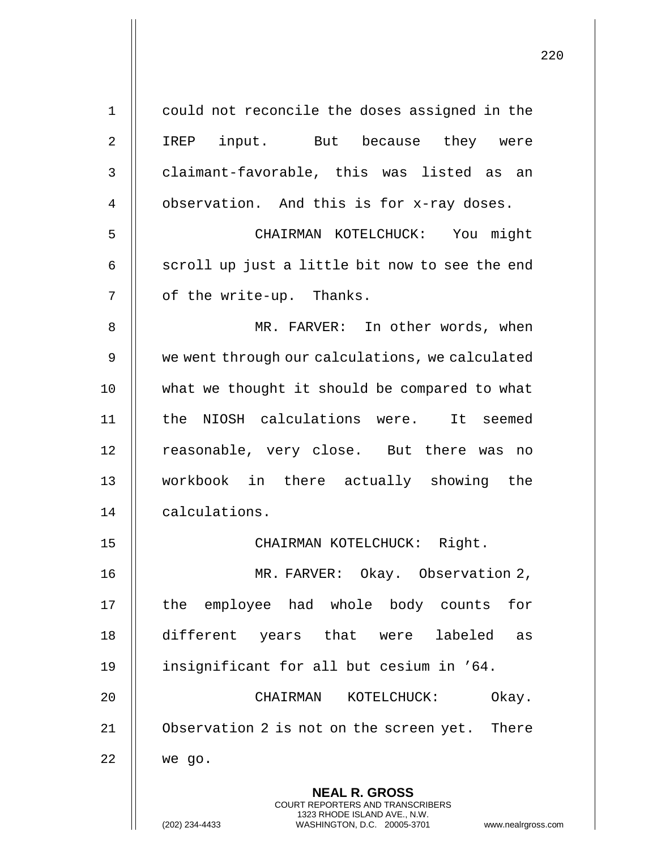| $\mathbf 1$ | could not reconcile the doses assigned in the                                                    |
|-------------|--------------------------------------------------------------------------------------------------|
| 2           | IREP input. But because they were                                                                |
| 3           | claimant-favorable, this was listed as<br>an                                                     |
| 4           | observation. And this is for x-ray doses.                                                        |
| 5           | CHAIRMAN KOTELCHUCK: You might                                                                   |
| 6           | scroll up just a little bit now to see the end                                                   |
| 7           | of the write-up. Thanks.                                                                         |
| 8           | MR. FARVER: In other words, when                                                                 |
| 9           | we went through our calculations, we calculated                                                  |
| 10          | what we thought it should be compared to what                                                    |
| 11          | the NIOSH calculations were. It seemed                                                           |
| 12          | reasonable, very close. But there was<br>no                                                      |
| 13          | workbook in there actually showing the                                                           |
| 14          | calculations.                                                                                    |
| 15          | Right.<br>CHAIRMAN KOTELCHUCK:                                                                   |
| 16          | MR. FARVER: Okay. Observation 2,                                                                 |
| 17          | the employee had whole body counts for                                                           |
| 18          | different years that were labeled<br>as                                                          |
| 19          | insignificant for all but cesium in '64.                                                         |
| 20          | Okay.<br>CHAIRMAN<br>KOTELCHUCK:                                                                 |
| 21          | Observation 2 is not on the screen yet. There                                                    |
| 22          | we go.                                                                                           |
|             | <b>NEAL R. GROSS</b><br><b>COURT REPORTERS AND TRANSCRIBERS</b>                                  |
|             | 1323 RHODE ISLAND AVE., N.W.<br>(202) 234-4433<br>WASHINGTON, D.C. 20005-3701<br>www.nealrgross. |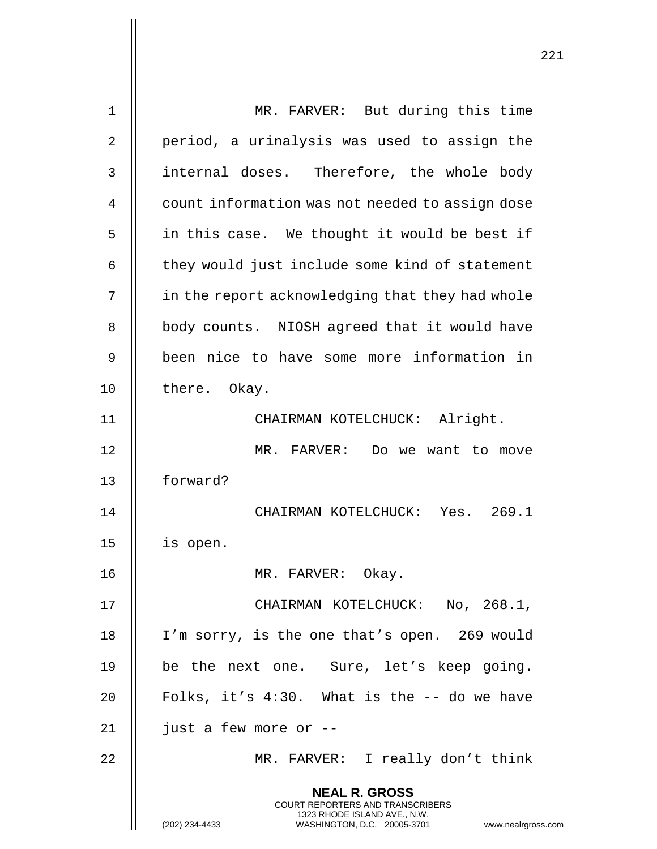| $\mathbf 1$       | MR. FARVER: But during this time                                                         |
|-------------------|------------------------------------------------------------------------------------------|
| 2                 | period, a urinalysis was used to assign the                                              |
| 3                 | internal doses. Therefore, the whole body                                                |
| 4                 | count information was not needed to assign dose                                          |
| 5                 | in this case. We thought it would be best if                                             |
| 6                 | they would just include some kind of statement                                           |
| 7                 | in the report acknowledging that they had whole                                          |
| 8                 | body counts. NIOSH agreed that it would have                                             |
| 9                 | been nice to have some more information in                                               |
| 10                | there. Okay.                                                                             |
| 11                | CHAIRMAN KOTELCHUCK: Alright.                                                            |
| $12 \overline{ }$ | MR. FARVER: Do we want to move                                                           |
| 13                | forward?                                                                                 |
| 14                | CHAIRMAN KOTELCHUCK: Yes. 269.1                                                          |
| 15                | is open.                                                                                 |
| 16                | MR. FARVER: Okay.                                                                        |
| 17                | CHAIRMAN KOTELCHUCK: No, 268.1,                                                          |
| 18                | I'm sorry, is the one that's open. 269 would                                             |
| 19                | be the next one. Sure, let's keep going.                                                 |
| 20                | Folks, it's 4:30. What is the -- do we have                                              |
| 21                | just a few more or --                                                                    |
| 22                | MR. FARVER: I really don't think                                                         |
|                   | <b>NEAL R. GROSS</b><br>COURT REPORTERS AND TRANSCRIBERS<br>1323 RHODE ISLAND AVE., N.W. |
|                   | (202) 234-4433<br>WASHINGTON, D.C. 20005-3701 www.nealrgross.com                         |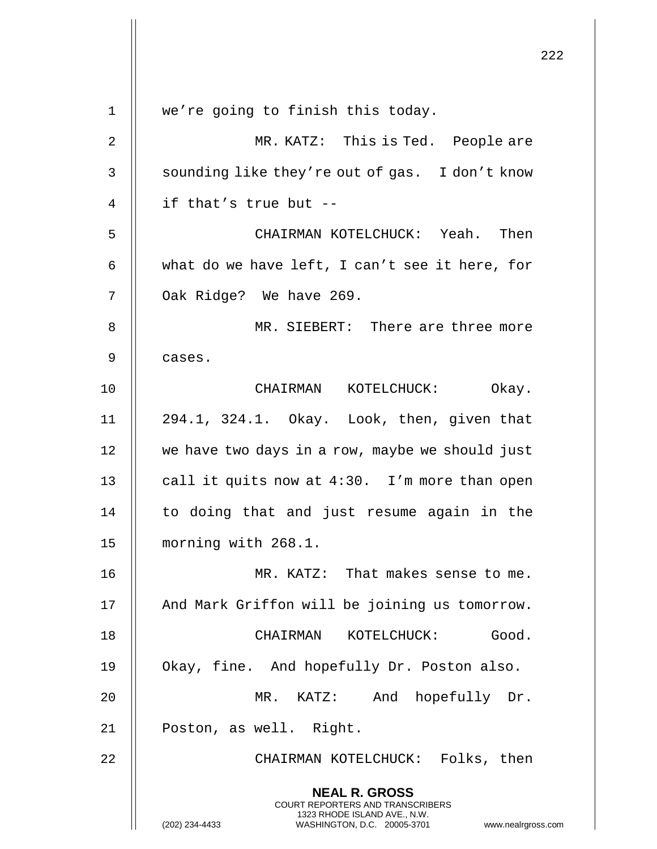|                |                                                                                                                                                                     | 222 |
|----------------|---------------------------------------------------------------------------------------------------------------------------------------------------------------------|-----|
| $\mathbf 1$    | we're going to finish this today.                                                                                                                                   |     |
| $\overline{2}$ | MR. KATZ: This is Ted. People are                                                                                                                                   |     |
| 3              | sounding like they're out of gas. I don't know                                                                                                                      |     |
| 4              | if that's true but --                                                                                                                                               |     |
| 5              | CHAIRMAN KOTELCHUCK: Yeah. Then                                                                                                                                     |     |
| 6              | what do we have left, I can't see it here, for                                                                                                                      |     |
| 7              | Oak Ridge? We have 269.                                                                                                                                             |     |
| 8              | MR. SIEBERT: There are three more                                                                                                                                   |     |
| 9              | cases.                                                                                                                                                              |     |
| 10             | CHAIRMAN KOTELCHUCK: Okay.                                                                                                                                          |     |
| 11             | 294.1, 324.1. Okay. Look, then, given that                                                                                                                          |     |
| 12             | we have two days in a row, maybe we should just                                                                                                                     |     |
| 13             | call it quits now at 4:30. I'm more than open                                                                                                                       |     |
| 14             | to doing that and just resume again in the                                                                                                                          |     |
| 15             | morning with 268.1.                                                                                                                                                 |     |
| 16             | MR. KATZ: That makes sense to me.                                                                                                                                   |     |
| 17             | And Mark Griffon will be joining us tomorrow.                                                                                                                       |     |
| 18             | CHAIRMAN KOTELCHUCK: Good.                                                                                                                                          |     |
| 19             | Okay, fine. And hopefully Dr. Poston also.                                                                                                                          |     |
| 20             | MR. KATZ: And hopefully Dr.                                                                                                                                         |     |
| 21             | Poston, as well. Right.                                                                                                                                             |     |
| 22             | CHAIRMAN KOTELCHUCK: Folks, then                                                                                                                                    |     |
|                | <b>NEAL R. GROSS</b><br><b>COURT REPORTERS AND TRANSCRIBERS</b><br>1323 RHODE ISLAND AVE., N.W.<br>(202) 234-4433<br>WASHINGTON, D.C. 20005-3701 www.nealrgross.com |     |